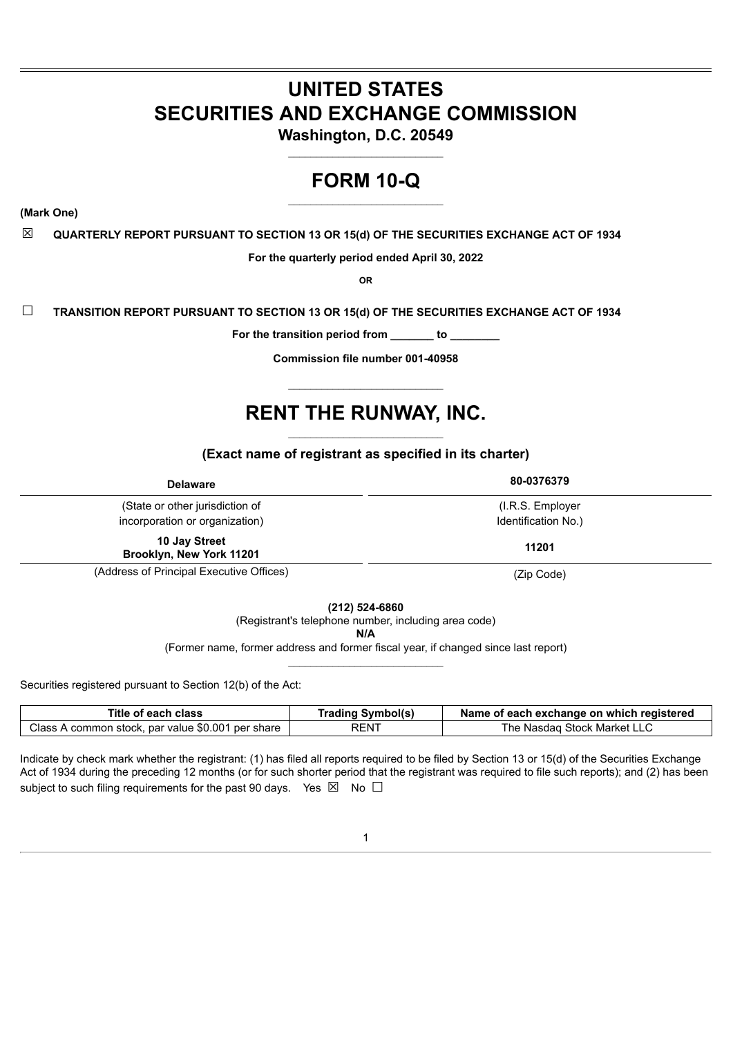# **UNITED STATES SECURITIES AND EXCHANGE COMMISSION**

**Washington, D.C. 20549**

## **FORM 10-Q**

**(Mark One)**

☒ **QUARTERLY REPORT PURSUANT TO SECTION 13 OR 15(d) OF THE SECURITIES EXCHANGE ACT OF 1934**

**For the quarterly period ended April 30, 2022**

**OR**

☐ **TRANSITION REPORT PURSUANT TO SECTION 13 OR 15(d) OF THE SECURITIES EXCHANGE ACT OF 1934**

**For the transition period from \_\_\_\_\_\_\_ to \_\_\_\_\_\_\_\_**

**Commission file number 001-40958**

## **RENT THE RUNWAY, INC.** \_\_\_\_\_\_\_\_\_\_\_\_\_\_\_\_\_\_\_\_\_\_\_\_\_\_\_\_

## **(Exact name of registrant as specified in its charter)**

| <b>Delaware</b>                           | 80-0376379          |
|-------------------------------------------|---------------------|
| (State or other jurisdiction of           | (I.R.S. Employer)   |
| incorporation or organization)            | Identification No.) |
| 10 Jay Street<br>Brooklyn, New York 11201 | 11201               |
| (Address of Principal Executive Offices)  | (Zip Code)          |

**(212) 524-6860**

(Registrant's telephone number, including area code)

**N/A**

(Former name, former address and former fiscal year, if changed since last report)

Securities registered pursuant to Section 12(b) of the Act:

| Title of each class                               | <b>Trading Symbol(s)</b> | Name of each exchange on which registered |  |  |  |  |
|---------------------------------------------------|--------------------------|-------------------------------------------|--|--|--|--|
| Class A common stock, par value \$0.001 per share | RENT                     | The Nasdag Stock Market LLC               |  |  |  |  |

Indicate by check mark whether the registrant: (1) has filed all reports required to be filed by Section 13 or 15(d) of the Securities Exchange Act of 1934 during the preceding 12 months (or for such shorter period that the registrant was required to file such reports); and (2) has been subject to such filing requirements for the past 90 days. Yes  $\boxtimes$  No  $\Box$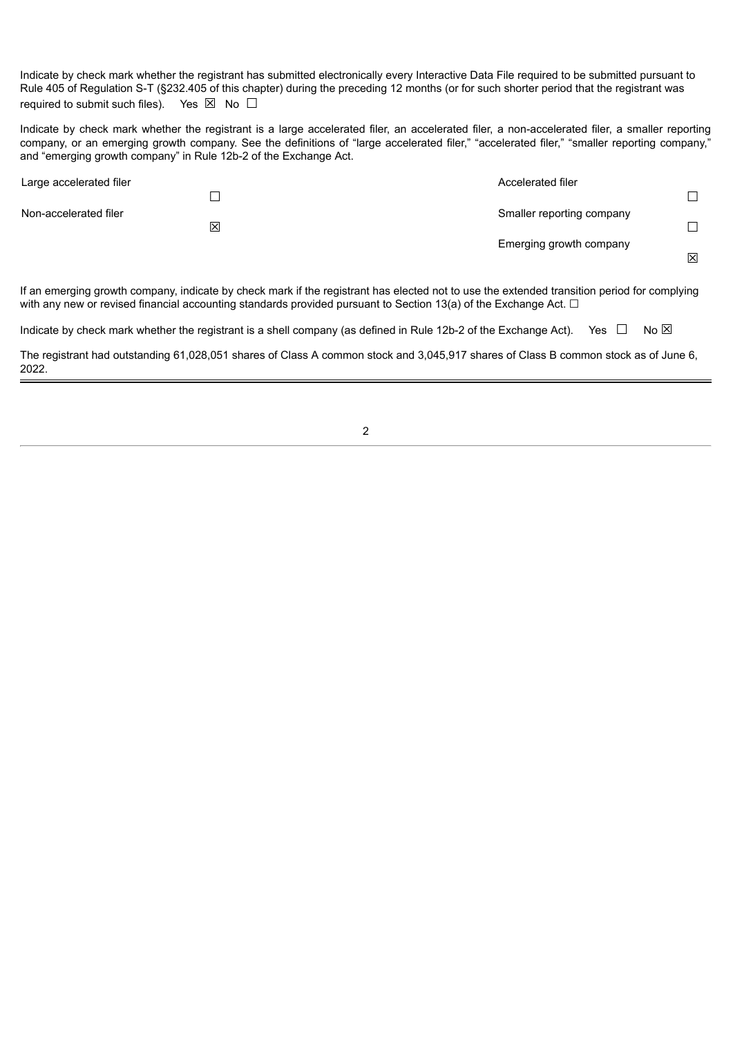Indicate by check mark whether the registrant has submitted electronically every Interactive Data File required to be submitted pursuant to Rule 405 of Regulation S-T (§232.405 of this chapter) during the preceding 12 months (or for such shorter period that the registrant was required to submit such files). Yes  $\boxtimes$  No  $\Box$ 

Indicate by check mark whether the registrant is a large accelerated filer, an accelerated filer, a non-accelerated filer, a smaller reporting company, or an emerging growth company. See the definitions of "large accelerated filer," "accelerated filer," "smaller reporting company," and "emerging growth company" in Rule 12b-2 of the Exchange Act.

| Large accelerated filer |   | Accelerated filer         |             |
|-------------------------|---|---------------------------|-------------|
|                         |   |                           | ┓           |
| Non-accelerated filer   |   | Smaller reporting company |             |
|                         | 区 |                           | П           |
|                         |   | Emerging growth company   |             |
|                         |   |                           | $\boxtimes$ |
|                         |   |                           |             |

If an emerging growth company, indicate by check mark if the registrant has elected not to use the extended transition period for complying with any new or revised financial accounting standards provided pursuant to Section 13(a) of the Exchange Act. □

Indicate by check mark whether the registrant is a shell company (as defined in Rule 12b-2 of the Exchange Act). Yes  $\Box$  No  $\boxtimes$ 

<span id="page-1-0"></span>The registrant had outstanding 61,028,051 shares of Class A common stock and 3,045,917 shares of Class B common stock as of June 6, 2022.

| ۹<br>¢ |  |
|--------|--|
| ۰.     |  |
|        |  |
|        |  |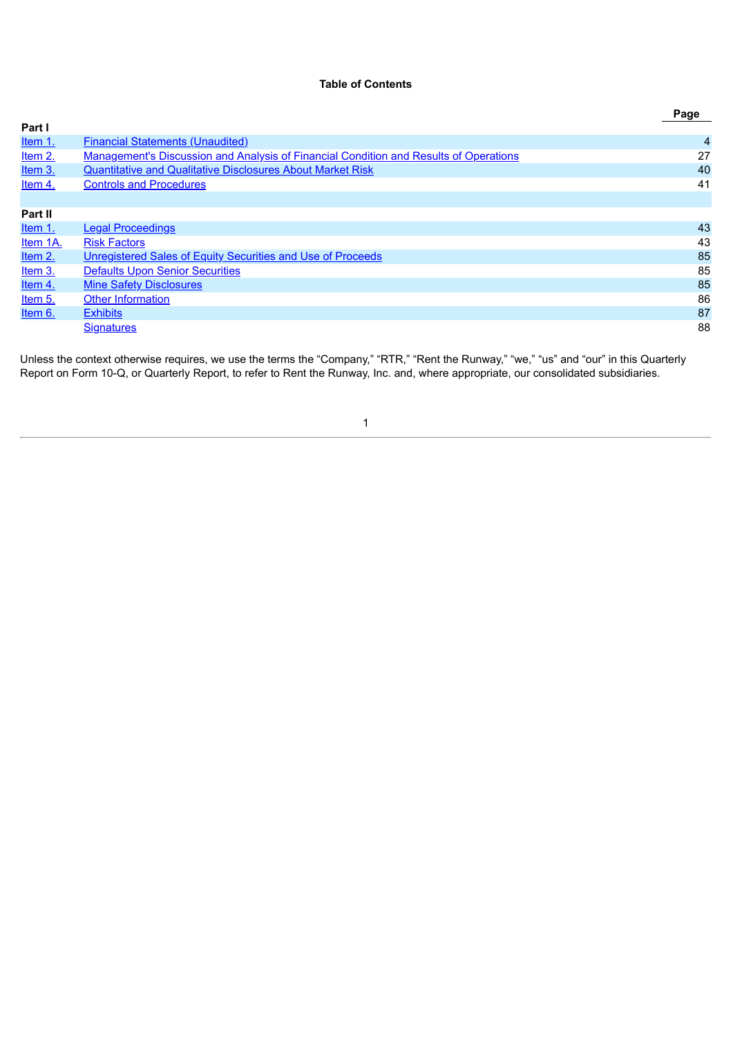## **Table of Contents**

|           |                                                                                       | Page |
|-----------|---------------------------------------------------------------------------------------|------|
| Part I    |                                                                                       |      |
| Item 1.   | <b>Financial Statements (Unaudited)</b>                                               | 4    |
| Item 2.   | Management's Discussion and Analysis of Financial Condition and Results of Operations | 27   |
| Item 3.   | <b>Quantitative and Qualitative Disclosures About Market Risk</b>                     | 40   |
| Item 4.   | <b>Controls and Procedures</b>                                                        | 41   |
|           |                                                                                       |      |
| Part II   |                                                                                       |      |
| Item $1.$ | <b>Legal Proceedings</b>                                                              | 43   |
| Item 1A.  | <b>Risk Factors</b>                                                                   | 43   |
| Item $2.$ | Unregistered Sales of Equity Securities and Use of Proceeds                           | 85   |
| Item $3.$ | <b>Defaults Upon Senior Securities</b>                                                | 85   |
| Item 4.   | <b>Mine Safety Disclosures</b>                                                        | 85   |
| Item 5.   | <b>Other Information</b>                                                              | 86   |
| Item 6.   | <b>Exhibits</b>                                                                       | 87   |
|           | <b>Signatures</b>                                                                     | 88   |

Unless the context otherwise requires, we use the terms the "Company," "RTR," "Rent the Runway," "we," "us" and "our" in this Quarterly Report on Form 10-Q, or Quarterly Report, to refer to Rent the Runway, Inc. and, where appropriate, our consolidated subsidiaries.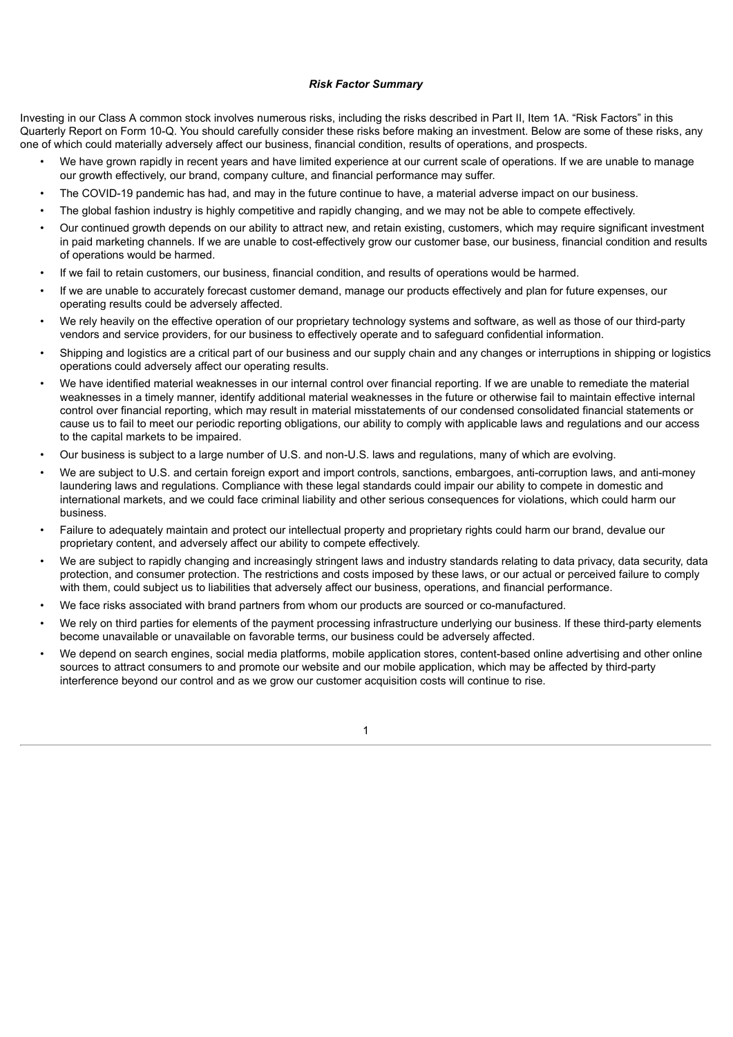## *Risk Factor Summary*

Investing in our Class A common stock involves numerous risks, including the risks described in Part II, Item 1A. "Risk Factors" in this Quarterly Report on Form 10-Q. You should carefully consider these risks before making an investment. Below are some of these risks, any one of which could materially adversely affect our business, financial condition, results of operations, and prospects.

- We have grown rapidly in recent years and have limited experience at our current scale of operations. If we are unable to manage our growth effectively, our brand, company culture, and financial performance may suffer.
- The COVID-19 pandemic has had, and may in the future continue to have, a material adverse impact on our business.
- The global fashion industry is highly competitive and rapidly changing, and we may not be able to compete effectively.
- Our continued growth depends on our ability to attract new, and retain existing, customers, which may require significant investment in paid marketing channels. If we are unable to cost-effectively grow our customer base, our business, financial condition and results of operations would be harmed.
- If we fail to retain customers, our business, financial condition, and results of operations would be harmed.
- If we are unable to accurately forecast customer demand, manage our products effectively and plan for future expenses, our operating results could be adversely affected.
- We rely heavily on the effective operation of our proprietary technology systems and software, as well as those of our third-party vendors and service providers, for our business to effectively operate and to safeguard confidential information.
- Shipping and logistics are a critical part of our business and our supply chain and any changes or interruptions in shipping or logistics operations could adversely affect our operating results.
- We have identified material weaknesses in our internal control over financial reporting. If we are unable to remediate the material weaknesses in a timely manner, identify additional material weaknesses in the future or otherwise fail to maintain effective internal control over financial reporting, which may result in material misstatements of our condensed consolidated financial statements or cause us to fail to meet our periodic reporting obligations, our ability to comply with applicable laws and regulations and our access to the capital markets to be impaired.
- Our business is subject to a large number of U.S. and non-U.S. laws and regulations, many of which are evolving.
- We are subject to U.S. and certain foreign export and import controls, sanctions, embargoes, anti-corruption laws, and anti-money laundering laws and regulations. Compliance with these legal standards could impair our ability to compete in domestic and international markets, and we could face criminal liability and other serious consequences for violations, which could harm our business.
- Failure to adequately maintain and protect our intellectual property and proprietary rights could harm our brand, devalue our proprietary content, and adversely affect our ability to compete effectively.
- We are subject to rapidly changing and increasingly stringent laws and industry standards relating to data privacy, data security, data protection, and consumer protection. The restrictions and costs imposed by these laws, or our actual or perceived failure to comply with them, could subject us to liabilities that adversely affect our business, operations, and financial performance.
- We face risks associated with brand partners from whom our products are sourced or co-manufactured.
- We rely on third parties for elements of the payment processing infrastructure underlying our business. If these third-party elements become unavailable or unavailable on favorable terms, our business could be adversely affected.
- We depend on search engines, social media platforms, mobile application stores, content-based online advertising and other online sources to attract consumers to and promote our website and our mobile application, which may be affected by third-party interference beyond our control and as we grow our customer acquisition costs will continue to rise.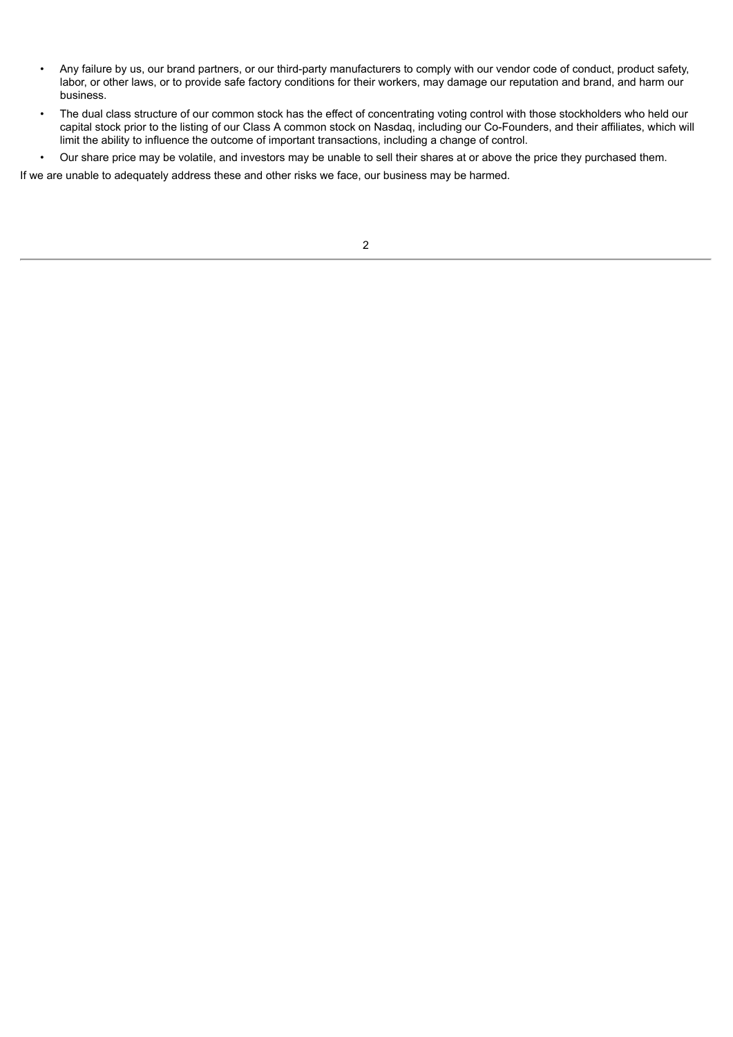- Any failure by us, our brand partners, or our third-party manufacturers to comply with our vendor code of conduct, product safety, labor, or other laws, or to provide safe factory conditions for their workers, may damage our reputation and brand, and harm our business.
- The dual class structure of our common stock has the effect of concentrating voting control with those stockholders who held our capital stock prior to the listing of our Class A common stock on Nasdaq, including our Co-Founders, and their affiliates, which will limit the ability to influence the outcome of important transactions, including a change of control.
- Our share price may be volatile, and investors may be unable to sell their shares at or above the price they purchased them.

If we are unable to adequately address these and other risks we face, our business may be harmed.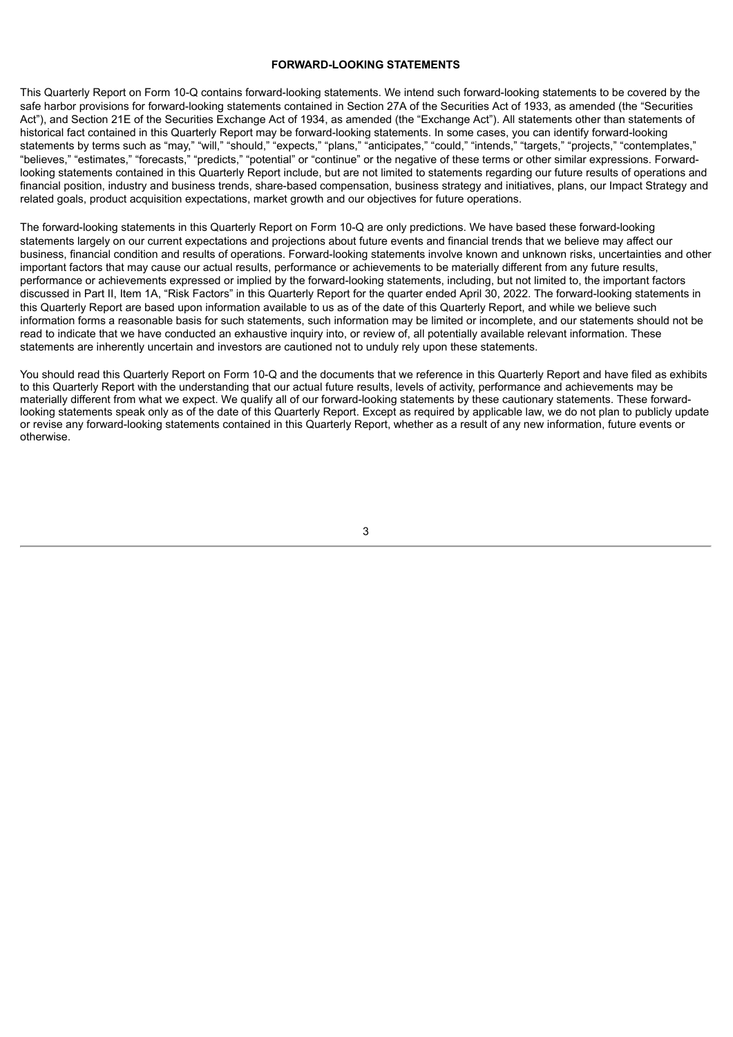## **FORWARD-LOOKING STATEMENTS**

This Quarterly Report on Form 10-Q contains forward-looking statements. We intend such forward-looking statements to be covered by the safe harbor provisions for forward-looking statements contained in Section 27A of the Securities Act of 1933, as amended (the "Securities Act"), and Section 21E of the Securities Exchange Act of 1934, as amended (the "Exchange Act"). All statements other than statements of historical fact contained in this Quarterly Report may be forward-looking statements. In some cases, you can identify forward-looking statements by terms such as "may," "will," "should," "expects," "plans," "anticipates," "could," "intends," "targets," "projects," "contemplates," "believes," "estimates," "forecasts," "predicts," "potential" or "continue" or the negative of these terms or other similar expressions. Forwardlooking statements contained in this Quarterly Report include, but are not limited to statements regarding our future results of operations and financial position, industry and business trends, share-based compensation, business strategy and initiatives, plans, our Impact Strategy and related goals, product acquisition expectations, market growth and our objectives for future operations.

The forward-looking statements in this Quarterly Report on Form 10-Q are only predictions. We have based these forward-looking statements largely on our current expectations and projections about future events and financial trends that we believe may affect our business, financial condition and results of operations. Forward-looking statements involve known and unknown risks, uncertainties and other important factors that may cause our actual results, performance or achievements to be materially different from any future results, performance or achievements expressed or implied by the forward-looking statements, including, but not limited to, the important factors discussed in Part II, Item 1A, "Risk Factors" in this Quarterly Report for the quarter ended April 30, 2022. The forward-looking statements in this Quarterly Report are based upon information available to us as of the date of this Quarterly Report, and while we believe such information forms a reasonable basis for such statements, such information may be limited or incomplete, and our statements should not be read to indicate that we have conducted an exhaustive inquiry into, or review of, all potentially available relevant information. These statements are inherently uncertain and investors are cautioned not to unduly rely upon these statements.

You should read this Quarterly Report on Form 10-Q and the documents that we reference in this Quarterly Report and have filed as exhibits to this Quarterly Report with the understanding that our actual future results, levels of activity, performance and achievements may be materially different from what we expect. We qualify all of our forward-looking statements by these cautionary statements. These forwardlooking statements speak only as of the date of this Quarterly Report. Except as required by applicable law, we do not plan to publicly update or revise any forward-looking statements contained in this Quarterly Report, whether as a result of any new information, future events or otherwise.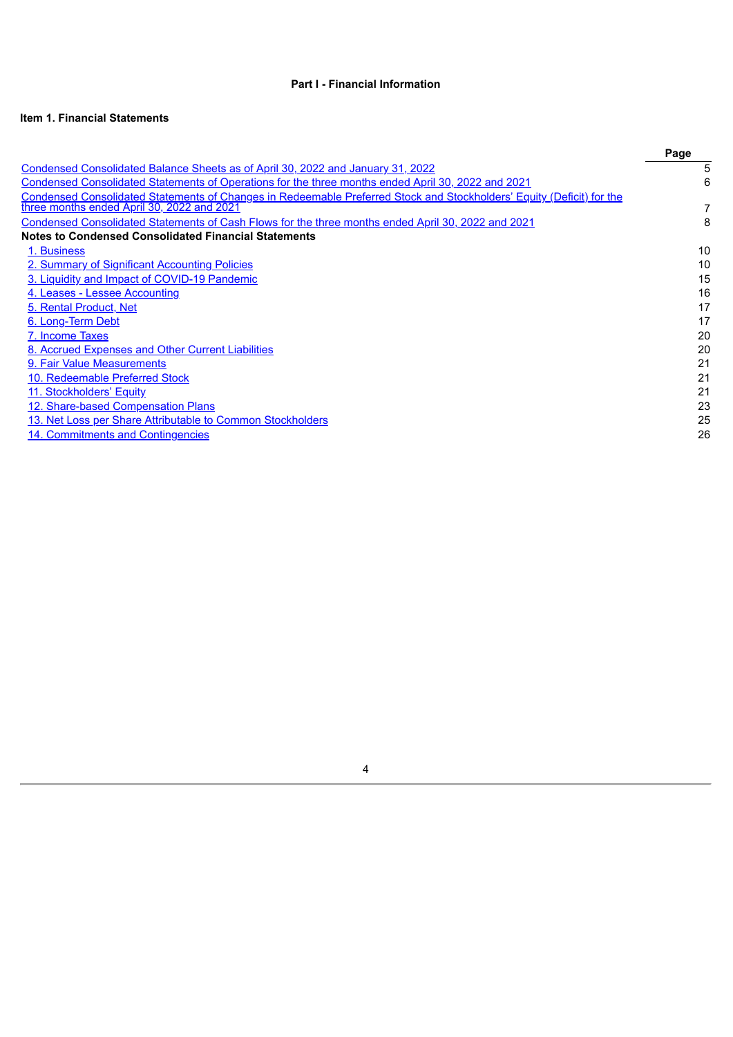## **Part I - Financial Information**

## <span id="page-6-0"></span>**Item 1. Financial Statements**

|                                                                                                                                                                     | Page |
|---------------------------------------------------------------------------------------------------------------------------------------------------------------------|------|
| Condensed Consolidated Balance Sheets as of April 30, 2022 and January 31, 2022                                                                                     | 5    |
| Condensed Consolidated Statements of Operations for the three months ended April 30, 2022 and 2021                                                                  | 6    |
| Condensed Consolidated Statements of Changes in Redeemable Preferred Stock and Stockholders' Equity (Deficit) for the<br>three months ended April 30, 2022 and 2021 | 7    |
|                                                                                                                                                                     | 8    |
| Condensed Consolidated Statements of Cash Flows for the three months ended April 30, 2022 and 2021<br><b>Notes to Condensed Consolidated Financial Statements</b>   |      |
| 1. Business                                                                                                                                                         | 10   |
| 2. Summary of Significant Accounting Policies                                                                                                                       | 10   |
| 3. Liquidity and Impact of COVID-19 Pandemic                                                                                                                        | 15   |
| 4. Leases - Lessee Accounting                                                                                                                                       | 16   |
| 5. Rental Product, Net                                                                                                                                              | 17   |
| 6. Long-Term Debt                                                                                                                                                   | 17   |
| 7. Income Taxes                                                                                                                                                     | 20   |
| 8. Accrued Expenses and Other Current Liabilities                                                                                                                   | 20   |
| 9. Fair Value Measurements                                                                                                                                          | 21   |
| 10. Redeemable Preferred Stock                                                                                                                                      | 21   |
| 11. Stockholders' Equity                                                                                                                                            | 21   |
| 12. Share-based Compensation Plans                                                                                                                                  | 23   |
| 13. Net Loss per Share Attributable to Common Stockholders                                                                                                          | 25   |
| 14. Commitments and Contingencies                                                                                                                                   | 26   |

## 4

<span id="page-6-1"></span>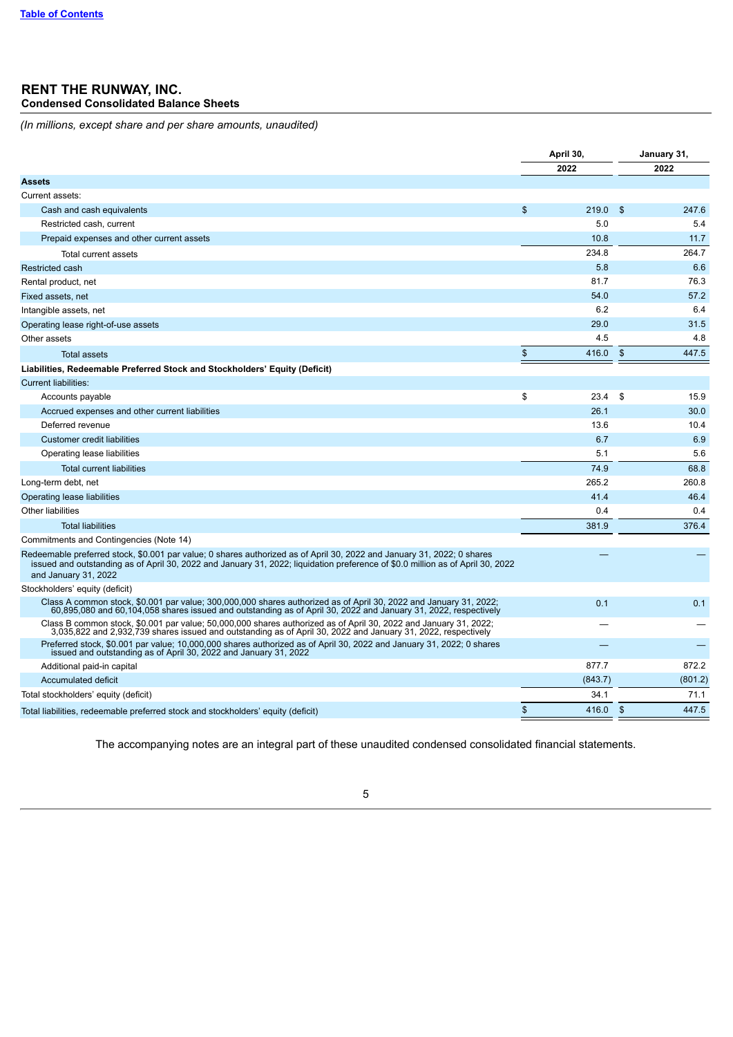## **RENT THE RUNWAY, INC. Condensed Consolidated Balance Sheets**

*(In millions, except share and per share amounts, unaudited)*

|                                                                                                                                                                                                                                                                                  |                           | April 30, |               | January 31, |
|----------------------------------------------------------------------------------------------------------------------------------------------------------------------------------------------------------------------------------------------------------------------------------|---------------------------|-----------|---------------|-------------|
|                                                                                                                                                                                                                                                                                  |                           | 2022      |               | 2022        |
| <b>Assets</b>                                                                                                                                                                                                                                                                    |                           |           |               |             |
| Current assets:                                                                                                                                                                                                                                                                  |                           |           |               |             |
| Cash and cash equivalents                                                                                                                                                                                                                                                        | $\mathfrak{s}$            | 219.0     | $\sqrt[6]{3}$ | 247.6       |
| Restricted cash, current                                                                                                                                                                                                                                                         |                           | 5.0       |               | 5.4         |
| Prepaid expenses and other current assets                                                                                                                                                                                                                                        |                           | 10.8      |               | 11.7        |
| Total current assets                                                                                                                                                                                                                                                             |                           | 234.8     |               | 264.7       |
| <b>Restricted cash</b>                                                                                                                                                                                                                                                           |                           | 5.8       |               | 6.6         |
| Rental product, net                                                                                                                                                                                                                                                              |                           | 81.7      |               | 76.3        |
| Fixed assets, net                                                                                                                                                                                                                                                                |                           | 54.0      |               | 57.2        |
| Intangible assets, net                                                                                                                                                                                                                                                           |                           | 6.2       |               | 6.4         |
| Operating lease right-of-use assets                                                                                                                                                                                                                                              |                           | 29.0      |               | 31.5        |
| Other assets                                                                                                                                                                                                                                                                     |                           | 4.5       |               | 4.8         |
| <b>Total assets</b>                                                                                                                                                                                                                                                              | $\mathfrak{s}$            | 416.0     | $\sqrt{3}$    | 447.5       |
| Liabilities, Redeemable Preferred Stock and Stockholders' Equity (Deficit)                                                                                                                                                                                                       |                           |           |               |             |
| <b>Current liabilities:</b>                                                                                                                                                                                                                                                      |                           |           |               |             |
| Accounts payable                                                                                                                                                                                                                                                                 | \$                        | 23.4      | \$            | 15.9        |
| Accrued expenses and other current liabilities                                                                                                                                                                                                                                   |                           | 26.1      |               | 30.0        |
| Deferred revenue                                                                                                                                                                                                                                                                 |                           | 13.6      |               | 10.4        |
| <b>Customer credit liabilities</b>                                                                                                                                                                                                                                               |                           | 6.7       |               | 6.9         |
| Operating lease liabilities                                                                                                                                                                                                                                                      |                           | 5.1       |               | 5.6         |
| Total current liabilities                                                                                                                                                                                                                                                        |                           | 74.9      |               | 68.8        |
| Long-term debt, net                                                                                                                                                                                                                                                              |                           | 265.2     |               | 260.8       |
| Operating lease liabilities                                                                                                                                                                                                                                                      |                           | 41.4      |               | 46.4        |
| <b>Other liabilities</b>                                                                                                                                                                                                                                                         |                           | 0.4       |               | 0.4         |
| <b>Total liabilities</b>                                                                                                                                                                                                                                                         |                           | 381.9     |               | 376.4       |
| Commitments and Contingencies (Note 14)                                                                                                                                                                                                                                          |                           |           |               |             |
| Redeemable preferred stock, \$0.001 par value; 0 shares authorized as of April 30, 2022 and January 31, 2022; 0 shares<br>issued and outstanding as of April 30, 2022 and January 31, 2022; liquidation preference of \$0.0 million as of April 30, 2022<br>and January 31, 2022 |                           |           |               |             |
| Stockholders' equity (deficit)                                                                                                                                                                                                                                                   |                           |           |               |             |
| Class A common stock, \$0.001 par value; 300,000,000 shares authorized as of April 30, 2022 and January 31, 2022;<br>60,895,080 and 60,104,058 shares issued and outstanding as of April 30, 2022 and January 31, 2022, respectively                                             |                           | 0.1       |               | 0.1         |
| Class B common stock, \$0.001 par value; 50,000,000 shares authorized as of April 30, 2022 and January 31, 2022;<br>3,035,822 and 2,932,739 shares issued and outstanding as of April 30, 2022 and January 31, 2022, respectively                                                |                           |           |               |             |
| Preferred stock, \$0.001 par value; 10,000,000 shares authorized as of April 30, 2022 and January 31, 2022; 0 shares<br>issued and outstanding as of April 30, 2022 and January 31, 2022                                                                                         |                           |           |               |             |
| Additional paid-in capital                                                                                                                                                                                                                                                       |                           | 877.7     |               | 872.2       |
| Accumulated deficit                                                                                                                                                                                                                                                              |                           | (843.7)   |               | (801.2)     |
| Total stockholders' equity (deficit)                                                                                                                                                                                                                                             |                           | 34.1      |               | 71.1        |
| Total liabilities, redeemable preferred stock and stockholders' equity (deficit)                                                                                                                                                                                                 | $\boldsymbol{\mathsf{S}}$ | 416.0     | $\mathbf{\$}$ | 447.5       |

<span id="page-7-0"></span>The accompanying notes are an integral part of these unaudited condensed consolidated financial statements.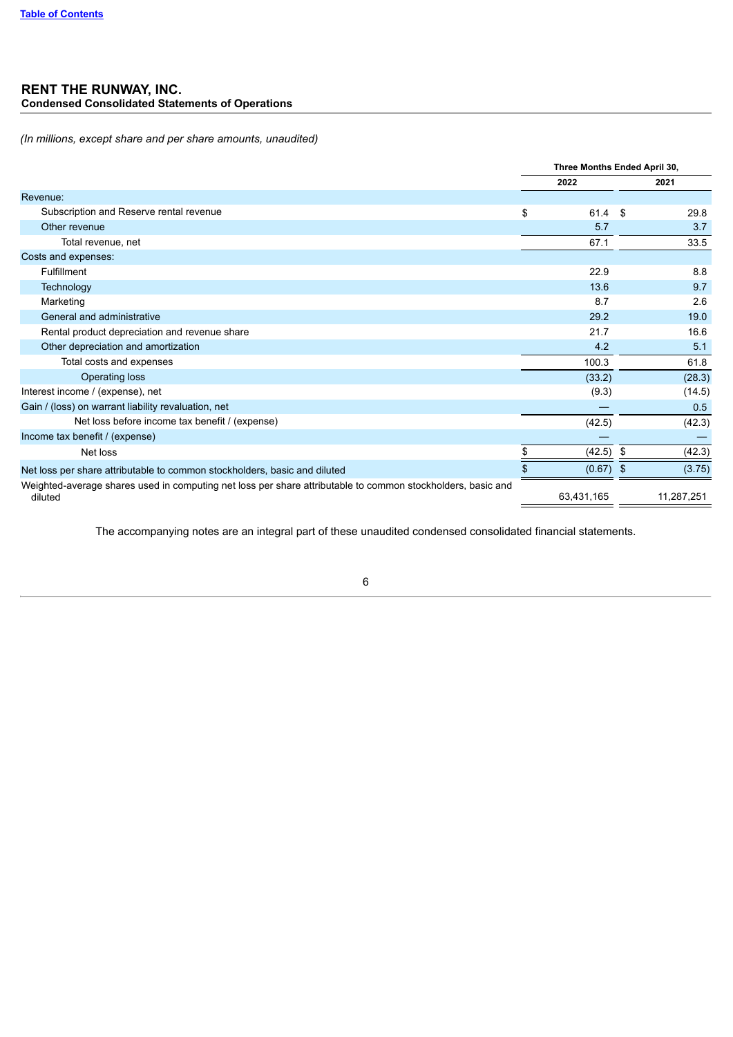## **RENT THE RUNWAY, INC. Condensed Consolidated Statements of Operations**

*(In millions, except share and per share amounts, unaudited)*

|                                                                                                                        | Three Months Ended April 30, |            |      |            |
|------------------------------------------------------------------------------------------------------------------------|------------------------------|------------|------|------------|
|                                                                                                                        |                              | 2022       |      | 2021       |
| Revenue:                                                                                                               |                              |            |      |            |
| Subscription and Reserve rental revenue                                                                                | \$                           | 61.4       | \$   | 29.8       |
| Other revenue                                                                                                          |                              | 5.7        |      | 3.7        |
| Total revenue, net                                                                                                     |                              | 67.1       |      | 33.5       |
| Costs and expenses:                                                                                                    |                              |            |      |            |
| Fulfillment                                                                                                            |                              | 22.9       |      | 8.8        |
| Technology                                                                                                             |                              | 13.6       |      | 9.7        |
| Marketing                                                                                                              |                              | 8.7        |      | 2.6        |
| General and administrative                                                                                             |                              | 29.2       |      | 19.0       |
| Rental product depreciation and revenue share                                                                          |                              | 21.7       |      | 16.6       |
| Other depreciation and amortization                                                                                    |                              | 4.2        |      | 5.1        |
| Total costs and expenses                                                                                               |                              | 100.3      |      | 61.8       |
| <b>Operating loss</b>                                                                                                  |                              | (33.2)     |      | (28.3)     |
| Interest income / (expense), net                                                                                       |                              | (9.3)      |      | (14.5)     |
| Gain / (loss) on warrant liability revaluation, net                                                                    |                              |            |      | 0.5        |
| Net loss before income tax benefit / (expense)                                                                         |                              | (42.5)     |      | (42.3)     |
| Income tax benefit / (expense)                                                                                         |                              |            |      |            |
| Net loss                                                                                                               |                              | (42.5)     | - \$ | (42.3)     |
| Net loss per share attributable to common stockholders, basic and diluted                                              |                              | (0.67)     | - 35 | (3.75)     |
| Weighted-average shares used in computing net loss per share attributable to common stockholders, basic and<br>diluted |                              | 63,431,165 |      | 11,287,251 |
|                                                                                                                        |                              |            |      |            |

<span id="page-8-0"></span>The accompanying notes are an integral part of these unaudited condensed consolidated financial statements.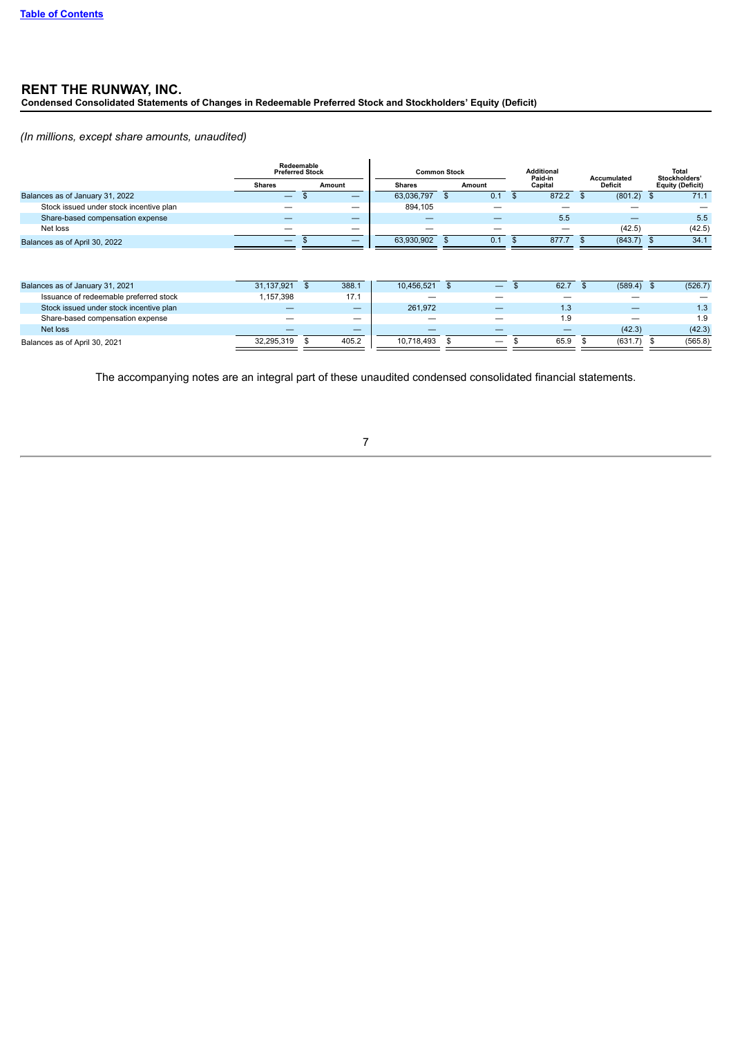## **RENT THE RUNWAY, INC.**

**Condensed Consolidated Statements of Changes in Redeemable Preferred Stock and Stockholders' Equity (Deficit)**

*(In millions, except share amounts, unaudited)*

|                                         |               | Redeemable<br><b>Preferred Stock</b> |       |               | <b>Common Stock</b> |        |              | <b>Additional</b><br>Paid-in |              | Accumulated  |     | Total<br>Stockholders' |  |                         |
|-----------------------------------------|---------------|--------------------------------------|-------|---------------|---------------------|--------|--------------|------------------------------|--------------|--------------|-----|------------------------|--|-------------------------|
|                                         | <b>Shares</b> | Amount                               |       | <b>Shares</b> |                     | Amount | Capital      |                              |              |              |     | <b>Deficit</b>         |  | <b>Equity (Deficit)</b> |
| Balances as of January 31, 2022         | -             |                                      |       | 63,036,797    | \$                  | 0.1    | $\mathbf{s}$ | 872.2                        | -86          | $(801.2)$ \$ |     | 71.1                   |  |                         |
| Stock issued under stock incentive plan |               |                                      |       | 894,105       |                     |        |              |                              |              |              |     |                        |  |                         |
| Share-based compensation expense        |               |                                      | -     |               |                     |        |              | 5.5                          |              | –            |     | 5.5                    |  |                         |
| Net loss                                |               |                                      | –     |               |                     |        |              |                              |              | (42.5)       |     | (42.5)                 |  |                         |
| Balances as of April 30, 2022           |               |                                      |       | 63,930,902    |                     | 0.1    |              | 877.7                        |              | (843.7)      | -SS | 34.1                   |  |                         |
|                                         |               |                                      |       |               |                     |        |              |                              |              |              |     |                        |  |                         |
| Balances as of January 31, 2021         | 31,137,921    | \$                                   | 388.1 | 10,456,521    | -96                 |        | \$           | 62.7                         | $\mathbf{s}$ | $(589.4)$ \$ |     | (526.7)                |  |                         |
| Issuance of redeemable preferred stock  | 1,157,398     |                                      | 17.1  |               |                     |        |              |                              |              |              |     |                        |  |                         |
| Stock issued under stock incentive plan |               |                                      | -     | 261,972       |                     |        |              | 1.3                          |              |              |     | 1.3                    |  |                         |
| Share-based compensation expense        |               |                                      | –     |               |                     |        |              | 1.9                          |              |              |     | 1.9                    |  |                         |
| Net loss                                |               |                                      | –     |               |                     |        |              |                              |              | (42.3)       |     | (42.3)                 |  |                         |
| Balances as of April 30, 2021           | 32,295,319    |                                      | 405.2 | 10,718,493    |                     |        |              | 65.9                         |              | (631.7)      |     | (565.8)                |  |                         |

<span id="page-9-0"></span>The accompanying notes are an integral part of these unaudited condensed consolidated financial statements.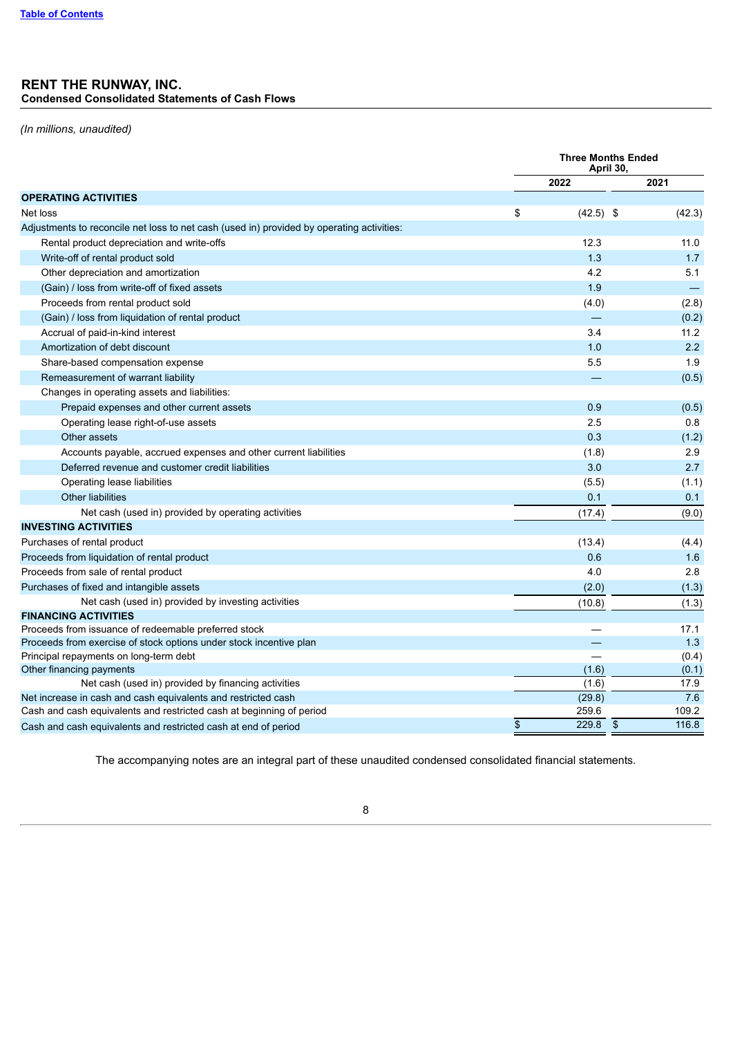## **RENT THE RUNWAY, INC. Condensed Consolidated Statements of Cash Flows**

*(In millions, unaudited)*

|                                                                                           | <b>Three Months Ended</b><br>April 30, |                        |        |
|-------------------------------------------------------------------------------------------|----------------------------------------|------------------------|--------|
|                                                                                           |                                        | 2022                   | 2021   |
| <b>OPERATING ACTIVITIES</b>                                                               |                                        |                        |        |
| Net loss                                                                                  | \$                                     | $(42.5)$ \$            | (42.3) |
| Adjustments to reconcile net loss to net cash (used in) provided by operating activities: |                                        |                        |        |
| Rental product depreciation and write-offs                                                |                                        | 12.3                   | 11.0   |
| Write-off of rental product sold                                                          |                                        | 1.3                    | 1.7    |
| Other depreciation and amortization                                                       |                                        | 4.2                    | 5.1    |
| (Gain) / loss from write-off of fixed assets                                              |                                        | 1.9                    |        |
| Proceeds from rental product sold                                                         |                                        | (4.0)                  | (2.8)  |
| (Gain) / loss from liquidation of rental product                                          |                                        |                        | (0.2)  |
| Accrual of paid-in-kind interest                                                          |                                        | 3.4                    | 11.2   |
| Amortization of debt discount                                                             |                                        | 1.0                    | 2.2    |
| Share-based compensation expense                                                          |                                        | 5.5                    | 1.9    |
| Remeasurement of warrant liability                                                        |                                        |                        | (0.5)  |
| Changes in operating assets and liabilities:                                              |                                        |                        |        |
| Prepaid expenses and other current assets                                                 |                                        | 0.9                    | (0.5)  |
| Operating lease right-of-use assets                                                       |                                        | 2.5                    | 0.8    |
| Other assets                                                                              |                                        | 0.3                    | (1.2)  |
| Accounts payable, accrued expenses and other current liabilities                          |                                        | (1.8)                  | 2.9    |
| Deferred revenue and customer credit liabilities                                          |                                        | 3.0                    | 2.7    |
| Operating lease liabilities                                                               |                                        | (5.5)                  | (1.1)  |
| <b>Other liabilities</b>                                                                  |                                        | 0.1                    | 0.1    |
| Net cash (used in) provided by operating activities                                       |                                        | (17.4)                 | (9.0)  |
| <b>INVESTING ACTIVITIES</b>                                                               |                                        |                        |        |
| Purchases of rental product                                                               |                                        | (13.4)                 | (4.4)  |
| Proceeds from liquidation of rental product                                               |                                        | 0.6                    | 1.6    |
| Proceeds from sale of rental product                                                      |                                        | 4.0                    | 2.8    |
| Purchases of fixed and intangible assets                                                  |                                        | (2.0)                  | (1.3)  |
| Net cash (used in) provided by investing activities                                       |                                        | (10.8)                 | (1.3)  |
| <b>FINANCING ACTIVITIES</b>                                                               |                                        |                        |        |
| Proceeds from issuance of redeemable preferred stock                                      |                                        |                        | 17.1   |
| Proceeds from exercise of stock options under stock incentive plan                        |                                        |                        | 1.3    |
| Principal repayments on long-term debt                                                    |                                        |                        | (0.4)  |
| Other financing payments                                                                  |                                        | (1.6)                  | (0.1)  |
| Net cash (used in) provided by financing activities                                       |                                        | (1.6)                  | 17.9   |
| Net increase in cash and cash equivalents and restricted cash                             |                                        | (29.8)                 | 7.6    |
| Cash and cash equivalents and restricted cash at beginning of period                      |                                        | 259.6                  | 109.2  |
| Cash and cash equivalents and restricted cash at end of period                            | \$                                     | $\sqrt[6]{3}$<br>229.8 | 116.8  |

The accompanying notes are an integral part of these unaudited condensed consolidated financial statements.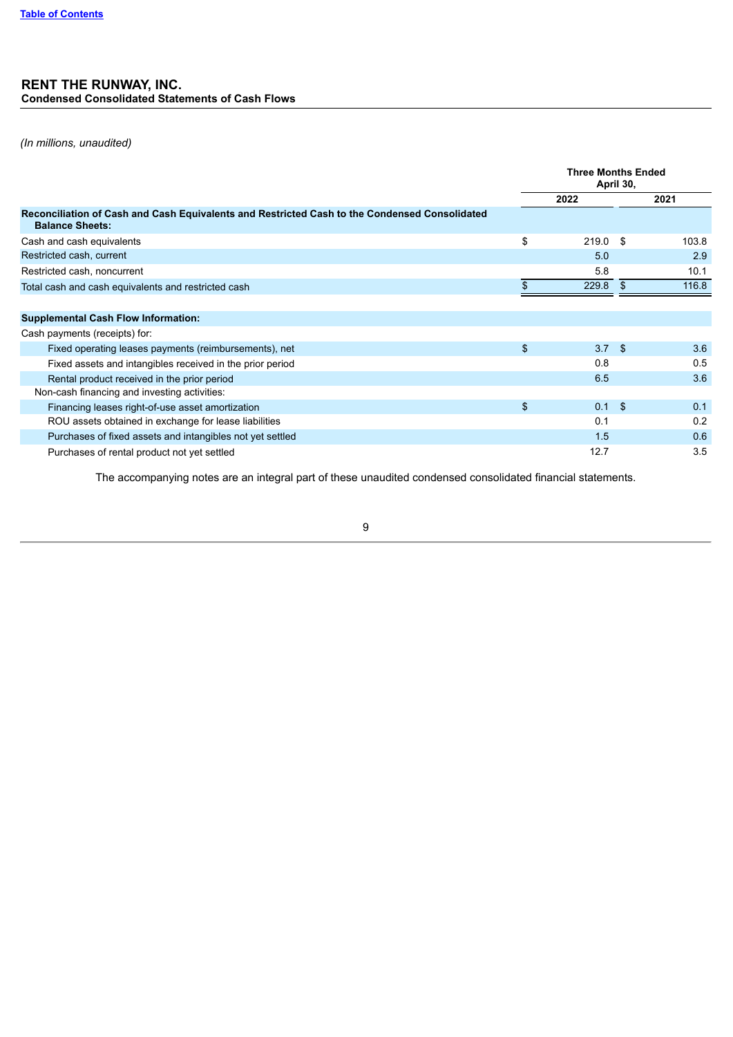## **RENT THE RUNWAY, INC. Condensed Consolidated Statements of Cash Flows**

## *(In millions, unaudited)*

|                                                                                                                         | <b>Three Months Ended</b><br>April 30, |                  |      |       |
|-------------------------------------------------------------------------------------------------------------------------|----------------------------------------|------------------|------|-------|
|                                                                                                                         |                                        | 2022             |      | 2021  |
| Reconciliation of Cash and Cash Equivalents and Restricted Cash to the Condensed Consolidated<br><b>Balance Sheets:</b> |                                        |                  |      |       |
| Cash and cash equivalents                                                                                               | \$                                     | 219.0            | - \$ | 103.8 |
| Restricted cash, current                                                                                                |                                        | 5.0              |      | 2.9   |
| Restricted cash, noncurrent                                                                                             |                                        | 5.8              |      | 10.1  |
| Total cash and cash equivalents and restricted cash                                                                     |                                        | 229.8            | \$.  | 116.8 |
|                                                                                                                         |                                        |                  |      |       |
| <b>Supplemental Cash Flow Information:</b>                                                                              |                                        |                  |      |       |
| Cash payments (receipts) for:                                                                                           |                                        |                  |      |       |
| Fixed operating leases payments (reimbursements), net                                                                   | $\mathfrak{F}$                         | 3.7 <sup>5</sup> |      | 3.6   |
| Fixed assets and intangibles received in the prior period                                                               |                                        | 0.8              |      | 0.5   |
| Rental product received in the prior period                                                                             |                                        | 6.5              |      | 3.6   |
| Non-cash financing and investing activities:                                                                            |                                        |                  |      |       |
| Financing leases right-of-use asset amortization                                                                        | \$                                     | 0.1 <sup>5</sup> |      | 0.1   |
| ROU assets obtained in exchange for lease liabilities                                                                   |                                        | 0.1              |      | 0.2   |
| Purchases of fixed assets and intangibles not yet settled                                                               |                                        | 1.5              |      | 0.6   |
| Purchases of rental product not yet settled                                                                             |                                        | 12.7             |      | 3.5   |

The accompanying notes are an integral part of these unaudited condensed consolidated financial statements.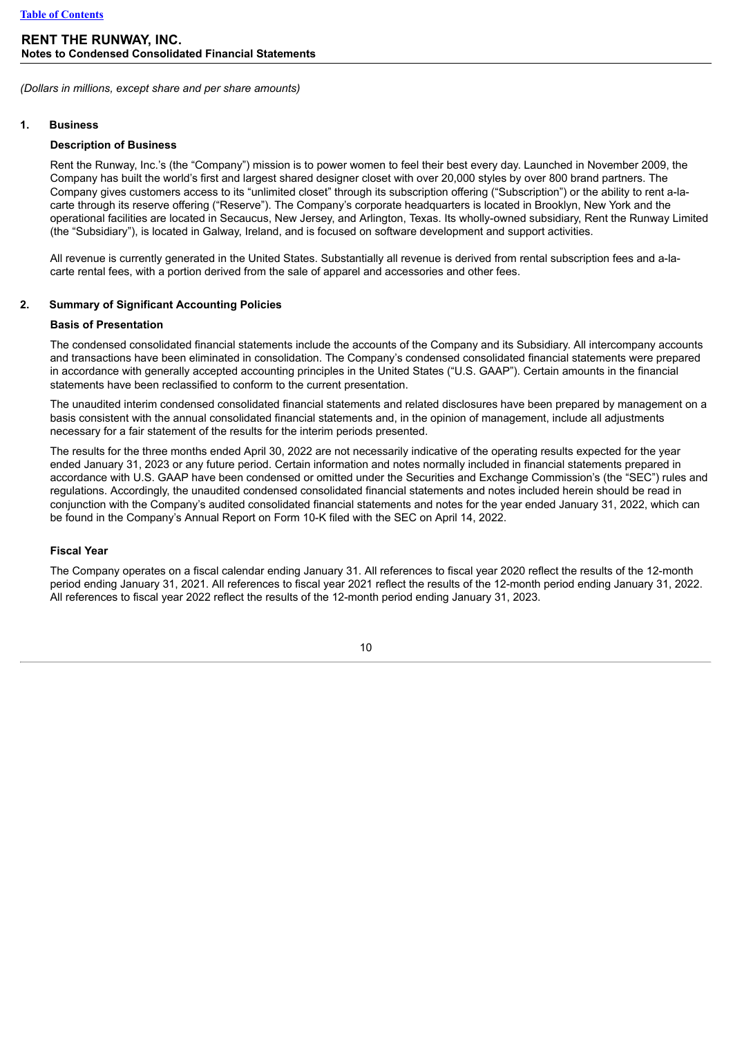*(Dollars in millions, except share and per share amounts)*

## <span id="page-12-0"></span>**1. Business**

## **Description of Business**

Rent the Runway, Inc.'s (the "Company") mission is to power women to feel their best every day. Launched in November 2009, the Company has built the world's first and largest shared designer closet with over 20,000 styles by over 800 brand partners. The Company gives customers access to its "unlimited closet" through its subscription offering ("Subscription") or the ability to rent a-lacarte through its reserve offering ("Reserve"). The Company's corporate headquarters is located in Brooklyn, New York and the operational facilities are located in Secaucus, New Jersey, and Arlington, Texas. Its wholly-owned subsidiary, Rent the Runway Limited (the "Subsidiary"), is located in Galway, Ireland, and is focused on software development and support activities.

All revenue is currently generated in the United States. Substantially all revenue is derived from rental subscription fees and a-lacarte rental fees, with a portion derived from the sale of apparel and accessories and other fees.

## <span id="page-12-1"></span>**2. Summary of Significant Accounting Policies**

### **Basis of Presentation**

The condensed consolidated financial statements include the accounts of the Company and its Subsidiary. All intercompany accounts and transactions have been eliminated in consolidation. The Company's condensed consolidated financial statements were prepared in accordance with generally accepted accounting principles in the United States ("U.S. GAAP"). Certain amounts in the financial statements have been reclassified to conform to the current presentation.

The unaudited interim condensed consolidated financial statements and related disclosures have been prepared by management on a basis consistent with the annual consolidated financial statements and, in the opinion of management, include all adjustments necessary for a fair statement of the results for the interim periods presented.

The results for the three months ended April 30, 2022 are not necessarily indicative of the operating results expected for the year ended January 31, 2023 or any future period. Certain information and notes normally included in financial statements prepared in accordance with U.S. GAAP have been condensed or omitted under the Securities and Exchange Commission's (the "SEC") rules and regulations. Accordingly, the unaudited condensed consolidated financial statements and notes included herein should be read in conjunction with the Company's audited consolidated financial statements and notes for the year ended January 31, 2022, which can be found in the Company's Annual Report on Form 10-K filed with the SEC on April 14, 2022.

### **Fiscal Year**

The Company operates on a fiscal calendar ending January 31. All references to fiscal year 2020 reflect the results of the 12-month period ending January 31, 2021. All references to fiscal year 2021 reflect the results of the 12-month period ending January 31, 2022. All references to fiscal year 2022 reflect the results of the 12-month period ending January 31, 2023.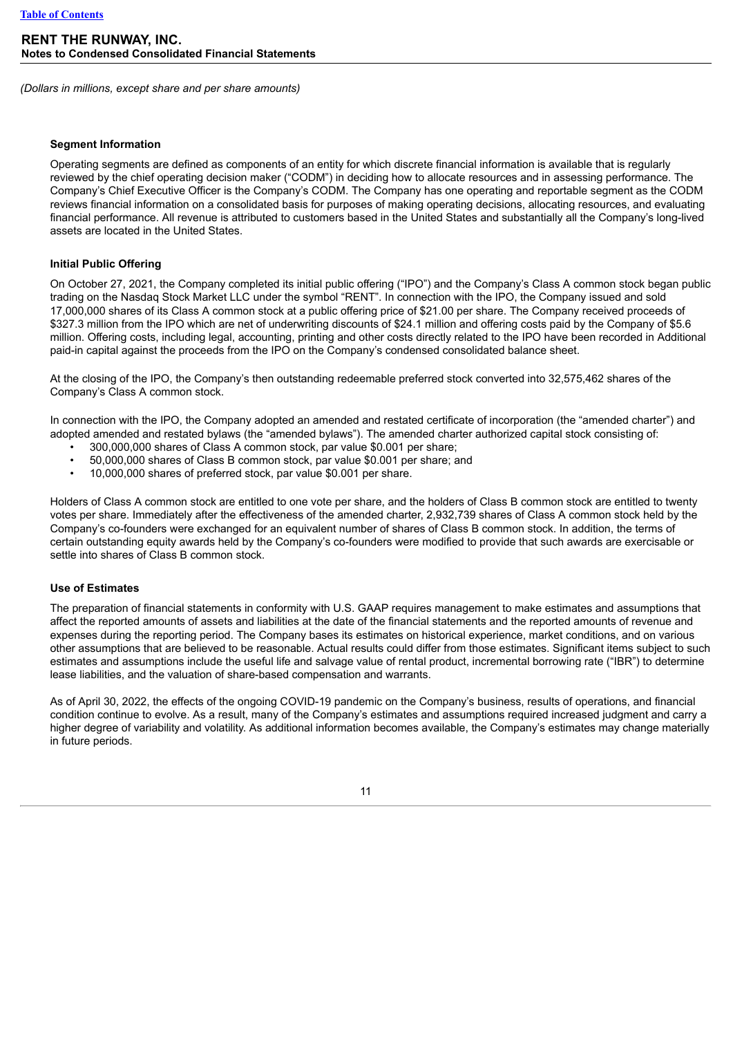*(Dollars in millions, except share and per share amounts)*

#### **Segment Information**

Operating segments are defined as components of an entity for which discrete financial information is available that is regularly reviewed by the chief operating decision maker ("CODM") in deciding how to allocate resources and in assessing performance. The Company's Chief Executive Officer is the Company's CODM. The Company has one operating and reportable segment as the CODM reviews financial information on a consolidated basis for purposes of making operating decisions, allocating resources, and evaluating financial performance. All revenue is attributed to customers based in the United States and substantially all the Company's long-lived assets are located in the United States.

## **Initial Public Offering**

On October 27, 2021, the Company completed its initial public offering ("IPO") and the Company's Class A common stock began public trading on the Nasdaq Stock Market LLC under the symbol "RENT". In connection with the IPO, the Company issued and sold 17,000,000 shares of its Class A common stock at a public offering price of \$21.00 per share. The Company received proceeds of \$327.3 million from the IPO which are net of underwriting discounts of \$24.1 million and offering costs paid by the Company of \$5.6 million. Offering costs, including legal, accounting, printing and other costs directly related to the IPO have been recorded in Additional paid-in capital against the proceeds from the IPO on the Company's condensed consolidated balance sheet.

At the closing of the IPO, the Company's then outstanding redeemable preferred stock converted into 32,575,462 shares of the Company's Class A common stock.

In connection with the IPO, the Company adopted an amended and restated certificate of incorporation (the "amended charter") and adopted amended and restated bylaws (the "amended bylaws"). The amended charter authorized capital stock consisting of:

- 300,000,000 shares of Class A common stock, par value \$0.001 per share;
- 50,000,000 shares of Class B common stock, par value \$0.001 per share; and
- 10,000,000 shares of preferred stock, par value \$0.001 per share.

Holders of Class A common stock are entitled to one vote per share, and the holders of Class B common stock are entitled to twenty votes per share. Immediately after the effectiveness of the amended charter, 2,932,739 shares of Class A common stock held by the Company's co-founders were exchanged for an equivalent number of shares of Class B common stock. In addition, the terms of certain outstanding equity awards held by the Company's co-founders were modified to provide that such awards are exercisable or settle into shares of Class B common stock.

#### **Use of Estimates**

The preparation of financial statements in conformity with U.S. GAAP requires management to make estimates and assumptions that affect the reported amounts of assets and liabilities at the date of the financial statements and the reported amounts of revenue and expenses during the reporting period. The Company bases its estimates on historical experience, market conditions, and on various other assumptions that are believed to be reasonable. Actual results could differ from those estimates. Significant items subject to such estimates and assumptions include the useful life and salvage value of rental product, incremental borrowing rate ("IBR") to determine lease liabilities, and the valuation of share-based compensation and warrants.

As of April 30, 2022, the effects of the ongoing COVID-19 pandemic on the Company's business, results of operations, and financial condition continue to evolve. As a result, many of the Company's estimates and assumptions required increased judgment and carry a higher degree of variability and volatility. As additional information becomes available, the Company's estimates may change materially in future periods.

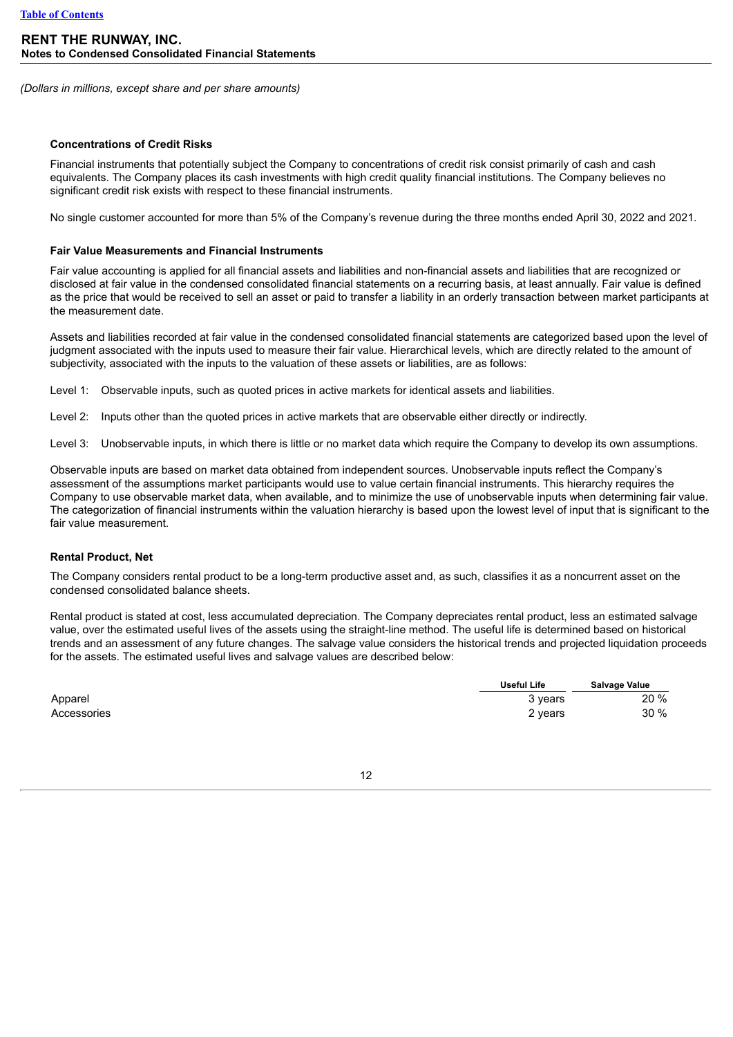*(Dollars in millions, except share and per share amounts)*

#### **Concentrations of Credit Risks**

Financial instruments that potentially subject the Company to concentrations of credit risk consist primarily of cash and cash equivalents. The Company places its cash investments with high credit quality financial institutions. The Company believes no significant credit risk exists with respect to these financial instruments.

No single customer accounted for more than 5% of the Company's revenue during the three months ended April 30, 2022 and 2021.

#### **Fair Value Measurements and Financial Instruments**

Fair value accounting is applied for all financial assets and liabilities and non-financial assets and liabilities that are recognized or disclosed at fair value in the condensed consolidated financial statements on a recurring basis, at least annually. Fair value is defined as the price that would be received to sell an asset or paid to transfer a liability in an orderly transaction between market participants at the measurement date.

Assets and liabilities recorded at fair value in the condensed consolidated financial statements are categorized based upon the level of judgment associated with the inputs used to measure their fair value. Hierarchical levels, which are directly related to the amount of subjectivity, associated with the inputs to the valuation of these assets or liabilities, are as follows:

Level 1: Observable inputs, such as quoted prices in active markets for identical assets and liabilities.

Level 2: Inputs other than the quoted prices in active markets that are observable either directly or indirectly.

Level 3: Unobservable inputs, in which there is little or no market data which require the Company to develop its own assumptions.

Observable inputs are based on market data obtained from independent sources. Unobservable inputs reflect the Company's assessment of the assumptions market participants would use to value certain financial instruments. This hierarchy requires the Company to use observable market data, when available, and to minimize the use of unobservable inputs when determining fair value. The categorization of financial instruments within the valuation hierarchy is based upon the lowest level of input that is significant to the fair value measurement.

### **Rental Product, Net**

The Company considers rental product to be a long-term productive asset and, as such, classifies it as a noncurrent asset on the condensed consolidated balance sheets.

Rental product is stated at cost, less accumulated depreciation. The Company depreciates rental product, less an estimated salvage value, over the estimated useful lives of the assets using the straight-line method. The useful life is determined based on historical trends and an assessment of any future changes. The salvage value considers the historical trends and projected liquidation proceeds for the assets. The estimated useful lives and salvage values are described below:

|             | <b>Useful Life</b> | Salvage Value |
|-------------|--------------------|---------------|
| Apparel     | 3 years            | 20 %          |
| Accessories | 2 years            | 30 %          |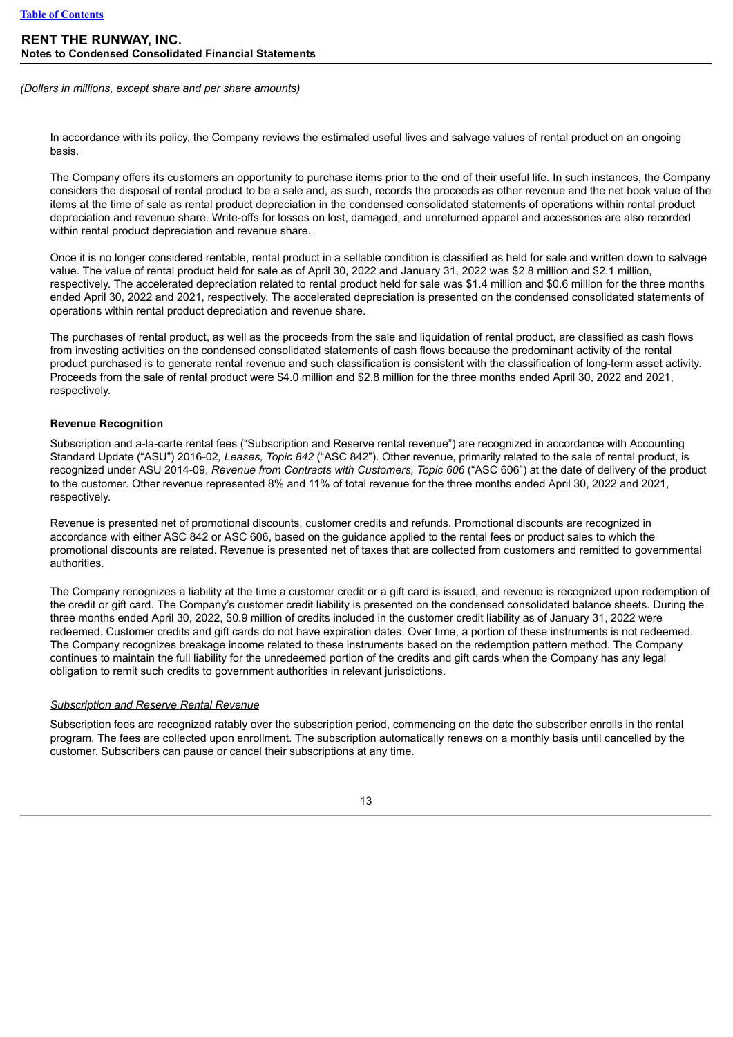*(Dollars in millions, except share and per share amounts)*

In accordance with its policy, the Company reviews the estimated useful lives and salvage values of rental product on an ongoing basis.

The Company offers its customers an opportunity to purchase items prior to the end of their useful life. In such instances, the Company considers the disposal of rental product to be a sale and, as such, records the proceeds as other revenue and the net book value of the items at the time of sale as rental product depreciation in the condensed consolidated statements of operations within rental product depreciation and revenue share. Write-offs for losses on lost, damaged, and unreturned apparel and accessories are also recorded within rental product depreciation and revenue share.

Once it is no longer considered rentable, rental product in a sellable condition is classified as held for sale and written down to salvage value. The value of rental product held for sale as of April 30, 2022 and January 31, 2022 was \$2.8 million and \$2.1 million, respectively. The accelerated depreciation related to rental product held for sale was \$1.4 million and \$0.6 million for the three months ended April 30, 2022 and 2021, respectively. The accelerated depreciation is presented on the condensed consolidated statements of operations within rental product depreciation and revenue share.

The purchases of rental product, as well as the proceeds from the sale and liquidation of rental product, are classified as cash flows from investing activities on the condensed consolidated statements of cash flows because the predominant activity of the rental product purchased is to generate rental revenue and such classification is consistent with the classification of long-term asset activity. Proceeds from the sale of rental product were \$4.0 million and \$2.8 million for the three months ended April 30, 2022 and 2021, respectively.

## **Revenue Recognition**

Subscription and a-la-carte rental fees ("Subscription and Reserve rental revenue") are recognized in accordance with Accounting Standard Update ("ASU") 2016-02*, Leases, Topic 842* ("ASC 842"). Other revenue, primarily related to the sale of rental product, is recognized under ASU 2014-09, *Revenue from Contracts with Customers, Topic 606* ("ASC 606") at the date of delivery of the product to the customer. Other revenue represented 8% and 11% of total revenue for the three months ended April 30, 2022 and 2021, respectively.

Revenue is presented net of promotional discounts, customer credits and refunds. Promotional discounts are recognized in accordance with either ASC 842 or ASC 606, based on the guidance applied to the rental fees or product sales to which the promotional discounts are related. Revenue is presented net of taxes that are collected from customers and remitted to governmental authorities.

The Company recognizes a liability at the time a customer credit or a gift card is issued, and revenue is recognized upon redemption of the credit or gift card. The Company's customer credit liability is presented on the condensed consolidated balance sheets. During the three months ended April 30, 2022, \$0.9 million of credits included in the customer credit liability as of January 31, 2022 were redeemed. Customer credits and gift cards do not have expiration dates. Over time, a portion of these instruments is not redeemed. The Company recognizes breakage income related to these instruments based on the redemption pattern method. The Company continues to maintain the full liability for the unredeemed portion of the credits and gift cards when the Company has any legal obligation to remit such credits to government authorities in relevant jurisdictions.

### *Subscription and Reserve Rental Revenue*

Subscription fees are recognized ratably over the subscription period, commencing on the date the subscriber enrolls in the rental program. The fees are collected upon enrollment. The subscription automatically renews on a monthly basis until cancelled by the customer. Subscribers can pause or cancel their subscriptions at any time.

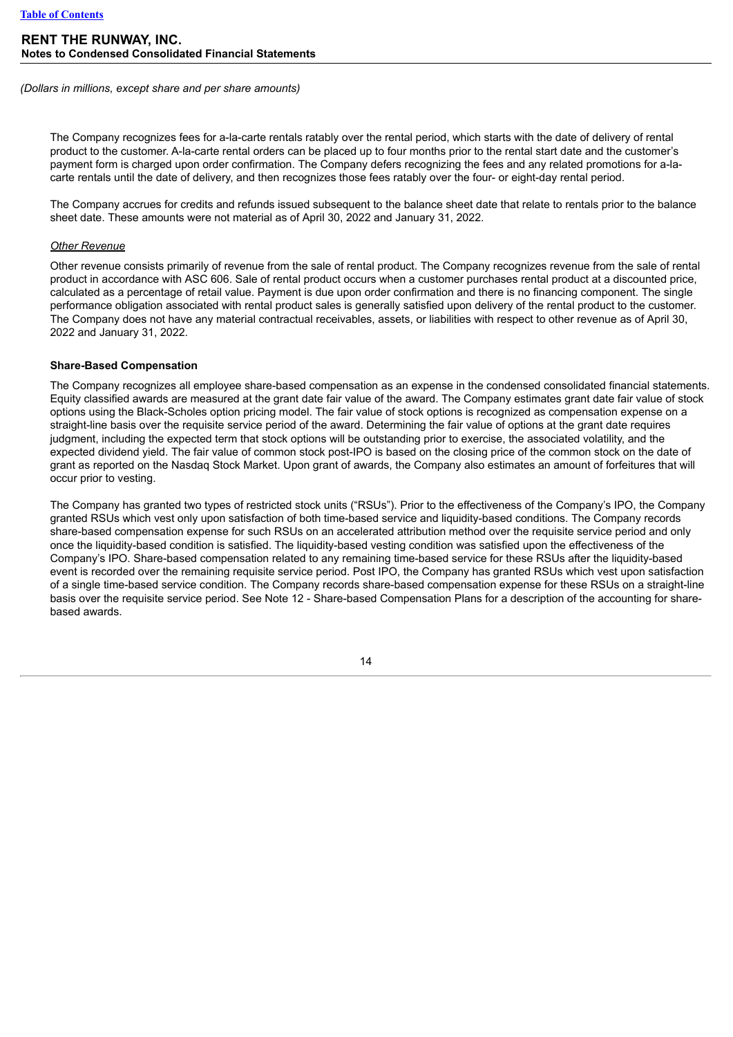*(Dollars in millions, except share and per share amounts)*

The Company recognizes fees for a-la-carte rentals ratably over the rental period, which starts with the date of delivery of rental product to the customer. A-la-carte rental orders can be placed up to four months prior to the rental start date and the customer's payment form is charged upon order confirmation. The Company defers recognizing the fees and any related promotions for a-lacarte rentals until the date of delivery, and then recognizes those fees ratably over the four- or eight-day rental period.

The Company accrues for credits and refunds issued subsequent to the balance sheet date that relate to rentals prior to the balance sheet date. These amounts were not material as of April 30, 2022 and January 31, 2022.

## *Other Revenue*

Other revenue consists primarily of revenue from the sale of rental product. The Company recognizes revenue from the sale of rental product in accordance with ASC 606. Sale of rental product occurs when a customer purchases rental product at a discounted price, calculated as a percentage of retail value. Payment is due upon order confirmation and there is no financing component. The single performance obligation associated with rental product sales is generally satisfied upon delivery of the rental product to the customer. The Company does not have any material contractual receivables, assets, or liabilities with respect to other revenue as of April 30, 2022 and January 31, 2022.

## **Share-Based Compensation**

The Company recognizes all employee share-based compensation as an expense in the condensed consolidated financial statements. Equity classified awards are measured at the grant date fair value of the award. The Company estimates grant date fair value of stock options using the Black-Scholes option pricing model. The fair value of stock options is recognized as compensation expense on a straight-line basis over the requisite service period of the award. Determining the fair value of options at the grant date requires judgment, including the expected term that stock options will be outstanding prior to exercise, the associated volatility, and the expected dividend yield. The fair value of common stock post-IPO is based on the closing price of the common stock on the date of grant as reported on the Nasdaq Stock Market. Upon grant of awards, the Company also estimates an amount of forfeitures that will occur prior to vesting.

The Company has granted two types of restricted stock units ("RSUs"). Prior to the effectiveness of the Company's IPO, the Company granted RSUs which vest only upon satisfaction of both time-based service and liquidity-based conditions. The Company records share-based compensation expense for such RSUs on an accelerated attribution method over the requisite service period and only once the liquidity-based condition is satisfied. The liquidity-based vesting condition was satisfied upon the effectiveness of the Company's IPO. Share-based compensation related to any remaining time-based service for these RSUs after the liquidity-based event is recorded over the remaining requisite service period. Post IPO, the Company has granted RSUs which vest upon satisfaction of a single time-based service condition. The Company records share-based compensation expense for these RSUs on a straight-line basis over the requisite service period. See Note 12 - Share-based Compensation Plans for a description of the accounting for sharebased awards.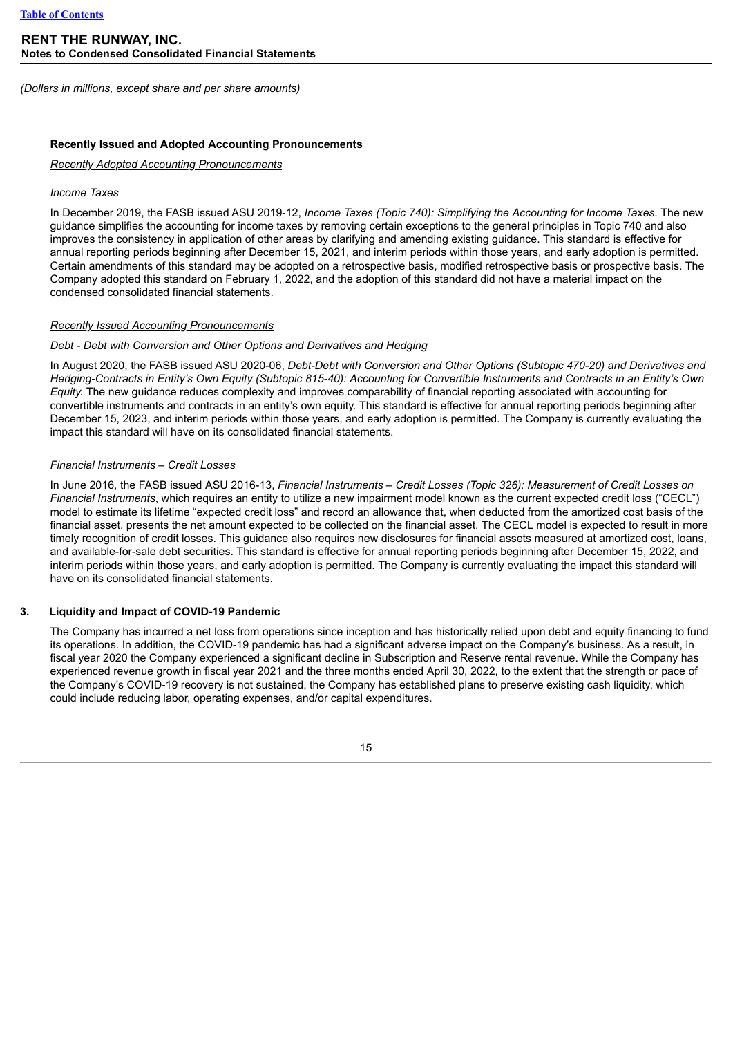*(Dollars in millions, except share and per share amounts)*

## **Recently Issued and Adopted Accounting Pronouncements**

*Recently Adopted Accounting Pronouncements*

## *Income Taxes*

In December 2019, the FASB issued ASU 2019-12, *Income Taxes (Topic 740): Simplifying the Accounting for Income Taxes*. The new guidance simplifies the accounting for income taxes by removing certain exceptions to the general principles in Topic 740 and also improves the consistency in application of other areas by clarifying and amending existing guidance. This standard is effective for annual reporting periods beginning after December 15, 2021, and interim periods within those years, and early adoption is permitted. Certain amendments of this standard may be adopted on a retrospective basis, modified retrospective basis or prospective basis. The Company adopted this standard on February 1, 2022, and the adoption of this standard did not have a material impact on the condensed consolidated financial statements.

### *Recently Issued Accounting Pronouncements*

## *Debt - Debt with Conversion and Other Options and Derivatives and Hedging*

In August 2020, the FASB issued ASU 2020-06, *Debt-Debt with Conversion and Other Options (Subtopic 470-20) and Derivatives and* Hedging-Contracts in Entity's Own Equity (Subtopic 815-40): Accounting for Convertible Instruments and Contracts in an Entity's Own *Equity.* The new guidance reduces complexity and improves comparability of financial reporting associated with accounting for convertible instruments and contracts in an entity's own equity. This standard is effective for annual reporting periods beginning after December 15, 2023, and interim periods within those years, and early adoption is permitted. The Company is currently evaluating the impact this standard will have on its consolidated financial statements.

## *Financial Instruments – Credit Losses*

In June 2016, the FASB issued ASU 2016-13, *Financial Instruments – Credit Losses (Topic 326): Measurement of Credit Losses on Financial Instruments*, which requires an entity to utilize a new impairment model known as the current expected credit loss ("CECL") model to estimate its lifetime "expected credit loss" and record an allowance that, when deducted from the amortized cost basis of the financial asset, presents the net amount expected to be collected on the financial asset. The CECL model is expected to result in more timely recognition of credit losses. This guidance also requires new disclosures for financial assets measured at amortized cost, loans, and available-for-sale debt securities. This standard is effective for annual reporting periods beginning after December 15, 2022, and interim periods within those years, and early adoption is permitted. The Company is currently evaluating the impact this standard will have on its consolidated financial statements.

## <span id="page-17-0"></span>**3. Liquidity and Impact of COVID-19 Pandemic**

The Company has incurred a net loss from operations since inception and has historically relied upon debt and equity financing to fund its operations. In addition, the COVID-19 pandemic has had a significant adverse impact on the Company's business. As a result, in fiscal year 2020 the Company experienced a significant decline in Subscription and Reserve rental revenue. While the Company has experienced revenue growth in fiscal year 2021 and the three months ended April 30, 2022, to the extent that the strength or pace of the Company's COVID-19 recovery is not sustained, the Company has established plans to preserve existing cash liquidity, which could include reducing labor, operating expenses, and/or capital expenditures.

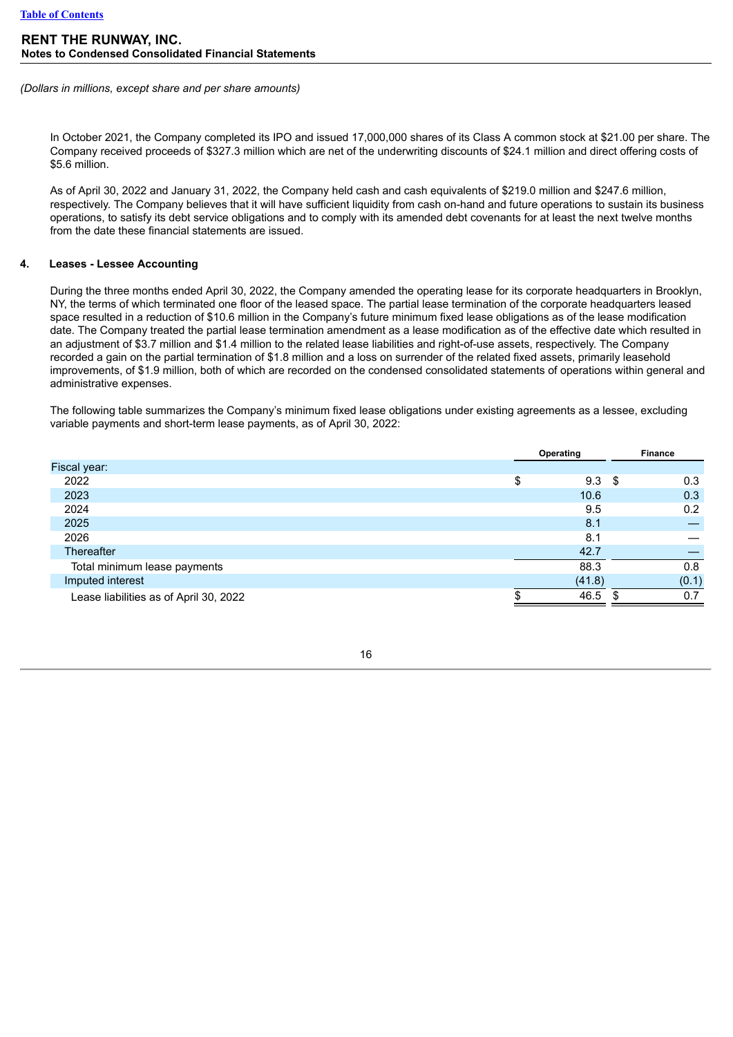*(Dollars in millions, except share and per share amounts)*

In October 2021, the Company completed its IPO and issued 17,000,000 shares of its Class A common stock at \$21.00 per share. The Company received proceeds of \$327.3 million which are net of the underwriting discounts of \$24.1 million and direct offering costs of \$5.6 million.

As of April 30, 2022 and January 31, 2022, the Company held cash and cash equivalents of \$219.0 million and \$247.6 million, respectively. The Company believes that it will have sufficient liquidity from cash on-hand and future operations to sustain its business operations, to satisfy its debt service obligations and to comply with its amended debt covenants for at least the next twelve months from the date these financial statements are issued.

## <span id="page-18-0"></span>**4. Leases - Lessee Accounting**

During the three months ended April 30, 2022, the Company amended the operating lease for its corporate headquarters in Brooklyn, NY, the terms of which terminated one floor of the leased space. The partial lease termination of the corporate headquarters leased space resulted in a reduction of \$10.6 million in the Company's future minimum fixed lease obligations as of the lease modification date. The Company treated the partial lease termination amendment as a lease modification as of the effective date which resulted in an adjustment of \$3.7 million and \$1.4 million to the related lease liabilities and right-of-use assets, respectively. The Company recorded a gain on the partial termination of \$1.8 million and a loss on surrender of the related fixed assets, primarily leasehold improvements, of \$1.9 million, both of which are recorded on the condensed consolidated statements of operations within general and administrative expenses.

The following table summarizes the Company's minimum fixed lease obligations under existing agreements as a lessee, excluding variable payments and short-term lease payments, as of April 30, 2022:

<span id="page-18-1"></span>

|                                        | Operating |      | Finance |  |
|----------------------------------------|-----------|------|---------|--|
| Fiscal year:                           |           |      |         |  |
| 2022                                   | \$<br>9.3 | - \$ | 0.3     |  |
| 2023                                   | 10.6      |      | 0.3     |  |
| 2024                                   | 9.5       |      | 0.2     |  |
| 2025                                   | 8.1       |      |         |  |
| 2026                                   | 8.1       |      |         |  |
| <b>Thereafter</b>                      | 42.7      |      |         |  |
| Total minimum lease payments           | 88.3      |      | 0.8     |  |
| Imputed interest                       | (41.8)    |      | (0.1)   |  |
| Lease liabilities as of April 30, 2022 | 46.5      |      | 0.7     |  |
|                                        |           |      |         |  |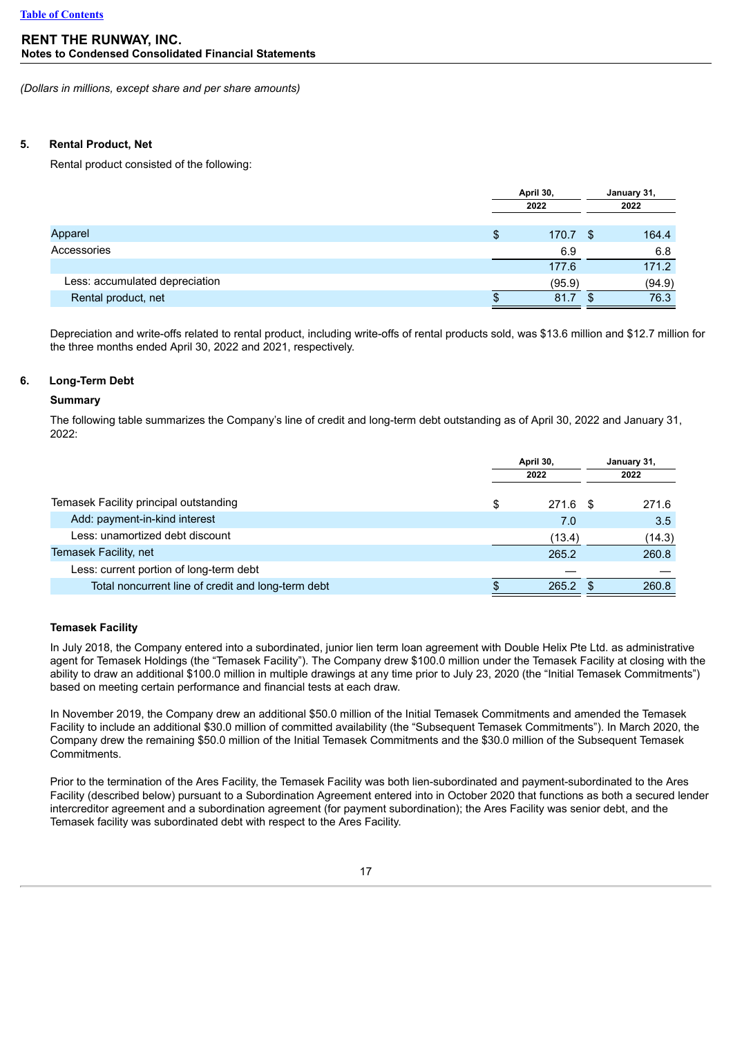*(Dollars in millions, except share and per share amounts)*

## **5. Rental Product, Net**

Rental product consisted of the following:

|                                | April 30,        |      | January 31, |  |
|--------------------------------|------------------|------|-------------|--|
|                                | 2022             | 2022 |             |  |
|                                |                  |      |             |  |
| Apparel                        | \$<br>$170.7$ \$ |      | 164.4       |  |
| Accessories                    | 6.9              |      | 6.8         |  |
|                                | 177.6            |      | 171.2       |  |
| Less: accumulated depreciation | (95.9)           |      | (94.9)      |  |
| Rental product, net            | 81.7             |      | 76.3        |  |

Depreciation and write-offs related to rental product, including write-offs of rental products sold, was \$13.6 million and \$12.7 million for the three months ended April 30, 2022 and 2021, respectively.

## <span id="page-19-0"></span>**6. Long-Term Debt**

## **Summary**

The following table summarizes the Company's line of credit and long-term debt outstanding as of April 30, 2022 and January 31, 2022:

|                                                    | April 30, |        |    | January 31, |  |
|----------------------------------------------------|-----------|--------|----|-------------|--|
|                                                    | 2022      |        |    | 2022        |  |
| Temasek Facility principal outstanding             | S         | 271.6  |    | 271.6       |  |
| Add: payment-in-kind interest                      |           | 7.0    |    | 3.5         |  |
| Less: unamortized debt discount                    |           | (13.4) |    | (14.3)      |  |
| Temasek Facility, net                              |           | 265.2  |    | 260.8       |  |
| Less: current portion of long-term debt            |           |        |    |             |  |
| Total noncurrent line of credit and long-term debt |           | 265.2  | \$ | 260.8       |  |

### **Temasek Facility**

In July 2018, the Company entered into a subordinated, junior lien term loan agreement with Double Helix Pte Ltd. as administrative agent for Temasek Holdings (the "Temasek Facility"). The Company drew \$100.0 million under the Temasek Facility at closing with the ability to draw an additional \$100.0 million in multiple drawings at any time prior to July 23, 2020 (the "Initial Temasek Commitments") based on meeting certain performance and financial tests at each draw.

In November 2019, the Company drew an additional \$50.0 million of the Initial Temasek Commitments and amended the Temasek Facility to include an additional \$30.0 million of committed availability (the "Subsequent Temasek Commitments"). In March 2020, the Company drew the remaining \$50.0 million of the Initial Temasek Commitments and the \$30.0 million of the Subsequent Temasek Commitments.

Prior to the termination of the Ares Facility, the Temasek Facility was both lien-subordinated and payment-subordinated to the Ares Facility (described below) pursuant to a Subordination Agreement entered into in October 2020 that functions as both a secured lender intercreditor agreement and a subordination agreement (for payment subordination); the Ares Facility was senior debt, and the Temasek facility was subordinated debt with respect to the Ares Facility.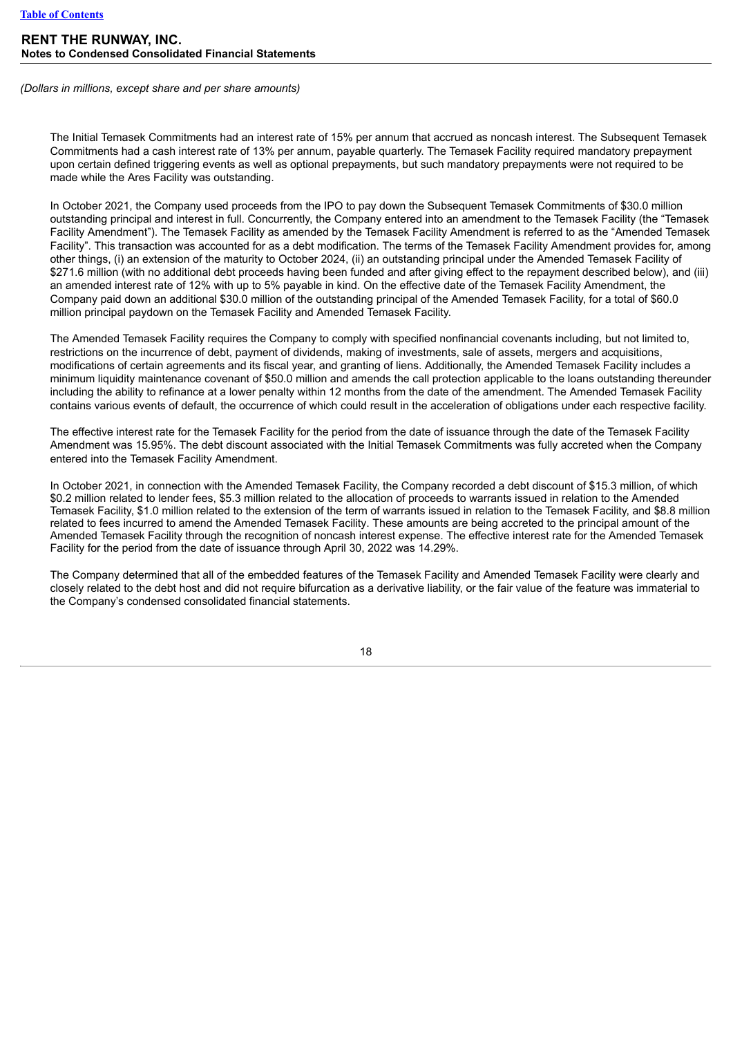*(Dollars in millions, except share and per share amounts)*

The Initial Temasek Commitments had an interest rate of 15% per annum that accrued as noncash interest. The Subsequent Temasek Commitments had a cash interest rate of 13% per annum, payable quarterly. The Temasek Facility required mandatory prepayment upon certain defined triggering events as well as optional prepayments, but such mandatory prepayments were not required to be made while the Ares Facility was outstanding.

In October 2021, the Company used proceeds from the IPO to pay down the Subsequent Temasek Commitments of \$30.0 million outstanding principal and interest in full. Concurrently, the Company entered into an amendment to the Temasek Facility (the "Temasek Facility Amendment"). The Temasek Facility as amended by the Temasek Facility Amendment is referred to as the "Amended Temasek Facility". This transaction was accounted for as a debt modification. The terms of the Temasek Facility Amendment provides for, among other things, (i) an extension of the maturity to October 2024, (ii) an outstanding principal under the Amended Temasek Facility of \$271.6 million (with no additional debt proceeds having been funded and after giving effect to the repayment described below), and (iii) an amended interest rate of 12% with up to 5% payable in kind. On the effective date of the Temasek Facility Amendment, the Company paid down an additional \$30.0 million of the outstanding principal of the Amended Temasek Facility, for a total of \$60.0 million principal paydown on the Temasek Facility and Amended Temasek Facility.

The Amended Temasek Facility requires the Company to comply with specified nonfinancial covenants including, but not limited to, restrictions on the incurrence of debt, payment of dividends, making of investments, sale of assets, mergers and acquisitions, modifications of certain agreements and its fiscal year, and granting of liens. Additionally, the Amended Temasek Facility includes a minimum liquidity maintenance covenant of \$50.0 million and amends the call protection applicable to the loans outstanding thereunder including the ability to refinance at a lower penalty within 12 months from the date of the amendment. The Amended Temasek Facility contains various events of default, the occurrence of which could result in the acceleration of obligations under each respective facility.

The effective interest rate for the Temasek Facility for the period from the date of issuance through the date of the Temasek Facility Amendment was 15.95%. The debt discount associated with the Initial Temasek Commitments was fully accreted when the Company entered into the Temasek Facility Amendment.

In October 2021, in connection with the Amended Temasek Facility, the Company recorded a debt discount of \$15.3 million, of which \$0.2 million related to lender fees, \$5.3 million related to the allocation of proceeds to warrants issued in relation to the Amended Temasek Facility, \$1.0 million related to the extension of the term of warrants issued in relation to the Temasek Facility, and \$8.8 million related to fees incurred to amend the Amended Temasek Facility. These amounts are being accreted to the principal amount of the Amended Temasek Facility through the recognition of noncash interest expense. The effective interest rate for the Amended Temasek Facility for the period from the date of issuance through April 30, 2022 was 14.29%.

The Company determined that all of the embedded features of the Temasek Facility and Amended Temasek Facility were clearly and closely related to the debt host and did not require bifurcation as a derivative liability, or the fair value of the feature was immaterial to the Company's condensed consolidated financial statements.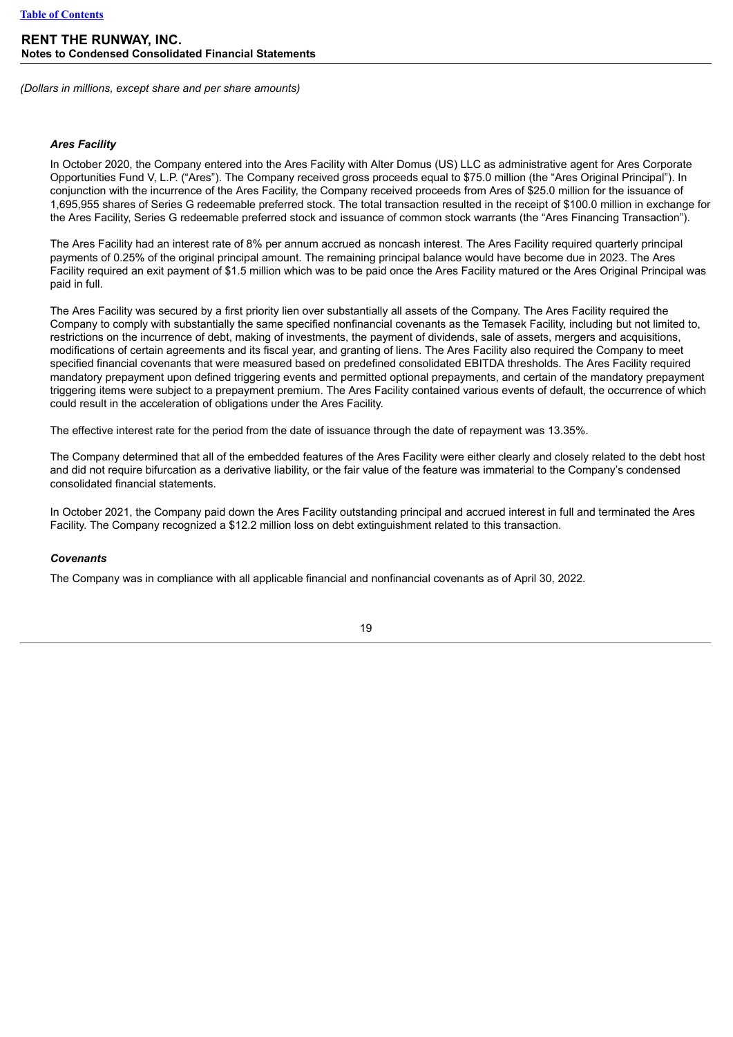*(Dollars in millions, except share and per share amounts)*

#### *Ares Facility*

In October 2020, the Company entered into the Ares Facility with Alter Domus (US) LLC as administrative agent for Ares Corporate Opportunities Fund V, L.P. ("Ares"). The Company received gross proceeds equal to \$75.0 million (the "Ares Original Principal"). In conjunction with the incurrence of the Ares Facility, the Company received proceeds from Ares of \$25.0 million for the issuance of 1,695,955 shares of Series G redeemable preferred stock. The total transaction resulted in the receipt of \$100.0 million in exchange for the Ares Facility, Series G redeemable preferred stock and issuance of common stock warrants (the "Ares Financing Transaction").

The Ares Facility had an interest rate of 8% per annum accrued as noncash interest. The Ares Facility required quarterly principal payments of 0.25% of the original principal amount. The remaining principal balance would have become due in 2023. The Ares Facility required an exit payment of \$1.5 million which was to be paid once the Ares Facility matured or the Ares Original Principal was paid in full.

The Ares Facility was secured by a first priority lien over substantially all assets of the Company. The Ares Facility required the Company to comply with substantially the same specified nonfinancial covenants as the Temasek Facility, including but not limited to, restrictions on the incurrence of debt, making of investments, the payment of dividends, sale of assets, mergers and acquisitions, modifications of certain agreements and its fiscal year, and granting of liens. The Ares Facility also required the Company to meet specified financial covenants that were measured based on predefined consolidated EBITDA thresholds. The Ares Facility required mandatory prepayment upon defined triggering events and permitted optional prepayments, and certain of the mandatory prepayment triggering items were subject to a prepayment premium. The Ares Facility contained various events of default, the occurrence of which could result in the acceleration of obligations under the Ares Facility.

The effective interest rate for the period from the date of issuance through the date of repayment was 13.35%.

The Company determined that all of the embedded features of the Ares Facility were either clearly and closely related to the debt host and did not require bifurcation as a derivative liability, or the fair value of the feature was immaterial to the Company's condensed consolidated financial statements.

In October 2021, the Company paid down the Ares Facility outstanding principal and accrued interest in full and terminated the Ares Facility. The Company recognized a \$12.2 million loss on debt extinguishment related to this transaction.

## *Covenants*

<span id="page-21-0"></span>The Company was in compliance with all applicable financial and nonfinancial covenants as of April 30, 2022.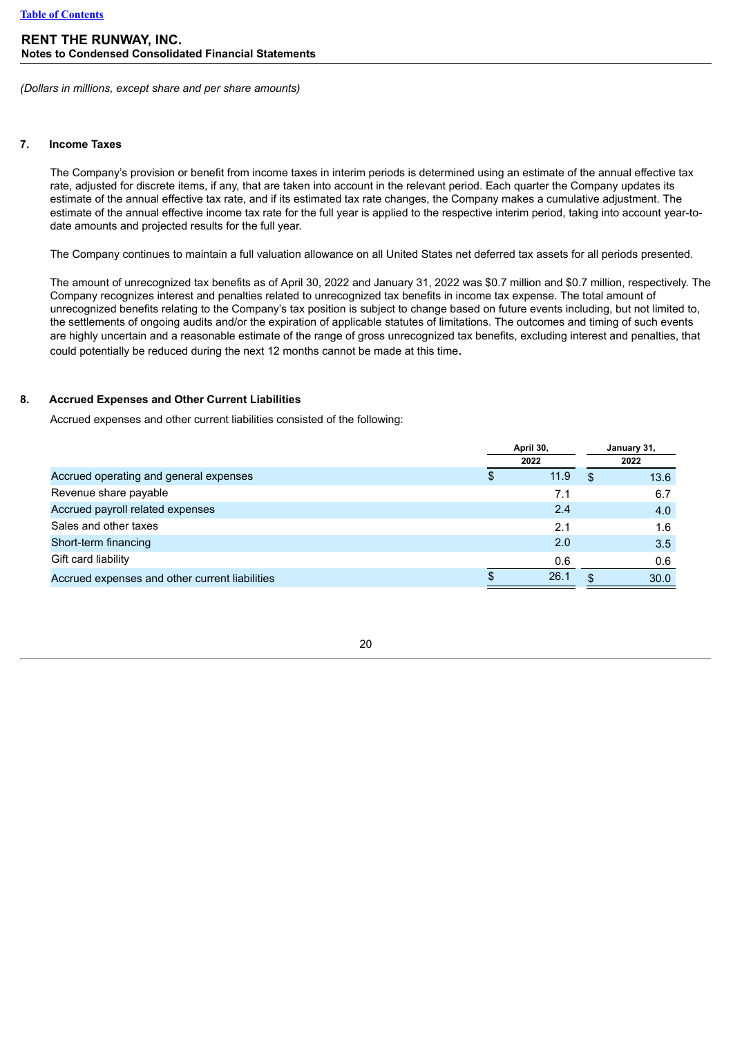*(Dollars in millions, except share and per share amounts)*

## **7. Income Taxes**

The Company's provision or benefit from income taxes in interim periods is determined using an estimate of the annual effective tax rate, adjusted for discrete items, if any, that are taken into account in the relevant period. Each quarter the Company updates its estimate of the annual effective tax rate, and if its estimated tax rate changes, the Company makes a cumulative adjustment. The estimate of the annual effective income tax rate for the full year is applied to the respective interim period, taking into account year-todate amounts and projected results for the full year.

The Company continues to maintain a full valuation allowance on all United States net deferred tax assets for all periods presented.

The amount of unrecognized tax benefits as of April 30, 2022 and January 31, 2022 was \$0.7 million and \$0.7 million, respectively. The Company recognizes interest and penalties related to unrecognized tax benefits in income tax expense. The total amount of unrecognized benefits relating to the Company's tax position is subject to change based on future events including, but not limited to, the settlements of ongoing audits and/or the expiration of applicable statutes of limitations. The outcomes and timing of such events are highly uncertain and a reasonable estimate of the range of gross unrecognized tax benefits, excluding interest and penalties, that could potentially be reduced during the next 12 months cannot be made at this time.

## <span id="page-22-0"></span>**8. Accrued Expenses and Other Current Liabilities**

Accrued expenses and other current liabilities consisted of the following:

<span id="page-22-1"></span>

|                                                | April 30,<br>2022 |      |      | January 31, |  |
|------------------------------------------------|-------------------|------|------|-------------|--|
|                                                |                   |      | 2022 |             |  |
| Accrued operating and general expenses         | \$                | 11.9 | S    | 13.6        |  |
| Revenue share payable                          |                   | 7.1  |      | 6.7         |  |
| Accrued payroll related expenses               |                   | 2.4  |      | 4.0         |  |
| Sales and other taxes                          |                   | 2.1  |      | 1.6         |  |
| Short-term financing                           |                   | 2.0  |      | 3.5         |  |
| Gift card liability                            |                   | 0.6  |      | 0.6         |  |
| Accrued expenses and other current liabilities |                   | 26.1 |      | 30.0        |  |

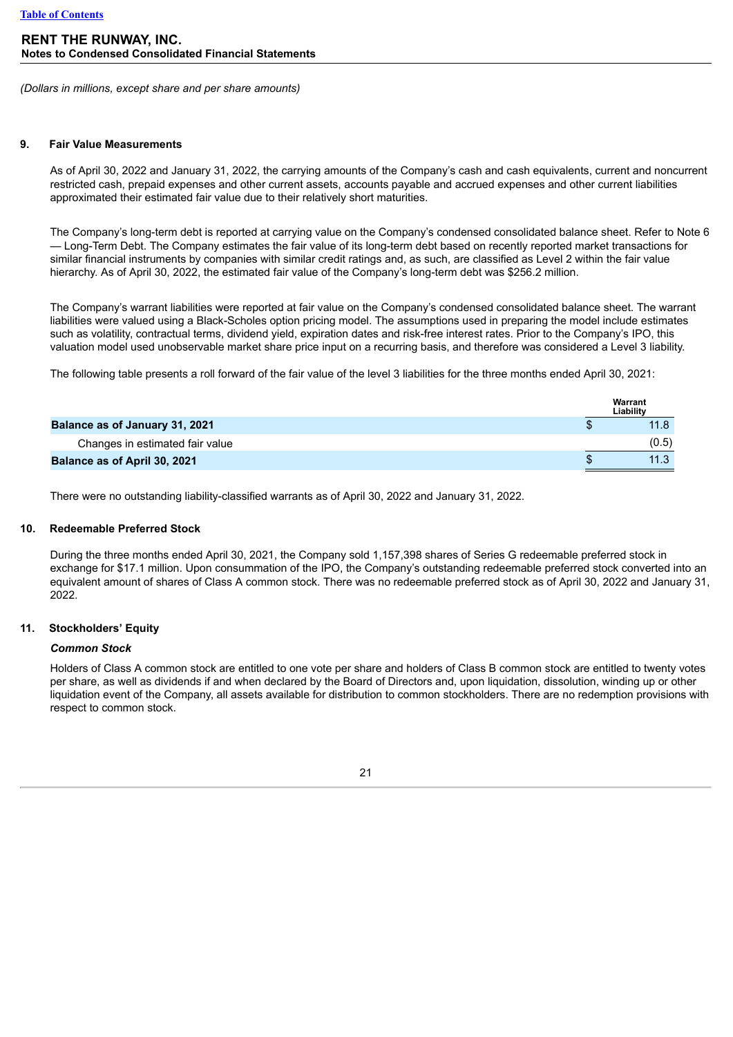*(Dollars in millions, except share and per share amounts)*

#### **9. Fair Value Measurements**

As of April 30, 2022 and January 31, 2022, the carrying amounts of the Company's cash and cash equivalents, current and noncurrent restricted cash, prepaid expenses and other current assets, accounts payable and accrued expenses and other current liabilities approximated their estimated fair value due to their relatively short maturities.

The Company's long-term debt is reported at carrying value on the Company's condensed consolidated balance sheet. Refer to Note 6 — Long-Term Debt. The Company estimates the fair value of its long-term debt based on recently reported market transactions for similar financial instruments by companies with similar credit ratings and, as such, are classified as Level 2 within the fair value hierarchy. As of April 30, 2022, the estimated fair value of the Company's long-term debt was \$256.2 million.

The Company's warrant liabilities were reported at fair value on the Company's condensed consolidated balance sheet. The warrant liabilities were valued using a Black-Scholes option pricing model. The assumptions used in preparing the model include estimates such as volatility, contractual terms, dividend yield, expiration dates and risk-free interest rates. Prior to the Company's IPO, this valuation model used unobservable market share price input on a recurring basis, and therefore was considered a Level 3 liability.

The following table presents a roll forward of the fair value of the level 3 liabilities for the three months ended April 30, 2021:

|                                 |   | Warrant<br>Liability |
|---------------------------------|---|----------------------|
| Balance as of January 31, 2021  | S | 11.8                 |
| Changes in estimated fair value |   | (0.5)                |
| Balance as of April 30, 2021    | S | 11.3                 |

There were no outstanding liability-classified warrants as of April 30, 2022 and January 31, 2022.

### <span id="page-23-0"></span>**10. Redeemable Preferred Stock**

During the three months ended April 30, 2021, the Company sold 1,157,398 shares of Series G redeemable preferred stock in exchange for \$17.1 million. Upon consummation of the IPO, the Company's outstanding redeemable preferred stock converted into an equivalent amount of shares of Class A common stock. There was no redeemable preferred stock as of April 30, 2022 and January 31, 2022.

### <span id="page-23-1"></span>**11. Stockholders' Equity**

### *Common Stock*

Holders of Class A common stock are entitled to one vote per share and holders of Class B common stock are entitled to twenty votes per share, as well as dividends if and when declared by the Board of Directors and, upon liquidation, dissolution, winding up or other liquidation event of the Company, all assets available for distribution to common stockholders. There are no redemption provisions with respect to common stock.

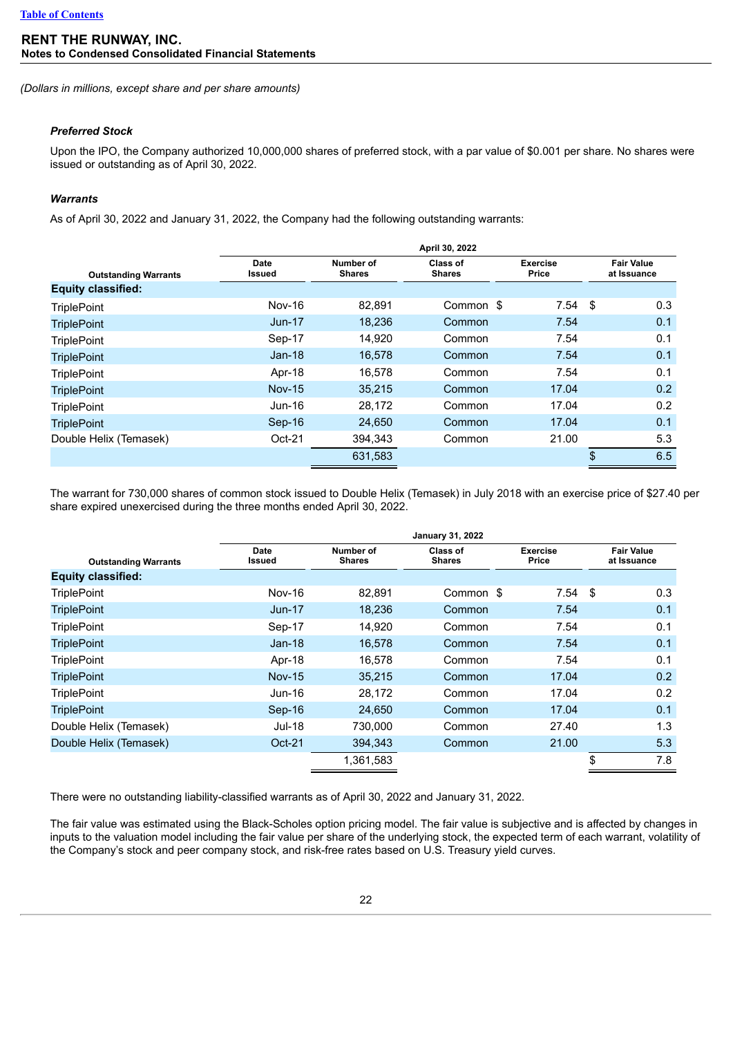*(Dollars in millions, except share and per share amounts)*

## *Preferred Stock*

Upon the IPO, the Company authorized 10,000,000 shares of preferred stock, with a par value of \$0.001 per share. No shares were issued or outstanding as of April 30, 2022.

## *Warrants*

As of April 30, 2022 and January 31, 2022, the Company had the following outstanding warrants:

|                             | April 30, 2022 |                            |                           |                          |                |                                  |  |
|-----------------------------|----------------|----------------------------|---------------------------|--------------------------|----------------|----------------------------------|--|
| <b>Outstanding Warrants</b> | Date<br>Issued | Number of<br><b>Shares</b> | Class of<br><b>Shares</b> | <b>Exercise</b><br>Price |                | <b>Fair Value</b><br>at Issuance |  |
| <b>Equity classified:</b>   |                |                            |                           |                          |                |                                  |  |
| <b>TriplePoint</b>          | <b>Nov-16</b>  | 82.891                     | Common \$                 | 7.54                     | - \$           | 0.3                              |  |
| <b>TriplePoint</b>          | $Jun-17$       | 18.236                     | Common                    | 7.54                     |                | 0.1                              |  |
| <b>TriplePoint</b>          | Sep-17         | 14.920                     | Common                    | 7.54                     |                | 0.1                              |  |
| <b>TriplePoint</b>          | $Jan-18$       | 16,578                     | Common                    | 7.54                     |                | 0.1                              |  |
| <b>TriplePoint</b>          | Apr-18         | 16,578                     | Common                    | 7.54                     |                | 0.1                              |  |
| <b>TriplePoint</b>          | <b>Nov-15</b>  | 35,215                     | Common                    | 17.04                    |                | 0.2                              |  |
| <b>TriplePoint</b>          | $Jun-16$       | 28,172                     | Common                    | 17.04                    |                | 0.2                              |  |
| <b>TriplePoint</b>          | Sep-16         | 24,650                     | Common                    | 17.04                    |                | 0.1                              |  |
| Double Helix (Temasek)      | $Oct-21$       | 394,343                    | Common                    | 21.00                    |                | 5.3                              |  |
|                             |                | 631,583                    |                           |                          | $\mathfrak{L}$ | 6.5                              |  |

The warrant for 730,000 shares of common stock issued to Double Helix (Temasek) in July 2018 with an exercise price of \$27.40 per share expired unexercised during the three months ended April 30, 2022.

|                             |                       |                            | <b>January 31, 2022</b>   |                          |                                  |     |
|-----------------------------|-----------------------|----------------------------|---------------------------|--------------------------|----------------------------------|-----|
| <b>Outstanding Warrants</b> | <b>Date</b><br>Issued | Number of<br><b>Shares</b> | Class of<br><b>Shares</b> | <b>Exercise</b><br>Price | <b>Fair Value</b><br>at Issuance |     |
| <b>Equity classified:</b>   |                       |                            |                           |                          |                                  |     |
| <b>TriplePoint</b>          | <b>Nov-16</b>         | 82,891                     | Common \$                 | 7.54                     | -\$                              | 0.3 |
| <b>TriplePoint</b>          | $Jun-17$              | 18,236                     | Common                    | 7.54                     |                                  | 0.1 |
| <b>TriplePoint</b>          | Sep-17                | 14,920                     | Common                    | 7.54                     |                                  | 0.1 |
| <b>TriplePoint</b>          | $Jan-18$              | 16,578                     | Common                    | 7.54                     |                                  | 0.1 |
| <b>TriplePoint</b>          | Apr-18                | 16,578                     | Common                    | 7.54                     |                                  | 0.1 |
| <b>TriplePoint</b>          | <b>Nov-15</b>         | 35,215                     | Common                    | 17.04                    |                                  | 0.2 |
| <b>TriplePoint</b>          | $Jun-16$              | 28,172                     | Common                    | 17.04                    |                                  | 0.2 |
| <b>TriplePoint</b>          | $Sep-16$              | 24,650                     | Common                    | 17.04                    |                                  | 0.1 |
| Double Helix (Temasek)      | <b>Jul-18</b>         | 730.000                    | Common                    | 27.40                    |                                  | 1.3 |
| Double Helix (Temasek)      | Oct-21                | 394,343                    | Common                    | 21.00                    |                                  | 5.3 |
|                             |                       | 1,361,583                  |                           |                          | \$                               | 7.8 |

There were no outstanding liability-classified warrants as of April 30, 2022 and January 31, 2022.

The fair value was estimated using the Black-Scholes option pricing model. The fair value is subjective and is affected by changes in inputs to the valuation model including the fair value per share of the underlying stock, the expected term of each warrant, volatility of the Company's stock and peer company stock, and risk-free rates based on U.S. Treasury yield curves.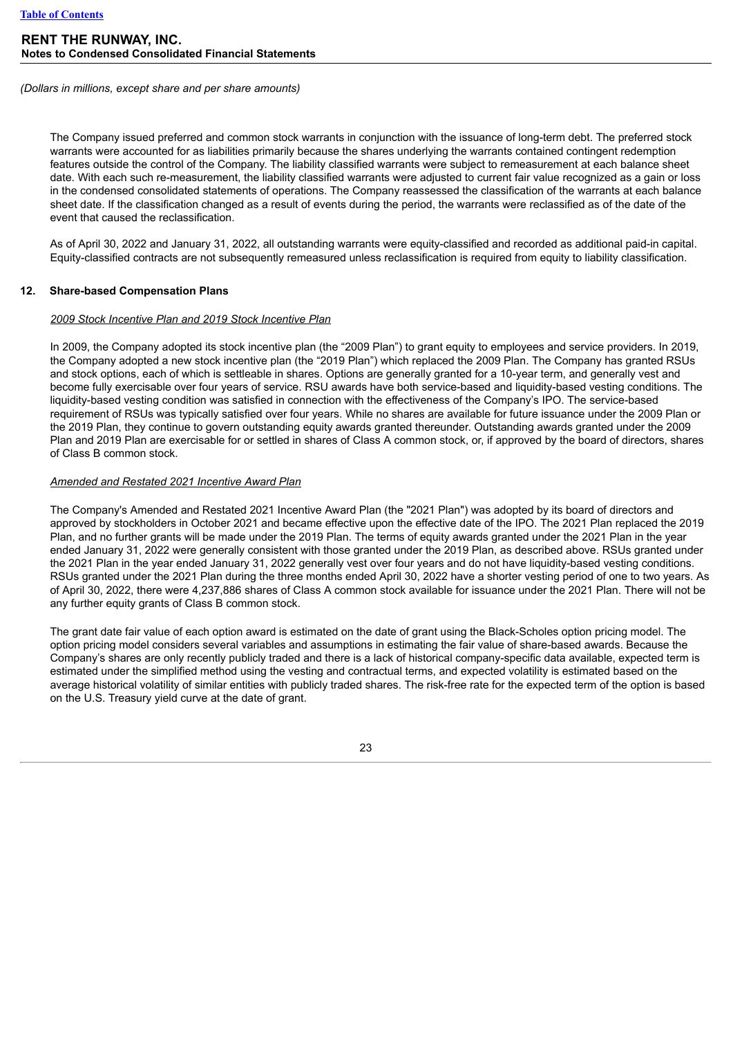*(Dollars in millions, except share and per share amounts)*

The Company issued preferred and common stock warrants in conjunction with the issuance of long-term debt. The preferred stock warrants were accounted for as liabilities primarily because the shares underlying the warrants contained contingent redemption features outside the control of the Company. The liability classified warrants were subject to remeasurement at each balance sheet date. With each such re-measurement, the liability classified warrants were adjusted to current fair value recognized as a gain or loss in the condensed consolidated statements of operations. The Company reassessed the classification of the warrants at each balance sheet date. If the classification changed as a result of events during the period, the warrants were reclassified as of the date of the event that caused the reclassification.

As of April 30, 2022 and January 31, 2022, all outstanding warrants were equity-classified and recorded as additional paid-in capital. Equity-classified contracts are not subsequently remeasured unless reclassification is required from equity to liability classification.

## <span id="page-25-0"></span>**12. Share-based Compensation Plans**

### *2009 Stock Incentive Plan and 2019 Stock Incentive Plan*

In 2009, the Company adopted its stock incentive plan (the "2009 Plan") to grant equity to employees and service providers. In 2019, the Company adopted a new stock incentive plan (the "2019 Plan") which replaced the 2009 Plan. The Company has granted RSUs and stock options, each of which is settleable in shares. Options are generally granted for a 10-year term, and generally vest and become fully exercisable over four years of service. RSU awards have both service-based and liquidity-based vesting conditions. The liquidity-based vesting condition was satisfied in connection with the effectiveness of the Company's IPO. The service-based requirement of RSUs was typically satisfied over four years. While no shares are available for future issuance under the 2009 Plan or the 2019 Plan, they continue to govern outstanding equity awards granted thereunder. Outstanding awards granted under the 2009 Plan and 2019 Plan are exercisable for or settled in shares of Class A common stock, or, if approved by the board of directors, shares of Class B common stock.

## *Amended and Restated 2021 Incentive Award Plan*

The Company's Amended and Restated 2021 Incentive Award Plan (the "2021 Plan") was adopted by its board of directors and approved by stockholders in October 2021 and became effective upon the effective date of the IPO. The 2021 Plan replaced the 2019 Plan, and no further grants will be made under the 2019 Plan. The terms of equity awards granted under the 2021 Plan in the year ended January 31, 2022 were generally consistent with those granted under the 2019 Plan, as described above. RSUs granted under the 2021 Plan in the year ended January 31, 2022 generally vest over four years and do not have liquidity-based vesting conditions. RSUs granted under the 2021 Plan during the three months ended April 30, 2022 have a shorter vesting period of one to two years. As of April 30, 2022, there were 4,237,886 shares of Class A common stock available for issuance under the 2021 Plan. There will not be any further equity grants of Class B common stock.

The grant date fair value of each option award is estimated on the date of grant using the Black-Scholes option pricing model. The option pricing model considers several variables and assumptions in estimating the fair value of share-based awards. Because the Company's shares are only recently publicly traded and there is a lack of historical company-specific data available, expected term is estimated under the simplified method using the vesting and contractual terms, and expected volatility is estimated based on the average historical volatility of similar entities with publicly traded shares. The risk-free rate for the expected term of the option is based on the U.S. Treasury yield curve at the date of grant.

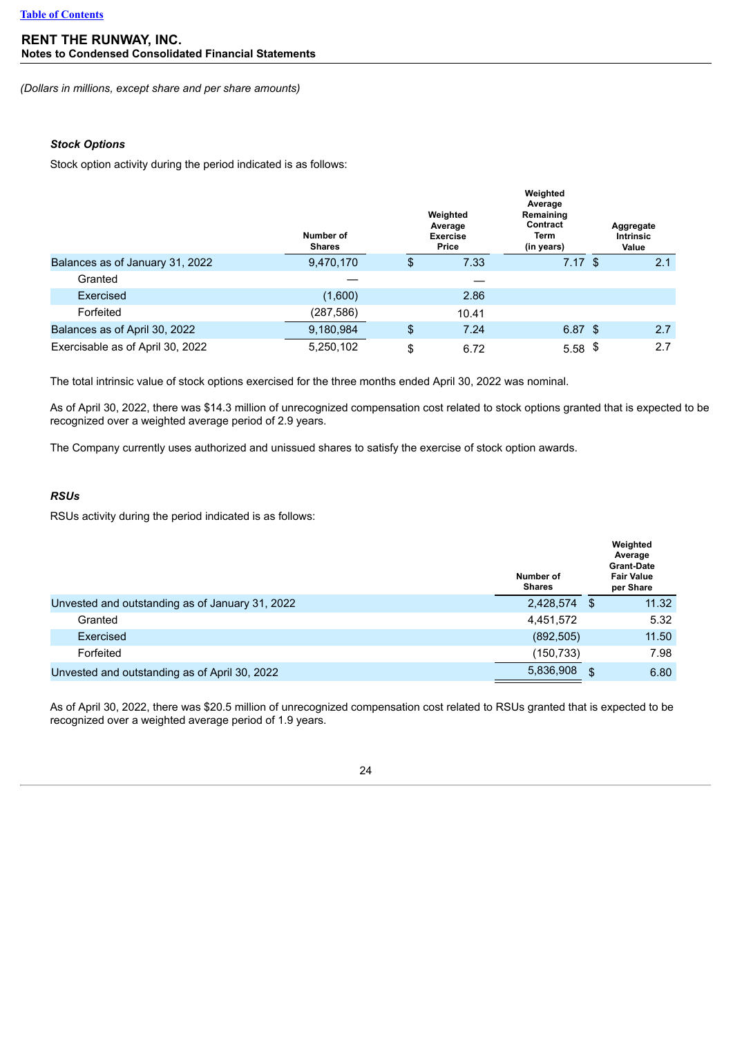*(Dollars in millions, except share and per share amounts)*

## *Stock Options*

Stock option activity during the period indicated is as follows:

|                                  | Number of<br><b>Shares</b> | Weighted<br>Average<br><b>Exercise</b><br>Price | Weighted<br>Average<br>Remaining<br>Contract<br>Term<br>(in years) | Aggregate<br><b>Intrinsic</b><br>Value |
|----------------------------------|----------------------------|-------------------------------------------------|--------------------------------------------------------------------|----------------------------------------|
| Balances as of January 31, 2022  | 9,470,170                  | \$<br>7.33                                      | $7.17$ \$                                                          | 2.1                                    |
| Granted                          |                            |                                                 |                                                                    |                                        |
| Exercised                        | (1,600)                    | 2.86                                            |                                                                    |                                        |
| Forfeited                        | (287,586)                  | 10.41                                           |                                                                    |                                        |
| Balances as of April 30, 2022    | 9,180,984                  | \$<br>7.24                                      | $6.87$ \$                                                          | 2.7                                    |
| Exercisable as of April 30, 2022 | 5,250,102                  | \$<br>6.72                                      | $5.58$ \$                                                          | 2.7                                    |

The total intrinsic value of stock options exercised for the three months ended April 30, 2022 was nominal.

As of April 30, 2022, there was \$14.3 million of unrecognized compensation cost related to stock options granted that is expected to be recognized over a weighted average period of 2.9 years.

The Company currently uses authorized and unissued shares to satisfy the exercise of stock option awards.

## *RSUs*

RSUs activity during the period indicated is as follows:

|                                                 | Number of<br><b>Shares</b> |      | Weighted<br>Average<br><b>Grant-Date</b><br><b>Fair Value</b><br>per Share |
|-------------------------------------------------|----------------------------|------|----------------------------------------------------------------------------|
| Unvested and outstanding as of January 31, 2022 | 2,428,574                  | - \$ | 11.32                                                                      |
| Granted                                         | 4,451,572                  |      | 5.32                                                                       |
| Exercised                                       | (892, 505)                 |      | 11.50                                                                      |
| Forfeited                                       | (150,733)                  |      | 7.98                                                                       |
| Unvested and outstanding as of April 30, 2022   | 5,836,908                  |      | 6.80                                                                       |

As of April 30, 2022, there was \$20.5 million of unrecognized compensation cost related to RSUs granted that is expected to be recognized over a weighted average period of 1.9 years.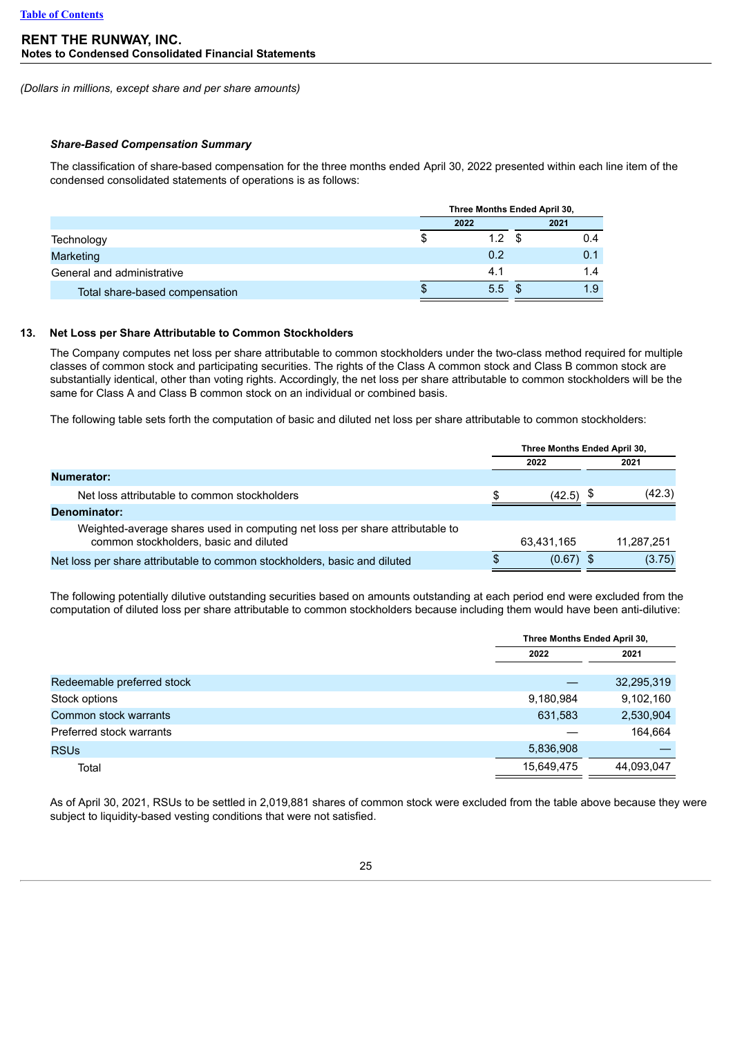*(Dollars in millions, except share and per share amounts)*

### *Share-Based Compensation Summary*

The classification of share-based compensation for the three months ended April 30, 2022 presented within each line item of the condensed consolidated statements of operations is as follows:

|                                | Three Months Ended April 30, |               |      |     |
|--------------------------------|------------------------------|---------------|------|-----|
|                                | 2022                         |               | 2021 |     |
| Technology                     | S                            | 1.2           | S    | 0.4 |
| Marketing                      |                              | 0.2           |      | 0.1 |
| General and administrative     |                              | 4.1           |      | 1.4 |
| Total share-based compensation | S.                           | $5.5^{\circ}$ |      | 1.9 |

## <span id="page-27-0"></span>**13. Net Loss per Share Attributable to Common Stockholders**

The Company computes net loss per share attributable to common stockholders under the two-class method required for multiple classes of common stock and participating securities. The rights of the Class A common stock and Class B common stock are substantially identical, other than voting rights. Accordingly, the net loss per share attributable to common stockholders will be the same for Class A and Class B common stock on an individual or combined basis.

The following table sets forth the computation of basic and diluted net loss per share attributable to common stockholders:

|                                                                                                                        | Three Months Ended April 30, |             |  |            |
|------------------------------------------------------------------------------------------------------------------------|------------------------------|-------------|--|------------|
|                                                                                                                        |                              | 2022        |  | 2021       |
| Numerator:                                                                                                             |                              |             |  |            |
| Net loss attributable to common stockholders                                                                           |                              | (42.5)      |  | (42.3)     |
| Denominator:                                                                                                           |                              |             |  |            |
| Weighted-average shares used in computing net loss per share attributable to<br>common stockholders, basic and diluted |                              | 63,431,165  |  | 11,287,251 |
| Net loss per share attributable to common stockholders, basic and diluted                                              |                              | $(0.67)$ \$ |  | (3.75)     |

The following potentially dilutive outstanding securities based on amounts outstanding at each period end were excluded from the computation of diluted loss per share attributable to common stockholders because including them would have been anti-dilutive:

|                            | Three Months Ended April 30, |            |
|----------------------------|------------------------------|------------|
|                            | 2022                         | 2021       |
|                            |                              |            |
| Redeemable preferred stock |                              | 32,295,319 |
| Stock options              | 9,180,984                    | 9,102,160  |
| Common stock warrants      | 631,583                      | 2,530,904  |
| Preferred stock warrants   |                              | 164.664    |
| <b>RSUs</b>                | 5,836,908                    |            |
| Total                      | 15,649,475                   | 44,093,047 |

<span id="page-27-1"></span>As of April 30, 2021, RSUs to be settled in 2,019,881 shares of common stock were excluded from the table above because they were subject to liquidity-based vesting conditions that were not satisfied.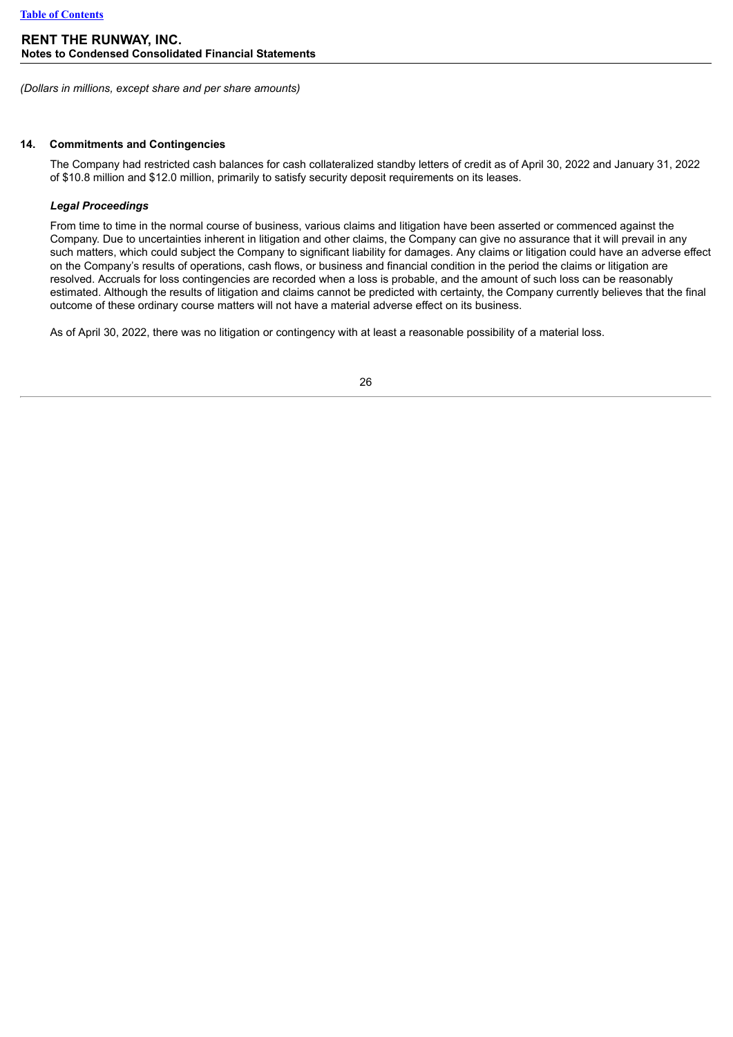*(Dollars in millions, except share and per share amounts)*

## **14. Commitments and Contingencies**

The Company had restricted cash balances for cash collateralized standby letters of credit as of April 30, 2022 and January 31, 2022 of \$10.8 million and \$12.0 million, primarily to satisfy security deposit requirements on its leases.

## *Legal Proceedings*

From time to time in the normal course of business, various claims and litigation have been asserted or commenced against the Company. Due to uncertainties inherent in litigation and other claims, the Company can give no assurance that it will prevail in any such matters, which could subject the Company to significant liability for damages. Any claims or litigation could have an adverse effect on the Company's results of operations, cash flows, or business and financial condition in the period the claims or litigation are resolved. Accruals for loss contingencies are recorded when a loss is probable, and the amount of such loss can be reasonably estimated. Although the results of litigation and claims cannot be predicted with certainty, the Company currently believes that the final outcome of these ordinary course matters will not have a material adverse effect on its business.

<span id="page-28-0"></span>As of April 30, 2022, there was no litigation or contingency with at least a reasonable possibility of a material loss.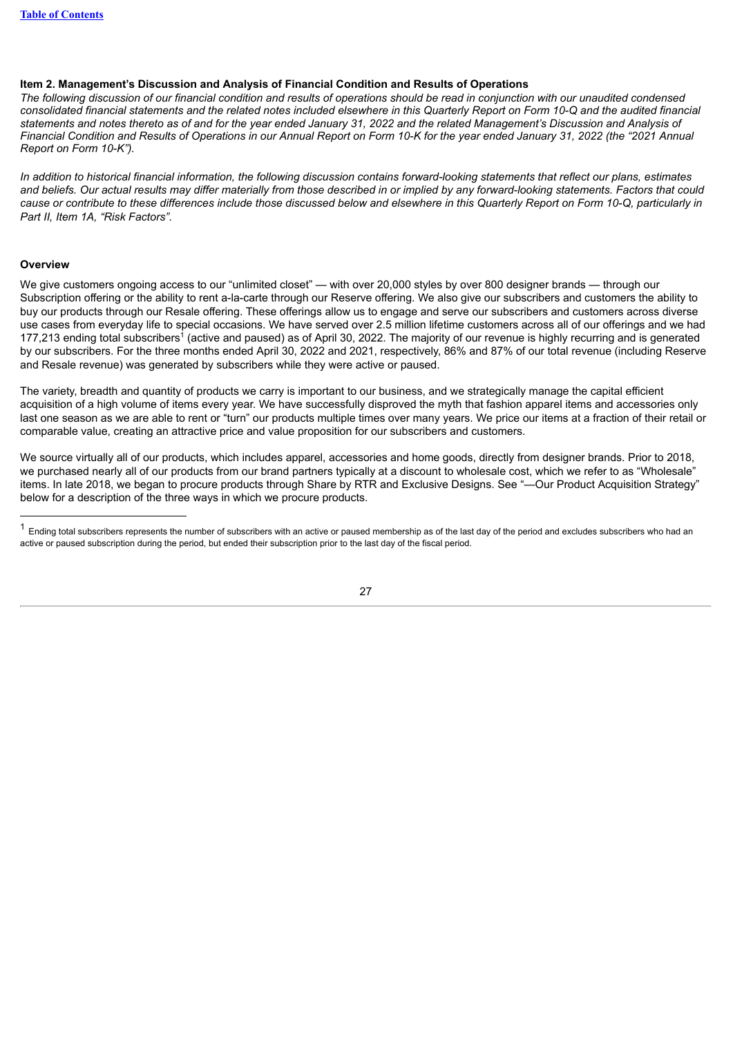#### **Item 2. Management's Discussion and Analysis of Financial Condition and Results of Operations**

The following discussion of our financial condition and results of operations should be read in conjunction with our unaudited condensed consolidated financial statements and the related notes included elsewhere in this Quarterly Report on Form 10-Q and the audited financial statements and notes thereto as of and for the year ended January 31, 2022 and the related Management's Discussion and Analysis of Financial Condition and Results of Operations in our Annual Report on Form 10-K for the year ended January 31, 2022 (the "2021 Annual *Report on Form 10-K").*

In addition to historical financial information, the following discussion contains forward-looking statements that reflect our plans, estimates and beliefs. Our actual results may differ materially from those described in or implied by any forward-looking statements. Factors that could cause or contribute to these differences include those discussed below and elsewhere in this Quarterly Report on Form 10-Q, particularly in *Part II, Item 1A, "Risk Factors".*

#### **Overview**

We give customers ongoing access to our "unlimited closet" — with over 20,000 styles by over 800 designer brands — through our Subscription offering or the ability to rent a-la-carte through our Reserve offering. We also give our subscribers and customers the ability to buy our products through our Resale offering. These offerings allow us to engage and serve our subscribers and customers across diverse use cases from everyday life to special occasions. We have served over 2.5 million lifetime customers across all of our offerings and we had 177,213 ending total subscribers<sup>1</sup> (active and paused) as of April 30, 2022. The majority of our revenue is highly recurring and is generated by our subscribers. For the three months ended April 30, 2022 and 2021, respectively, 86% and 87% of our total revenue (including Reserve and Resale revenue) was generated by subscribers while they were active or paused.

The variety, breadth and quantity of products we carry is important to our business, and we strategically manage the capital efficient acquisition of a high volume of items every year. We have successfully disproved the myth that fashion apparel items and accessories only last one season as we are able to rent or "turn" our products multiple times over many years. We price our items at a fraction of their retail or comparable value, creating an attractive price and value proposition for our subscribers and customers.

We source virtually all of our products, which includes apparel, accessories and home goods, directly from designer brands. Prior to 2018, we purchased nearly all of our products from our brand partners typically at a discount to wholesale cost, which we refer to as "Wholesale" items. In late 2018, we began to procure products through Share by RTR and Exclusive Designs. See "—Our Product Acquisition Strategy" below for a description of the three ways in which we procure products.

 $1$  Ending total subscribers represents the number of subscribers with an active or paused membership as of the last day of the period and excludes subscribers who had an active or paused subscription during the period, but ended their subscription prior to the last day of the fiscal period.

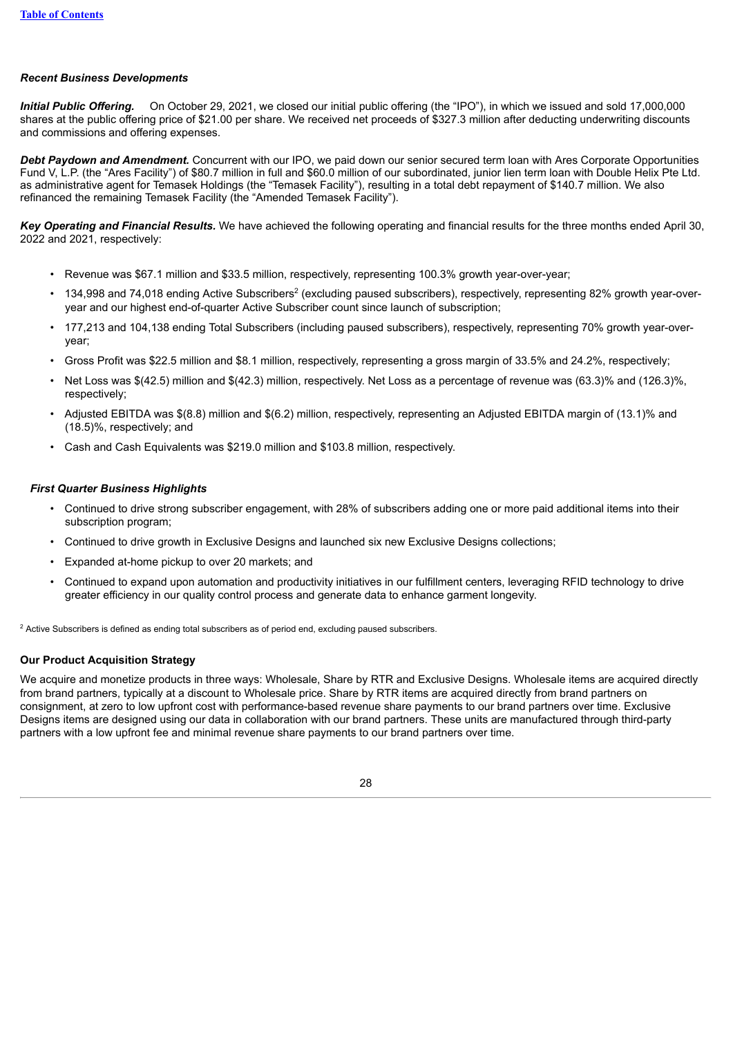## *Recent Business Developments*

*Initial Public Offering.* On October 29, 2021, we closed our initial public offering (the "IPO"), in which we issued and sold 17,000,000 shares at the public offering price of \$21.00 per share. We received net proceeds of \$327.3 million after deducting underwriting discounts and commissions and offering expenses.

*Debt Paydown and Amendment.* Concurrent with our IPO, we paid down our senior secured term loan with Ares Corporate Opportunities Fund V, L.P. (the "Ares Facility") of \$80.7 million in full and \$60.0 million of our subordinated, junior lien term loan with Double Helix Pte Ltd. as administrative agent for Temasek Holdings (the "Temasek Facility"), resulting in a total debt repayment of \$140.7 million. We also refinanced the remaining Temasek Facility (the "Amended Temasek Facility").

*Key Operating and Financial Results.* We have achieved the following operating and financial results for the three months ended April 30, 2022 and 2021, respectively:

- Revenue was \$67.1 million and \$33.5 million, respectively, representing 100.3% growth year-over-year;
- 134,998 and 74,018 ending Active Subscribers<sup>2</sup> (excluding paused subscribers), respectively, representing 82% growth year-overyear and our highest end-of-quarter Active Subscriber count since launch of subscription;
- 177,213 and 104,138 ending Total Subscribers (including paused subscribers), respectively, representing 70% growth year-overyear;
- Gross Profit was \$22.5 million and \$8.1 million, respectively, representing a gross margin of 33.5% and 24.2%, respectively;
- Net Loss was \$(42.5) million and \$(42.3) million, respectively. Net Loss as a percentage of revenue was (63.3)% and (126.3)%, respectively;
- Adjusted EBITDA was \$(8.8) million and \$(6.2) million, respectively, representing an Adjusted EBITDA margin of (13.1)% and (18.5)%, respectively; and
- Cash and Cash Equivalents was \$219.0 million and \$103.8 million, respectively.

### *First Quarter Business Highlights*

- Continued to drive strong subscriber engagement, with 28% of subscribers adding one or more paid additional items into their subscription program;
- Continued to drive growth in Exclusive Designs and launched six new Exclusive Designs collections;
- Expanded at-home pickup to over 20 markets; and
- Continued to expand upon automation and productivity initiatives in our fulfillment centers, leveraging RFID technology to drive greater efficiency in our quality control process and generate data to enhance garment longevity.

 $<sup>2</sup>$  Active Subscribers is defined as ending total subscribers as of period end, excluding paused subscribers.</sup>

#### **Our Product Acquisition Strategy**

We acquire and monetize products in three ways: Wholesale, Share by RTR and Exclusive Designs. Wholesale items are acquired directly from brand partners, typically at a discount to Wholesale price. Share by RTR items are acquired directly from brand partners on consignment, at zero to low upfront cost with performance-based revenue share payments to our brand partners over time. Exclusive Designs items are designed using our data in collaboration with our brand partners. These units are manufactured through third-party partners with a low upfront fee and minimal revenue share payments to our brand partners over time.

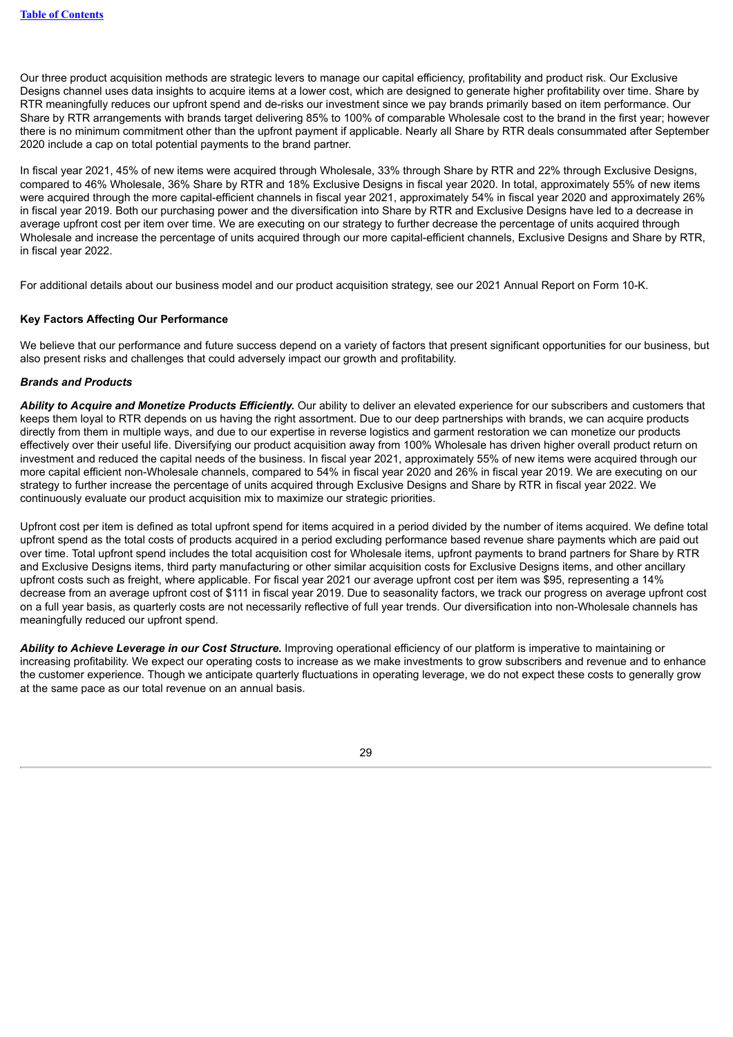Our three product acquisition methods are strategic levers to manage our capital efficiency, profitability and product risk. Our Exclusive Designs channel uses data insights to acquire items at a lower cost, which are designed to generate higher profitability over time. Share by RTR meaningfully reduces our upfront spend and de-risks our investment since we pay brands primarily based on item performance. Our Share by RTR arrangements with brands target delivering 85% to 100% of comparable Wholesale cost to the brand in the first year; however there is no minimum commitment other than the upfront payment if applicable. Nearly all Share by RTR deals consummated after September 2020 include a cap on total potential payments to the brand partner.

In fiscal year 2021, 45% of new items were acquired through Wholesale, 33% through Share by RTR and 22% through Exclusive Designs, compared to 46% Wholesale, 36% Share by RTR and 18% Exclusive Designs in fiscal year 2020. In total, approximately 55% of new items were acquired through the more capital-efficient channels in fiscal year 2021, approximately 54% in fiscal year 2020 and approximately 26% in fiscal year 2019. Both our purchasing power and the diversification into Share by RTR and Exclusive Designs have led to a decrease in average upfront cost per item over time. We are executing on our strategy to further decrease the percentage of units acquired through Wholesale and increase the percentage of units acquired through our more capital-efficient channels, Exclusive Designs and Share by RTR, in fiscal year 2022.

For additional details about our business model and our product acquisition strategy, see our 2021 Annual Report on Form 10-K.

## **Key Factors Affecting Our Performance**

We believe that our performance and future success depend on a variety of factors that present significant opportunities for our business, but also present risks and challenges that could adversely impact our growth and profitability.

### *Brands and Products*

*Ability to Acquire and Monetize Products Efficiently.* Our ability to deliver an elevated experience for our subscribers and customers that keeps them loyal to RTR depends on us having the right assortment. Due to our deep partnerships with brands, we can acquire products directly from them in multiple ways, and due to our expertise in reverse logistics and garment restoration we can monetize our products effectively over their useful life. Diversifying our product acquisition away from 100% Wholesale has driven higher overall product return on investment and reduced the capital needs of the business. In fiscal year 2021, approximately 55% of new items were acquired through our more capital efficient non-Wholesale channels, compared to 54% in fiscal year 2020 and 26% in fiscal year 2019. We are executing on our strategy to further increase the percentage of units acquired through Exclusive Designs and Share by RTR in fiscal year 2022. We continuously evaluate our product acquisition mix to maximize our strategic priorities.

Upfront cost per item is defined as total upfront spend for items acquired in a period divided by the number of items acquired. We define total upfront spend as the total costs of products acquired in a period excluding performance based revenue share payments which are paid out over time. Total upfront spend includes the total acquisition cost for Wholesale items, upfront payments to brand partners for Share by RTR and Exclusive Designs items, third party manufacturing or other similar acquisition costs for Exclusive Designs items, and other ancillary upfront costs such as freight, where applicable. For fiscal year 2021 our average upfront cost per item was \$95, representing a 14% decrease from an average upfront cost of \$111 in fiscal year 2019. Due to seasonality factors, we track our progress on average upfront cost on a full year basis, as quarterly costs are not necessarily reflective of full year trends. Our diversification into non-Wholesale channels has meaningfully reduced our upfront spend.

*Ability to Achieve Leverage in our Cost Structure.* Improving operational efficiency of our platform is imperative to maintaining or increasing profitability. We expect our operating costs to increase as we make investments to grow subscribers and revenue and to enhance the customer experience. Though we anticipate quarterly fluctuations in operating leverage, we do not expect these costs to generally grow at the same pace as our total revenue on an annual basis.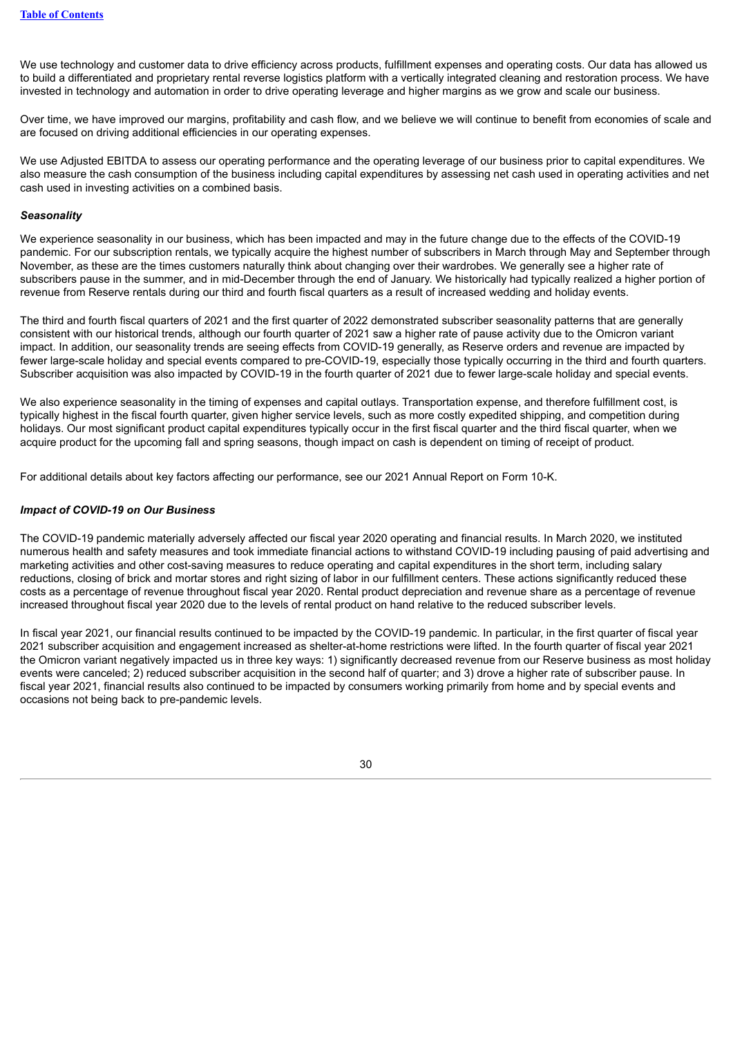We use technology and customer data to drive efficiency across products, fulfillment expenses and operating costs. Our data has allowed us to build a differentiated and proprietary rental reverse logistics platform with a vertically integrated cleaning and restoration process. We have invested in technology and automation in order to drive operating leverage and higher margins as we grow and scale our business.

Over time, we have improved our margins, profitability and cash flow, and we believe we will continue to benefit from economies of scale and are focused on driving additional efficiencies in our operating expenses.

We use Adjusted EBITDA to assess our operating performance and the operating leverage of our business prior to capital expenditures. We also measure the cash consumption of the business including capital expenditures by assessing net cash used in operating activities and net cash used in investing activities on a combined basis.

#### *Seasonality*

We experience seasonality in our business, which has been impacted and may in the future change due to the effects of the COVID-19 pandemic. For our subscription rentals, we typically acquire the highest number of subscribers in March through May and September through November, as these are the times customers naturally think about changing over their wardrobes. We generally see a higher rate of subscribers pause in the summer, and in mid-December through the end of January. We historically had typically realized a higher portion of revenue from Reserve rentals during our third and fourth fiscal quarters as a result of increased wedding and holiday events.

The third and fourth fiscal quarters of 2021 and the first quarter of 2022 demonstrated subscriber seasonality patterns that are generally consistent with our historical trends, although our fourth quarter of 2021 saw a higher rate of pause activity due to the Omicron variant impact. In addition, our seasonality trends are seeing effects from COVID-19 generally, as Reserve orders and revenue are impacted by fewer large-scale holiday and special events compared to pre-COVID-19, especially those typically occurring in the third and fourth quarters. Subscriber acquisition was also impacted by COVID-19 in the fourth quarter of 2021 due to fewer large-scale holiday and special events.

We also experience seasonality in the timing of expenses and capital outlays. Transportation expense, and therefore fulfillment cost, is typically highest in the fiscal fourth quarter, given higher service levels, such as more costly expedited shipping, and competition during holidays. Our most significant product capital expenditures typically occur in the first fiscal quarter and the third fiscal quarter, when we acquire product for the upcoming fall and spring seasons, though impact on cash is dependent on timing of receipt of product.

For additional details about key factors affecting our performance, see our 2021 Annual Report on Form 10-K.

#### *Impact of COVID-19 on Our Business*

The COVID-19 pandemic materially adversely affected our fiscal year 2020 operating and financial results. In March 2020, we instituted numerous health and safety measures and took immediate financial actions to withstand COVID-19 including pausing of paid advertising and marketing activities and other cost-saving measures to reduce operating and capital expenditures in the short term, including salary reductions, closing of brick and mortar stores and right sizing of labor in our fulfillment centers. These actions significantly reduced these costs as a percentage of revenue throughout fiscal year 2020. Rental product depreciation and revenue share as a percentage of revenue increased throughout fiscal year 2020 due to the levels of rental product on hand relative to the reduced subscriber levels.

In fiscal year 2021, our financial results continued to be impacted by the COVID-19 pandemic. In particular, in the first quarter of fiscal year 2021 subscriber acquisition and engagement increased as shelter-at-home restrictions were lifted. In the fourth quarter of fiscal year 2021 the Omicron variant negatively impacted us in three key ways: 1) significantly decreased revenue from our Reserve business as most holiday events were canceled; 2) reduced subscriber acquisition in the second half of quarter; and 3) drove a higher rate of subscriber pause. In fiscal year 2021, financial results also continued to be impacted by consumers working primarily from home and by special events and occasions not being back to pre-pandemic levels.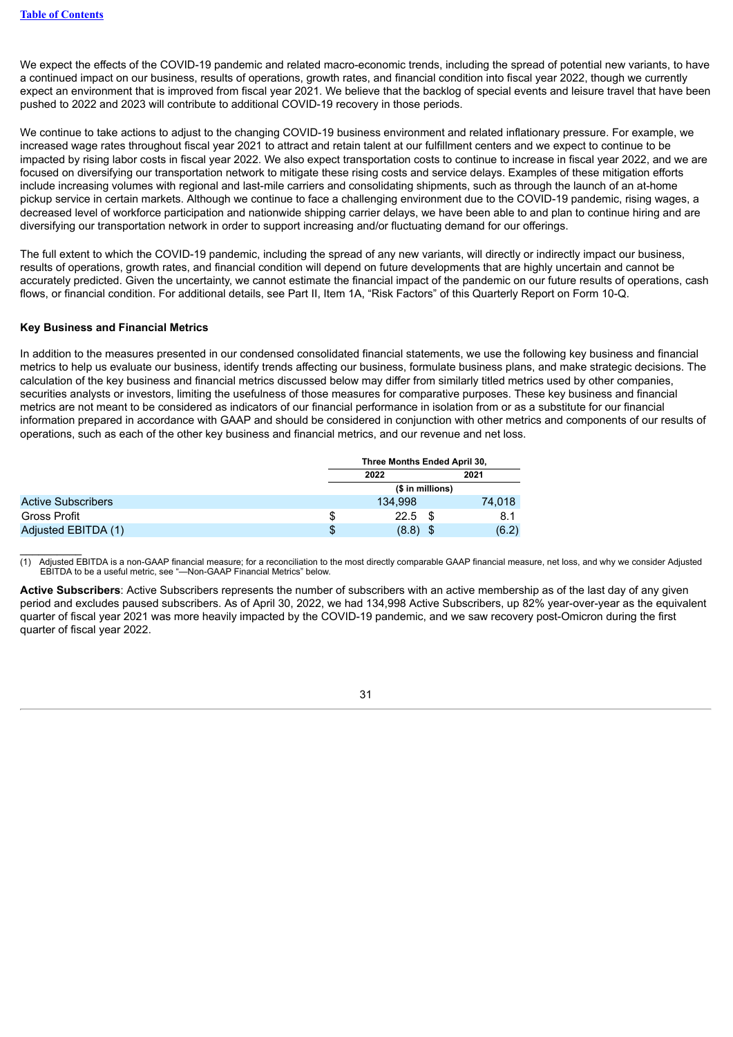We expect the effects of the COVID-19 pandemic and related macro-economic trends, including the spread of potential new variants, to have a continued impact on our business, results of operations, growth rates, and financial condition into fiscal year 2022, though we currently expect an environment that is improved from fiscal year 2021. We believe that the backlog of special events and leisure travel that have been pushed to 2022 and 2023 will contribute to additional COVID-19 recovery in those periods.

We continue to take actions to adjust to the changing COVID-19 business environment and related inflationary pressure. For example, we increased wage rates throughout fiscal year 2021 to attract and retain talent at our fulfillment centers and we expect to continue to be impacted by rising labor costs in fiscal year 2022. We also expect transportation costs to continue to increase in fiscal year 2022, and we are focused on diversifying our transportation network to mitigate these rising costs and service delays. Examples of these mitigation efforts include increasing volumes with regional and last-mile carriers and consolidating shipments, such as through the launch of an at-home pickup service in certain markets. Although we continue to face a challenging environment due to the COVID-19 pandemic, rising wages, a decreased level of workforce participation and nationwide shipping carrier delays, we have been able to and plan to continue hiring and are diversifying our transportation network in order to support increasing and/or fluctuating demand for our offerings.

The full extent to which the COVID-19 pandemic, including the spread of any new variants, will directly or indirectly impact our business, results of operations, growth rates, and financial condition will depend on future developments that are highly uncertain and cannot be accurately predicted. Given the uncertainty, we cannot estimate the financial impact of the pandemic on our future results of operations, cash flows, or financial condition. For additional details, see Part II, Item 1A, "Risk Factors" of this Quarterly Report on Form 10-Q.

### **Key Business and Financial Metrics**

 $\frac{1}{2}$ 

In addition to the measures presented in our condensed consolidated financial statements, we use the following key business and financial metrics to help us evaluate our business, identify trends affecting our business, formulate business plans, and make strategic decisions. The calculation of the key business and financial metrics discussed below may differ from similarly titled metrics used by other companies, securities analysts or investors, limiting the usefulness of those measures for comparative purposes. These key business and financial metrics are not meant to be considered as indicators of our financial performance in isolation from or as a substitute for our financial information prepared in accordance with GAAP and should be considered in conjunction with other metrics and components of our results of operations, such as each of the other key business and financial metrics, and our revenue and net loss.

|                           |    | Three Months Ended April 30, |  |        |
|---------------------------|----|------------------------------|--|--------|
|                           |    | 2022                         |  | 2021   |
|                           |    | (\$ in millions)             |  |        |
| <b>Active Subscribers</b> |    | 134.998                      |  | 74,018 |
| Gross Profit              | S  | 22.5                         |  | 8.1    |
| Adjusted EBITDA (1)       | \$ | (8.8)                        |  | (6.2)  |

(1) Adjusted EBITDA is a non-GAAP financial measure; for a reconciliation to the most directly comparable GAAP financial measure, net loss, and why we consider Adjusted EBITDA to be a useful metric, see "—Non-GAAP Financial Metrics" below.

**Active Subscribers**: Active Subscribers represents the number of subscribers with an active membership as of the last day of any given period and excludes paused subscribers. As of April 30, 2022, we had 134,998 Active Subscribers, up 82% year-over-year as the equivalent quarter of fiscal year 2021 was more heavily impacted by the COVID-19 pandemic, and we saw recovery post-Omicron during the first quarter of fiscal year 2022.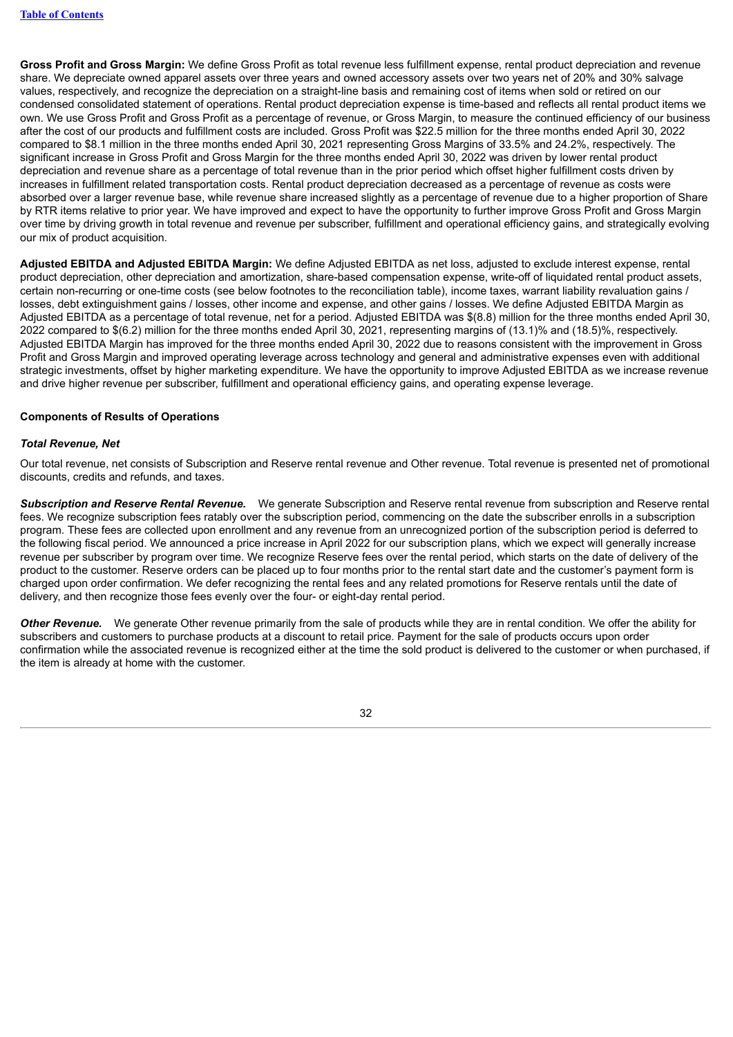**Gross Profit and Gross Margin:** We define Gross Profit as total revenue less fulfillment expense, rental product depreciation and revenue share. We depreciate owned apparel assets over three years and owned accessory assets over two years net of 20% and 30% salvage values, respectively, and recognize the depreciation on a straight-line basis and remaining cost of items when sold or retired on our condensed consolidated statement of operations. Rental product depreciation expense is time-based and reflects all rental product items we own. We use Gross Profit and Gross Profit as a percentage of revenue, or Gross Margin, to measure the continued efficiency of our business after the cost of our products and fulfillment costs are included. Gross Profit was \$22.5 million for the three months ended April 30, 2022 compared to \$8.1 million in the three months ended April 30, 2021 representing Gross Margins of 33.5% and 24.2%, respectively. The significant increase in Gross Profit and Gross Margin for the three months ended April 30, 2022 was driven by lower rental product depreciation and revenue share as a percentage of total revenue than in the prior period which offset higher fulfillment costs driven by increases in fulfillment related transportation costs. Rental product depreciation decreased as a percentage of revenue as costs were absorbed over a larger revenue base, while revenue share increased slightly as a percentage of revenue due to a higher proportion of Share by RTR items relative to prior year. We have improved and expect to have the opportunity to further improve Gross Profit and Gross Margin over time by driving growth in total revenue and revenue per subscriber, fulfillment and operational efficiency gains, and strategically evolving our mix of product acquisition.

**Adjusted EBITDA and Adjusted EBITDA Margin:** We define Adjusted EBITDA as net loss, adjusted to exclude interest expense, rental product depreciation, other depreciation and amortization, share-based compensation expense, write-off of liquidated rental product assets, certain non-recurring or one-time costs (see below footnotes to the reconciliation table), income taxes, warrant liability revaluation gains / losses, debt extinguishment gains / losses, other income and expense, and other gains / losses. We define Adjusted EBITDA Margin as Adjusted EBITDA as a percentage of total revenue, net for a period. Adjusted EBITDA was \$(8.8) million for the three months ended April 30, 2022 compared to \$(6.2) million for the three months ended April 30, 2021, representing margins of (13.1)% and (18.5)%, respectively. Adjusted EBITDA Margin has improved for the three months ended April 30, 2022 due to reasons consistent with the improvement in Gross Profit and Gross Margin and improved operating leverage across technology and general and administrative expenses even with additional strategic investments, offset by higher marketing expenditure. We have the opportunity to improve Adjusted EBITDA as we increase revenue and drive higher revenue per subscriber, fulfillment and operational efficiency gains, and operating expense leverage.

## **Components of Results of Operations**

### *Total Revenue, Net*

Our total revenue, net consists of Subscription and Reserve rental revenue and Other revenue. Total revenue is presented net of promotional discounts, credits and refunds, and taxes.

*Subscription and Reserve Rental Revenue.* We generate Subscription and Reserve rental revenue from subscription and Reserve rental fees. We recognize subscription fees ratably over the subscription period, commencing on the date the subscriber enrolls in a subscription program. These fees are collected upon enrollment and any revenue from an unrecognized portion of the subscription period is deferred to the following fiscal period. We announced a price increase in April 2022 for our subscription plans, which we expect will generally increase revenue per subscriber by program over time. We recognize Reserve fees over the rental period, which starts on the date of delivery of the product to the customer. Reserve orders can be placed up to four months prior to the rental start date and the customer's payment form is charged upon order confirmation. We defer recognizing the rental fees and any related promotions for Reserve rentals until the date of delivery, and then recognize those fees evenly over the four- or eight-day rental period.

*Other Revenue.* We generate Other revenue primarily from the sale of products while they are in rental condition. We offer the ability for subscribers and customers to purchase products at a discount to retail price. Payment for the sale of products occurs upon order confirmation while the associated revenue is recognized either at the time the sold product is delivered to the customer or when purchased, if the item is already at home with the customer.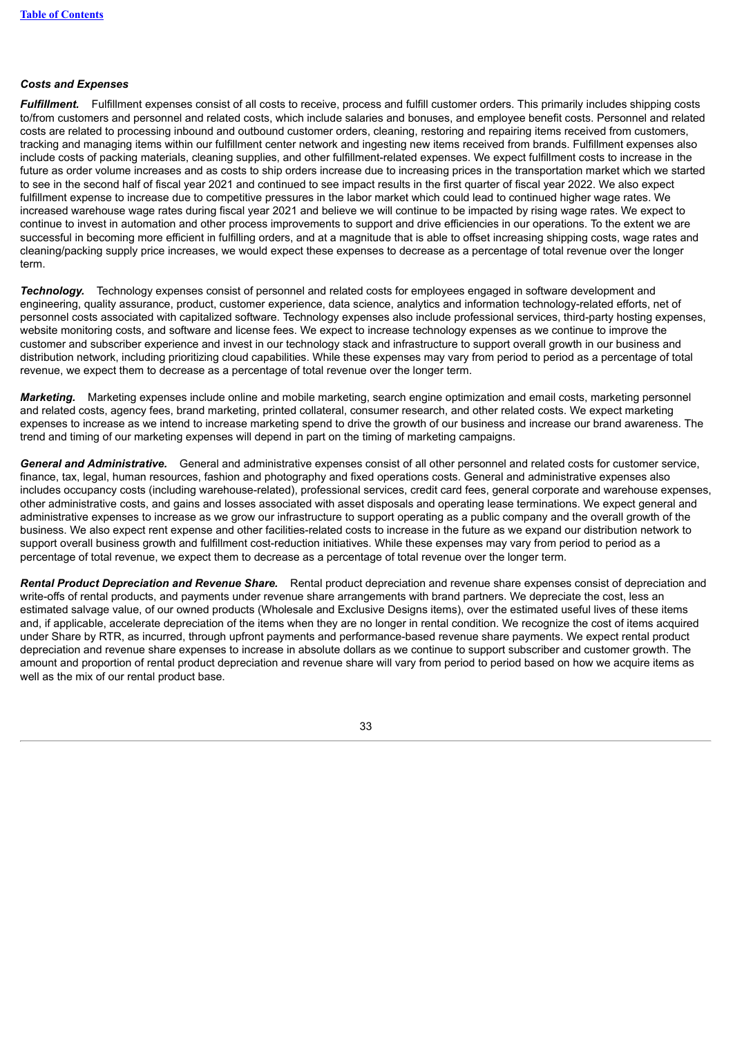## *Costs and Expenses*

**Fulfillment.** Fulfillment expenses consist of all costs to receive, process and fulfill customer orders. This primarily includes shipping costs to/from customers and personnel and related costs, which include salaries and bonuses, and employee benefit costs. Personnel and related costs are related to processing inbound and outbound customer orders, cleaning, restoring and repairing items received from customers, tracking and managing items within our fulfillment center network and ingesting new items received from brands. Fulfillment expenses also include costs of packing materials, cleaning supplies, and other fulfillment-related expenses. We expect fulfillment costs to increase in the future as order volume increases and as costs to ship orders increase due to increasing prices in the transportation market which we started to see in the second half of fiscal year 2021 and continued to see impact results in the first quarter of fiscal year 2022. We also expect fulfillment expense to increase due to competitive pressures in the labor market which could lead to continued higher wage rates. We increased warehouse wage rates during fiscal year 2021 and believe we will continue to be impacted by rising wage rates. We expect to continue to invest in automation and other process improvements to support and drive efficiencies in our operations. To the extent we are successful in becoming more efficient in fulfilling orders, and at a magnitude that is able to offset increasing shipping costs, wage rates and cleaning/packing supply price increases, we would expect these expenses to decrease as a percentage of total revenue over the longer term.

*Technology.* Technology expenses consist of personnel and related costs for employees engaged in software development and engineering, quality assurance, product, customer experience, data science, analytics and information technology-related efforts, net of personnel costs associated with capitalized software. Technology expenses also include professional services, third-party hosting expenses, website monitoring costs, and software and license fees. We expect to increase technology expenses as we continue to improve the customer and subscriber experience and invest in our technology stack and infrastructure to support overall growth in our business and distribution network, including prioritizing cloud capabilities. While these expenses may vary from period to period as a percentage of total revenue, we expect them to decrease as a percentage of total revenue over the longer term.

*Marketing.* Marketing expenses include online and mobile marketing, search engine optimization and email costs, marketing personnel and related costs, agency fees, brand marketing, printed collateral, consumer research, and other related costs. We expect marketing expenses to increase as we intend to increase marketing spend to drive the growth of our business and increase our brand awareness. The trend and timing of our marketing expenses will depend in part on the timing of marketing campaigns.

*General and Administrative.* General and administrative expenses consist of all other personnel and related costs for customer service, finance, tax, legal, human resources, fashion and photography and fixed operations costs. General and administrative expenses also includes occupancy costs (including warehouse-related), professional services, credit card fees, general corporate and warehouse expenses, other administrative costs, and gains and losses associated with asset disposals and operating lease terminations. We expect general and administrative expenses to increase as we grow our infrastructure to support operating as a public company and the overall growth of the business. We also expect rent expense and other facilities-related costs to increase in the future as we expand our distribution network to support overall business growth and fulfillment cost-reduction initiatives. While these expenses may vary from period to period as a percentage of total revenue, we expect them to decrease as a percentage of total revenue over the longer term.

*Rental Product Depreciation and Revenue Share.* Rental product depreciation and revenue share expenses consist of depreciation and write-offs of rental products, and payments under revenue share arrangements with brand partners. We depreciate the cost, less an estimated salvage value, of our owned products (Wholesale and Exclusive Designs items), over the estimated useful lives of these items and, if applicable, accelerate depreciation of the items when they are no longer in rental condition. We recognize the cost of items acquired under Share by RTR, as incurred, through upfront payments and performance-based revenue share payments. We expect rental product depreciation and revenue share expenses to increase in absolute dollars as we continue to support subscriber and customer growth. The amount and proportion of rental product depreciation and revenue share will vary from period to period based on how we acquire items as well as the mix of our rental product base.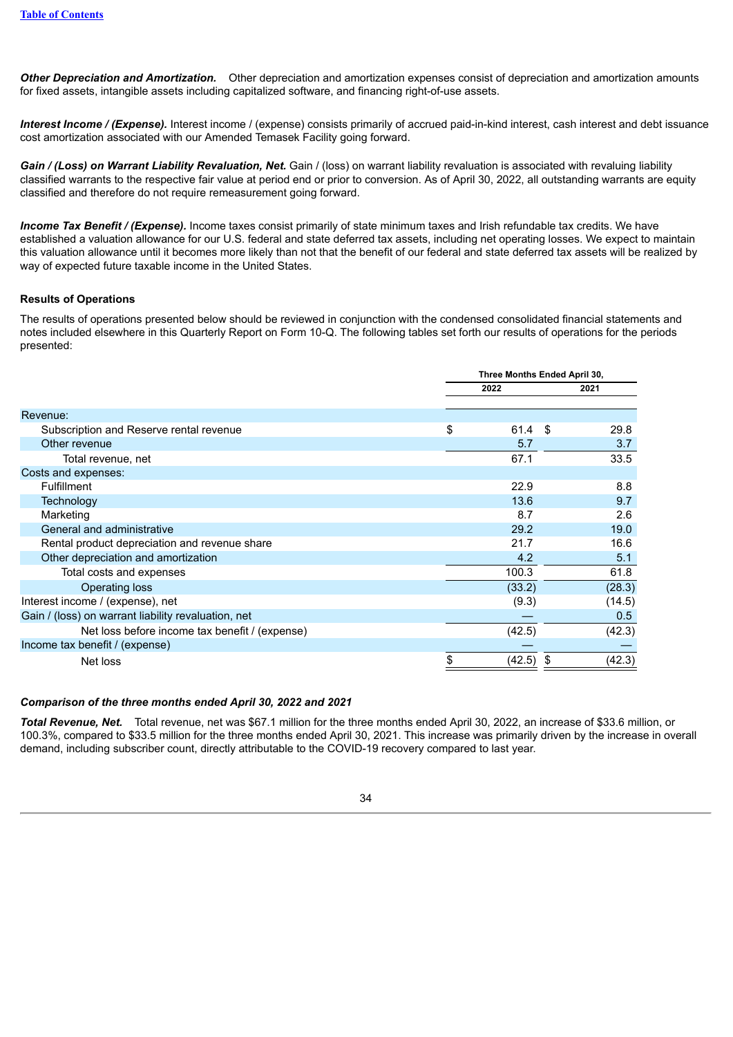*Other Depreciation and Amortization.* Other depreciation and amortization expenses consist of depreciation and amortization amounts for fixed assets, intangible assets including capitalized software, and financing right-of-use assets.

*Interest Income / (Expense).* Interest income / (expense) consists primarily of accrued paid-in-kind interest, cash interest and debt issuance cost amortization associated with our Amended Temasek Facility going forward.

*Gain / (Loss) on Warrant Liability Revaluation, Net.* Gain / (loss) on warrant liability revaluation is associated with revaluing liability classified warrants to the respective fair value at period end or prior to conversion. As of April 30, 2022, all outstanding warrants are equity classified and therefore do not require remeasurement going forward.

*Income Tax Benefit / (Expense).* Income taxes consist primarily of state minimum taxes and Irish refundable tax credits. We have established a valuation allowance for our U.S. federal and state deferred tax assets, including net operating losses. We expect to maintain this valuation allowance until it becomes more likely than not that the benefit of our federal and state deferred tax assets will be realized by way of expected future taxable income in the United States.

# **Results of Operations**

The results of operations presented below should be reviewed in conjunction with the condensed consolidated financial statements and notes included elsewhere in this Quarterly Report on Form 10-Q. The following tables set forth our results of operations for the periods presented:

|                                                     |      | Three Months Ended April 30, |                |  |  |
|-----------------------------------------------------|------|------------------------------|----------------|--|--|
|                                                     | 2022 |                              | 2021           |  |  |
|                                                     |      |                              |                |  |  |
| Revenue:                                            |      |                              |                |  |  |
| Subscription and Reserve rental revenue             | \$   | 61.4                         | 29.8<br>-\$    |  |  |
| Other revenue                                       |      | 5.7                          | 3.7            |  |  |
| Total revenue, net                                  |      | 67.1                         | 33.5           |  |  |
| Costs and expenses:                                 |      |                              |                |  |  |
| <b>Fulfillment</b>                                  |      | 22.9                         | 8.8            |  |  |
| Technology                                          |      | 13.6                         | 9.7            |  |  |
| Marketing                                           |      | 8.7                          | 2.6            |  |  |
| General and administrative                          |      | 29.2                         | 19.0           |  |  |
| Rental product depreciation and revenue share       |      | 21.7                         | 16.6           |  |  |
| Other depreciation and amortization                 |      | 4.2                          | 5.1            |  |  |
| Total costs and expenses                            |      | 100.3                        | 61.8           |  |  |
| <b>Operating loss</b>                               |      | (33.2)                       | (28.3)         |  |  |
| Interest income / (expense), net                    |      | (9.3)                        | (14.5)         |  |  |
| Gain / (loss) on warrant liability revaluation, net |      |                              | 0.5            |  |  |
| Net loss before income tax benefit / (expense)      |      | (42.5)                       | (42.3)         |  |  |
| Income tax benefit / (expense)                      |      |                              |                |  |  |
| Net loss                                            | \$   | (42.5)                       | (42.3)<br>- \$ |  |  |

# *Comparison of the three months ended April 30, 2022 and 2021*

*Total Revenue, Net.* Total revenue, net was \$67.1 million for the three months ended April 30, 2022, an increase of \$33.6 million, or 100.3%, compared to \$33.5 million for the three months ended April 30, 2021. This increase was primarily driven by the increase in overall demand, including subscriber count, directly attributable to the COVID-19 recovery compared to last year.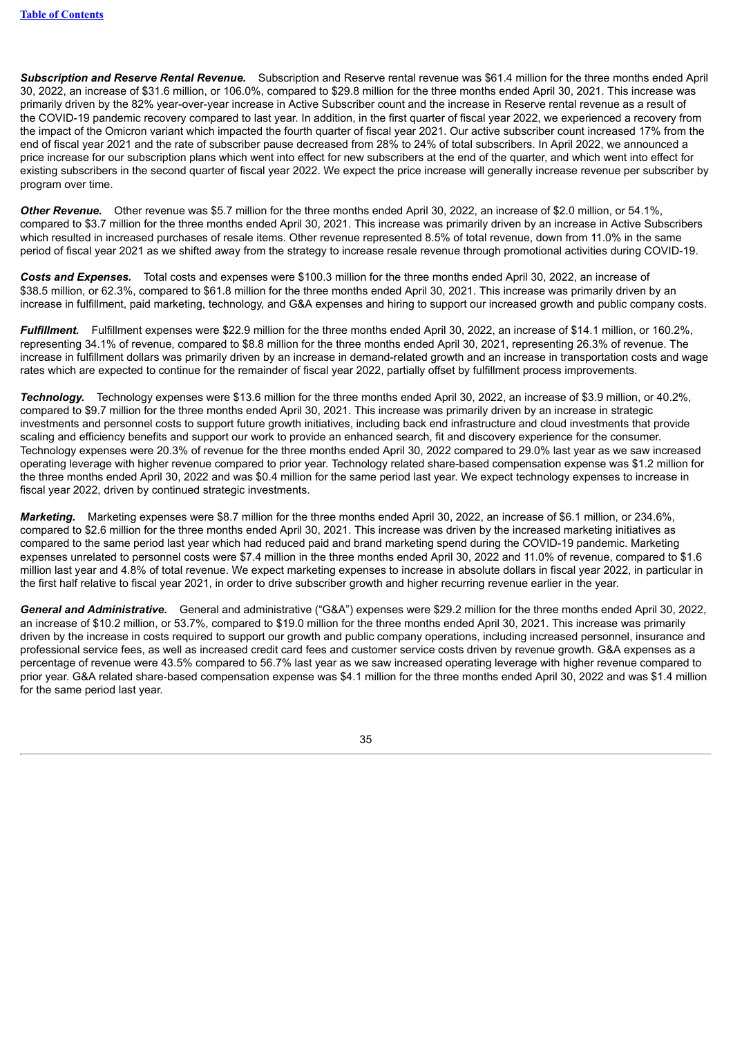*Subscription and Reserve Rental Revenue.* Subscription and Reserve rental revenue was \$61.4 million for the three months ended April 30, 2022, an increase of \$31.6 million, or 106.0%, compared to \$29.8 million for the three months ended April 30, 2021. This increase was primarily driven by the 82% year-over-year increase in Active Subscriber count and the increase in Reserve rental revenue as a result of the COVID-19 pandemic recovery compared to last year. In addition, in the first quarter of fiscal year 2022, we experienced a recovery from the impact of the Omicron variant which impacted the fourth quarter of fiscal year 2021. Our active subscriber count increased 17% from the end of fiscal year 2021 and the rate of subscriber pause decreased from 28% to 24% of total subscribers. In April 2022, we announced a price increase for our subscription plans which went into effect for new subscribers at the end of the quarter, and which went into effect for existing subscribers in the second quarter of fiscal year 2022. We expect the price increase will generally increase revenue per subscriber by program over time.

*Other Revenue.* Other revenue was \$5.7 million for the three months ended April 30, 2022, an increase of \$2.0 million, or 54.1%, compared to \$3.7 million for the three months ended April 30, 2021. This increase was primarily driven by an increase in Active Subscribers which resulted in increased purchases of resale items. Other revenue represented 8.5% of total revenue, down from 11.0% in the same period of fiscal year 2021 as we shifted away from the strategy to increase resale revenue through promotional activities during COVID-19.

*Costs and Expenses.* Total costs and expenses were \$100.3 million for the three months ended April 30, 2022, an increase of \$38.5 million, or 62.3%, compared to \$61.8 million for the three months ended April 30, 2021. This increase was primarily driven by an increase in fulfillment, paid marketing, technology, and G&A expenses and hiring to support our increased growth and public company costs.

*Fulfillment.* Fulfillment expenses were \$22.9 million for the three months ended April 30, 2022, an increase of \$14.1 million, or 160.2%, representing 34.1% of revenue, compared to \$8.8 million for the three months ended April 30, 2021, representing 26.3% of revenue. The increase in fulfillment dollars was primarily driven by an increase in demand-related growth and an increase in transportation costs and wage rates which are expected to continue for the remainder of fiscal year 2022, partially offset by fulfillment process improvements.

*Technology.* Technology expenses were \$13.6 million for the three months ended April 30, 2022, an increase of \$3.9 million, or 40.2%, compared to \$9.7 million for the three months ended April 30, 2021. This increase was primarily driven by an increase in strategic investments and personnel costs to support future growth initiatives, including back end infrastructure and cloud investments that provide scaling and efficiency benefits and support our work to provide an enhanced search, fit and discovery experience for the consumer. Technology expenses were 20.3% of revenue for the three months ended April 30, 2022 compared to 29.0% last year as we saw increased operating leverage with higher revenue compared to prior year. Technology related share-based compensation expense was \$1.2 million for the three months ended April 30, 2022 and was \$0.4 million for the same period last year. We expect technology expenses to increase in fiscal year 2022, driven by continued strategic investments.

*Marketing.* Marketing expenses were \$8.7 million for the three months ended April 30, 2022, an increase of \$6.1 million, or 234.6%, compared to \$2.6 million for the three months ended April 30, 2021. This increase was driven by the increased marketing initiatives as compared to the same period last year which had reduced paid and brand marketing spend during the COVID-19 pandemic. Marketing expenses unrelated to personnel costs were \$7.4 million in the three months ended April 30, 2022 and 11.0% of revenue, compared to \$1.6 million last year and 4.8% of total revenue. We expect marketing expenses to increase in absolute dollars in fiscal year 2022, in particular in the first half relative to fiscal year 2021, in order to drive subscriber growth and higher recurring revenue earlier in the year.

*General and Administrative.* General and administrative ("G&A") expenses were \$29.2 million for the three months ended April 30, 2022, an increase of \$10.2 million, or 53.7%, compared to \$19.0 million for the three months ended April 30, 2021. This increase was primarily driven by the increase in costs required to support our growth and public company operations, including increased personnel, insurance and professional service fees, as well as increased credit card fees and customer service costs driven by revenue growth. G&A expenses as a percentage of revenue were 43.5% compared to 56.7% last year as we saw increased operating leverage with higher revenue compared to prior year. G&A related share-based compensation expense was \$4.1 million for the three months ended April 30, 2022 and was \$1.4 million for the same period last year.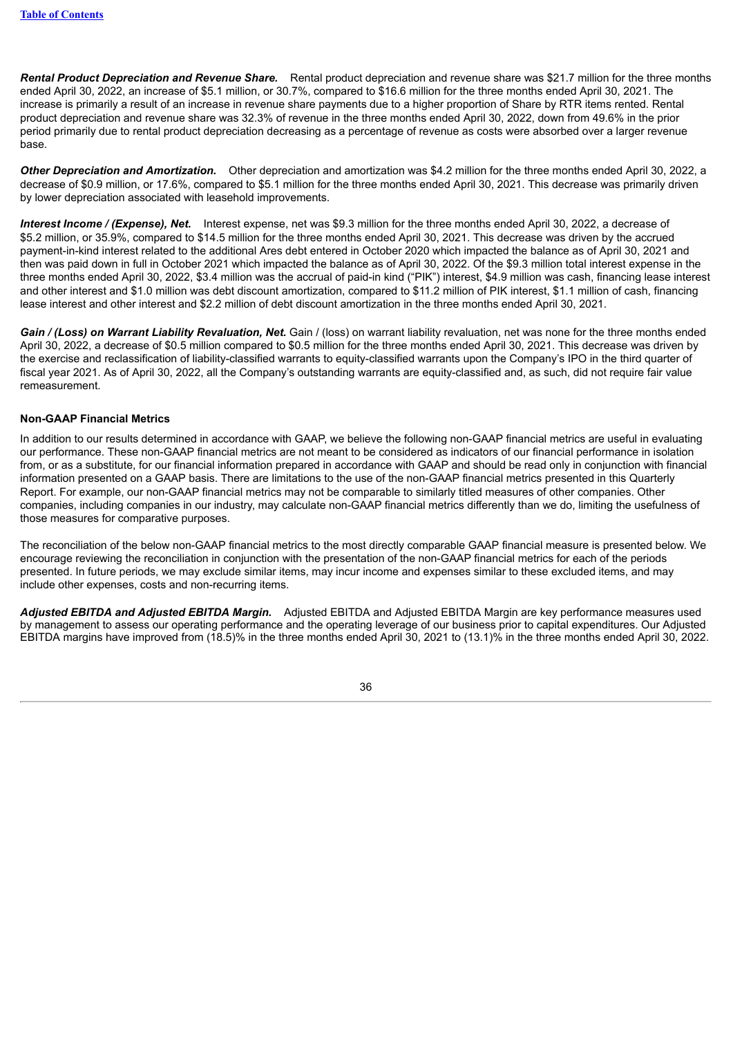*Rental Product Depreciation and Revenue Share.* Rental product depreciation and revenue share was \$21.7 million for the three months ended April 30, 2022, an increase of \$5.1 million, or 30.7%, compared to \$16.6 million for the three months ended April 30, 2021. The increase is primarily a result of an increase in revenue share payments due to a higher proportion of Share by RTR items rented. Rental product depreciation and revenue share was 32.3% of revenue in the three months ended April 30, 2022, down from 49.6% in the prior period primarily due to rental product depreciation decreasing as a percentage of revenue as costs were absorbed over a larger revenue base.

*Other Depreciation and Amortization.* Other depreciation and amortization was \$4.2 million for the three months ended April 30, 2022, a decrease of \$0.9 million, or 17.6%, compared to \$5.1 million for the three months ended April 30, 2021. This decrease was primarily driven by lower depreciation associated with leasehold improvements.

*Interest Income / (Expense), Net.* Interest expense, net was \$9.3 million for the three months ended April 30, 2022, a decrease of \$5.2 million, or 35.9%, compared to \$14.5 million for the three months ended April 30, 2021. This decrease was driven by the accrued payment-in-kind interest related to the additional Ares debt entered in October 2020 which impacted the balance as of April 30, 2021 and then was paid down in full in October 2021 which impacted the balance as of April 30, 2022. Of the \$9.3 million total interest expense in the three months ended April 30, 2022, \$3.4 million was the accrual of paid-in kind ("PIK") interest, \$4.9 million was cash, financing lease interest and other interest and \$1.0 million was debt discount amortization, compared to \$11.2 million of PIK interest, \$1.1 million of cash, financing lease interest and other interest and \$2.2 million of debt discount amortization in the three months ended April 30, 2021.

*Gain / (Loss) on Warrant Liability Revaluation, Net.* Gain / (loss) on warrant liability revaluation, net was none for the three months ended April 30, 2022, a decrease of \$0.5 million compared to \$0.5 million for the three months ended April 30, 2021. This decrease was driven by the exercise and reclassification of liability-classified warrants to equity-classified warrants upon the Company's IPO in the third quarter of fiscal year 2021. As of April 30, 2022, all the Company's outstanding warrants are equity-classified and, as such, did not require fair value remeasurement.

# **Non-GAAP Financial Metrics**

In addition to our results determined in accordance with GAAP, we believe the following non-GAAP financial metrics are useful in evaluating our performance. These non-GAAP financial metrics are not meant to be considered as indicators of our financial performance in isolation from, or as a substitute, for our financial information prepared in accordance with GAAP and should be read only in conjunction with financial information presented on a GAAP basis. There are limitations to the use of the non-GAAP financial metrics presented in this Quarterly Report. For example, our non-GAAP financial metrics may not be comparable to similarly titled measures of other companies. Other companies, including companies in our industry, may calculate non-GAAP financial metrics differently than we do, limiting the usefulness of those measures for comparative purposes.

The reconciliation of the below non-GAAP financial metrics to the most directly comparable GAAP financial measure is presented below. We encourage reviewing the reconciliation in conjunction with the presentation of the non-GAAP financial metrics for each of the periods presented. In future periods, we may exclude similar items, may incur income and expenses similar to these excluded items, and may include other expenses, costs and non-recurring items.

*Adjusted EBITDA and Adjusted EBITDA Margin.* Adjusted EBITDA and Adjusted EBITDA Margin are key performance measures used by management to assess our operating performance and the operating leverage of our business prior to capital expenditures. Our Adjusted EBITDA margins have improved from (18.5)% in the three months ended April 30, 2021 to (13.1)% in the three months ended April 30, 2022.

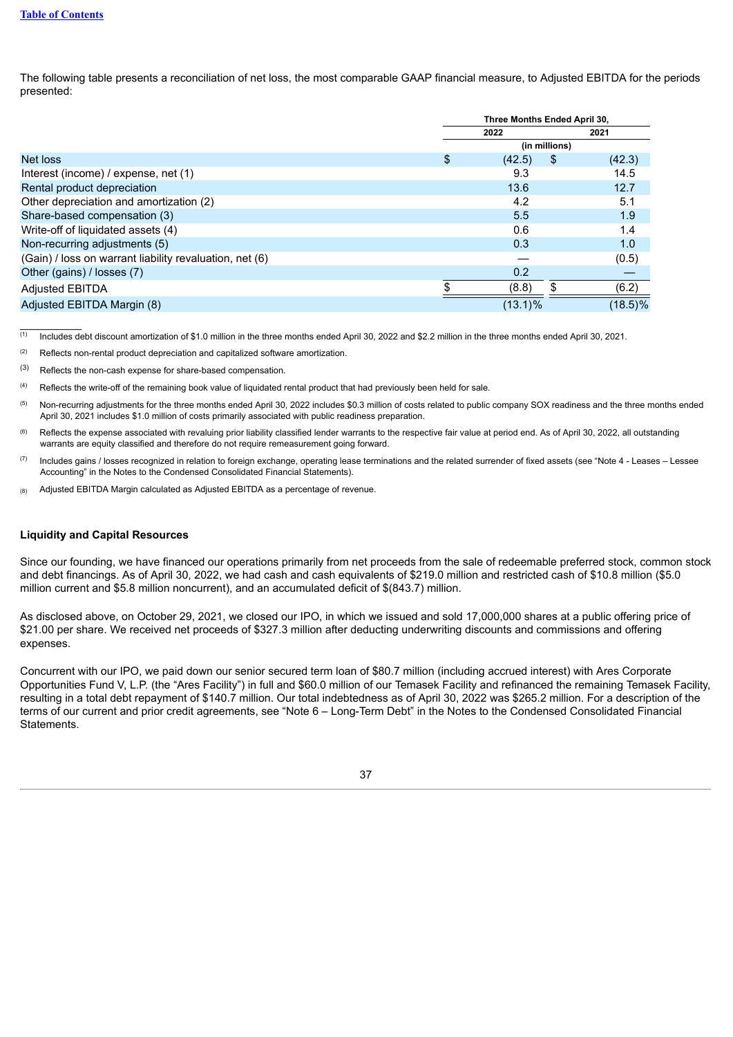$\frac{1}{2}$ 

The following table presents a reconciliation of net loss, the most comparable GAAP financial measure, to Adjusted EBITDA for the periods presented:

|                                                         | Three Months Ended April 30, |    |            |  |  |
|---------------------------------------------------------|------------------------------|----|------------|--|--|
|                                                         | 2022                         |    | 2021       |  |  |
|                                                         | (in millions)                |    |            |  |  |
| Net loss                                                | \$<br>(42.5)                 | \$ | (42.3)     |  |  |
| Interest (income) / expense, net (1)                    | 9.3                          |    | 14.5       |  |  |
| Rental product depreciation                             | 13.6                         |    | 12.7       |  |  |
| Other depreciation and amortization (2)                 | 4.2                          |    | 5.1        |  |  |
| Share-based compensation (3)                            | 5.5                          |    | 1.9        |  |  |
| Write-off of liquidated assets (4)                      | 0.6                          |    | 1.4        |  |  |
| Non-recurring adjustments (5)                           | 0.3                          |    | 1.0        |  |  |
| (Gain) / loss on warrant liability revaluation, net (6) |                              |    | (0.5)      |  |  |
| Other (gains) / losses (7)                              | 0.2                          |    |            |  |  |
| <b>Adjusted EBITDA</b>                                  | (8.8)                        |    | (6.2)      |  |  |
| Adjusted EBITDA Margin (8)                              | $(13.1)\%$                   |    | $(18.5)\%$ |  |  |

Includes debt discount amortization of \$1.0 million in the three months ended April 30, 2022 and \$2.2 million in the three months ended April 30, 2021.  $(1)$ 

Reflects non-rental product depreciation and capitalized software amortization. (2)

Reflects the non-cash expense for share-based compensation. (3)

Reflects the write-off of the remaining book value of liquidated rental product that had previously been held for sale. (4)

- Non-recurring adjustments for the three months ended April 30, 2022 includes \$0.3 million of costs related to public company SOX readiness and the three months ended April 30, 2021 includes \$1.0 million of costs primarily associated with public readiness preparation. (5)
- Reflects the expense associated with revaluing prior liability classified lender warrants to the respective fair value at period end. As of April 30, 2022, all outstanding warrants are equity classified and therefore do not require remeasurement going forward. (6)
- Includes gains / losses recognized in relation to foreign exchange, operating lease terminations and the related surrender of fixed assets (see "Note 4 Leases Lessee Accounting" in the Notes to the Condensed Consolidated Financial Statements). (7)
- Adjusted EBITDA Margin calculated as Adjusted EBITDA as a percentage of revenue. (8)

#### **Liquidity and Capital Resources**

Since our founding, we have financed our operations primarily from net proceeds from the sale of redeemable preferred stock, common stock and debt financings. As of April 30, 2022, we had cash and cash equivalents of \$219.0 million and restricted cash of \$10.8 million (\$5.0 million current and \$5.8 million noncurrent), and an accumulated deficit of \$(843.7) million.

As disclosed above, on October 29, 2021, we closed our IPO, in which we issued and sold 17,000,000 shares at a public offering price of \$21.00 per share. We received net proceeds of \$327.3 million after deducting underwriting discounts and commissions and offering expenses.

Concurrent with our IPO, we paid down our senior secured term loan of \$80.7 million (including accrued interest) with Ares Corporate Opportunities Fund V, L.P. (the "Ares Facility") in full and \$60.0 million of our Temasek Facility and refinanced the remaining Temasek Facility, resulting in a total debt repayment of \$140.7 million. Our total indebtedness as of April 30, 2022 was \$265.2 million. For a description of the terms of our current and prior credit agreements, see "Note 6 – Long-Term Debt" in the Notes to the Condensed Consolidated Financial **Statements**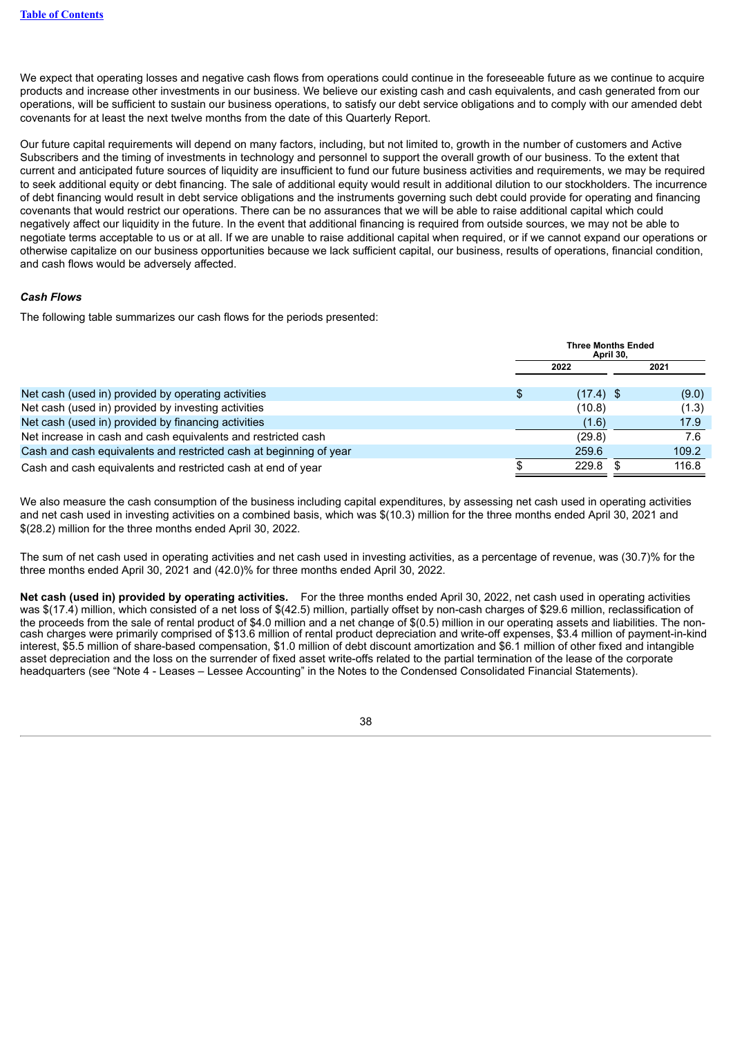We expect that operating losses and negative cash flows from operations could continue in the foreseeable future as we continue to acquire products and increase other investments in our business. We believe our existing cash and cash equivalents, and cash generated from our operations, will be sufficient to sustain our business operations, to satisfy our debt service obligations and to comply with our amended debt covenants for at least the next twelve months from the date of this Quarterly Report.

Our future capital requirements will depend on many factors, including, but not limited to, growth in the number of customers and Active Subscribers and the timing of investments in technology and personnel to support the overall growth of our business. To the extent that current and anticipated future sources of liquidity are insufficient to fund our future business activities and requirements, we may be required to seek additional equity or debt financing. The sale of additional equity would result in additional dilution to our stockholders. The incurrence of debt financing would result in debt service obligations and the instruments governing such debt could provide for operating and financing covenants that would restrict our operations. There can be no assurances that we will be able to raise additional capital which could negatively affect our liquidity in the future. In the event that additional financing is required from outside sources, we may not be able to negotiate terms acceptable to us or at all. If we are unable to raise additional capital when required, or if we cannot expand our operations or otherwise capitalize on our business opportunities because we lack sufficient capital, our business, results of operations, financial condition, and cash flows would be adversely affected.

#### *Cash Flows*

The following table summarizes our cash flows for the periods presented:

|                                                                    | <b>Three Months Ended</b><br>April 30, |             |  |       |  |
|--------------------------------------------------------------------|----------------------------------------|-------------|--|-------|--|
|                                                                    |                                        | 2022        |  | 2021  |  |
| Net cash (used in) provided by operating activities                | \$                                     | $(17.4)$ \$ |  | (9.0) |  |
| Net cash (used in) provided by investing activities                |                                        | (10.8)      |  | (1.3) |  |
| Net cash (used in) provided by financing activities                |                                        | (1.6)       |  | 17.9  |  |
| Net increase in cash and cash equivalents and restricted cash      |                                        | (29.8)      |  | 7.6   |  |
| Cash and cash equivalents and restricted cash at beginning of year |                                        | 259.6       |  | 109.2 |  |
| Cash and cash equivalents and restricted cash at end of year       |                                        | $229.8$ \$  |  | 116.8 |  |

We also measure the cash consumption of the business including capital expenditures, by assessing net cash used in operating activities and net cash used in investing activities on a combined basis, which was \$(10.3) million for the three months ended April 30, 2021 and \$(28.2) million for the three months ended April 30, 2022.

The sum of net cash used in operating activities and net cash used in investing activities, as a percentage of revenue, was (30.7)% for the three months ended April 30, 2021 and (42.0)% for three months ended April 30, 2022.

**Net cash (used in) provided by operating activities***.* For the three months ended April 30, 2022, net cash used in operating activities was \$(17.4) million, which consisted of a net loss of \$(42.5) million, partially offset by non-cash charges of \$29.6 million, reclassification of the proceeds from the sale of rental product of \$4.0 million and a net change of \$(0.5) million in our operating assets and liabilities. The noncash charges were primarily comprised of \$13.6 million of rental product depreciation and write-off expenses, \$3.4 million of payment-in-kind interest, \$5.5 million of share-based compensation, \$1.0 million of debt discount amortization and \$6.1 million of other fixed and intangible asset depreciation and the loss on the surrender of fixed asset write-offs related to the partial termination of the lease of the corporate headquarters (see "Note 4 - Leases – Lessee Accounting" in the Notes to the Condensed Consolidated Financial Statements).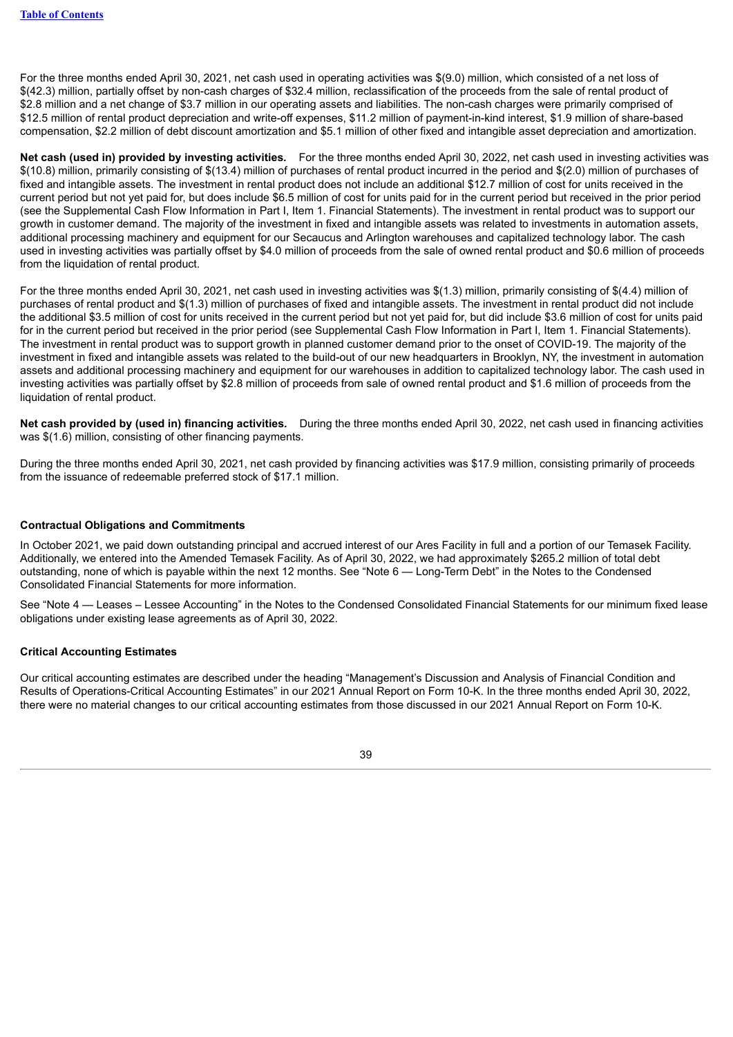For the three months ended April 30, 2021, net cash used in operating activities was \$(9.0) million, which consisted of a net loss of \$(42.3) million, partially offset by non-cash charges of \$32.4 million, reclassification of the proceeds from the sale of rental product of \$2.8 million and a net change of \$3.7 million in our operating assets and liabilities. The non-cash charges were primarily comprised of \$12.5 million of rental product depreciation and write-off expenses, \$11.2 million of payment-in-kind interest, \$1.9 million of share-based compensation, \$2.2 million of debt discount amortization and \$5.1 million of other fixed and intangible asset depreciation and amortization.

**Net cash (used in) provided by investing activities***.* For the three months ended April 30, 2022, net cash used in investing activities was \$(10.8) million, primarily consisting of \$(13.4) million of purchases of rental product incurred in the period and \$(2.0) million of purchases of fixed and intangible assets. The investment in rental product does not include an additional \$12.7 million of cost for units received in the current period but not yet paid for, but does include \$6.5 million of cost for units paid for in the current period but received in the prior period (see the Supplemental Cash Flow Information in Part I, Item 1. Financial Statements). The investment in rental product was to support our growth in customer demand. The majority of the investment in fixed and intangible assets was related to investments in automation assets, additional processing machinery and equipment for our Secaucus and Arlington warehouses and capitalized technology labor. The cash used in investing activities was partially offset by \$4.0 million of proceeds from the sale of owned rental product and \$0.6 million of proceeds from the liquidation of rental product.

For the three months ended April 30, 2021, net cash used in investing activities was \$(1.3) million, primarily consisting of \$(4.4) million of purchases of rental product and \$(1.3) million of purchases of fixed and intangible assets. The investment in rental product did not include the additional \$3.5 million of cost for units received in the current period but not yet paid for, but did include \$3.6 million of cost for units paid for in the current period but received in the prior period (see Supplemental Cash Flow Information in Part I, Item 1. Financial Statements). The investment in rental product was to support growth in planned customer demand prior to the onset of COVID-19. The majority of the investment in fixed and intangible assets was related to the build-out of our new headquarters in Brooklyn, NY, the investment in automation assets and additional processing machinery and equipment for our warehouses in addition to capitalized technology labor. The cash used in investing activities was partially offset by \$2.8 million of proceeds from sale of owned rental product and \$1.6 million of proceeds from the liquidation of rental product.

**Net cash provided by (used in) financing activities***.* During the three months ended April 30, 2022, net cash used in financing activities was \$(1.6) million, consisting of other financing payments.

During the three months ended April 30, 2021, net cash provided by financing activities was \$17.9 million, consisting primarily of proceeds from the issuance of redeemable preferred stock of \$17.1 million.

# **Contractual Obligations and Commitments**

In October 2021, we paid down outstanding principal and accrued interest of our Ares Facility in full and a portion of our Temasek Facility. Additionally, we entered into the Amended Temasek Facility. As of April 30, 2022, we had approximately \$265.2 million of total debt outstanding, none of which is payable within the next 12 months. See "Note 6 — Long-Term Debt" in the Notes to the Condensed Consolidated Financial Statements for more information.

See "Note 4 — Leases – Lessee Accounting" in the Notes to the Condensed Consolidated Financial Statements for our minimum fixed lease obligations under existing lease agreements as of April 30, 2022.

#### **Critical Accounting Estimates**

Our critical accounting estimates are described under the heading "Management's Discussion and Analysis of Financial Condition and Results of Operations-Critical Accounting Estimates" in our 2021 Annual Report on Form 10-K. In the three months ended April 30, 2022, there were no material changes to our critical accounting estimates from those discussed in our 2021 Annual Report on Form 10-K.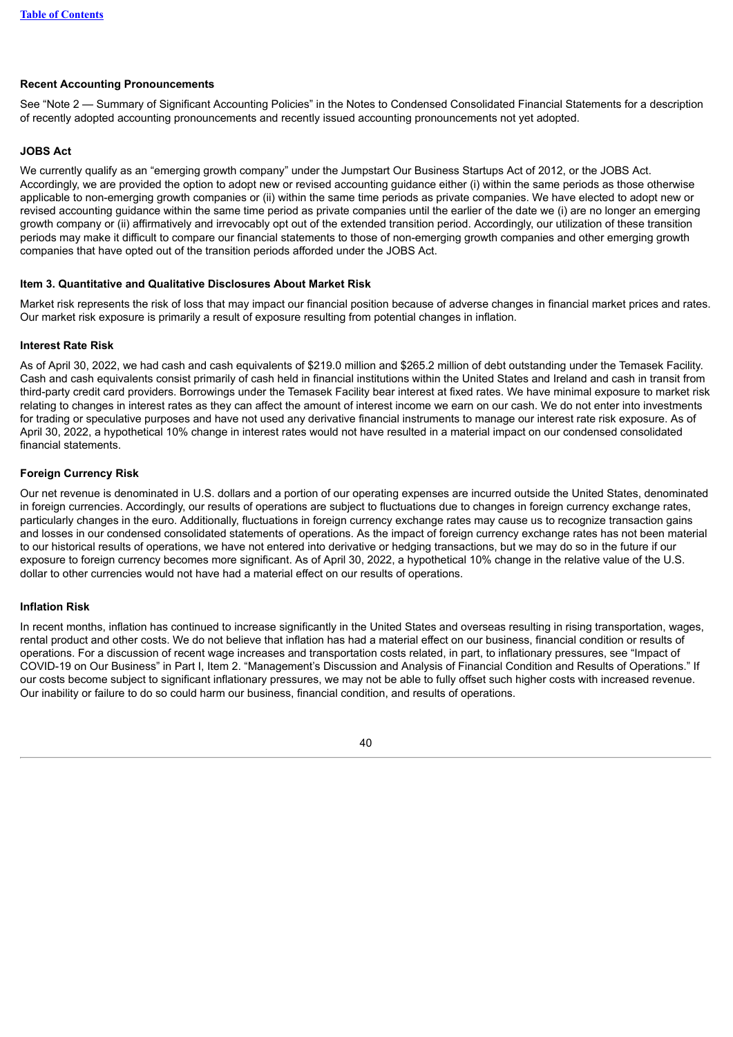# **Recent Accounting Pronouncements**

See "Note 2 — Summary of Significant Accounting Policies" in the Notes to Condensed Consolidated Financial Statements for a description of recently adopted accounting pronouncements and recently issued accounting pronouncements not yet adopted.

# **JOBS Act**

We currently qualify as an "emerging growth company" under the Jumpstart Our Business Startups Act of 2012, or the JOBS Act. Accordingly, we are provided the option to adopt new or revised accounting guidance either (i) within the same periods as those otherwise applicable to non-emerging growth companies or (ii) within the same time periods as private companies. We have elected to adopt new or revised accounting guidance within the same time period as private companies until the earlier of the date we (i) are no longer an emerging growth company or (ii) affirmatively and irrevocably opt out of the extended transition period. Accordingly, our utilization of these transition periods may make it difficult to compare our financial statements to those of non-emerging growth companies and other emerging growth companies that have opted out of the transition periods afforded under the JOBS Act.

# **Item 3. Quantitative and Qualitative Disclosures About Market Risk**

Market risk represents the risk of loss that may impact our financial position because of adverse changes in financial market prices and rates. Our market risk exposure is primarily a result of exposure resulting from potential changes in inflation.

# **Interest Rate Risk**

As of April 30, 2022, we had cash and cash equivalents of \$219.0 million and \$265.2 million of debt outstanding under the Temasek Facility. Cash and cash equivalents consist primarily of cash held in financial institutions within the United States and Ireland and cash in transit from third-party credit card providers. Borrowings under the Temasek Facility bear interest at fixed rates. We have minimal exposure to market risk relating to changes in interest rates as they can affect the amount of interest income we earn on our cash. We do not enter into investments for trading or speculative purposes and have not used any derivative financial instruments to manage our interest rate risk exposure. As of April 30, 2022, a hypothetical 10% change in interest rates would not have resulted in a material impact on our condensed consolidated financial statements.

# **Foreign Currency Risk**

Our net revenue is denominated in U.S. dollars and a portion of our operating expenses are incurred outside the United States, denominated in foreign currencies. Accordingly, our results of operations are subject to fluctuations due to changes in foreign currency exchange rates, particularly changes in the euro. Additionally, fluctuations in foreign currency exchange rates may cause us to recognize transaction gains and losses in our condensed consolidated statements of operations. As the impact of foreign currency exchange rates has not been material to our historical results of operations, we have not entered into derivative or hedging transactions, but we may do so in the future if our exposure to foreign currency becomes more significant. As of April 30, 2022, a hypothetical 10% change in the relative value of the U.S. dollar to other currencies would not have had a material effect on our results of operations.

# **Inflation Risk**

In recent months, inflation has continued to increase significantly in the United States and overseas resulting in rising transportation, wages, rental product and other costs. We do not believe that inflation has had a material effect on our business, financial condition or results of operations. For a discussion of recent wage increases and transportation costs related, in part, to inflationary pressures, see "Impact of COVID-19 on Our Business" in Part I, Item 2. "Management's Discussion and Analysis of Financial Condition and Results of Operations." If our costs become subject to significant inflationary pressures, we may not be able to fully offset such higher costs with increased revenue. Our inability or failure to do so could harm our business, financial condition, and results of operations.

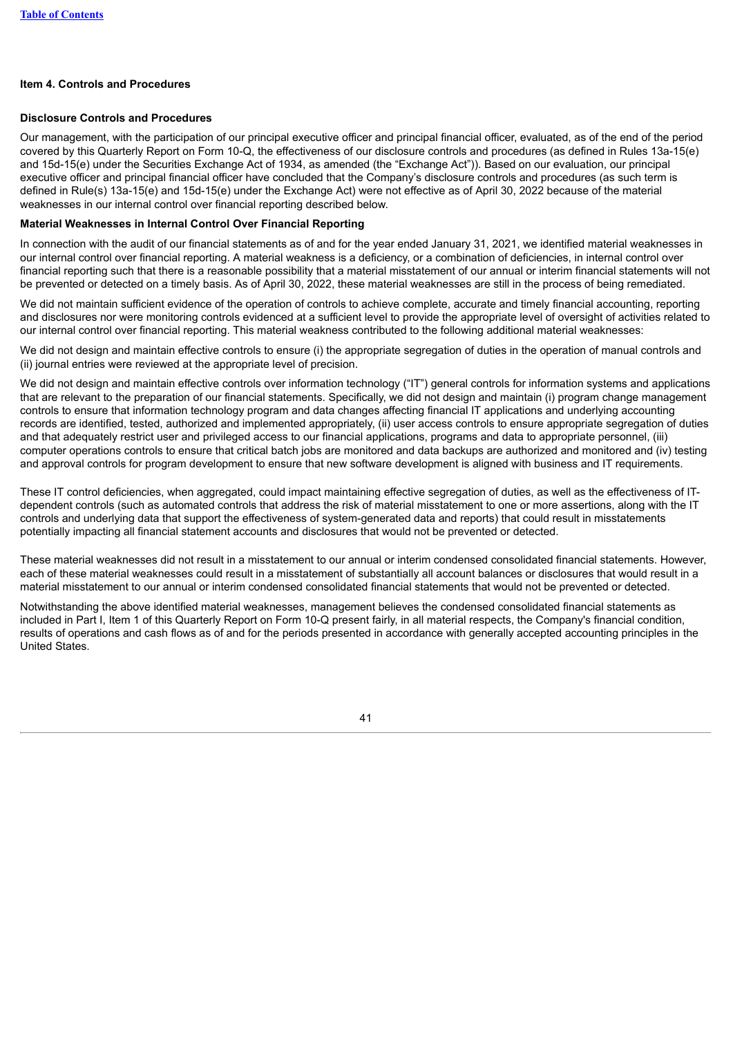# **Item 4. Controls and Procedures**

# **Disclosure Controls and Procedures**

Our management, with the participation of our principal executive officer and principal financial officer, evaluated, as of the end of the period covered by this Quarterly Report on Form 10-Q, the effectiveness of our disclosure controls and procedures (as defined in Rules 13a-15(e) and 15d-15(e) under the Securities Exchange Act of 1934, as amended (the "Exchange Act")). Based on our evaluation, our principal executive officer and principal financial officer have concluded that the Company's disclosure controls and procedures (as such term is defined in Rule(s) 13a-15(e) and 15d-15(e) under the Exchange Act) were not effective as of April 30, 2022 because of the material weaknesses in our internal control over financial reporting described below.

# **Material Weaknesses in Internal Control Over Financial Reporting**

In connection with the audit of our financial statements as of and for the year ended January 31, 2021, we identified material weaknesses in our internal control over financial reporting. A material weakness is a deficiency, or a combination of deficiencies, in internal control over financial reporting such that there is a reasonable possibility that a material misstatement of our annual or interim financial statements will not be prevented or detected on a timely basis. As of April 30, 2022, these material weaknesses are still in the process of being remediated.

We did not maintain sufficient evidence of the operation of controls to achieve complete, accurate and timely financial accounting, reporting and disclosures nor were monitoring controls evidenced at a sufficient level to provide the appropriate level of oversight of activities related to our internal control over financial reporting. This material weakness contributed to the following additional material weaknesses:

We did not design and maintain effective controls to ensure (i) the appropriate segregation of duties in the operation of manual controls and (ii) journal entries were reviewed at the appropriate level of precision.

We did not design and maintain effective controls over information technology ("IT") general controls for information systems and applications that are relevant to the preparation of our financial statements. Specifically, we did not design and maintain (i) program change management controls to ensure that information technology program and data changes affecting financial IT applications and underlying accounting records are identified, tested, authorized and implemented appropriately, (ii) user access controls to ensure appropriate segregation of duties and that adequately restrict user and privileged access to our financial applications, programs and data to appropriate personnel, (iii) computer operations controls to ensure that critical batch jobs are monitored and data backups are authorized and monitored and (iv) testing and approval controls for program development to ensure that new software development is aligned with business and IT requirements.

These IT control deficiencies, when aggregated, could impact maintaining effective segregation of duties, as well as the effectiveness of ITdependent controls (such as automated controls that address the risk of material misstatement to one or more assertions, along with the IT controls and underlying data that support the effectiveness of system-generated data and reports) that could result in misstatements potentially impacting all financial statement accounts and disclosures that would not be prevented or detected.

These material weaknesses did not result in a misstatement to our annual or interim condensed consolidated financial statements. However, each of these material weaknesses could result in a misstatement of substantially all account balances or disclosures that would result in a material misstatement to our annual or interim condensed consolidated financial statements that would not be prevented or detected.

Notwithstanding the above identified material weaknesses, management believes the condensed consolidated financial statements as included in Part I, Item 1 of this Quarterly Report on Form 10-Q present fairly, in all material respects, the Company's financial condition, results of operations and cash flows as of and for the periods presented in accordance with generally accepted accounting principles in the United States.

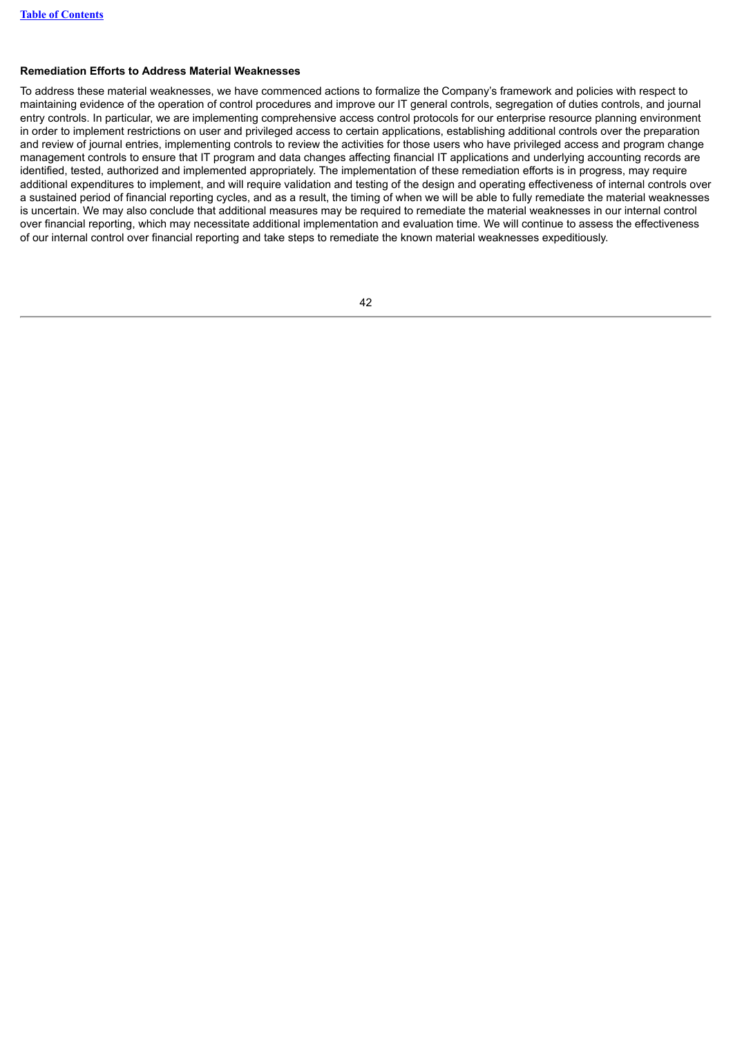# **Remediation Efforts to Address Material Weaknesses**

To address these material weaknesses, we have commenced actions to formalize the Company's framework and policies with respect to maintaining evidence of the operation of control procedures and improve our IT general controls, segregation of duties controls, and journal entry controls. In particular, we are implementing comprehensive access control protocols for our enterprise resource planning environment in order to implement restrictions on user and privileged access to certain applications, establishing additional controls over the preparation and review of journal entries, implementing controls to review the activities for those users who have privileged access and program change management controls to ensure that IT program and data changes affecting financial IT applications and underlying accounting records are identified, tested, authorized and implemented appropriately. The implementation of these remediation efforts is in progress, may require additional expenditures to implement, and will require validation and testing of the design and operating effectiveness of internal controls over a sustained period of financial reporting cycles, and as a result, the timing of when we will be able to fully remediate the material weaknesses is uncertain. We may also conclude that additional measures may be required to remediate the material weaknesses in our internal control over financial reporting, which may necessitate additional implementation and evaluation time. We will continue to assess the effectiveness of our internal control over financial reporting and take steps to remediate the known material weaknesses expeditiously.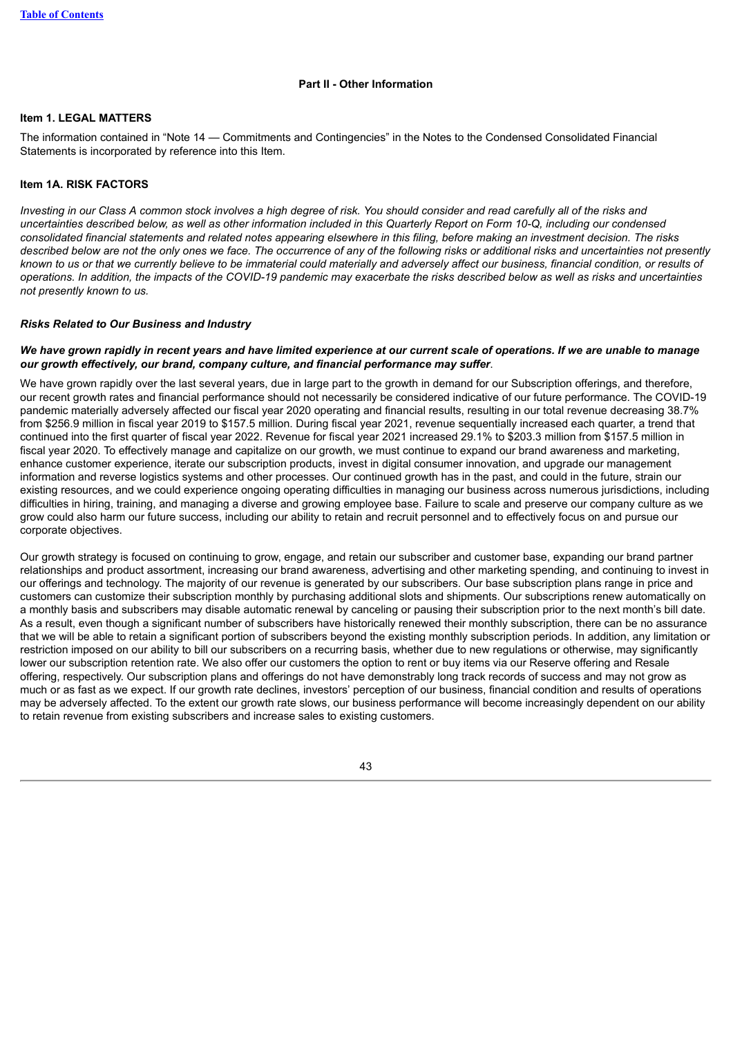# **Part II - Other Information**

# **Item 1. LEGAL MATTERS**

The information contained in "Note 14 — Commitments and Contingencies" in the Notes to the Condensed Consolidated Financial Statements is incorporated by reference into this Item.

# **Item 1A. RISK FACTORS**

Investing in our Class A common stock involves a high degree of risk. You should consider and read carefully all of the risks and uncertainties described below, as well as other information included in this Quarterly Report on Form 10-Q, including our condensed consolidated financial statements and related notes appearing elsewhere in this filing, before making an investment decision. The risks described below are not the only ones we face. The occurrence of any of the following risks or additional risks and uncertainties not presently known to us or that we currently believe to be immaterial could materially and adversely affect our business, financial condition, or results of operations. In addition, the impacts of the COVID-19 pandemic may exacerbate the risks described below as well as risks and uncertainties *not presently known to us.*

#### *Risks Related to Our Business and Industry*

### We have grown rapidly in recent years and have limited experience at our current scale of operations. If we are unable to manage *our growth effectively, our brand, company culture, and financial performance may suffer*.

We have grown rapidly over the last several years, due in large part to the growth in demand for our Subscription offerings, and therefore, our recent growth rates and financial performance should not necessarily be considered indicative of our future performance. The COVID-19 pandemic materially adversely affected our fiscal year 2020 operating and financial results, resulting in our total revenue decreasing 38.7% from \$256.9 million in fiscal year 2019 to \$157.5 million. During fiscal year 2021, revenue sequentially increased each quarter, a trend that continued into the first quarter of fiscal year 2022. Revenue for fiscal year 2021 increased 29.1% to \$203.3 million from \$157.5 million in fiscal year 2020. To effectively manage and capitalize on our growth, we must continue to expand our brand awareness and marketing, enhance customer experience, iterate our subscription products, invest in digital consumer innovation, and upgrade our management information and reverse logistics systems and other processes. Our continued growth has in the past, and could in the future, strain our existing resources, and we could experience ongoing operating difficulties in managing our business across numerous jurisdictions, including difficulties in hiring, training, and managing a diverse and growing employee base. Failure to scale and preserve our company culture as we grow could also harm our future success, including our ability to retain and recruit personnel and to effectively focus on and pursue our corporate objectives.

Our growth strategy is focused on continuing to grow, engage, and retain our subscriber and customer base, expanding our brand partner relationships and product assortment, increasing our brand awareness, advertising and other marketing spending, and continuing to invest in our offerings and technology. The majority of our revenue is generated by our subscribers. Our base subscription plans range in price and customers can customize their subscription monthly by purchasing additional slots and shipments. Our subscriptions renew automatically on a monthly basis and subscribers may disable automatic renewal by canceling or pausing their subscription prior to the next month's bill date. As a result, even though a significant number of subscribers have historically renewed their monthly subscription, there can be no assurance that we will be able to retain a significant portion of subscribers beyond the existing monthly subscription periods. In addition, any limitation or restriction imposed on our ability to bill our subscribers on a recurring basis, whether due to new regulations or otherwise, may significantly lower our subscription retention rate. We also offer our customers the option to rent or buy items via our Reserve offering and Resale offering, respectively. Our subscription plans and offerings do not have demonstrably long track records of success and may not grow as much or as fast as we expect. If our growth rate declines, investors' perception of our business, financial condition and results of operations may be adversely affected. To the extent our growth rate slows, our business performance will become increasingly dependent on our ability to retain revenue from existing subscribers and increase sales to existing customers.

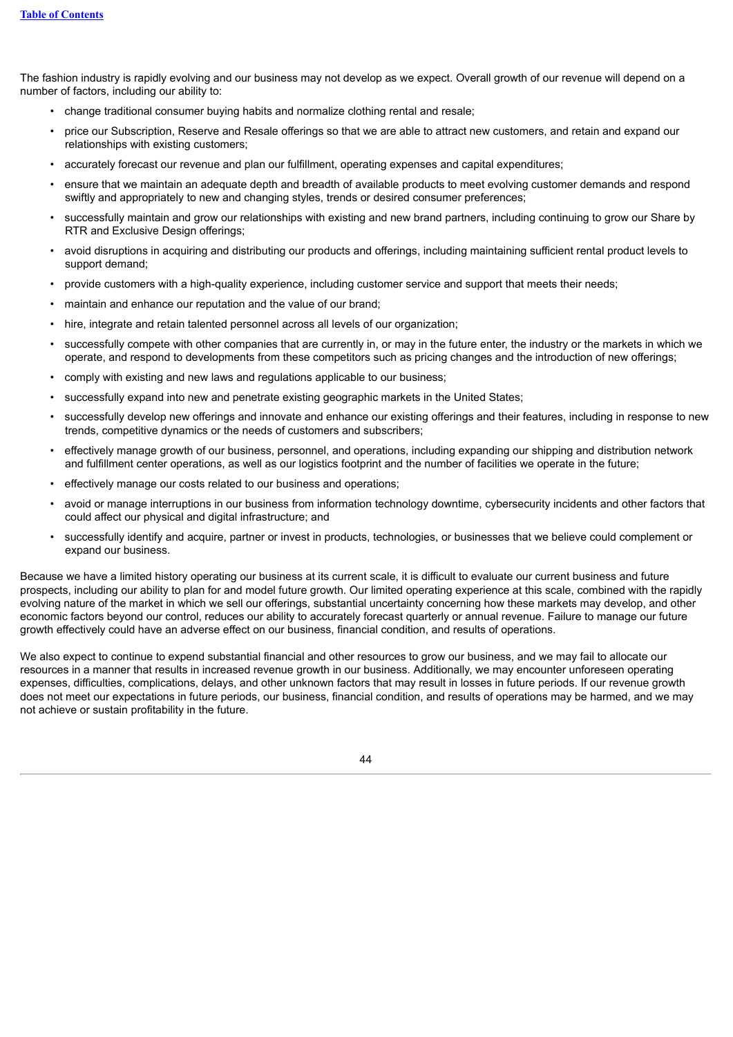The fashion industry is rapidly evolving and our business may not develop as we expect. Overall growth of our revenue will depend on a number of factors, including our ability to:

- change traditional consumer buying habits and normalize clothing rental and resale;
- price our Subscription, Reserve and Resale offerings so that we are able to attract new customers, and retain and expand our relationships with existing customers;
- accurately forecast our revenue and plan our fulfillment, operating expenses and capital expenditures;
- ensure that we maintain an adequate depth and breadth of available products to meet evolving customer demands and respond swiftly and appropriately to new and changing styles, trends or desired consumer preferences;
- successfully maintain and grow our relationships with existing and new brand partners, including continuing to grow our Share by RTR and Exclusive Design offerings;
- avoid disruptions in acquiring and distributing our products and offerings, including maintaining sufficient rental product levels to support demand;
- provide customers with a high-quality experience, including customer service and support that meets their needs;
- maintain and enhance our reputation and the value of our brand;
- hire, integrate and retain talented personnel across all levels of our organization;
- successfully compete with other companies that are currently in, or may in the future enter, the industry or the markets in which we operate, and respond to developments from these competitors such as pricing changes and the introduction of new offerings;
- comply with existing and new laws and regulations applicable to our business;
- successfully expand into new and penetrate existing geographic markets in the United States;
- successfully develop new offerings and innovate and enhance our existing offerings and their features, including in response to new trends, competitive dynamics or the needs of customers and subscribers;
- effectively manage growth of our business, personnel, and operations, including expanding our shipping and distribution network and fulfillment center operations, as well as our logistics footprint and the number of facilities we operate in the future;
- effectively manage our costs related to our business and operations;
- avoid or manage interruptions in our business from information technology downtime, cybersecurity incidents and other factors that could affect our physical and digital infrastructure; and
- successfully identify and acquire, partner or invest in products, technologies, or businesses that we believe could complement or expand our business.

Because we have a limited history operating our business at its current scale, it is difficult to evaluate our current business and future prospects, including our ability to plan for and model future growth. Our limited operating experience at this scale, combined with the rapidly evolving nature of the market in which we sell our offerings, substantial uncertainty concerning how these markets may develop, and other economic factors beyond our control, reduces our ability to accurately forecast quarterly or annual revenue. Failure to manage our future growth effectively could have an adverse effect on our business, financial condition, and results of operations.

We also expect to continue to expend substantial financial and other resources to grow our business, and we may fail to allocate our resources in a manner that results in increased revenue growth in our business. Additionally, we may encounter unforeseen operating expenses, difficulties, complications, delays, and other unknown factors that may result in losses in future periods. If our revenue growth does not meet our expectations in future periods, our business, financial condition, and results of operations may be harmed, and we may not achieve or sustain profitability in the future.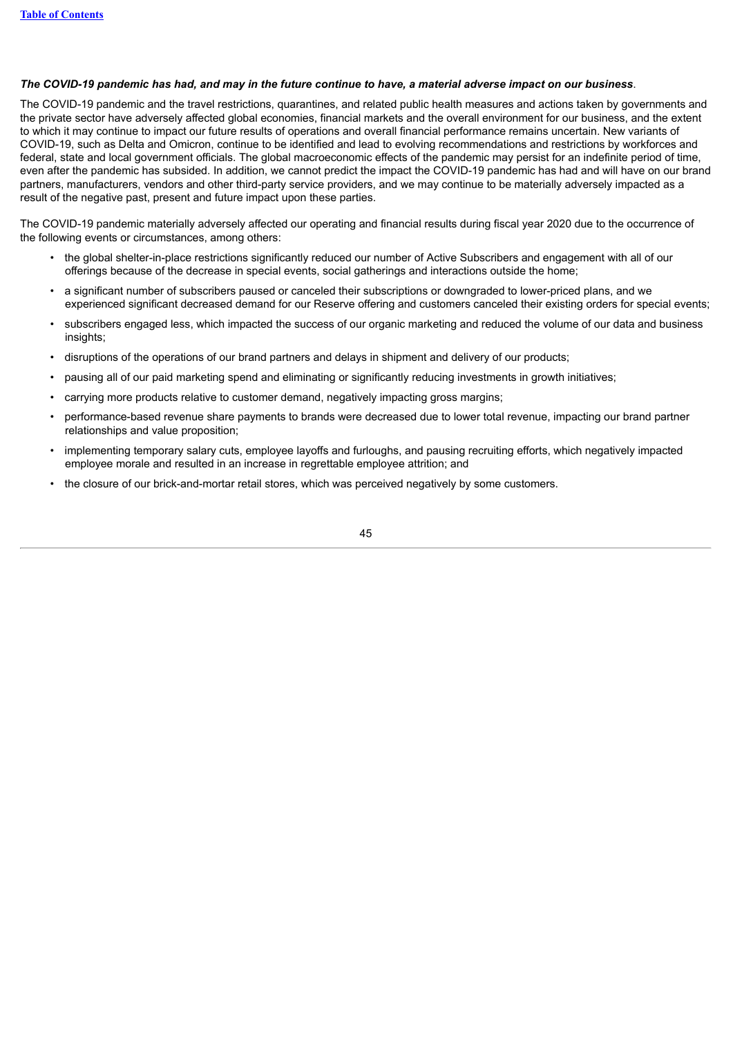# The COVID-19 pandemic has had, and may in the future continue to have, a material adverse impact on our business.

The COVID-19 pandemic and the travel restrictions, quarantines, and related public health measures and actions taken by governments and the private sector have adversely affected global economies, financial markets and the overall environment for our business, and the extent to which it may continue to impact our future results of operations and overall financial performance remains uncertain. New variants of COVID-19, such as Delta and Omicron, continue to be identified and lead to evolving recommendations and restrictions by workforces and federal, state and local government officials. The global macroeconomic effects of the pandemic may persist for an indefinite period of time, even after the pandemic has subsided. In addition, we cannot predict the impact the COVID-19 pandemic has had and will have on our brand partners, manufacturers, vendors and other third-party service providers, and we may continue to be materially adversely impacted as a result of the negative past, present and future impact upon these parties.

The COVID-19 pandemic materially adversely affected our operating and financial results during fiscal year 2020 due to the occurrence of the following events or circumstances, among others:

- the global shelter-in-place restrictions significantly reduced our number of Active Subscribers and engagement with all of our offerings because of the decrease in special events, social gatherings and interactions outside the home;
- a significant number of subscribers paused or canceled their subscriptions or downgraded to lower-priced plans, and we experienced significant decreased demand for our Reserve offering and customers canceled their existing orders for special events;
- subscribers engaged less, which impacted the success of our organic marketing and reduced the volume of our data and business insights;
- disruptions of the operations of our brand partners and delays in shipment and delivery of our products;
- pausing all of our paid marketing spend and eliminating or significantly reducing investments in growth initiatives;
- carrying more products relative to customer demand, negatively impacting gross margins;
- performance-based revenue share payments to brands were decreased due to lower total revenue, impacting our brand partner relationships and value proposition;
- implementing temporary salary cuts, employee layoffs and furloughs, and pausing recruiting efforts, which negatively impacted employee morale and resulted in an increase in regrettable employee attrition; and
- the closure of our brick-and-mortar retail stores, which was perceived negatively by some customers.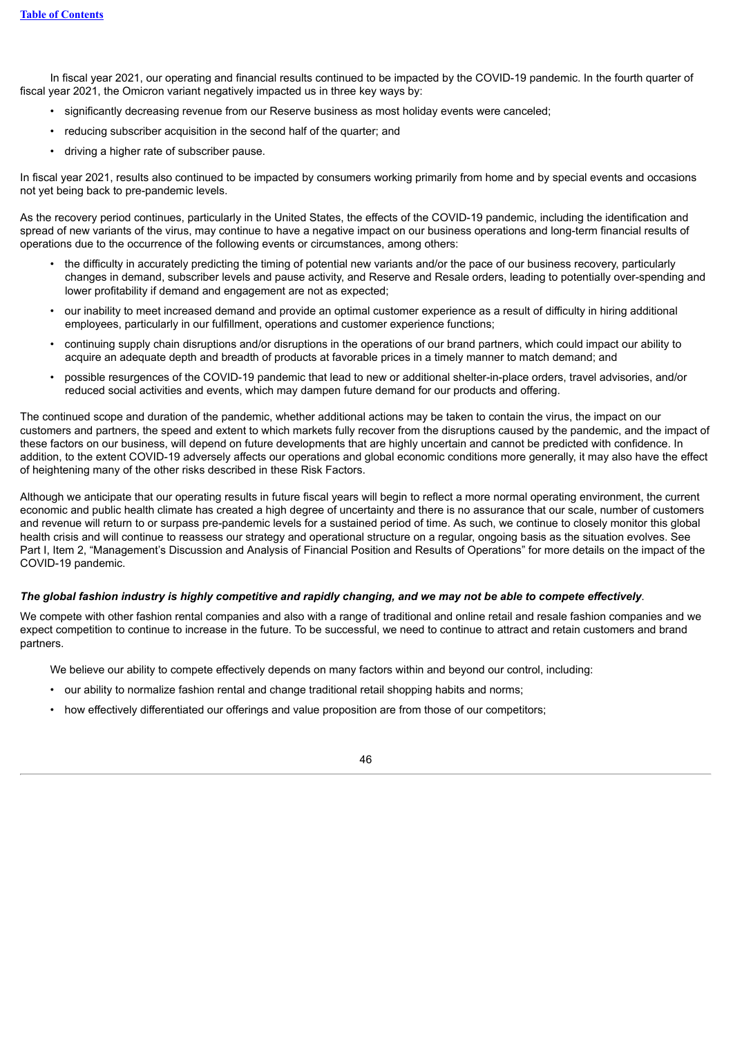In fiscal year 2021, our operating and financial results continued to be impacted by the COVID-19 pandemic. In the fourth quarter of fiscal year 2021, the Omicron variant negatively impacted us in three key ways by:

- significantly decreasing revenue from our Reserve business as most holiday events were canceled;
- reducing subscriber acquisition in the second half of the quarter; and
- driving a higher rate of subscriber pause.

In fiscal year 2021, results also continued to be impacted by consumers working primarily from home and by special events and occasions not yet being back to pre-pandemic levels.

As the recovery period continues, particularly in the United States, the effects of the COVID-19 pandemic, including the identification and spread of new variants of the virus, may continue to have a negative impact on our business operations and long-term financial results of operations due to the occurrence of the following events or circumstances, among others:

- the difficulty in accurately predicting the timing of potential new variants and/or the pace of our business recovery, particularly changes in demand, subscriber levels and pause activity, and Reserve and Resale orders, leading to potentially over-spending and lower profitability if demand and engagement are not as expected;
- our inability to meet increased demand and provide an optimal customer experience as a result of difficulty in hiring additional employees, particularly in our fulfillment, operations and customer experience functions;
- continuing supply chain disruptions and/or disruptions in the operations of our brand partners, which could impact our ability to acquire an adequate depth and breadth of products at favorable prices in a timely manner to match demand; and
- possible resurgences of the COVID-19 pandemic that lead to new or additional shelter-in-place orders, travel advisories, and/or reduced social activities and events, which may dampen future demand for our products and offering.

The continued scope and duration of the pandemic, whether additional actions may be taken to contain the virus, the impact on our customers and partners, the speed and extent to which markets fully recover from the disruptions caused by the pandemic, and the impact of these factors on our business, will depend on future developments that are highly uncertain and cannot be predicted with confidence. In addition, to the extent COVID-19 adversely affects our operations and global economic conditions more generally, it may also have the effect of heightening many of the other risks described in these Risk Factors.

Although we anticipate that our operating results in future fiscal years will begin to reflect a more normal operating environment, the current economic and public health climate has created a high degree of uncertainty and there is no assurance that our scale, number of customers and revenue will return to or surpass pre-pandemic levels for a sustained period of time. As such, we continue to closely monitor this global health crisis and will continue to reassess our strategy and operational structure on a regular, ongoing basis as the situation evolves. See Part I, Item 2, "Management's Discussion and Analysis of Financial Position and Results of Operations" for more details on the impact of the COVID-19 pandemic.

# The global fashion industry is highly competitive and rapidly changing, and we may not be able to compete effectively.

We compete with other fashion rental companies and also with a range of traditional and online retail and resale fashion companies and we expect competition to continue to increase in the future. To be successful, we need to continue to attract and retain customers and brand partners.

We believe our ability to compete effectively depends on many factors within and beyond our control, including:

- our ability to normalize fashion rental and change traditional retail shopping habits and norms;
- how effectively differentiated our offerings and value proposition are from those of our competitors;

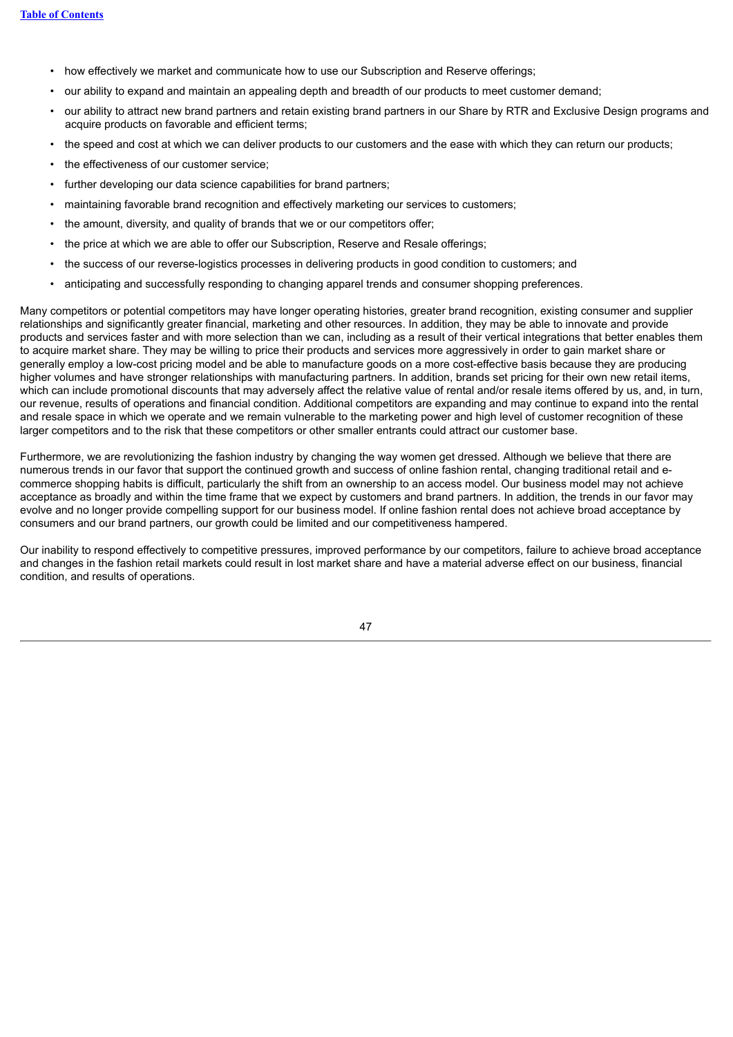- how effectively we market and communicate how to use our Subscription and Reserve offerings;
- our ability to expand and maintain an appealing depth and breadth of our products to meet customer demand;
- our ability to attract new brand partners and retain existing brand partners in our Share by RTR and Exclusive Design programs and acquire products on favorable and efficient terms;
- the speed and cost at which we can deliver products to our customers and the ease with which they can return our products;
- the effectiveness of our customer service;
- further developing our data science capabilities for brand partners;
- maintaining favorable brand recognition and effectively marketing our services to customers;
- the amount, diversity, and quality of brands that we or our competitors offer;
- the price at which we are able to offer our Subscription, Reserve and Resale offerings;
- the success of our reverse-logistics processes in delivering products in good condition to customers; and
- anticipating and successfully responding to changing apparel trends and consumer shopping preferences.

Many competitors or potential competitors may have longer operating histories, greater brand recognition, existing consumer and supplier relationships and significantly greater financial, marketing and other resources. In addition, they may be able to innovate and provide products and services faster and with more selection than we can, including as a result of their vertical integrations that better enables them to acquire market share. They may be willing to price their products and services more aggressively in order to gain market share or generally employ a low-cost pricing model and be able to manufacture goods on a more cost-effective basis because they are producing higher volumes and have stronger relationships with manufacturing partners. In addition, brands set pricing for their own new retail items, which can include promotional discounts that may adversely affect the relative value of rental and/or resale items offered by us, and, in turn, our revenue, results of operations and financial condition. Additional competitors are expanding and may continue to expand into the rental and resale space in which we operate and we remain vulnerable to the marketing power and high level of customer recognition of these larger competitors and to the risk that these competitors or other smaller entrants could attract our customer base.

Furthermore, we are revolutionizing the fashion industry by changing the way women get dressed. Although we believe that there are numerous trends in our favor that support the continued growth and success of online fashion rental, changing traditional retail and ecommerce shopping habits is difficult, particularly the shift from an ownership to an access model. Our business model may not achieve acceptance as broadly and within the time frame that we expect by customers and brand partners. In addition, the trends in our favor may evolve and no longer provide compelling support for our business model. If online fashion rental does not achieve broad acceptance by consumers and our brand partners, our growth could be limited and our competitiveness hampered.

Our inability to respond effectively to competitive pressures, improved performance by our competitors, failure to achieve broad acceptance and changes in the fashion retail markets could result in lost market share and have a material adverse effect on our business, financial condition, and results of operations.

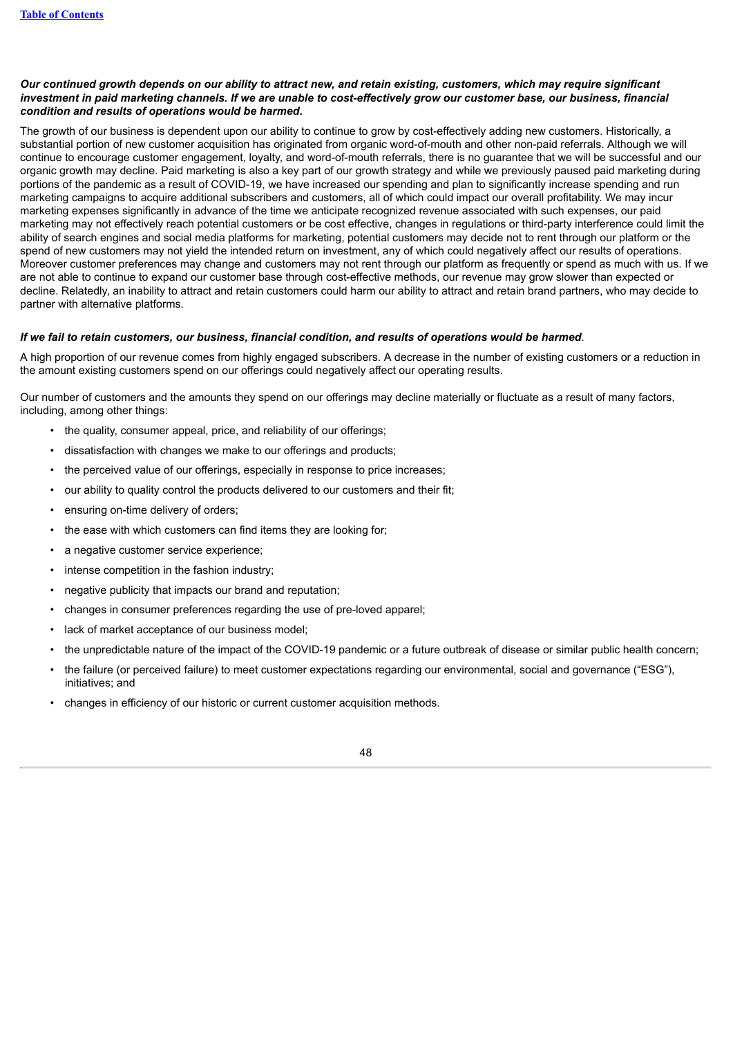# Our continued growth depends on our ability to attract new, and retain existing, customers, which may require significant investment in paid marketing channels. If we are unable to cost-effectively grow our customer base, our business, financial *condition and results of operations would be harmed***.**

The growth of our business is dependent upon our ability to continue to grow by cost-effectively adding new customers. Historically, a substantial portion of new customer acquisition has originated from organic word-of-mouth and other non-paid referrals. Although we will continue to encourage customer engagement, loyalty, and word-of-mouth referrals, there is no guarantee that we will be successful and our organic growth may decline. Paid marketing is also a key part of our growth strategy and while we previously paused paid marketing during portions of the pandemic as a result of COVID-19, we have increased our spending and plan to significantly increase spending and run marketing campaigns to acquire additional subscribers and customers, all of which could impact our overall profitability. We may incur marketing expenses significantly in advance of the time we anticipate recognized revenue associated with such expenses, our paid marketing may not effectively reach potential customers or be cost effective, changes in regulations or third-party interference could limit the ability of search engines and social media platforms for marketing, potential customers may decide not to rent through our platform or the spend of new customers may not yield the intended return on investment, any of which could negatively affect our results of operations. Moreover customer preferences may change and customers may not rent through our platform as frequently or spend as much with us. If we are not able to continue to expand our customer base through cost-effective methods, our revenue may grow slower than expected or decline. Relatedly, an inability to attract and retain customers could harm our ability to attract and retain brand partners, who may decide to partner with alternative platforms.

# If we fail to retain customers, our business, financial condition, and results of operations would be harmed.

A high proportion of our revenue comes from highly engaged subscribers. A decrease in the number of existing customers or a reduction in the amount existing customers spend on our offerings could negatively affect our operating results.

Our number of customers and the amounts they spend on our offerings may decline materially or fluctuate as a result of many factors, including, among other things:

- the quality, consumer appeal, price, and reliability of our offerings;
- dissatisfaction with changes we make to our offerings and products;
- the perceived value of our offerings, especially in response to price increases;
- our ability to quality control the products delivered to our customers and their fit;
- ensuring on-time delivery of orders;
- the ease with which customers can find items they are looking for:
- a negative customer service experience;
- intense competition in the fashion industry;
- negative publicity that impacts our brand and reputation;
- changes in consumer preferences regarding the use of pre-loved apparel;
- lack of market acceptance of our business model:
- the unpredictable nature of the impact of the COVID-19 pandemic or a future outbreak of disease or similar public health concern;
- the failure (or perceived failure) to meet customer expectations regarding our environmental, social and governance ("ESG"), initiatives; and
- changes in efficiency of our historic or current customer acquisition methods.

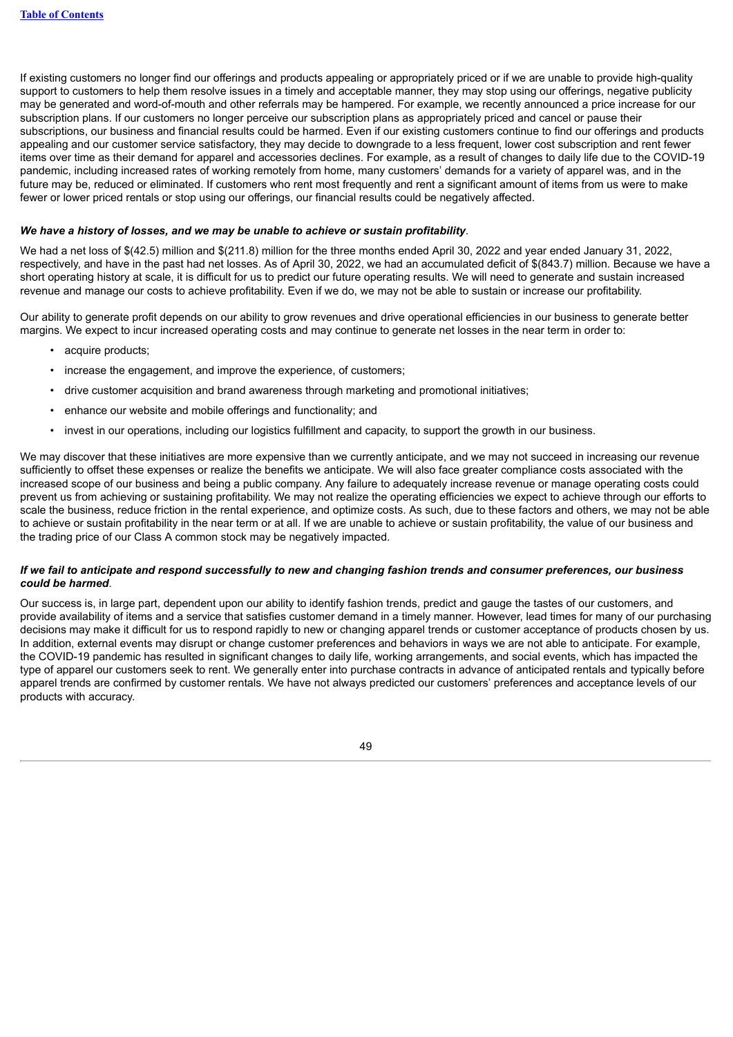If existing customers no longer find our offerings and products appealing or appropriately priced or if we are unable to provide high-quality support to customers to help them resolve issues in a timely and acceptable manner, they may stop using our offerings, negative publicity may be generated and word-of-mouth and other referrals may be hampered. For example, we recently announced a price increase for our subscription plans. If our customers no longer perceive our subscription plans as appropriately priced and cancel or pause their subscriptions, our business and financial results could be harmed. Even if our existing customers continue to find our offerings and products appealing and our customer service satisfactory, they may decide to downgrade to a less frequent, lower cost subscription and rent fewer items over time as their demand for apparel and accessories declines. For example, as a result of changes to daily life due to the COVID-19 pandemic, including increased rates of working remotely from home, many customers' demands for a variety of apparel was, and in the future may be, reduced or eliminated. If customers who rent most frequently and rent a significant amount of items from us were to make fewer or lower priced rentals or stop using our offerings, our financial results could be negatively affected.

#### *We have a history of losses, and we may be unable to achieve or sustain profitability*.

We had a net loss of \$(42.5) million and \$(211.8) million for the three months ended April 30, 2022 and year ended January 31, 2022, respectively, and have in the past had net losses. As of April 30, 2022, we had an accumulated deficit of \$(843.7) million. Because we have a short operating history at scale, it is difficult for us to predict our future operating results. We will need to generate and sustain increased revenue and manage our costs to achieve profitability. Even if we do, we may not be able to sustain or increase our profitability.

Our ability to generate profit depends on our ability to grow revenues and drive operational efficiencies in our business to generate better margins. We expect to incur increased operating costs and may continue to generate net losses in the near term in order to:

- acquire products;
- increase the engagement, and improve the experience, of customers;
- drive customer acquisition and brand awareness through marketing and promotional initiatives;
- enhance our website and mobile offerings and functionality; and
- invest in our operations, including our logistics fulfillment and capacity, to support the growth in our business.

We may discover that these initiatives are more expensive than we currently anticipate, and we may not succeed in increasing our revenue sufficiently to offset these expenses or realize the benefits we anticipate. We will also face greater compliance costs associated with the increased scope of our business and being a public company. Any failure to adequately increase revenue or manage operating costs could prevent us from achieving or sustaining profitability. We may not realize the operating efficiencies we expect to achieve through our efforts to scale the business, reduce friction in the rental experience, and optimize costs. As such, due to these factors and others, we may not be able to achieve or sustain profitability in the near term or at all. If we are unable to achieve or sustain profitability, the value of our business and the trading price of our Class A common stock may be negatively impacted.

### If we fail to anticipate and respond successfully to new and changing fashion trends and consumer preferences, our business *could be harmed*.

Our success is, in large part, dependent upon our ability to identify fashion trends, predict and gauge the tastes of our customers, and provide availability of items and a service that satisfies customer demand in a timely manner. However, lead times for many of our purchasing decisions may make it difficult for us to respond rapidly to new or changing apparel trends or customer acceptance of products chosen by us. In addition, external events may disrupt or change customer preferences and behaviors in ways we are not able to anticipate. For example, the COVID-19 pandemic has resulted in significant changes to daily life, working arrangements, and social events, which has impacted the type of apparel our customers seek to rent. We generally enter into purchase contracts in advance of anticipated rentals and typically before apparel trends are confirmed by customer rentals. We have not always predicted our customers' preferences and acceptance levels of our products with accuracy.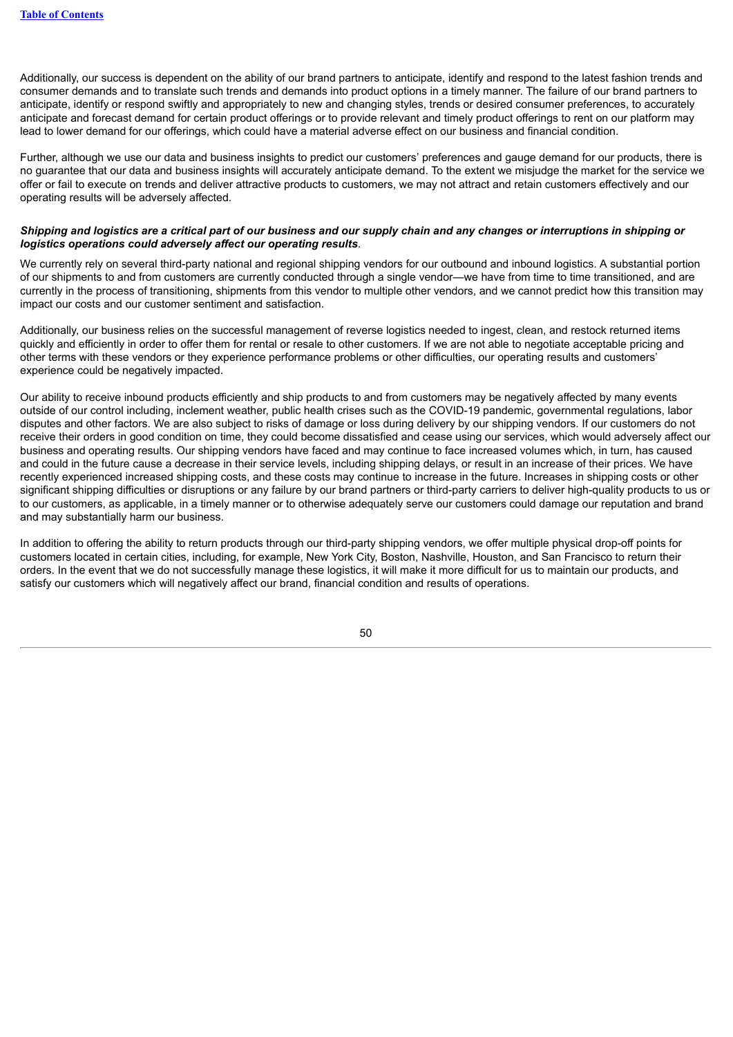Additionally, our success is dependent on the ability of our brand partners to anticipate, identify and respond to the latest fashion trends and consumer demands and to translate such trends and demands into product options in a timely manner. The failure of our brand partners to anticipate, identify or respond swiftly and appropriately to new and changing styles, trends or desired consumer preferences, to accurately anticipate and forecast demand for certain product offerings or to provide relevant and timely product offerings to rent on our platform may lead to lower demand for our offerings, which could have a material adverse effect on our business and financial condition.

Further, although we use our data and business insights to predict our customers' preferences and gauge demand for our products, there is no guarantee that our data and business insights will accurately anticipate demand. To the extent we misjudge the market for the service we offer or fail to execute on trends and deliver attractive products to customers, we may not attract and retain customers effectively and our operating results will be adversely affected.

# Shipping and logistics are a critical part of our business and our supply chain and any changes or interruptions in shipping or *logistics operations could adversely affect our operating results*.

We currently rely on several third-party national and regional shipping vendors for our outbound and inbound logistics. A substantial portion of our shipments to and from customers are currently conducted through a single vendor—we have from time to time transitioned, and are currently in the process of transitioning, shipments from this vendor to multiple other vendors, and we cannot predict how this transition may impact our costs and our customer sentiment and satisfaction.

Additionally, our business relies on the successful management of reverse logistics needed to ingest, clean, and restock returned items quickly and efficiently in order to offer them for rental or resale to other customers. If we are not able to negotiate acceptable pricing and other terms with these vendors or they experience performance problems or other difficulties, our operating results and customers' experience could be negatively impacted.

Our ability to receive inbound products efficiently and ship products to and from customers may be negatively affected by many events outside of our control including, inclement weather, public health crises such as the COVID-19 pandemic, governmental regulations, labor disputes and other factors. We are also subject to risks of damage or loss during delivery by our shipping vendors. If our customers do not receive their orders in good condition on time, they could become dissatisfied and cease using our services, which would adversely affect our business and operating results. Our shipping vendors have faced and may continue to face increased volumes which, in turn, has caused and could in the future cause a decrease in their service levels, including shipping delays, or result in an increase of their prices. We have recently experienced increased shipping costs, and these costs may continue to increase in the future. Increases in shipping costs or other significant shipping difficulties or disruptions or any failure by our brand partners or third-party carriers to deliver high-quality products to us or to our customers, as applicable, in a timely manner or to otherwise adequately serve our customers could damage our reputation and brand and may substantially harm our business.

In addition to offering the ability to return products through our third-party shipping vendors, we offer multiple physical drop-off points for customers located in certain cities, including, for example, New York City, Boston, Nashville, Houston, and San Francisco to return their orders. In the event that we do not successfully manage these logistics, it will make it more difficult for us to maintain our products, and satisfy our customers which will negatively affect our brand, financial condition and results of operations.

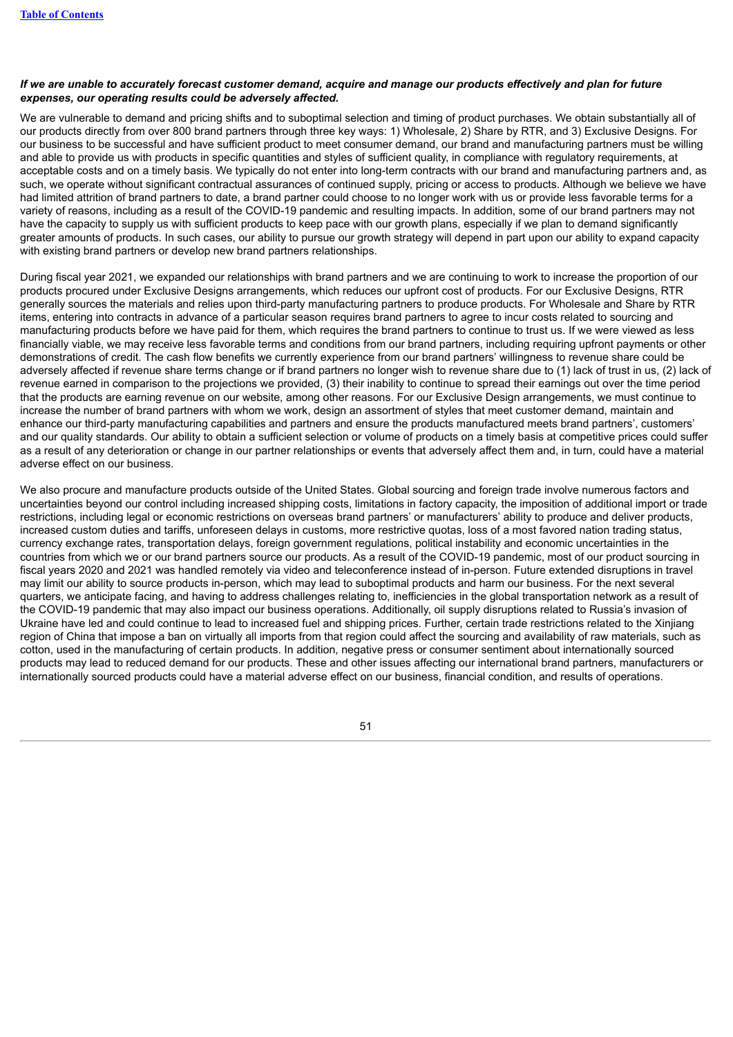# If we are unable to accurately forecast customer demand, acquire and manage our products effectively and plan for future *expenses, our operating results could be adversely affected.*

We are vulnerable to demand and pricing shifts and to suboptimal selection and timing of product purchases. We obtain substantially all of our products directly from over 800 brand partners through three key ways: 1) Wholesale, 2) Share by RTR, and 3) Exclusive Designs. For our business to be successful and have sufficient product to meet consumer demand, our brand and manufacturing partners must be willing and able to provide us with products in specific quantities and styles of sufficient quality, in compliance with regulatory requirements, at acceptable costs and on a timely basis. We typically do not enter into long-term contracts with our brand and manufacturing partners and, as such, we operate without significant contractual assurances of continued supply, pricing or access to products. Although we believe we have had limited attrition of brand partners to date, a brand partner could choose to no longer work with us or provide less favorable terms for a variety of reasons, including as a result of the COVID-19 pandemic and resulting impacts. In addition, some of our brand partners may not have the capacity to supply us with sufficient products to keep pace with our growth plans, especially if we plan to demand significantly greater amounts of products. In such cases, our ability to pursue our growth strategy will depend in part upon our ability to expand capacity with existing brand partners or develop new brand partners relationships.

During fiscal year 2021, we expanded our relationships with brand partners and we are continuing to work to increase the proportion of our products procured under Exclusive Designs arrangements, which reduces our upfront cost of products. For our Exclusive Designs, RTR generally sources the materials and relies upon third-party manufacturing partners to produce products. For Wholesale and Share by RTR items, entering into contracts in advance of a particular season requires brand partners to agree to incur costs related to sourcing and manufacturing products before we have paid for them, which requires the brand partners to continue to trust us. If we were viewed as less financially viable, we may receive less favorable terms and conditions from our brand partners, including requiring upfront payments or other demonstrations of credit. The cash flow benefits we currently experience from our brand partners' willingness to revenue share could be adversely affected if revenue share terms change or if brand partners no longer wish to revenue share due to (1) lack of trust in us, (2) lack of revenue earned in comparison to the projections we provided, (3) their inability to continue to spread their earnings out over the time period that the products are earning revenue on our website, among other reasons. For our Exclusive Design arrangements, we must continue to increase the number of brand partners with whom we work, design an assortment of styles that meet customer demand, maintain and enhance our third-party manufacturing capabilities and partners and ensure the products manufactured meets brand partners', customers' and our quality standards. Our ability to obtain a sufficient selection or volume of products on a timely basis at competitive prices could suffer as a result of any deterioration or change in our partner relationships or events that adversely affect them and, in turn, could have a material adverse effect on our business.

We also procure and manufacture products outside of the United States. Global sourcing and foreign trade involve numerous factors and uncertainties beyond our control including increased shipping costs, limitations in factory capacity, the imposition of additional import or trade restrictions, including legal or economic restrictions on overseas brand partners' or manufacturers' ability to produce and deliver products, increased custom duties and tariffs, unforeseen delays in customs, more restrictive quotas, loss of a most favored nation trading status, currency exchange rates, transportation delays, foreign government regulations, political instability and economic uncertainties in the countries from which we or our brand partners source our products. As a result of the COVID-19 pandemic, most of our product sourcing in fiscal years 2020 and 2021 was handled remotely via video and teleconference instead of in-person. Future extended disruptions in travel may limit our ability to source products in-person, which may lead to suboptimal products and harm our business. For the next several quarters, we anticipate facing, and having to address challenges relating to, inefficiencies in the global transportation network as a result of the COVID-19 pandemic that may also impact our business operations. Additionally, oil supply disruptions related to Russia's invasion of Ukraine have led and could continue to lead to increased fuel and shipping prices. Further, certain trade restrictions related to the Xinjiang region of China that impose a ban on virtually all imports from that region could affect the sourcing and availability of raw materials, such as cotton, used in the manufacturing of certain products. In addition, negative press or consumer sentiment about internationally sourced products may lead to reduced demand for our products. These and other issues affecting our international brand partners, manufacturers or internationally sourced products could have a material adverse effect on our business, financial condition, and results of operations.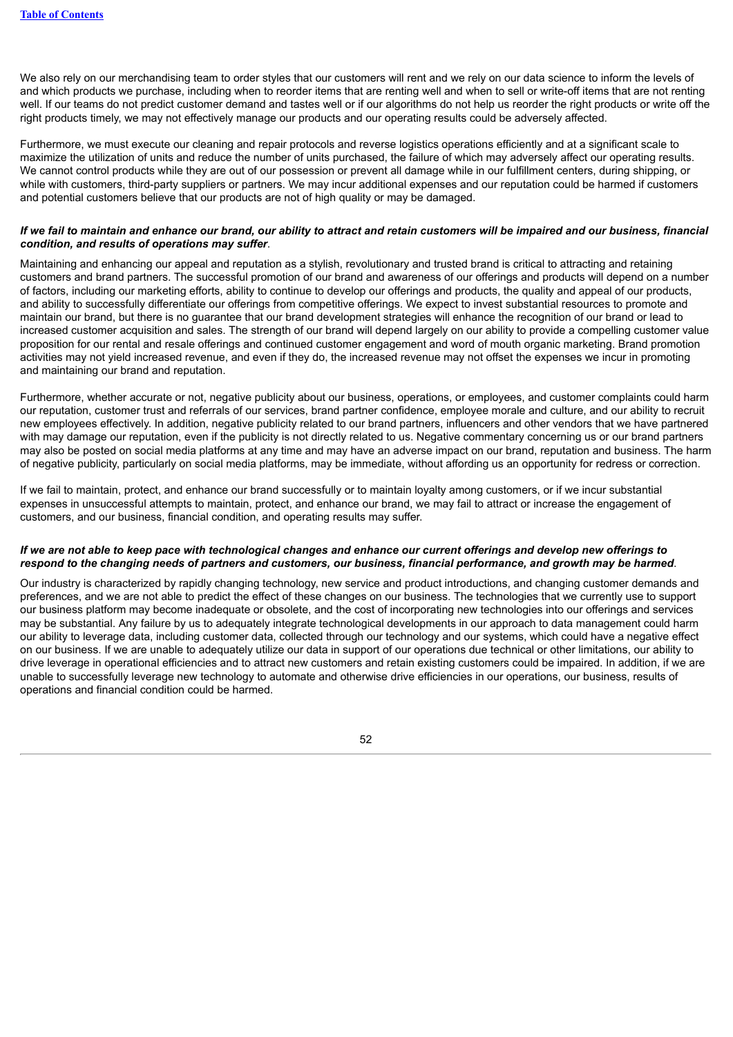We also rely on our merchandising team to order styles that our customers will rent and we rely on our data science to inform the levels of and which products we purchase, including when to reorder items that are renting well and when to sell or write-off items that are not renting well. If our teams do not predict customer demand and tastes well or if our algorithms do not help us reorder the right products or write off the right products timely, we may not effectively manage our products and our operating results could be adversely affected.

Furthermore, we must execute our cleaning and repair protocols and reverse logistics operations efficiently and at a significant scale to maximize the utilization of units and reduce the number of units purchased, the failure of which may adversely affect our operating results. We cannot control products while they are out of our possession or prevent all damage while in our fulfillment centers, during shipping, or while with customers, third-party suppliers or partners. We may incur additional expenses and our reputation could be harmed if customers and potential customers believe that our products are not of high quality or may be damaged.

# If we fail to maintain and enhance our brand, our ability to attract and retain customers will be impaired and our business, financial *condition, and results of operations may suffer*.

Maintaining and enhancing our appeal and reputation as a stylish, revolutionary and trusted brand is critical to attracting and retaining customers and brand partners. The successful promotion of our brand and awareness of our offerings and products will depend on a number of factors, including our marketing efforts, ability to continue to develop our offerings and products, the quality and appeal of our products, and ability to successfully differentiate our offerings from competitive offerings. We expect to invest substantial resources to promote and maintain our brand, but there is no guarantee that our brand development strategies will enhance the recognition of our brand or lead to increased customer acquisition and sales. The strength of our brand will depend largely on our ability to provide a compelling customer value proposition for our rental and resale offerings and continued customer engagement and word of mouth organic marketing. Brand promotion activities may not yield increased revenue, and even if they do, the increased revenue may not offset the expenses we incur in promoting and maintaining our brand and reputation.

Furthermore, whether accurate or not, negative publicity about our business, operations, or employees, and customer complaints could harm our reputation, customer trust and referrals of our services, brand partner confidence, employee morale and culture, and our ability to recruit new employees effectively. In addition, negative publicity related to our brand partners, influencers and other vendors that we have partnered with may damage our reputation, even if the publicity is not directly related to us. Negative commentary concerning us or our brand partners may also be posted on social media platforms at any time and may have an adverse impact on our brand, reputation and business. The harm of negative publicity, particularly on social media platforms, may be immediate, without affording us an opportunity for redress or correction.

If we fail to maintain, protect, and enhance our brand successfully or to maintain loyalty among customers, or if we incur substantial expenses in unsuccessful attempts to maintain, protect, and enhance our brand, we may fail to attract or increase the engagement of customers, and our business, financial condition, and operating results may suffer.

# If we are not able to keep pace with technological changes and enhance our current offerings and develop new offerings to respond to the changing needs of partners and customers, our business, financial performance, and growth may be harmed.

Our industry is characterized by rapidly changing technology, new service and product introductions, and changing customer demands and preferences, and we are not able to predict the effect of these changes on our business. The technologies that we currently use to support our business platform may become inadequate or obsolete, and the cost of incorporating new technologies into our offerings and services may be substantial. Any failure by us to adequately integrate technological developments in our approach to data management could harm our ability to leverage data, including customer data, collected through our technology and our systems, which could have a negative effect on our business. If we are unable to adequately utilize our data in support of our operations due technical or other limitations, our ability to drive leverage in operational efficiencies and to attract new customers and retain existing customers could be impaired. In addition, if we are unable to successfully leverage new technology to automate and otherwise drive efficiencies in our operations, our business, results of operations and financial condition could be harmed.

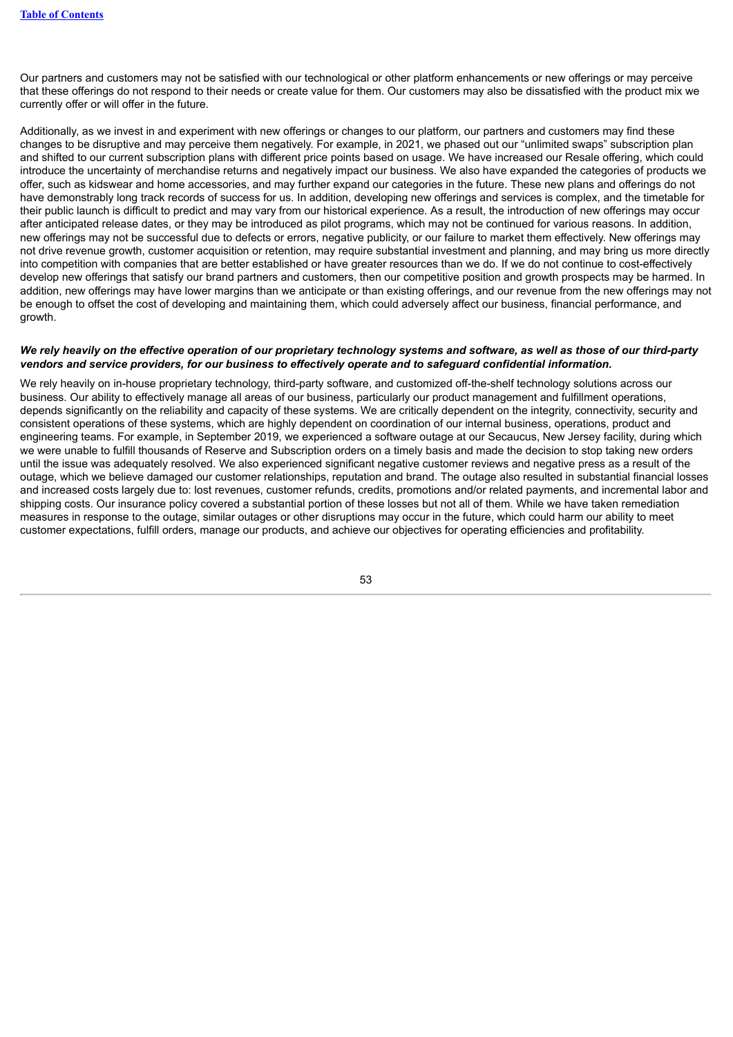Our partners and customers may not be satisfied with our technological or other platform enhancements or new offerings or may perceive that these offerings do not respond to their needs or create value for them. Our customers may also be dissatisfied with the product mix we currently offer or will offer in the future.

Additionally, as we invest in and experiment with new offerings or changes to our platform, our partners and customers may find these changes to be disruptive and may perceive them negatively. For example, in 2021, we phased out our "unlimited swaps" subscription plan and shifted to our current subscription plans with different price points based on usage. We have increased our Resale offering, which could introduce the uncertainty of merchandise returns and negatively impact our business. We also have expanded the categories of products we offer, such as kidswear and home accessories, and may further expand our categories in the future. These new plans and offerings do not have demonstrably long track records of success for us. In addition, developing new offerings and services is complex, and the timetable for their public launch is difficult to predict and may vary from our historical experience. As a result, the introduction of new offerings may occur after anticipated release dates, or they may be introduced as pilot programs, which may not be continued for various reasons. In addition, new offerings may not be successful due to defects or errors, negative publicity, or our failure to market them effectively. New offerings may not drive revenue growth, customer acquisition or retention, may require substantial investment and planning, and may bring us more directly into competition with companies that are better established or have greater resources than we do. If we do not continue to cost-effectively develop new offerings that satisfy our brand partners and customers, then our competitive position and growth prospects may be harmed. In addition, new offerings may have lower margins than we anticipate or than existing offerings, and our revenue from the new offerings may not be enough to offset the cost of developing and maintaining them, which could adversely affect our business, financial performance, and growth.

#### We rely heavily on the effective operation of our proprietary technology systems and software, as well as those of our third-party *vendors and service providers, for our business to effectively operate and to safeguard confidential information.*

We rely heavily on in-house proprietary technology, third-party software, and customized off-the-shelf technology solutions across our business. Our ability to effectively manage all areas of our business, particularly our product management and fulfillment operations, depends significantly on the reliability and capacity of these systems. We are critically dependent on the integrity, connectivity, security and consistent operations of these systems, which are highly dependent on coordination of our internal business, operations, product and engineering teams. For example, in September 2019, we experienced a software outage at our Secaucus, New Jersey facility, during which we were unable to fulfill thousands of Reserve and Subscription orders on a timely basis and made the decision to stop taking new orders until the issue was adequately resolved. We also experienced significant negative customer reviews and negative press as a result of the outage, which we believe damaged our customer relationships, reputation and brand. The outage also resulted in substantial financial losses and increased costs largely due to: lost revenues, customer refunds, credits, promotions and/or related payments, and incremental labor and shipping costs. Our insurance policy covered a substantial portion of these losses but not all of them. While we have taken remediation measures in response to the outage, similar outages or other disruptions may occur in the future, which could harm our ability to meet customer expectations, fulfill orders, manage our products, and achieve our objectives for operating efficiencies and profitability.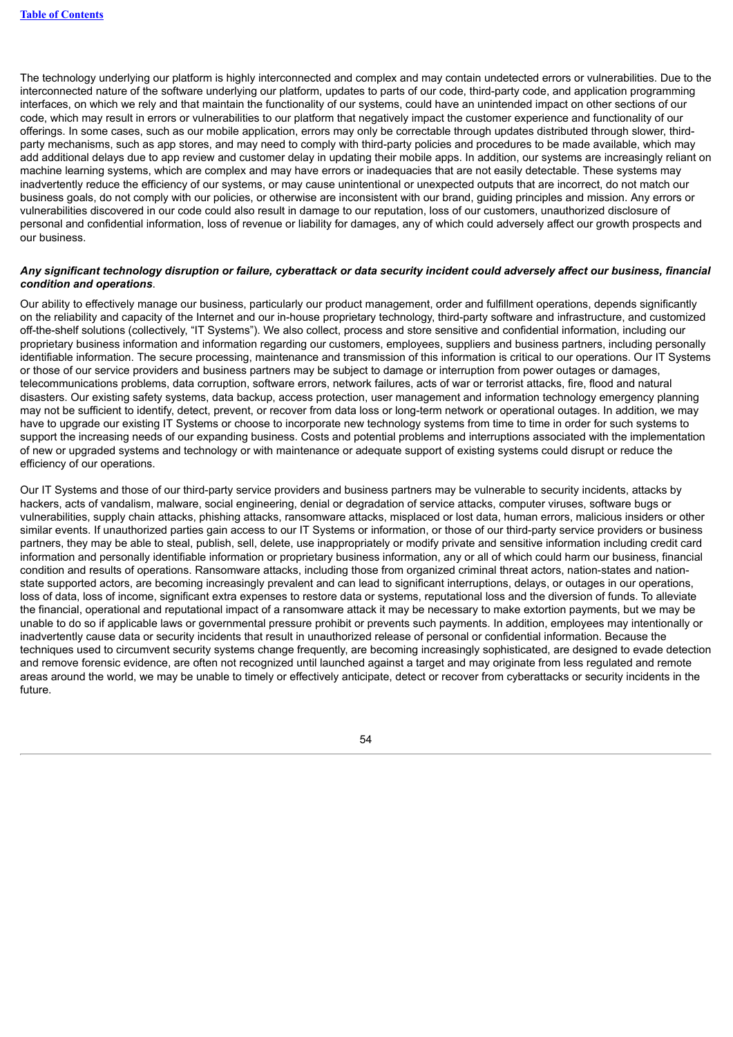The technology underlying our platform is highly interconnected and complex and may contain undetected errors or vulnerabilities. Due to the interconnected nature of the software underlying our platform, updates to parts of our code, third-party code, and application programming interfaces, on which we rely and that maintain the functionality of our systems, could have an unintended impact on other sections of our code, which may result in errors or vulnerabilities to our platform that negatively impact the customer experience and functionality of our offerings. In some cases, such as our mobile application, errors may only be correctable through updates distributed through slower, thirdparty mechanisms, such as app stores, and may need to comply with third-party policies and procedures to be made available, which may add additional delays due to app review and customer delay in updating their mobile apps. In addition, our systems are increasingly reliant on machine learning systems, which are complex and may have errors or inadequacies that are not easily detectable. These systems may inadvertently reduce the efficiency of our systems, or may cause unintentional or unexpected outputs that are incorrect, do not match our business goals, do not comply with our policies, or otherwise are inconsistent with our brand, guiding principles and mission. Any errors or vulnerabilities discovered in our code could also result in damage to our reputation, loss of our customers, unauthorized disclosure of personal and confidential information, loss of revenue or liability for damages, any of which could adversely affect our growth prospects and our business.

# Any significant technology disruption or failure, cyberattack or data security incident could adversely affect our business, financial *condition and operations*.

Our ability to effectively manage our business, particularly our product management, order and fulfillment operations, depends significantly on the reliability and capacity of the Internet and our in-house proprietary technology, third-party software and infrastructure, and customized off-the-shelf solutions (collectively, "IT Systems"). We also collect, process and store sensitive and confidential information, including our proprietary business information and information regarding our customers, employees, suppliers and business partners, including personally identifiable information. The secure processing, maintenance and transmission of this information is critical to our operations. Our IT Systems or those of our service providers and business partners may be subject to damage or interruption from power outages or damages, telecommunications problems, data corruption, software errors, network failures, acts of war or terrorist attacks, fire, flood and natural disasters. Our existing safety systems, data backup, access protection, user management and information technology emergency planning may not be sufficient to identify, detect, prevent, or recover from data loss or long-term network or operational outages. In addition, we may have to upgrade our existing IT Systems or choose to incorporate new technology systems from time to time in order for such systems to support the increasing needs of our expanding business. Costs and potential problems and interruptions associated with the implementation of new or upgraded systems and technology or with maintenance or adequate support of existing systems could disrupt or reduce the efficiency of our operations.

Our IT Systems and those of our third-party service providers and business partners may be vulnerable to security incidents, attacks by hackers, acts of vandalism, malware, social engineering, denial or degradation of service attacks, computer viruses, software bugs or vulnerabilities, supply chain attacks, phishing attacks, ransomware attacks, misplaced or lost data, human errors, malicious insiders or other similar events. If unauthorized parties gain access to our IT Systems or information, or those of our third-party service providers or business partners, they may be able to steal, publish, sell, delete, use inappropriately or modify private and sensitive information including credit card information and personally identifiable information or proprietary business information, any or all of which could harm our business, financial condition and results of operations. Ransomware attacks, including those from organized criminal threat actors, nation-states and nationstate supported actors, are becoming increasingly prevalent and can lead to significant interruptions, delays, or outages in our operations, loss of data, loss of income, significant extra expenses to restore data or systems, reputational loss and the diversion of funds. To alleviate the financial, operational and reputational impact of a ransomware attack it may be necessary to make extortion payments, but we may be unable to do so if applicable laws or governmental pressure prohibit or prevents such payments. In addition, employees may intentionally or inadvertently cause data or security incidents that result in unauthorized release of personal or confidential information. Because the techniques used to circumvent security systems change frequently, are becoming increasingly sophisticated, are designed to evade detection and remove forensic evidence, are often not recognized until launched against a target and may originate from less regulated and remote areas around the world, we may be unable to timely or effectively anticipate, detect or recover from cyberattacks or security incidents in the future.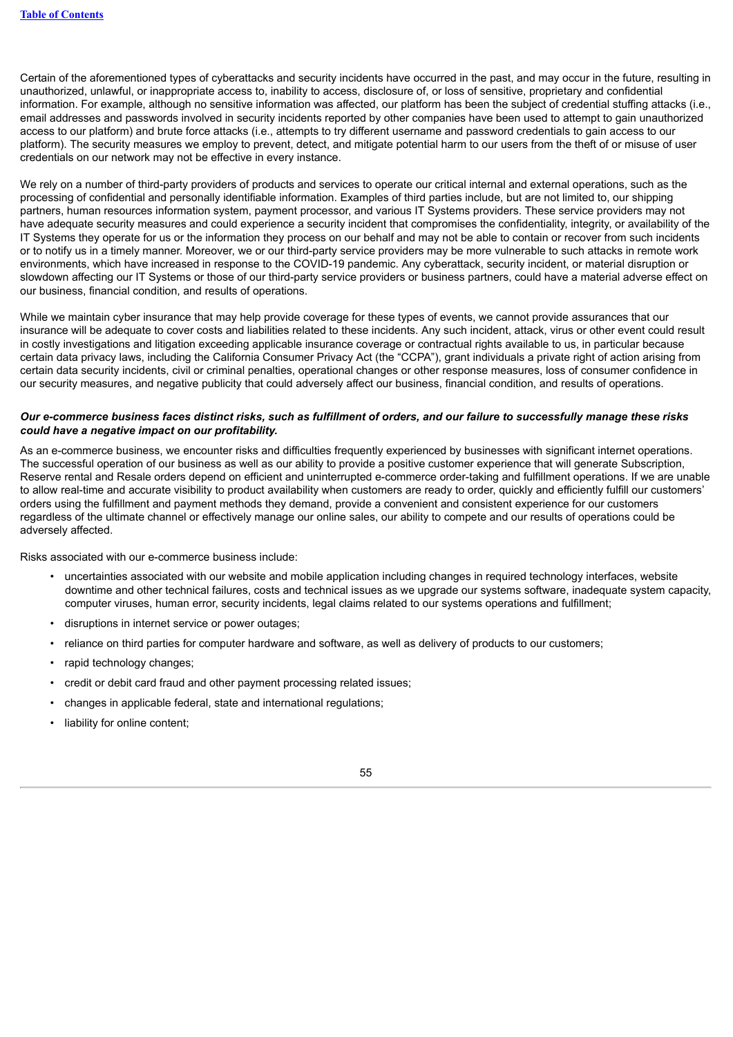Certain of the aforementioned types of cyberattacks and security incidents have occurred in the past, and may occur in the future, resulting in unauthorized, unlawful, or inappropriate access to, inability to access, disclosure of, or loss of sensitive, proprietary and confidential information. For example, although no sensitive information was affected, our platform has been the subject of credential stuffing attacks (i.e., email addresses and passwords involved in security incidents reported by other companies have been used to attempt to gain unauthorized access to our platform) and brute force attacks (i.e., attempts to try different username and password credentials to gain access to our platform). The security measures we employ to prevent, detect, and mitigate potential harm to our users from the theft of or misuse of user credentials on our network may not be effective in every instance.

We rely on a number of third-party providers of products and services to operate our critical internal and external operations, such as the processing of confidential and personally identifiable information. Examples of third parties include, but are not limited to, our shipping partners, human resources information system, payment processor, and various IT Systems providers. These service providers may not have adequate security measures and could experience a security incident that compromises the confidentiality, integrity, or availability of the IT Systems they operate for us or the information they process on our behalf and may not be able to contain or recover from such incidents or to notify us in a timely manner. Moreover, we or our third-party service providers may be more vulnerable to such attacks in remote work environments, which have increased in response to the COVID-19 pandemic. Any cyberattack, security incident, or material disruption or slowdown affecting our IT Systems or those of our third-party service providers or business partners, could have a material adverse effect on our business, financial condition, and results of operations.

While we maintain cyber insurance that may help provide coverage for these types of events, we cannot provide assurances that our insurance will be adequate to cover costs and liabilities related to these incidents. Any such incident, attack, virus or other event could result in costly investigations and litigation exceeding applicable insurance coverage or contractual rights available to us, in particular because certain data privacy laws, including the California Consumer Privacy Act (the "CCPA"), grant individuals a private right of action arising from certain data security incidents, civil or criminal penalties, operational changes or other response measures, loss of consumer confidence in our security measures, and negative publicity that could adversely affect our business, financial condition, and results of operations.

### Our e-commerce business faces distinct risks, such as fulfillment of orders, and our failure to successfully manage these risks *could have a negative impact on our profitability.*

As an e-commerce business, we encounter risks and difficulties frequently experienced by businesses with significant internet operations. The successful operation of our business as well as our ability to provide a positive customer experience that will generate Subscription, Reserve rental and Resale orders depend on efficient and uninterrupted e-commerce order-taking and fulfillment operations. If we are unable to allow real-time and accurate visibility to product availability when customers are ready to order, quickly and efficiently fulfill our customers' orders using the fulfillment and payment methods they demand, provide a convenient and consistent experience for our customers regardless of the ultimate channel or effectively manage our online sales, our ability to compete and our results of operations could be adversely affected.

Risks associated with our e-commerce business include:

- uncertainties associated with our website and mobile application including changes in required technology interfaces, website downtime and other technical failures, costs and technical issues as we upgrade our systems software, inadequate system capacity, computer viruses, human error, security incidents, legal claims related to our systems operations and fulfillment;
- disruptions in internet service or power outages;
- reliance on third parties for computer hardware and software, as well as delivery of products to our customers;
- rapid technology changes;
- credit or debit card fraud and other payment processing related issues;
- changes in applicable federal, state and international regulations;
- liability for online content: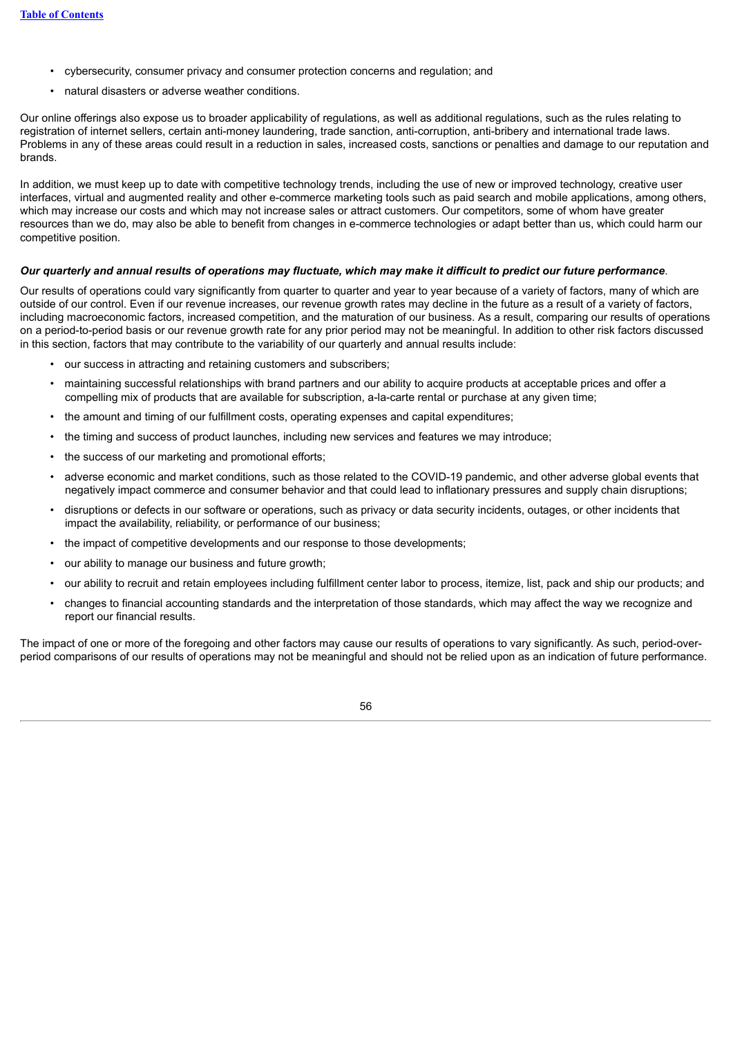- cybersecurity, consumer privacy and consumer protection concerns and regulation; and
- natural disasters or adverse weather conditions.

Our online offerings also expose us to broader applicability of regulations, as well as additional regulations, such as the rules relating to registration of internet sellers, certain anti-money laundering, trade sanction, anti-corruption, anti-bribery and international trade laws. Problems in any of these areas could result in a reduction in sales, increased costs, sanctions or penalties and damage to our reputation and brands.

In addition, we must keep up to date with competitive technology trends, including the use of new or improved technology, creative user interfaces, virtual and augmented reality and other e-commerce marketing tools such as paid search and mobile applications, among others, which may increase our costs and which may not increase sales or attract customers. Our competitors, some of whom have greater resources than we do, may also be able to benefit from changes in e-commerce technologies or adapt better than us, which could harm our competitive position.

#### Our quarterly and annual results of operations may fluctuate, which may make it difficult to predict our future performance.

Our results of operations could vary significantly from quarter to quarter and year to year because of a variety of factors, many of which are outside of our control. Even if our revenue increases, our revenue growth rates may decline in the future as a result of a variety of factors, including macroeconomic factors, increased competition, and the maturation of our business. As a result, comparing our results of operations on a period-to-period basis or our revenue growth rate for any prior period may not be meaningful. In addition to other risk factors discussed in this section, factors that may contribute to the variability of our quarterly and annual results include:

- our success in attracting and retaining customers and subscribers;
- maintaining successful relationships with brand partners and our ability to acquire products at acceptable prices and offer a compelling mix of products that are available for subscription, a-la-carte rental or purchase at any given time;
- the amount and timing of our fulfillment costs, operating expenses and capital expenditures;
- the timing and success of product launches, including new services and features we may introduce;
- the success of our marketing and promotional efforts;
- adverse economic and market conditions, such as those related to the COVID-19 pandemic, and other adverse global events that negatively impact commerce and consumer behavior and that could lead to inflationary pressures and supply chain disruptions;
- disruptions or defects in our software or operations, such as privacy or data security incidents, outages, or other incidents that impact the availability, reliability, or performance of our business;
- the impact of competitive developments and our response to those developments;
- our ability to manage our business and future growth:
- our ability to recruit and retain employees including fulfillment center labor to process, itemize, list, pack and ship our products; and
- changes to financial accounting standards and the interpretation of those standards, which may affect the way we recognize and report our financial results.

The impact of one or more of the foregoing and other factors may cause our results of operations to vary significantly. As such, period-overperiod comparisons of our results of operations may not be meaningful and should not be relied upon as an indication of future performance.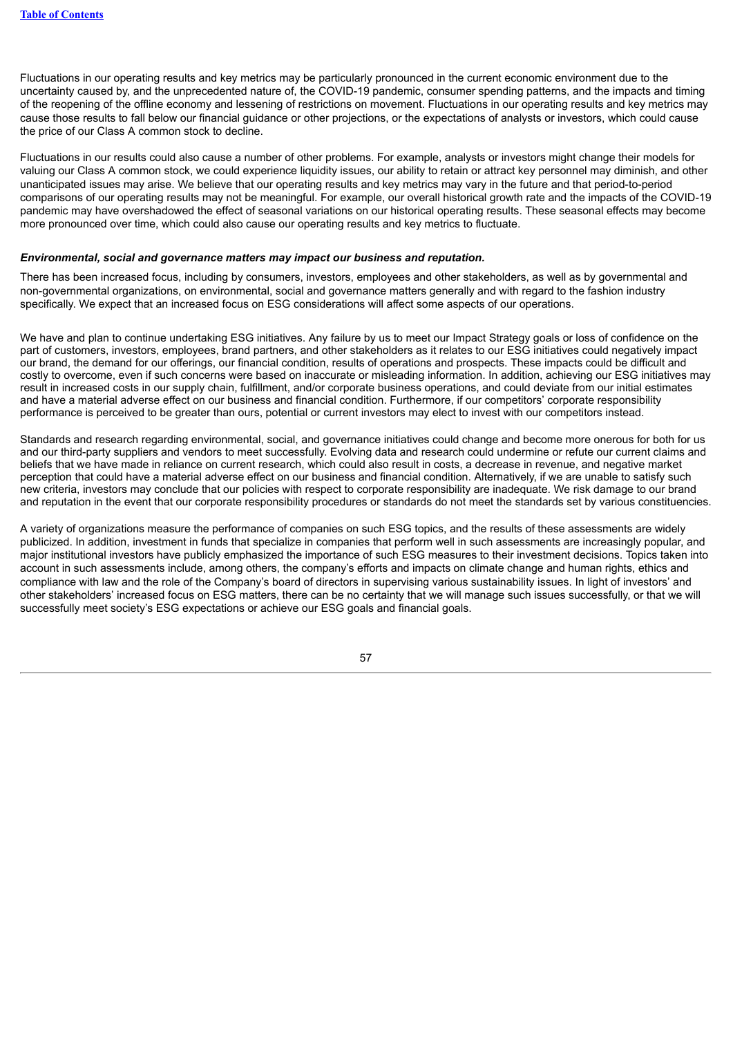Fluctuations in our operating results and key metrics may be particularly pronounced in the current economic environment due to the uncertainty caused by, and the unprecedented nature of, the COVID-19 pandemic, consumer spending patterns, and the impacts and timing of the reopening of the offline economy and lessening of restrictions on movement. Fluctuations in our operating results and key metrics may cause those results to fall below our financial guidance or other projections, or the expectations of analysts or investors, which could cause the price of our Class A common stock to decline.

Fluctuations in our results could also cause a number of other problems. For example, analysts or investors might change their models for valuing our Class A common stock, we could experience liquidity issues, our ability to retain or attract key personnel may diminish, and other unanticipated issues may arise. We believe that our operating results and key metrics may vary in the future and that period-to-period comparisons of our operating results may not be meaningful. For example, our overall historical growth rate and the impacts of the COVID-19 pandemic may have overshadowed the effect of seasonal variations on our historical operating results. These seasonal effects may become more pronounced over time, which could also cause our operating results and key metrics to fluctuate.

#### *Environmental, social and governance matters may impact our business and reputation.*

There has been increased focus, including by consumers, investors, employees and other stakeholders, as well as by governmental and non-governmental organizations, on environmental, social and governance matters generally and with regard to the fashion industry specifically. We expect that an increased focus on ESG considerations will affect some aspects of our operations.

We have and plan to continue undertaking ESG initiatives. Any failure by us to meet our Impact Strategy goals or loss of confidence on the part of customers, investors, employees, brand partners, and other stakeholders as it relates to our ESG initiatives could negatively impact our brand, the demand for our offerings, our financial condition, results of operations and prospects. These impacts could be difficult and costly to overcome, even if such concerns were based on inaccurate or misleading information. In addition, achieving our ESG initiatives may result in increased costs in our supply chain, fulfillment, and/or corporate business operations, and could deviate from our initial estimates and have a material adverse effect on our business and financial condition. Furthermore, if our competitors' corporate responsibility performance is perceived to be greater than ours, potential or current investors may elect to invest with our competitors instead.

Standards and research regarding environmental, social, and governance initiatives could change and become more onerous for both for us and our third-party suppliers and vendors to meet successfully. Evolving data and research could undermine or refute our current claims and beliefs that we have made in reliance on current research, which could also result in costs, a decrease in revenue, and negative market perception that could have a material adverse effect on our business and financial condition. Alternatively, if we are unable to satisfy such new criteria, investors may conclude that our policies with respect to corporate responsibility are inadequate. We risk damage to our brand and reputation in the event that our corporate responsibility procedures or standards do not meet the standards set by various constituencies.

A variety of organizations measure the performance of companies on such ESG topics, and the results of these assessments are widely publicized. In addition, investment in funds that specialize in companies that perform well in such assessments are increasingly popular, and major institutional investors have publicly emphasized the importance of such ESG measures to their investment decisions. Topics taken into account in such assessments include, among others, the company's efforts and impacts on climate change and human rights, ethics and compliance with law and the role of the Company's board of directors in supervising various sustainability issues. In light of investors' and other stakeholders' increased focus on ESG matters, there can be no certainty that we will manage such issues successfully, or that we will successfully meet society's ESG expectations or achieve our ESG goals and financial goals.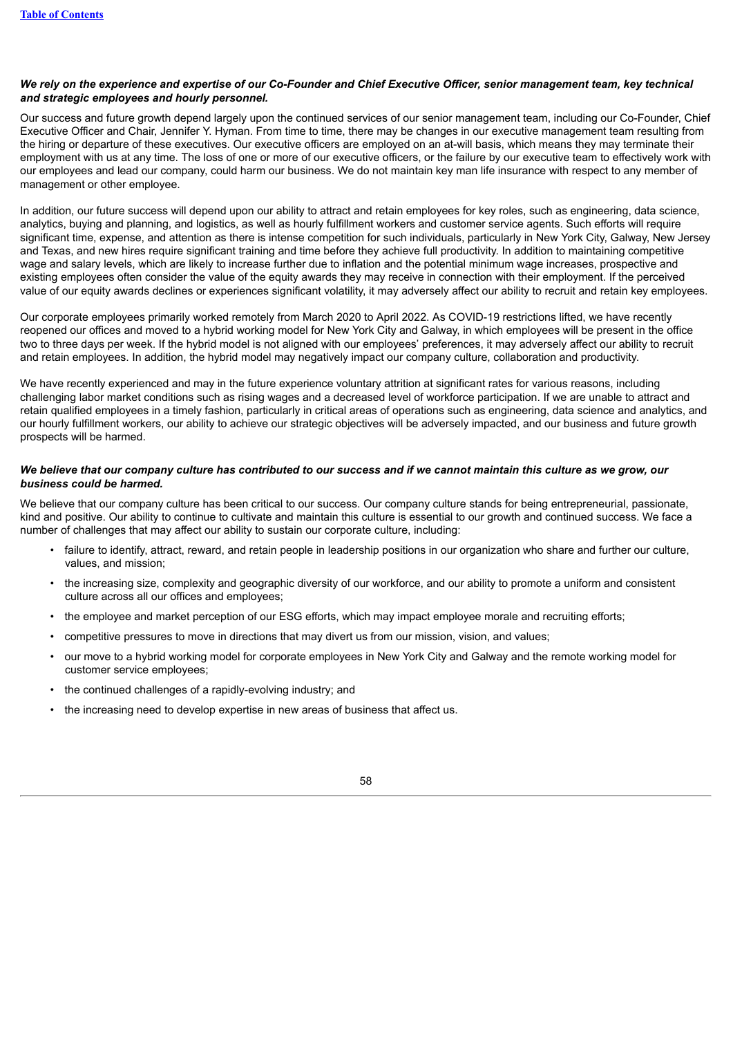# We rely on the experience and expertise of our Co-Founder and Chief Executive Officer, senior management team, key technical *and strategic employees and hourly personnel.*

Our success and future growth depend largely upon the continued services of our senior management team, including our Co-Founder, Chief Executive Officer and Chair, Jennifer Y. Hyman. From time to time, there may be changes in our executive management team resulting from the hiring or departure of these executives. Our executive officers are employed on an at-will basis, which means they may terminate their employment with us at any time. The loss of one or more of our executive officers, or the failure by our executive team to effectively work with our employees and lead our company, could harm our business. We do not maintain key man life insurance with respect to any member of management or other employee.

In addition, our future success will depend upon our ability to attract and retain employees for key roles, such as engineering, data science, analytics, buying and planning, and logistics, as well as hourly fulfillment workers and customer service agents. Such efforts will require significant time, expense, and attention as there is intense competition for such individuals, particularly in New York City, Galway, New Jersey and Texas, and new hires require significant training and time before they achieve full productivity. In addition to maintaining competitive wage and salary levels, which are likely to increase further due to inflation and the potential minimum wage increases, prospective and existing employees often consider the value of the equity awards they may receive in connection with their employment. If the perceived value of our equity awards declines or experiences significant volatility, it may adversely affect our ability to recruit and retain key employees.

Our corporate employees primarily worked remotely from March 2020 to April 2022. As COVID-19 restrictions lifted, we have recently reopened our offices and moved to a hybrid working model for New York City and Galway, in which employees will be present in the office two to three days per week. If the hybrid model is not aligned with our employees' preferences, it may adversely affect our ability to recruit and retain employees. In addition, the hybrid model may negatively impact our company culture, collaboration and productivity.

We have recently experienced and may in the future experience voluntary attrition at significant rates for various reasons, including challenging labor market conditions such as rising wages and a decreased level of workforce participation. If we are unable to attract and retain qualified employees in a timely fashion, particularly in critical areas of operations such as engineering, data science and analytics, and our hourly fulfillment workers, our ability to achieve our strategic objectives will be adversely impacted, and our business and future growth prospects will be harmed.

# We believe that our company culture has contributed to our success and if we cannot maintain this culture as we grow, our *business could be harmed.*

We believe that our company culture has been critical to our success. Our company culture stands for being entrepreneurial, passionate, kind and positive. Our ability to continue to cultivate and maintain this culture is essential to our growth and continued success. We face a number of challenges that may affect our ability to sustain our corporate culture, including:

- failure to identify, attract, reward, and retain people in leadership positions in our organization who share and further our culture, values, and mission;
- the increasing size, complexity and geographic diversity of our workforce, and our ability to promote a uniform and consistent culture across all our offices and employees;
- the employee and market perception of our ESG efforts, which may impact employee morale and recruiting efforts;
- competitive pressures to move in directions that may divert us from our mission, vision, and values;
- our move to a hybrid working model for corporate employees in New York City and Galway and the remote working model for customer service employees;
- the continued challenges of a rapidly-evolving industry; and
- the increasing need to develop expertise in new areas of business that affect us.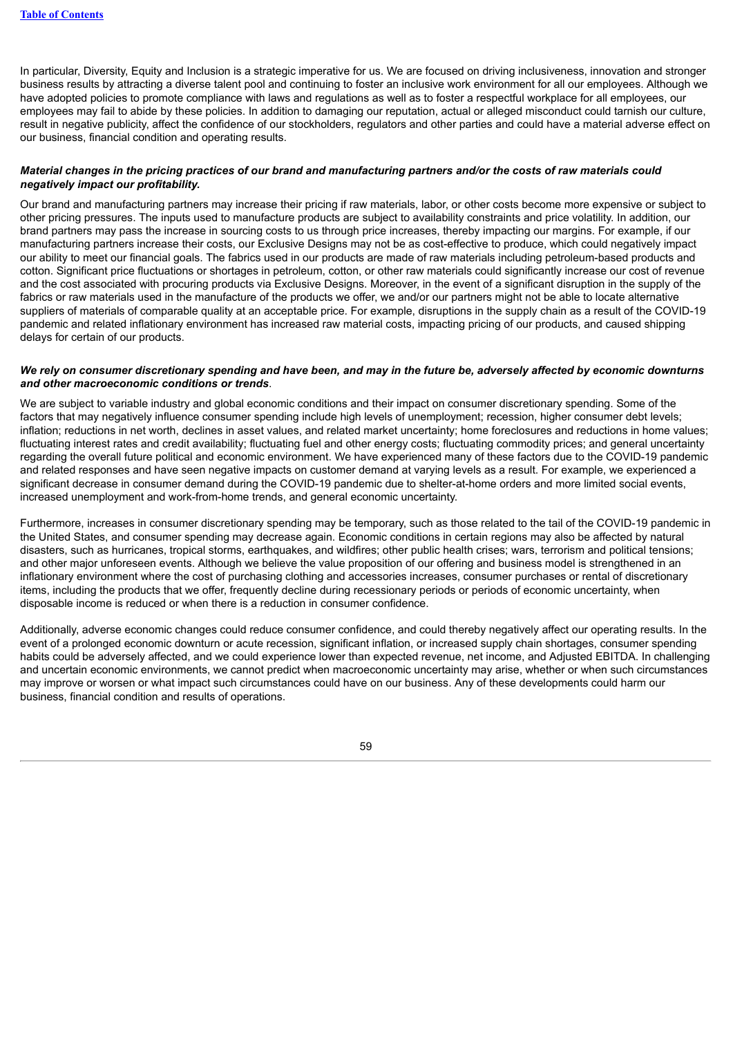In particular, Diversity, Equity and Inclusion is a strategic imperative for us. We are focused on driving inclusiveness, innovation and stronger business results by attracting a diverse talent pool and continuing to foster an inclusive work environment for all our employees. Although we have adopted policies to promote compliance with laws and regulations as well as to foster a respectful workplace for all employees, our employees may fail to abide by these policies. In addition to damaging our reputation, actual or alleged misconduct could tarnish our culture, result in negative publicity, affect the confidence of our stockholders, regulators and other parties and could have a material adverse effect on our business, financial condition and operating results.

# Material changes in the pricing practices of our brand and manufacturing partners and/or the costs of raw materials could *negatively impact our profitability.*

Our brand and manufacturing partners may increase their pricing if raw materials, labor, or other costs become more expensive or subject to other pricing pressures. The inputs used to manufacture products are subject to availability constraints and price volatility. In addition, our brand partners may pass the increase in sourcing costs to us through price increases, thereby impacting our margins. For example, if our manufacturing partners increase their costs, our Exclusive Designs may not be as cost-effective to produce, which could negatively impact our ability to meet our financial goals. The fabrics used in our products are made of raw materials including petroleum-based products and cotton. Significant price fluctuations or shortages in petroleum, cotton, or other raw materials could significantly increase our cost of revenue and the cost associated with procuring products via Exclusive Designs. Moreover, in the event of a significant disruption in the supply of the fabrics or raw materials used in the manufacture of the products we offer, we and/or our partners might not be able to locate alternative suppliers of materials of comparable quality at an acceptable price. For example, disruptions in the supply chain as a result of the COVID-19 pandemic and related inflationary environment has increased raw material costs, impacting pricing of our products, and caused shipping delays for certain of our products.

# We rely on consumer discretionary spending and have been, and may in the future be, adversely affected by economic downturns *and other macroeconomic conditions or trends*.

We are subject to variable industry and global economic conditions and their impact on consumer discretionary spending. Some of the factors that may negatively influence consumer spending include high levels of unemployment; recession, higher consumer debt levels; inflation; reductions in net worth, declines in asset values, and related market uncertainty; home foreclosures and reductions in home values; fluctuating interest rates and credit availability; fluctuating fuel and other energy costs; fluctuating commodity prices; and general uncertainty regarding the overall future political and economic environment. We have experienced many of these factors due to the COVID-19 pandemic and related responses and have seen negative impacts on customer demand at varying levels as a result. For example, we experienced a significant decrease in consumer demand during the COVID-19 pandemic due to shelter-at-home orders and more limited social events, increased unemployment and work-from-home trends, and general economic uncertainty.

Furthermore, increases in consumer discretionary spending may be temporary, such as those related to the tail of the COVID-19 pandemic in the United States, and consumer spending may decrease again. Economic conditions in certain regions may also be affected by natural disasters, such as hurricanes, tropical storms, earthquakes, and wildfires; other public health crises; wars, terrorism and political tensions; and other major unforeseen events. Although we believe the value proposition of our offering and business model is strengthened in an inflationary environment where the cost of purchasing clothing and accessories increases, consumer purchases or rental of discretionary items, including the products that we offer, frequently decline during recessionary periods or periods of economic uncertainty, when disposable income is reduced or when there is a reduction in consumer confidence.

Additionally, adverse economic changes could reduce consumer confidence, and could thereby negatively affect our operating results. In the event of a prolonged economic downturn or acute recession, significant inflation, or increased supply chain shortages, consumer spending habits could be adversely affected, and we could experience lower than expected revenue, net income, and Adjusted EBITDA. In challenging and uncertain economic environments, we cannot predict when macroeconomic uncertainty may arise, whether or when such circumstances may improve or worsen or what impact such circumstances could have on our business. Any of these developments could harm our business, financial condition and results of operations.

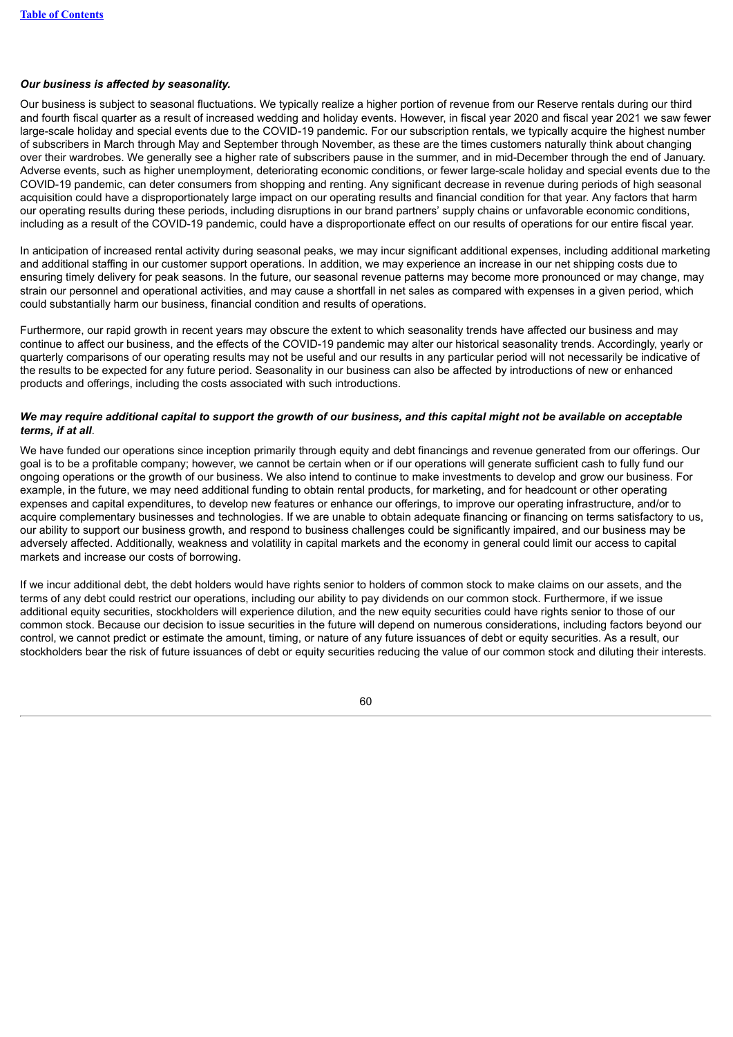# *Our business is affected by seasonality.*

Our business is subject to seasonal fluctuations. We typically realize a higher portion of revenue from our Reserve rentals during our third and fourth fiscal quarter as a result of increased wedding and holiday events. However, in fiscal year 2020 and fiscal year 2021 we saw fewer large-scale holiday and special events due to the COVID-19 pandemic. For our subscription rentals, we typically acquire the highest number of subscribers in March through May and September through November, as these are the times customers naturally think about changing over their wardrobes. We generally see a higher rate of subscribers pause in the summer, and in mid-December through the end of January. Adverse events, such as higher unemployment, deteriorating economic conditions, or fewer large-scale holiday and special events due to the COVID-19 pandemic, can deter consumers from shopping and renting. Any significant decrease in revenue during periods of high seasonal acquisition could have a disproportionately large impact on our operating results and financial condition for that year. Any factors that harm our operating results during these periods, including disruptions in our brand partners' supply chains or unfavorable economic conditions, including as a result of the COVID-19 pandemic, could have a disproportionate effect on our results of operations for our entire fiscal year.

In anticipation of increased rental activity during seasonal peaks, we may incur significant additional expenses, including additional marketing and additional staffing in our customer support operations. In addition, we may experience an increase in our net shipping costs due to ensuring timely delivery for peak seasons. In the future, our seasonal revenue patterns may become more pronounced or may change, may strain our personnel and operational activities, and may cause a shortfall in net sales as compared with expenses in a given period, which could substantially harm our business, financial condition and results of operations.

Furthermore, our rapid growth in recent years may obscure the extent to which seasonality trends have affected our business and may continue to affect our business, and the effects of the COVID-19 pandemic may alter our historical seasonality trends. Accordingly, yearly or quarterly comparisons of our operating results may not be useful and our results in any particular period will not necessarily be indicative of the results to be expected for any future period. Seasonality in our business can also be affected by introductions of new or enhanced products and offerings, including the costs associated with such introductions.

# We may require additional capital to support the growth of our business, and this capital might not be available on acceptable *terms, if at all*.

We have funded our operations since inception primarily through equity and debt financings and revenue generated from our offerings. Our goal is to be a profitable company; however, we cannot be certain when or if our operations will generate sufficient cash to fully fund our ongoing operations or the growth of our business. We also intend to continue to make investments to develop and grow our business. For example, in the future, we may need additional funding to obtain rental products, for marketing, and for headcount or other operating expenses and capital expenditures, to develop new features or enhance our offerings, to improve our operating infrastructure, and/or to acquire complementary businesses and technologies. If we are unable to obtain adequate financing or financing on terms satisfactory to us, our ability to support our business growth, and respond to business challenges could be significantly impaired, and our business may be adversely affected. Additionally, weakness and volatility in capital markets and the economy in general could limit our access to capital markets and increase our costs of borrowing.

If we incur additional debt, the debt holders would have rights senior to holders of common stock to make claims on our assets, and the terms of any debt could restrict our operations, including our ability to pay dividends on our common stock. Furthermore, if we issue additional equity securities, stockholders will experience dilution, and the new equity securities could have rights senior to those of our common stock. Because our decision to issue securities in the future will depend on numerous considerations, including factors beyond our control, we cannot predict or estimate the amount, timing, or nature of any future issuances of debt or equity securities. As a result, our stockholders bear the risk of future issuances of debt or equity securities reducing the value of our common stock and diluting their interests.

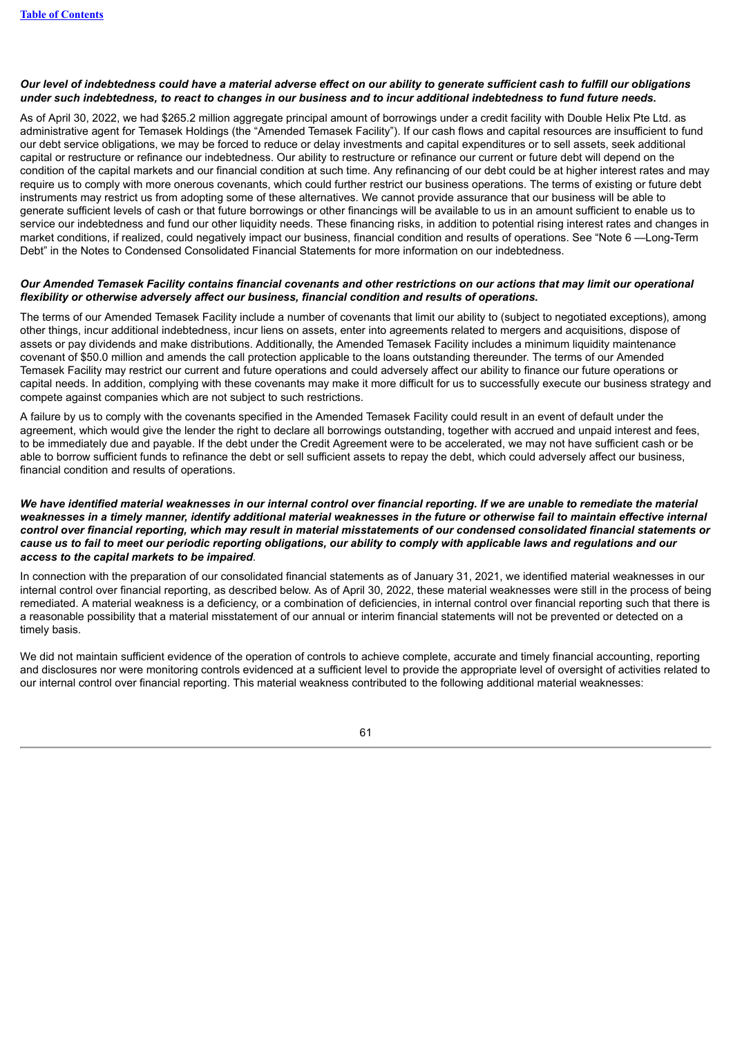# Our level of indebtedness could have a material adverse effect on our ability to generate sufficient cash to fulfill our obligations under such indebtedness, to react to changes in our business and to incur additional indebtedness to fund future needs.

As of April 30, 2022, we had \$265.2 million aggregate principal amount of borrowings under a credit facility with Double Helix Pte Ltd. as administrative agent for Temasek Holdings (the "Amended Temasek Facility"). If our cash flows and capital resources are insufficient to fund our debt service obligations, we may be forced to reduce or delay investments and capital expenditures or to sell assets, seek additional capital or restructure or refinance our indebtedness. Our ability to restructure or refinance our current or future debt will depend on the condition of the capital markets and our financial condition at such time. Any refinancing of our debt could be at higher interest rates and may require us to comply with more onerous covenants, which could further restrict our business operations. The terms of existing or future debt instruments may restrict us from adopting some of these alternatives. We cannot provide assurance that our business will be able to generate sufficient levels of cash or that future borrowings or other financings will be available to us in an amount sufficient to enable us to service our indebtedness and fund our other liquidity needs. These financing risks, in addition to potential rising interest rates and changes in market conditions, if realized, could negatively impact our business, financial condition and results of operations. See "Note 6 —Long-Term Debt" in the Notes to Condensed Consolidated Financial Statements for more information on our indebtedness.

# Our Amended Temasek Facility contains financial covenants and other restrictions on our actions that may limit our operational *flexibility or otherwise adversely affect our business, financial condition and results of operations.*

The terms of our Amended Temasek Facility include a number of covenants that limit our ability to (subject to negotiated exceptions), among other things, incur additional indebtedness, incur liens on assets, enter into agreements related to mergers and acquisitions, dispose of assets or pay dividends and make distributions. Additionally, the Amended Temasek Facility includes a minimum liquidity maintenance covenant of \$50.0 million and amends the call protection applicable to the loans outstanding thereunder. The terms of our Amended Temasek Facility may restrict our current and future operations and could adversely affect our ability to finance our future operations or capital needs. In addition, complying with these covenants may make it more difficult for us to successfully execute our business strategy and compete against companies which are not subject to such restrictions.

A failure by us to comply with the covenants specified in the Amended Temasek Facility could result in an event of default under the agreement, which would give the lender the right to declare all borrowings outstanding, together with accrued and unpaid interest and fees, to be immediately due and payable. If the debt under the Credit Agreement were to be accelerated, we may not have sufficient cash or be able to borrow sufficient funds to refinance the debt or sell sufficient assets to repay the debt, which could adversely affect our business, financial condition and results of operations.

# We have identified material weaknesses in our internal control over financial reporting. If we are unable to remediate the material weaknesses in a timely manner, identify additional material weaknesses in the future or otherwise fail to maintain effective internal control over financial reporting, which may result in material misstatements of our condensed consolidated financial statements or cause us to fail to meet our periodic reporting obligations, our ability to comply with applicable laws and regulations and our *access to the capital markets to be impaired*.

In connection with the preparation of our consolidated financial statements as of January 31, 2021, we identified material weaknesses in our internal control over financial reporting, as described below. As of April 30, 2022, these material weaknesses were still in the process of being remediated. A material weakness is a deficiency, or a combination of deficiencies, in internal control over financial reporting such that there is a reasonable possibility that a material misstatement of our annual or interim financial statements will not be prevented or detected on a timely basis.

We did not maintain sufficient evidence of the operation of controls to achieve complete, accurate and timely financial accounting, reporting and disclosures nor were monitoring controls evidenced at a sufficient level to provide the appropriate level of oversight of activities related to our internal control over financial reporting. This material weakness contributed to the following additional material weaknesses:

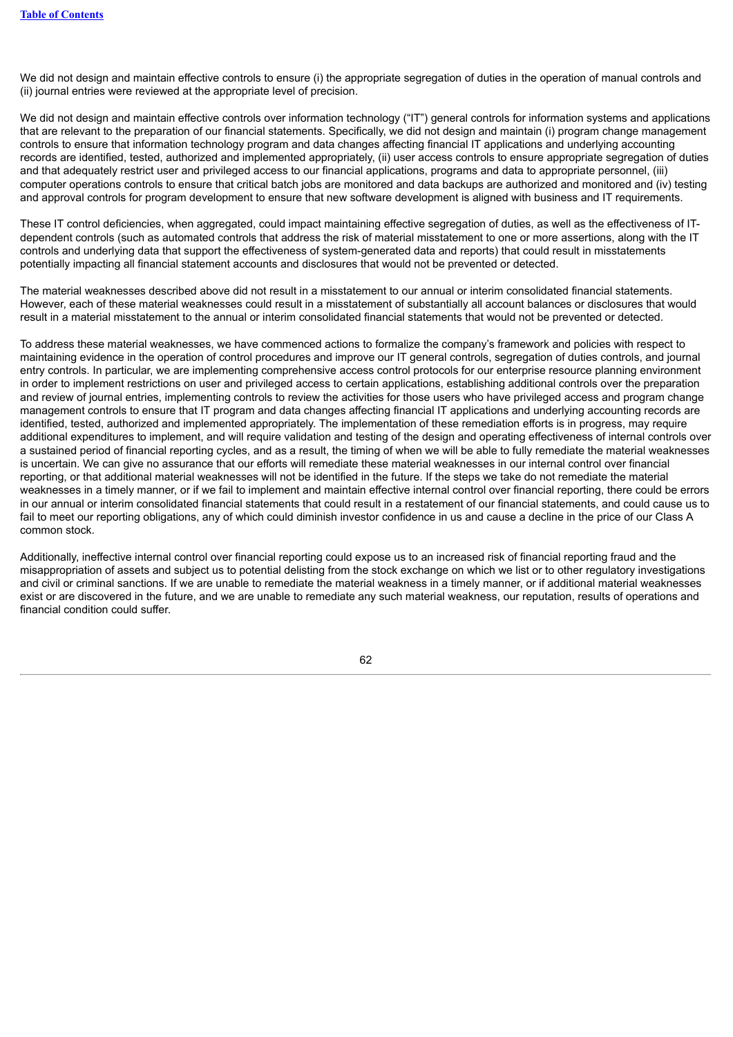We did not design and maintain effective controls to ensure (i) the appropriate segregation of duties in the operation of manual controls and (ii) journal entries were reviewed at the appropriate level of precision.

We did not design and maintain effective controls over information technology ("IT") general controls for information systems and applications that are relevant to the preparation of our financial statements. Specifically, we did not design and maintain (i) program change management controls to ensure that information technology program and data changes affecting financial IT applications and underlying accounting records are identified, tested, authorized and implemented appropriately, (ii) user access controls to ensure appropriate segregation of duties and that adequately restrict user and privileged access to our financial applications, programs and data to appropriate personnel, (iii) computer operations controls to ensure that critical batch jobs are monitored and data backups are authorized and monitored and (iv) testing and approval controls for program development to ensure that new software development is aligned with business and IT requirements.

These IT control deficiencies, when aggregated, could impact maintaining effective segregation of duties, as well as the effectiveness of ITdependent controls (such as automated controls that address the risk of material misstatement to one or more assertions, along with the IT controls and underlying data that support the effectiveness of system-generated data and reports) that could result in misstatements potentially impacting all financial statement accounts and disclosures that would not be prevented or detected.

The material weaknesses described above did not result in a misstatement to our annual or interim consolidated financial statements. However, each of these material weaknesses could result in a misstatement of substantially all account balances or disclosures that would result in a material misstatement to the annual or interim consolidated financial statements that would not be prevented or detected.

To address these material weaknesses, we have commenced actions to formalize the company's framework and policies with respect to maintaining evidence in the operation of control procedures and improve our IT general controls, segregation of duties controls, and journal entry controls. In particular, we are implementing comprehensive access control protocols for our enterprise resource planning environment in order to implement restrictions on user and privileged access to certain applications, establishing additional controls over the preparation and review of journal entries, implementing controls to review the activities for those users who have privileged access and program change management controls to ensure that IT program and data changes affecting financial IT applications and underlying accounting records are identified, tested, authorized and implemented appropriately. The implementation of these remediation efforts is in progress, may require additional expenditures to implement, and will require validation and testing of the design and operating effectiveness of internal controls over a sustained period of financial reporting cycles, and as a result, the timing of when we will be able to fully remediate the material weaknesses is uncertain. We can give no assurance that our efforts will remediate these material weaknesses in our internal control over financial reporting, or that additional material weaknesses will not be identified in the future. If the steps we take do not remediate the material weaknesses in a timely manner, or if we fail to implement and maintain effective internal control over financial reporting, there could be errors in our annual or interim consolidated financial statements that could result in a restatement of our financial statements, and could cause us to fail to meet our reporting obligations, any of which could diminish investor confidence in us and cause a decline in the price of our Class A common stock.

Additionally, ineffective internal control over financial reporting could expose us to an increased risk of financial reporting fraud and the misappropriation of assets and subject us to potential delisting from the stock exchange on which we list or to other regulatory investigations and civil or criminal sanctions. If we are unable to remediate the material weakness in a timely manner, or if additional material weaknesses exist or are discovered in the future, and we are unable to remediate any such material weakness, our reputation, results of operations and financial condition could suffer.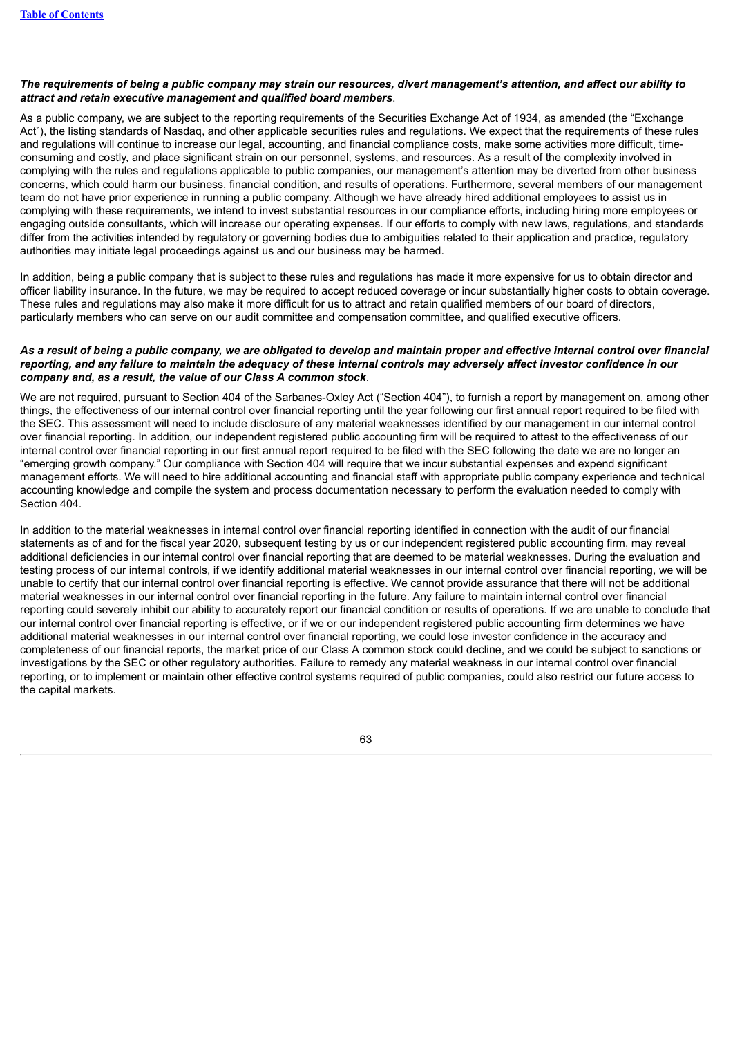# The requirements of being a public company may strain our resources, divert management's attention, and affect our ability to *attract and retain executive management and qualified board members*.

As a public company, we are subject to the reporting requirements of the Securities Exchange Act of 1934, as amended (the "Exchange Act"), the listing standards of Nasdaq, and other applicable securities rules and regulations. We expect that the requirements of these rules and regulations will continue to increase our legal, accounting, and financial compliance costs, make some activities more difficult, timeconsuming and costly, and place significant strain on our personnel, systems, and resources. As a result of the complexity involved in complying with the rules and regulations applicable to public companies, our management's attention may be diverted from other business concerns, which could harm our business, financial condition, and results of operations. Furthermore, several members of our management team do not have prior experience in running a public company. Although we have already hired additional employees to assist us in complying with these requirements, we intend to invest substantial resources in our compliance efforts, including hiring more employees or engaging outside consultants, which will increase our operating expenses. If our efforts to comply with new laws, regulations, and standards differ from the activities intended by regulatory or governing bodies due to ambiguities related to their application and practice, regulatory authorities may initiate legal proceedings against us and our business may be harmed.

In addition, being a public company that is subject to these rules and regulations has made it more expensive for us to obtain director and officer liability insurance. In the future, we may be required to accept reduced coverage or incur substantially higher costs to obtain coverage. These rules and regulations may also make it more difficult for us to attract and retain qualified members of our board of directors, particularly members who can serve on our audit committee and compensation committee, and qualified executive officers.

# As a result of being a public company, we are obligated to develop and maintain proper and effective internal control over financial reporting, and any failure to maintain the adequacy of these internal controls may adversely affect investor confidence in our *company and, as a result, the value of our Class A common stock*.

We are not required, pursuant to Section 404 of the Sarbanes-Oxley Act ("Section 404"), to furnish a report by management on, among other things, the effectiveness of our internal control over financial reporting until the year following our first annual report required to be filed with the SEC. This assessment will need to include disclosure of any material weaknesses identified by our management in our internal control over financial reporting. In addition, our independent registered public accounting firm will be required to attest to the effectiveness of our internal control over financial reporting in our first annual report required to be filed with the SEC following the date we are no longer an "emerging growth company." Our compliance with Section 404 will require that we incur substantial expenses and expend significant management efforts. We will need to hire additional accounting and financial staff with appropriate public company experience and technical accounting knowledge and compile the system and process documentation necessary to perform the evaluation needed to comply with Section 404.

In addition to the material weaknesses in internal control over financial reporting identified in connection with the audit of our financial statements as of and for the fiscal year 2020, subsequent testing by us or our independent registered public accounting firm, may reveal additional deficiencies in our internal control over financial reporting that are deemed to be material weaknesses. During the evaluation and testing process of our internal controls, if we identify additional material weaknesses in our internal control over financial reporting, we will be unable to certify that our internal control over financial reporting is effective. We cannot provide assurance that there will not be additional material weaknesses in our internal control over financial reporting in the future. Any failure to maintain internal control over financial reporting could severely inhibit our ability to accurately report our financial condition or results of operations. If we are unable to conclude that our internal control over financial reporting is effective, or if we or our independent registered public accounting firm determines we have additional material weaknesses in our internal control over financial reporting, we could lose investor confidence in the accuracy and completeness of our financial reports, the market price of our Class A common stock could decline, and we could be subject to sanctions or investigations by the SEC or other regulatory authorities. Failure to remedy any material weakness in our internal control over financial reporting, or to implement or maintain other effective control systems required of public companies, could also restrict our future access to the capital markets.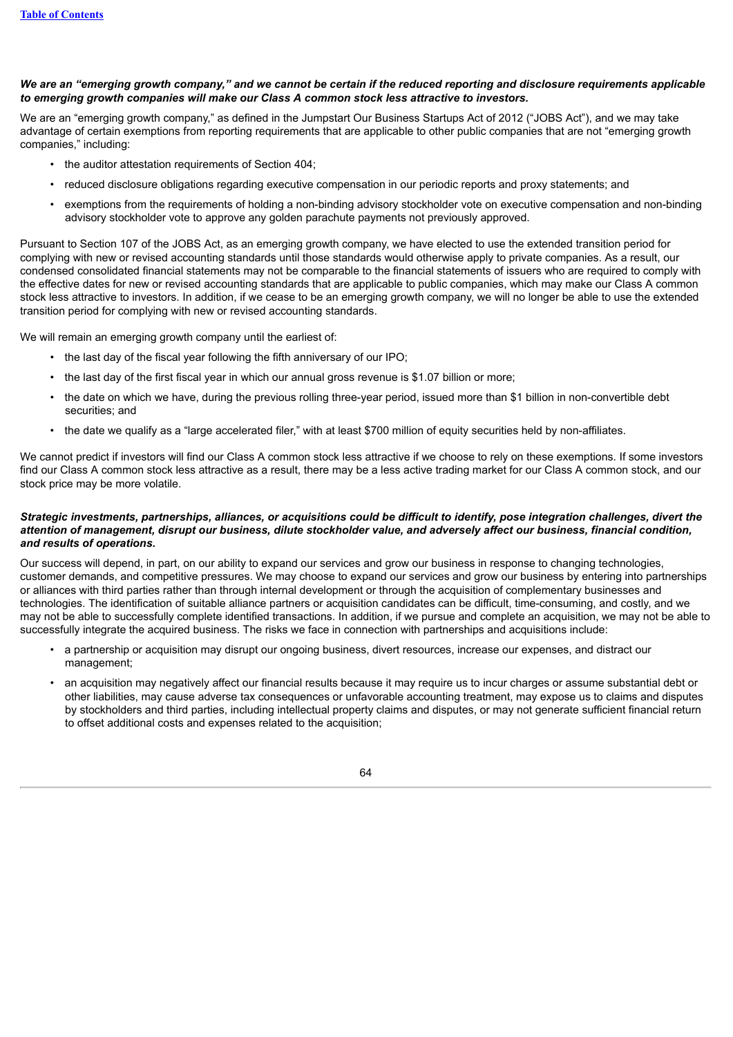We are an "emerging growth company," and we cannot be certain if the reduced reporting and disclosure requirements applicable *to emerging growth companies will make our Class A common stock less attractive to investors.*

We are an "emerging growth company," as defined in the Jumpstart Our Business Startups Act of 2012 ("JOBS Act"), and we may take advantage of certain exemptions from reporting requirements that are applicable to other public companies that are not "emerging growth companies," including:

- the auditor attestation requirements of Section 404;
- reduced disclosure obligations regarding executive compensation in our periodic reports and proxy statements; and
- exemptions from the requirements of holding a non-binding advisory stockholder vote on executive compensation and non-binding advisory stockholder vote to approve any golden parachute payments not previously approved.

Pursuant to Section 107 of the JOBS Act, as an emerging growth company, we have elected to use the extended transition period for complying with new or revised accounting standards until those standards would otherwise apply to private companies. As a result, our condensed consolidated financial statements may not be comparable to the financial statements of issuers who are required to comply with the effective dates for new or revised accounting standards that are applicable to public companies, which may make our Class A common stock less attractive to investors. In addition, if we cease to be an emerging growth company, we will no longer be able to use the extended transition period for complying with new or revised accounting standards.

We will remain an emerging growth company until the earliest of:

- the last day of the fiscal year following the fifth anniversary of our IPO;
- the last day of the first fiscal year in which our annual gross revenue is \$1.07 billion or more;
- the date on which we have, during the previous rolling three-year period, issued more than \$1 billion in non-convertible debt securities; and
- the date we qualify as a "large accelerated filer," with at least \$700 million of equity securities held by non-affiliates.

We cannot predict if investors will find our Class A common stock less attractive if we choose to rely on these exemptions. If some investors find our Class A common stock less attractive as a result, there may be a less active trading market for our Class A common stock, and our stock price may be more volatile.

# Strategic investments, partnerships, alliances, or acquisitions could be difficult to identify, pose integration challenges, divert the attention of management, disrupt our business, dilute stockholder value, and adversely affect our business, financial condition, *and results of operations***.**

Our success will depend, in part, on our ability to expand our services and grow our business in response to changing technologies, customer demands, and competitive pressures. We may choose to expand our services and grow our business by entering into partnerships or alliances with third parties rather than through internal development or through the acquisition of complementary businesses and technologies. The identification of suitable alliance partners or acquisition candidates can be difficult, time-consuming, and costly, and we may not be able to successfully complete identified transactions. In addition, if we pursue and complete an acquisition, we may not be able to successfully integrate the acquired business. The risks we face in connection with partnerships and acquisitions include:

- a partnership or acquisition may disrupt our ongoing business, divert resources, increase our expenses, and distract our management;
- an acquisition may negatively affect our financial results because it may require us to incur charges or assume substantial debt or other liabilities, may cause adverse tax consequences or unfavorable accounting treatment, may expose us to claims and disputes by stockholders and third parties, including intellectual property claims and disputes, or may not generate sufficient financial return to offset additional costs and expenses related to the acquisition;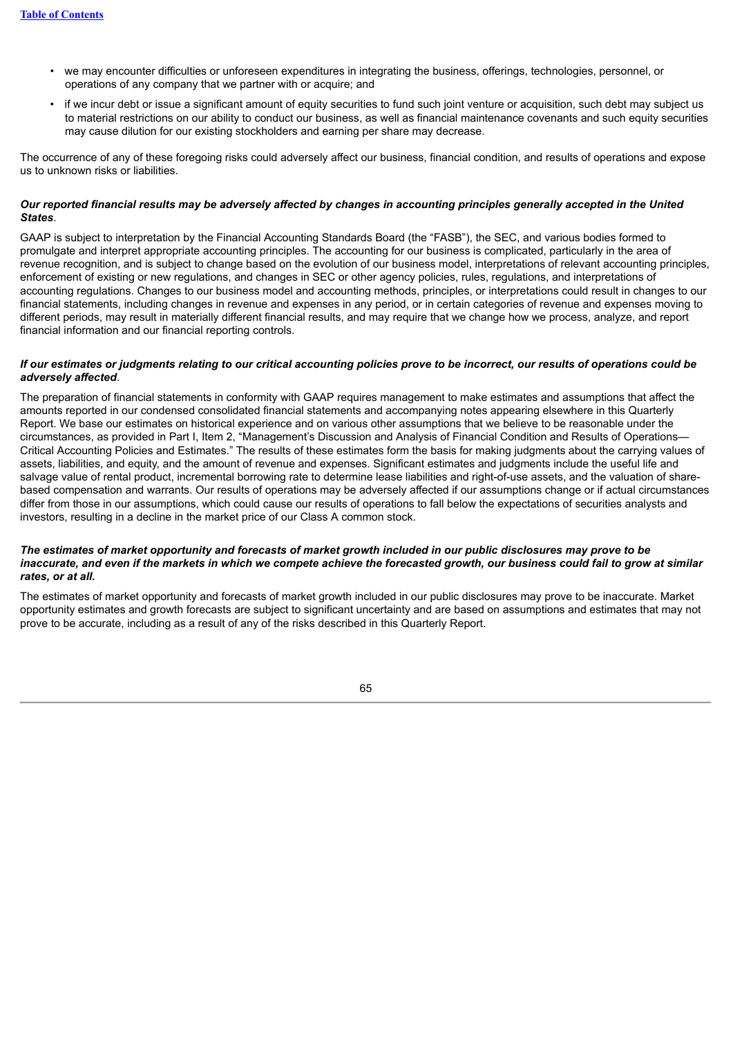- we may encounter difficulties or unforeseen expenditures in integrating the business, offerings, technologies, personnel, or operations of any company that we partner with or acquire; and
- if we incur debt or issue a significant amount of equity securities to fund such joint venture or acquisition, such debt may subject us to material restrictions on our ability to conduct our business, as well as financial maintenance covenants and such equity securities may cause dilution for our existing stockholders and earning per share may decrease.

The occurrence of any of these foregoing risks could adversely affect our business, financial condition, and results of operations and expose us to unknown risks or liabilities.

# Our reported financial results may be adversely affected by changes in accounting principles generally accepted in the United *States*.

GAAP is subject to interpretation by the Financial Accounting Standards Board (the "FASB"), the SEC, and various bodies formed to promulgate and interpret appropriate accounting principles. The accounting for our business is complicated, particularly in the area of revenue recognition, and is subject to change based on the evolution of our business model, interpretations of relevant accounting principles, enforcement of existing or new regulations, and changes in SEC or other agency policies, rules, regulations, and interpretations of accounting regulations. Changes to our business model and accounting methods, principles, or interpretations could result in changes to our financial statements, including changes in revenue and expenses in any period, or in certain categories of revenue and expenses moving to different periods, may result in materially different financial results, and may require that we change how we process, analyze, and report financial information and our financial reporting controls.

# If our estimates or judgments relating to our critical accounting policies prove to be incorrect, our results of operations could be *adversely affected*.

The preparation of financial statements in conformity with GAAP requires management to make estimates and assumptions that affect the amounts reported in our condensed consolidated financial statements and accompanying notes appearing elsewhere in this Quarterly Report. We base our estimates on historical experience and on various other assumptions that we believe to be reasonable under the circumstances, as provided in Part I, Item 2, "Management's Discussion and Analysis of Financial Condition and Results of Operations— Critical Accounting Policies and Estimates." The results of these estimates form the basis for making judgments about the carrying values of assets, liabilities, and equity, and the amount of revenue and expenses. Significant estimates and judgments include the useful life and salvage value of rental product, incremental borrowing rate to determine lease liabilities and right-of-use assets, and the valuation of sharebased compensation and warrants. Our results of operations may be adversely affected if our assumptions change or if actual circumstances differ from those in our assumptions, which could cause our results of operations to fall below the expectations of securities analysts and investors, resulting in a decline in the market price of our Class A common stock.

# The estimates of market opportunity and forecasts of market growth included in our public disclosures may prove to be inaccurate, and even if the markets in which we compete achieve the forecasted growth, our business could fail to grow at similar *rates, or at all.*

The estimates of market opportunity and forecasts of market growth included in our public disclosures may prove to be inaccurate. Market opportunity estimates and growth forecasts are subject to significant uncertainty and are based on assumptions and estimates that may not prove to be accurate, including as a result of any of the risks described in this Quarterly Report.

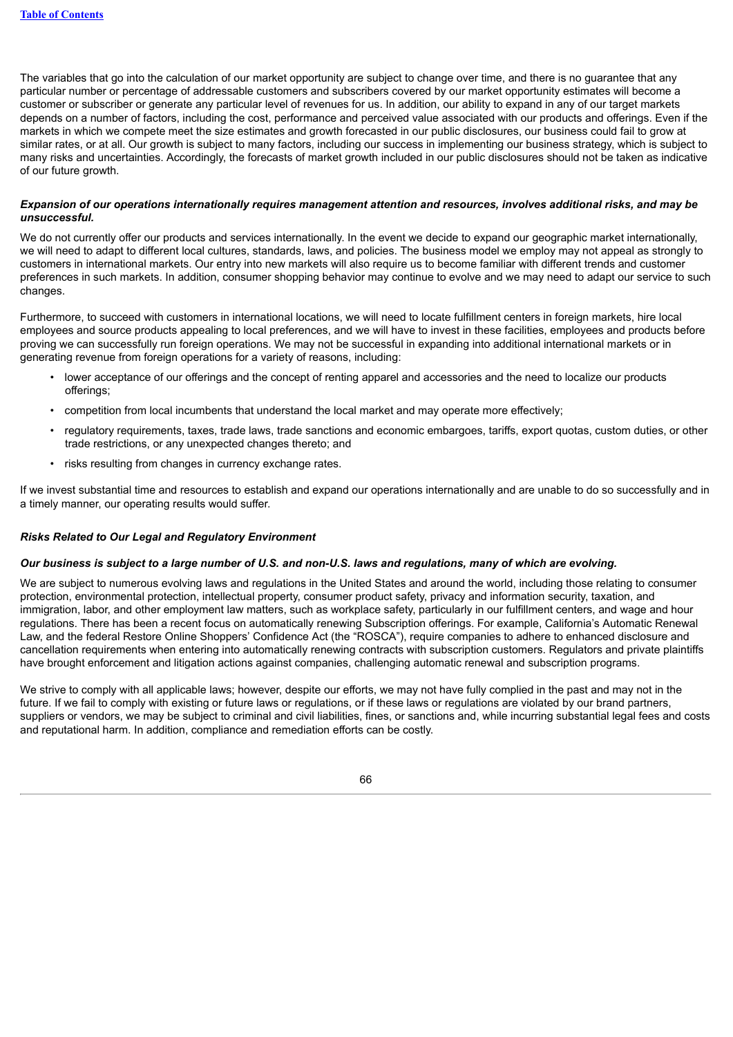The variables that go into the calculation of our market opportunity are subject to change over time, and there is no guarantee that any particular number or percentage of addressable customers and subscribers covered by our market opportunity estimates will become a customer or subscriber or generate any particular level of revenues for us. In addition, our ability to expand in any of our target markets depends on a number of factors, including the cost, performance and perceived value associated with our products and offerings. Even if the markets in which we compete meet the size estimates and growth forecasted in our public disclosures, our business could fail to grow at similar rates, or at all. Our growth is subject to many factors, including our success in implementing our business strategy, which is subject to many risks and uncertainties. Accordingly, the forecasts of market growth included in our public disclosures should not be taken as indicative of our future growth.

# Expansion of our operations internationally requires management attention and resources, involves additional risks, and may be *unsuccessful.*

We do not currently offer our products and services internationally. In the event we decide to expand our geographic market internationally. we will need to adapt to different local cultures, standards, laws, and policies. The business model we employ may not appeal as strongly to customers in international markets. Our entry into new markets will also require us to become familiar with different trends and customer preferences in such markets. In addition, consumer shopping behavior may continue to evolve and we may need to adapt our service to such changes.

Furthermore, to succeed with customers in international locations, we will need to locate fulfillment centers in foreign markets, hire local employees and source products appealing to local preferences, and we will have to invest in these facilities, employees and products before proving we can successfully run foreign operations. We may not be successful in expanding into additional international markets or in generating revenue from foreign operations for a variety of reasons, including:

- lower acceptance of our offerings and the concept of renting apparel and accessories and the need to localize our products offerings;
- competition from local incumbents that understand the local market and may operate more effectively;
- regulatory requirements, taxes, trade laws, trade sanctions and economic embargoes, tariffs, export quotas, custom duties, or other trade restrictions, or any unexpected changes thereto; and
- risks resulting from changes in currency exchange rates.

If we invest substantial time and resources to establish and expand our operations internationally and are unable to do so successfully and in a timely manner, our operating results would suffer.

# *Risks Related to Our Legal and Regulatory Environment*

# Our business is subject to a large number of U.S. and non-U.S. laws and regulations, many of which are evolving.

We are subject to numerous evolving laws and regulations in the United States and around the world, including those relating to consumer protection, environmental protection, intellectual property, consumer product safety, privacy and information security, taxation, and immigration, labor, and other employment law matters, such as workplace safety, particularly in our fulfillment centers, and wage and hour regulations. There has been a recent focus on automatically renewing Subscription offerings. For example, California's Automatic Renewal Law, and the federal Restore Online Shoppers' Confidence Act (the "ROSCA"), require companies to adhere to enhanced disclosure and cancellation requirements when entering into automatically renewing contracts with subscription customers. Regulators and private plaintiffs have brought enforcement and litigation actions against companies, challenging automatic renewal and subscription programs.

We strive to comply with all applicable laws; however, despite our efforts, we may not have fully complied in the past and may not in the future. If we fail to comply with existing or future laws or regulations, or if these laws or regulations are violated by our brand partners, suppliers or vendors, we may be subject to criminal and civil liabilities, fines, or sanctions and, while incurring substantial legal fees and costs and reputational harm. In addition, compliance and remediation efforts can be costly.

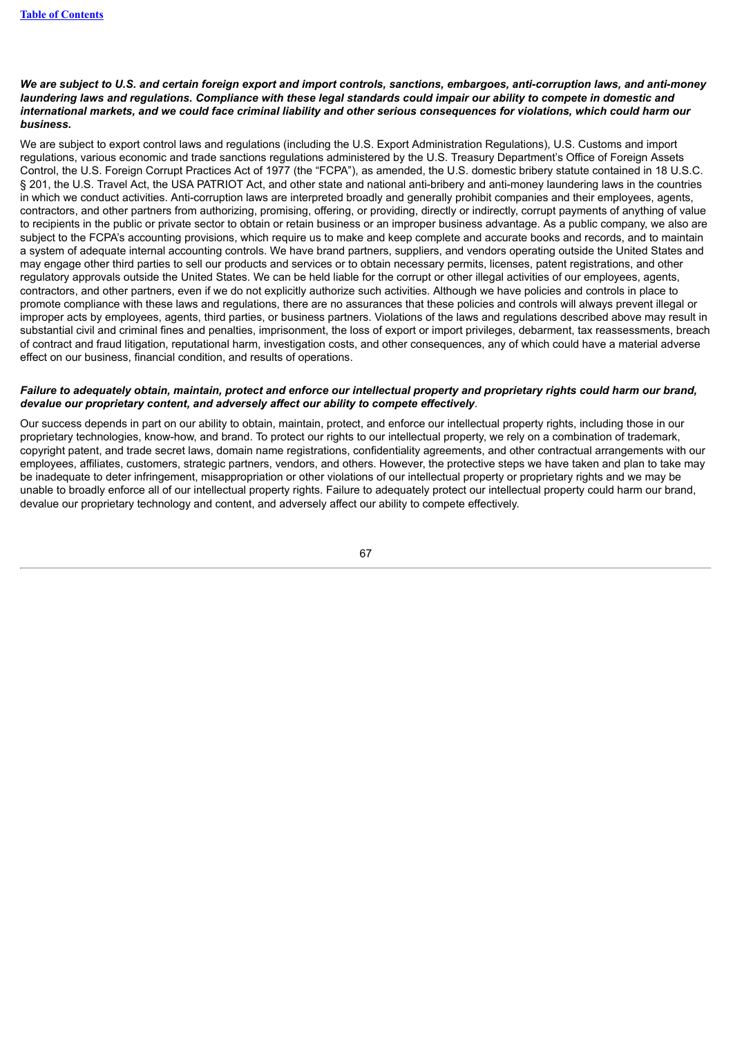# We are subject to U.S. and certain foreign export and import controls, sanctions, embargoes, anti-corruption laws, and anti-money laundering laws and regulations. Compliance with these legal standards could impair our ability to compete in domestic and international markets, and we could face criminal liability and other serious consequences for violations, which could harm our *business***.**

We are subject to export control laws and regulations (including the U.S. Export Administration Regulations), U.S. Customs and import regulations, various economic and trade sanctions regulations administered by the U.S. Treasury Department's Office of Foreign Assets Control, the U.S. Foreign Corrupt Practices Act of 1977 (the "FCPA"), as amended, the U.S. domestic bribery statute contained in 18 U.S.C. § 201, the U.S. Travel Act, the USA PATRIOT Act, and other state and national anti-bribery and anti-money laundering laws in the countries in which we conduct activities. Anti-corruption laws are interpreted broadly and generally prohibit companies and their employees, agents, contractors, and other partners from authorizing, promising, offering, or providing, directly or indirectly, corrupt payments of anything of value to recipients in the public or private sector to obtain or retain business or an improper business advantage. As a public company, we also are subject to the FCPA's accounting provisions, which require us to make and keep complete and accurate books and records, and to maintain a system of adequate internal accounting controls. We have brand partners, suppliers, and vendors operating outside the United States and may engage other third parties to sell our products and services or to obtain necessary permits, licenses, patent registrations, and other regulatory approvals outside the United States. We can be held liable for the corrupt or other illegal activities of our employees, agents, contractors, and other partners, even if we do not explicitly authorize such activities. Although we have policies and controls in place to promote compliance with these laws and regulations, there are no assurances that these policies and controls will always prevent illegal or improper acts by employees, agents, third parties, or business partners. Violations of the laws and regulations described above may result in substantial civil and criminal fines and penalties, imprisonment, the loss of export or import privileges, debarment, tax reassessments, breach of contract and fraud litigation, reputational harm, investigation costs, and other consequences, any of which could have a material adverse effect on our business, financial condition, and results of operations.

# Failure to adequately obtain, maintain, protect and enforce our intellectual property and proprietary rights could harm our brand, *devalue our proprietary content, and adversely affect our ability to compete effectively*.

Our success depends in part on our ability to obtain, maintain, protect, and enforce our intellectual property rights, including those in our proprietary technologies, know-how, and brand. To protect our rights to our intellectual property, we rely on a combination of trademark, copyright patent, and trade secret laws, domain name registrations, confidentiality agreements, and other contractual arrangements with our employees, affiliates, customers, strategic partners, vendors, and others. However, the protective steps we have taken and plan to take may be inadequate to deter infringement, misappropriation or other violations of our intellectual property or proprietary rights and we may be unable to broadly enforce all of our intellectual property rights. Failure to adequately protect our intellectual property could harm our brand, devalue our proprietary technology and content, and adversely affect our ability to compete effectively.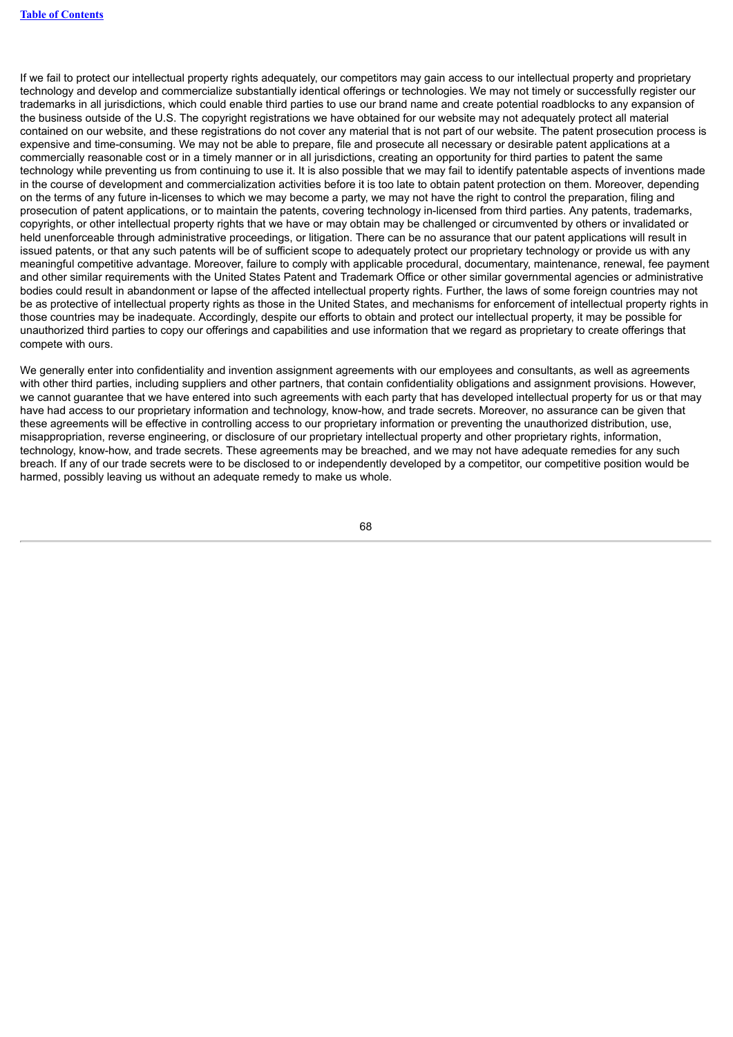If we fail to protect our intellectual property rights adequately, our competitors may gain access to our intellectual property and proprietary technology and develop and commercialize substantially identical offerings or technologies. We may not timely or successfully register our trademarks in all jurisdictions, which could enable third parties to use our brand name and create potential roadblocks to any expansion of the business outside of the U.S. The copyright registrations we have obtained for our website may not adequately protect all material contained on our website, and these registrations do not cover any material that is not part of our website. The patent prosecution process is expensive and time-consuming. We may not be able to prepare, file and prosecute all necessary or desirable patent applications at a commercially reasonable cost or in a timely manner or in all jurisdictions, creating an opportunity for third parties to patent the same technology while preventing us from continuing to use it. It is also possible that we may fail to identify patentable aspects of inventions made in the course of development and commercialization activities before it is too late to obtain patent protection on them. Moreover, depending on the terms of any future in-licenses to which we may become a party, we may not have the right to control the preparation, filing and prosecution of patent applications, or to maintain the patents, covering technology in-licensed from third parties. Any patents, trademarks, copyrights, or other intellectual property rights that we have or may obtain may be challenged or circumvented by others or invalidated or held unenforceable through administrative proceedings, or litigation. There can be no assurance that our patent applications will result in issued patents, or that any such patents will be of sufficient scope to adequately protect our proprietary technology or provide us with any meaningful competitive advantage. Moreover, failure to comply with applicable procedural, documentary, maintenance, renewal, fee payment and other similar requirements with the United States Patent and Trademark Office or other similar governmental agencies or administrative bodies could result in abandonment or lapse of the affected intellectual property rights. Further, the laws of some foreign countries may not be as protective of intellectual property rights as those in the United States, and mechanisms for enforcement of intellectual property rights in those countries may be inadequate. Accordingly, despite our efforts to obtain and protect our intellectual property, it may be possible for unauthorized third parties to copy our offerings and capabilities and use information that we regard as proprietary to create offerings that compete with ours.

We generally enter into confidentiality and invention assignment agreements with our employees and consultants, as well as agreements with other third parties, including suppliers and other partners, that contain confidentiality obligations and assignment provisions. However, we cannot guarantee that we have entered into such agreements with each party that has developed intellectual property for us or that may have had access to our proprietary information and technology, know-how, and trade secrets. Moreover, no assurance can be given that these agreements will be effective in controlling access to our proprietary information or preventing the unauthorized distribution, use, misappropriation, reverse engineering, or disclosure of our proprietary intellectual property and other proprietary rights, information, technology, know-how, and trade secrets. These agreements may be breached, and we may not have adequate remedies for any such breach. If any of our trade secrets were to be disclosed to or independently developed by a competitor, our competitive position would be harmed, possibly leaving us without an adequate remedy to make us whole.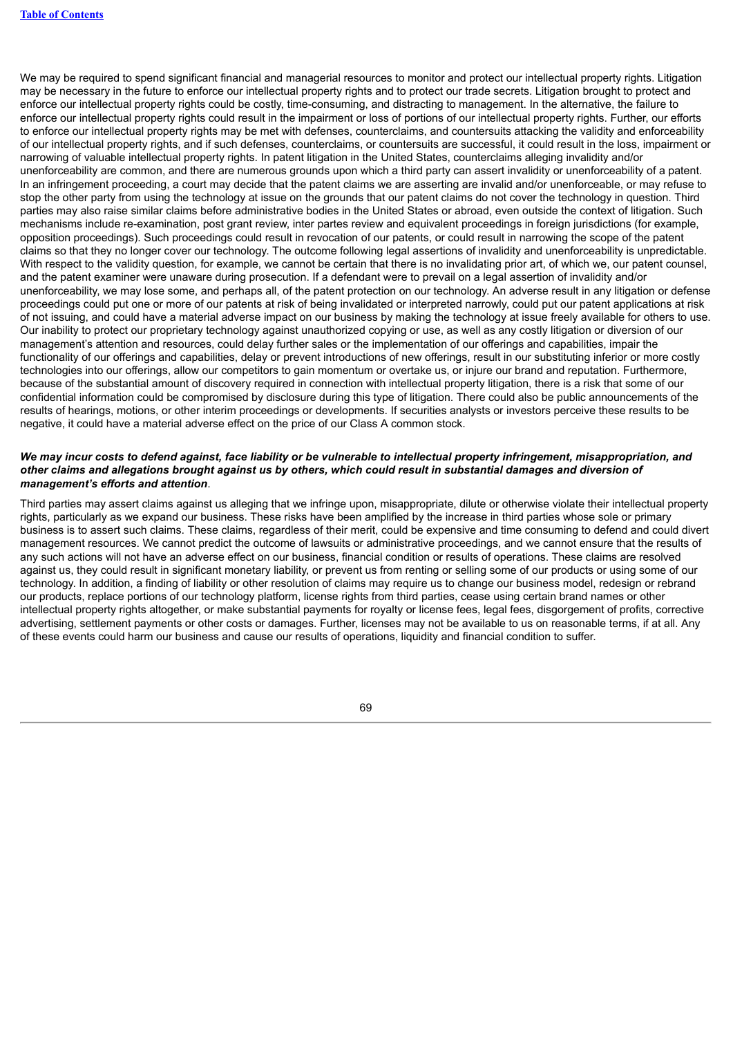We may be required to spend significant financial and managerial resources to monitor and protect our intellectual property rights. Litigation may be necessary in the future to enforce our intellectual property rights and to protect our trade secrets. Litigation brought to protect and enforce our intellectual property rights could be costly, time-consuming, and distracting to management. In the alternative, the failure to enforce our intellectual property rights could result in the impairment or loss of portions of our intellectual property rights. Further, our efforts to enforce our intellectual property rights may be met with defenses, counterclaims, and countersuits attacking the validity and enforceability of our intellectual property rights, and if such defenses, counterclaims, or countersuits are successful, it could result in the loss, impairment or narrowing of valuable intellectual property rights. In patent litigation in the United States, counterclaims alleging invalidity and/or unenforceability are common, and there are numerous grounds upon which a third party can assert invalidity or unenforceability of a patent. In an infringement proceeding, a court may decide that the patent claims we are asserting are invalid and/or unenforceable, or may refuse to stop the other party from using the technology at issue on the grounds that our patent claims do not cover the technology in question. Third parties may also raise similar claims before administrative bodies in the United States or abroad, even outside the context of litigation. Such mechanisms include re-examination, post grant review, inter partes review and equivalent proceedings in foreign jurisdictions (for example, opposition proceedings). Such proceedings could result in revocation of our patents, or could result in narrowing the scope of the patent claims so that they no longer cover our technology. The outcome following legal assertions of invalidity and unenforceability is unpredictable. With respect to the validity question, for example, we cannot be certain that there is no invalidating prior art, of which we, our patent counsel, and the patent examiner were unaware during prosecution. If a defendant were to prevail on a legal assertion of invalidity and/or unenforceability, we may lose some, and perhaps all, of the patent protection on our technology. An adverse result in any litigation or defense proceedings could put one or more of our patents at risk of being invalidated or interpreted narrowly, could put our patent applications at risk of not issuing, and could have a material adverse impact on our business by making the technology at issue freely available for others to use. Our inability to protect our proprietary technology against unauthorized copying or use, as well as any costly litigation or diversion of our management's attention and resources, could delay further sales or the implementation of our offerings and capabilities, impair the functionality of our offerings and capabilities, delay or prevent introductions of new offerings, result in our substituting inferior or more costly technologies into our offerings, allow our competitors to gain momentum or overtake us, or injure our brand and reputation. Furthermore, because of the substantial amount of discovery required in connection with intellectual property litigation, there is a risk that some of our confidential information could be compromised by disclosure during this type of litigation. There could also be public announcements of the results of hearings, motions, or other interim proceedings or developments. If securities analysts or investors perceive these results to be negative, it could have a material adverse effect on the price of our Class A common stock.

# We may incur costs to defend against, face liability or be vulnerable to intellectual property infringement, misappropriation. and other claims and allegations brought against us by others, which could result in substantial damages and diversion of *management's efforts and attention*.

Third parties may assert claims against us alleging that we infringe upon, misappropriate, dilute or otherwise violate their intellectual property rights, particularly as we expand our business. These risks have been amplified by the increase in third parties whose sole or primary business is to assert such claims. These claims, regardless of their merit, could be expensive and time consuming to defend and could divert management resources. We cannot predict the outcome of lawsuits or administrative proceedings, and we cannot ensure that the results of any such actions will not have an adverse effect on our business, financial condition or results of operations. These claims are resolved against us, they could result in significant monetary liability, or prevent us from renting or selling some of our products or using some of our technology. In addition, a finding of liability or other resolution of claims may require us to change our business model, redesign or rebrand our products, replace portions of our technology platform, license rights from third parties, cease using certain brand names or other intellectual property rights altogether, or make substantial payments for royalty or license fees, legal fees, disgorgement of profits, corrective advertising, settlement payments or other costs or damages. Further, licenses may not be available to us on reasonable terms, if at all. Any of these events could harm our business and cause our results of operations, liquidity and financial condition to suffer.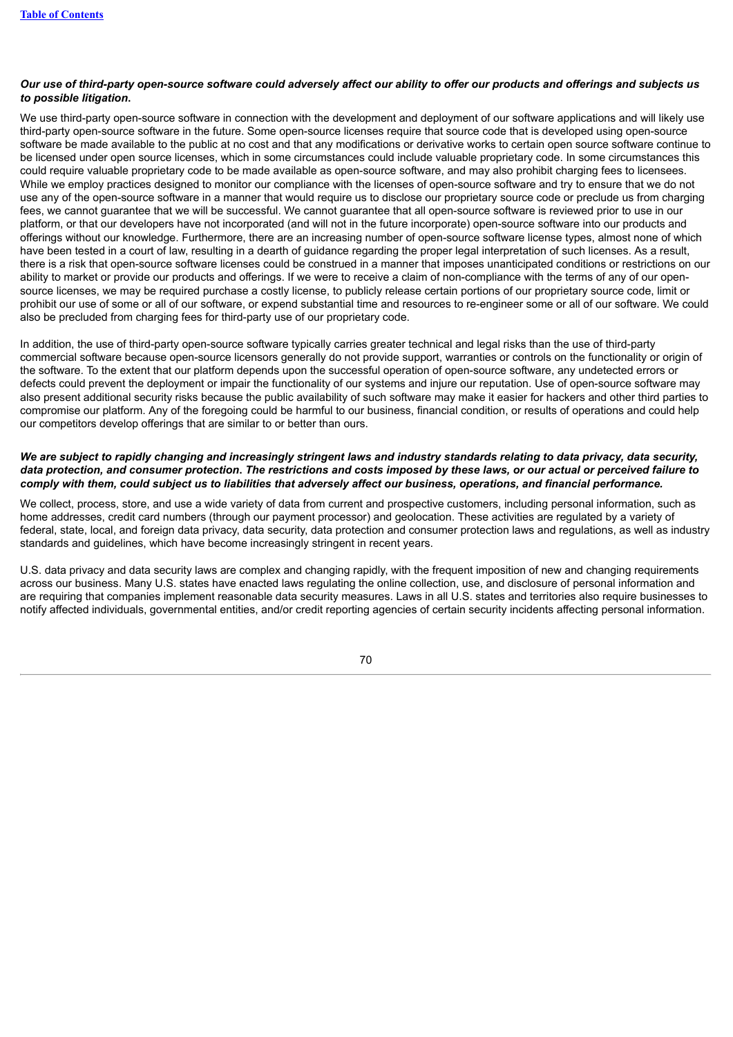## Our use of third-party open-source software could adversely affect our ability to offer our products and offerings and subjects us *to possible litigation***.**

We use third-party open-source software in connection with the development and deployment of our software applications and will likely use third-party open-source software in the future. Some open-source licenses require that source code that is developed using open-source software be made available to the public at no cost and that any modifications or derivative works to certain open source software continue to be licensed under open source licenses, which in some circumstances could include valuable proprietary code. In some circumstances this could require valuable proprietary code to be made available as open-source software, and may also prohibit charging fees to licensees. While we employ practices designed to monitor our compliance with the licenses of open-source software and try to ensure that we do not use any of the open-source software in a manner that would require us to disclose our proprietary source code or preclude us from charging fees, we cannot guarantee that we will be successful. We cannot guarantee that all open-source software is reviewed prior to use in our platform, or that our developers have not incorporated (and will not in the future incorporate) open-source software into our products and offerings without our knowledge. Furthermore, there are an increasing number of open-source software license types, almost none of which have been tested in a court of law, resulting in a dearth of guidance regarding the proper legal interpretation of such licenses. As a result, there is a risk that open-source software licenses could be construed in a manner that imposes unanticipated conditions or restrictions on our ability to market or provide our products and offerings. If we were to receive a claim of non-compliance with the terms of any of our opensource licenses, we may be required purchase a costly license, to publicly release certain portions of our proprietary source code, limit or prohibit our use of some or all of our software, or expend substantial time and resources to re-engineer some or all of our software. We could also be precluded from charging fees for third-party use of our proprietary code.

In addition, the use of third-party open-source software typically carries greater technical and legal risks than the use of third-party commercial software because open-source licensors generally do not provide support, warranties or controls on the functionality or origin of the software. To the extent that our platform depends upon the successful operation of open-source software, any undetected errors or defects could prevent the deployment or impair the functionality of our systems and injure our reputation. Use of open-source software may also present additional security risks because the public availability of such software may make it easier for hackers and other third parties to compromise our platform. Any of the foregoing could be harmful to our business, financial condition, or results of operations and could help our competitors develop offerings that are similar to or better than ours.

# We are subject to rapidly changing and increasingly stringent laws and industry standards relating to data privacy, data security, data protection, and consumer protection. The restrictions and costs imposed by these laws, or our actual or perceived failure to comply with them, could subject us to liabilities that adversely affect our business, operations, and financial performance.

We collect, process, store, and use a wide variety of data from current and prospective customers, including personal information, such as home addresses, credit card numbers (through our payment processor) and geolocation. These activities are regulated by a variety of federal, state, local, and foreign data privacy, data security, data protection and consumer protection laws and regulations, as well as industry standards and guidelines, which have become increasingly stringent in recent years.

U.S. data privacy and data security laws are complex and changing rapidly, with the frequent imposition of new and changing requirements across our business. Many U.S. states have enacted laws regulating the online collection, use, and disclosure of personal information and are requiring that companies implement reasonable data security measures. Laws in all U.S. states and territories also require businesses to notify affected individuals, governmental entities, and/or credit reporting agencies of certain security incidents affecting personal information.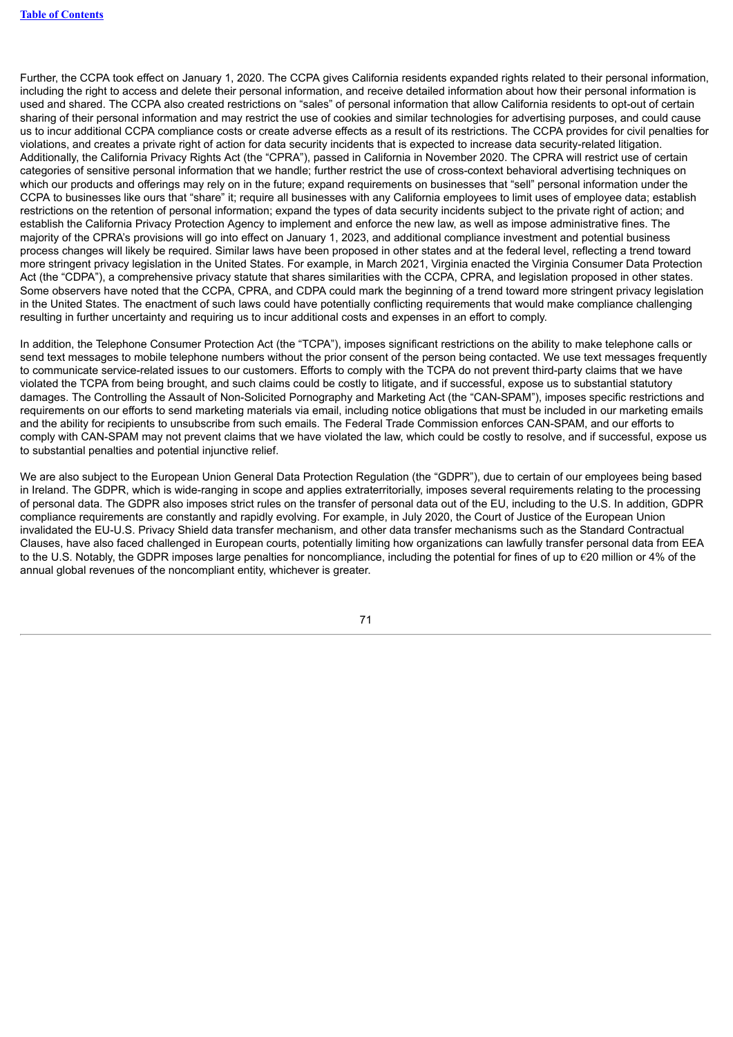Further, the CCPA took effect on January 1, 2020. The CCPA gives California residents expanded rights related to their personal information, including the right to access and delete their personal information, and receive detailed information about how their personal information is used and shared. The CCPA also created restrictions on "sales" of personal information that allow California residents to opt-out of certain sharing of their personal information and may restrict the use of cookies and similar technologies for advertising purposes, and could cause us to incur additional CCPA compliance costs or create adverse effects as a result of its restrictions. The CCPA provides for civil penalties for violations, and creates a private right of action for data security incidents that is expected to increase data security-related litigation. Additionally, the California Privacy Rights Act (the "CPRA"), passed in California in November 2020. The CPRA will restrict use of certain categories of sensitive personal information that we handle; further restrict the use of cross-context behavioral advertising techniques on which our products and offerings may rely on in the future; expand requirements on businesses that "sell" personal information under the CCPA to businesses like ours that "share" it; require all businesses with any California employees to limit uses of employee data; establish restrictions on the retention of personal information; expand the types of data security incidents subject to the private right of action; and establish the California Privacy Protection Agency to implement and enforce the new law, as well as impose administrative fines. The majority of the CPRA's provisions will go into effect on January 1, 2023, and additional compliance investment and potential business process changes will likely be required. Similar laws have been proposed in other states and at the federal level, reflecting a trend toward more stringent privacy legislation in the United States. For example, in March 2021, Virginia enacted the Virginia Consumer Data Protection Act (the "CDPA"), a comprehensive privacy statute that shares similarities with the CCPA, CPRA, and legislation proposed in other states. Some observers have noted that the CCPA, CPRA, and CDPA could mark the beginning of a trend toward more stringent privacy legislation in the United States. The enactment of such laws could have potentially conflicting requirements that would make compliance challenging resulting in further uncertainty and requiring us to incur additional costs and expenses in an effort to comply.

In addition, the Telephone Consumer Protection Act (the "TCPA"), imposes significant restrictions on the ability to make telephone calls or send text messages to mobile telephone numbers without the prior consent of the person being contacted. We use text messages frequently to communicate service-related issues to our customers. Efforts to comply with the TCPA do not prevent third-party claims that we have violated the TCPA from being brought, and such claims could be costly to litigate, and if successful, expose us to substantial statutory damages. The Controlling the Assault of Non-Solicited Pornography and Marketing Act (the "CAN-SPAM"), imposes specific restrictions and requirements on our efforts to send marketing materials via email, including notice obligations that must be included in our marketing emails and the ability for recipients to unsubscribe from such emails. The Federal Trade Commission enforces CAN-SPAM, and our efforts to comply with CAN-SPAM may not prevent claims that we have violated the law, which could be costly to resolve, and if successful, expose us to substantial penalties and potential injunctive relief.

We are also subject to the European Union General Data Protection Regulation (the "GDPR"), due to certain of our employees being based in Ireland. The GDPR, which is wide-ranging in scope and applies extraterritorially, imposes several requirements relating to the processing of personal data. The GDPR also imposes strict rules on the transfer of personal data out of the EU, including to the U.S. In addition, GDPR compliance requirements are constantly and rapidly evolving. For example, in July 2020, the Court of Justice of the European Union invalidated the EU-U.S. Privacy Shield data transfer mechanism, and other data transfer mechanisms such as the Standard Contractual Clauses, have also faced challenged in European courts, potentially limiting how organizations can lawfully transfer personal data from EEA to the U.S. Notably, the GDPR imposes large penalties for noncompliance, including the potential for fines of up to €20 million or 4% of the annual global revenues of the noncompliant entity, whichever is greater.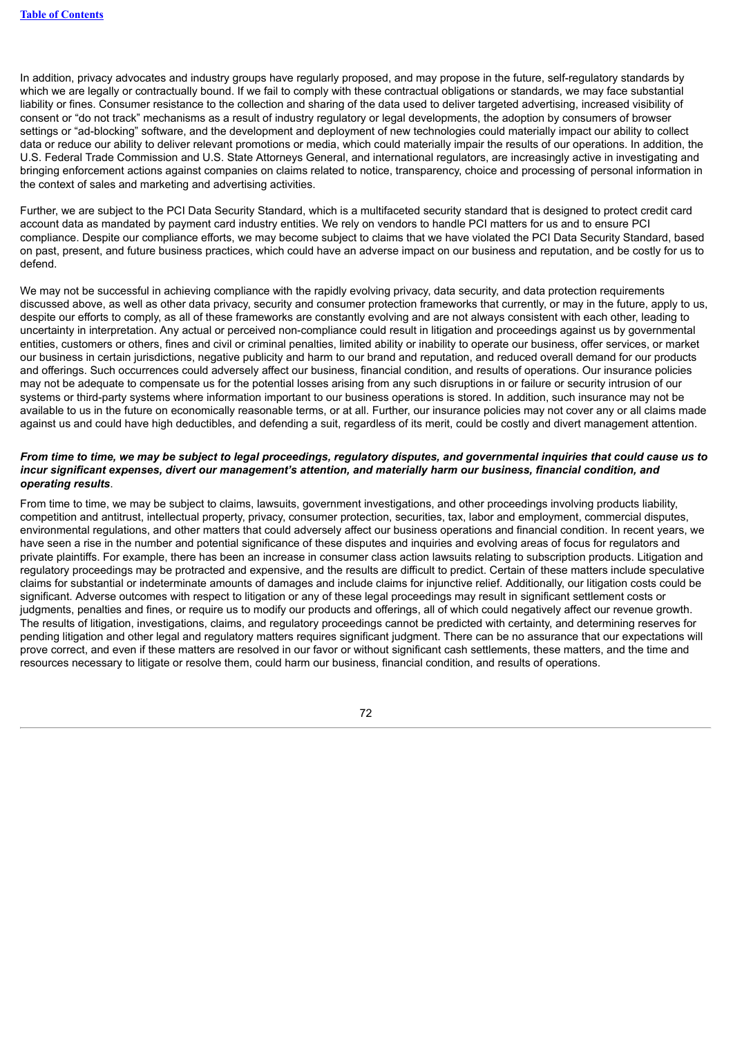In addition, privacy advocates and industry groups have regularly proposed, and may propose in the future, self-regulatory standards by which we are legally or contractually bound. If we fail to comply with these contractual obligations or standards, we may face substantial liability or fines. Consumer resistance to the collection and sharing of the data used to deliver targeted advertising, increased visibility of consent or "do not track" mechanisms as a result of industry regulatory or legal developments, the adoption by consumers of browser settings or "ad-blocking" software, and the development and deployment of new technologies could materially impact our ability to collect data or reduce our ability to deliver relevant promotions or media, which could materially impair the results of our operations. In addition, the U.S. Federal Trade Commission and U.S. State Attorneys General, and international regulators, are increasingly active in investigating and bringing enforcement actions against companies on claims related to notice, transparency, choice and processing of personal information in the context of sales and marketing and advertising activities.

Further, we are subject to the PCI Data Security Standard, which is a multifaceted security standard that is designed to protect credit card account data as mandated by payment card industry entities. We rely on vendors to handle PCI matters for us and to ensure PCI compliance. Despite our compliance efforts, we may become subject to claims that we have violated the PCI Data Security Standard, based on past, present, and future business practices, which could have an adverse impact on our business and reputation, and be costly for us to defend.

We may not be successful in achieving compliance with the rapidly evolving privacy, data security, and data protection requirements discussed above, as well as other data privacy, security and consumer protection frameworks that currently, or may in the future, apply to us, despite our efforts to comply, as all of these frameworks are constantly evolving and are not always consistent with each other, leading to uncertainty in interpretation. Any actual or perceived non-compliance could result in litigation and proceedings against us by governmental entities, customers or others, fines and civil or criminal penalties, limited ability or inability to operate our business, offer services, or market our business in certain jurisdictions, negative publicity and harm to our brand and reputation, and reduced overall demand for our products and offerings. Such occurrences could adversely affect our business, financial condition, and results of operations. Our insurance policies may not be adequate to compensate us for the potential losses arising from any such disruptions in or failure or security intrusion of our systems or third-party systems where information important to our business operations is stored. In addition, such insurance may not be available to us in the future on economically reasonable terms, or at all. Further, our insurance policies may not cover any or all claims made against us and could have high deductibles, and defending a suit, regardless of its merit, could be costly and divert management attention.

## From time to time, we may be subject to legal proceedings, regulatory disputes, and governmental inguiries that could cause us to incur significant expenses, divert our management's attention, and materially harm our business, financial condition, and *operating results*.

From time to time, we may be subject to claims, lawsuits, government investigations, and other proceedings involving products liability, competition and antitrust, intellectual property, privacy, consumer protection, securities, tax, labor and employment, commercial disputes, environmental regulations, and other matters that could adversely affect our business operations and financial condition. In recent years, we have seen a rise in the number and potential significance of these disputes and inquiries and evolving areas of focus for regulators and private plaintiffs. For example, there has been an increase in consumer class action lawsuits relating to subscription products. Litigation and regulatory proceedings may be protracted and expensive, and the results are difficult to predict. Certain of these matters include speculative claims for substantial or indeterminate amounts of damages and include claims for injunctive relief. Additionally, our litigation costs could be significant. Adverse outcomes with respect to litigation or any of these legal proceedings may result in significant settlement costs or judgments, penalties and fines, or require us to modify our products and offerings, all of which could negatively affect our revenue growth. The results of litigation, investigations, claims, and regulatory proceedings cannot be predicted with certainty, and determining reserves for pending litigation and other legal and regulatory matters requires significant judgment. There can be no assurance that our expectations will prove correct, and even if these matters are resolved in our favor or without significant cash settlements, these matters, and the time and resources necessary to litigate or resolve them, could harm our business, financial condition, and results of operations.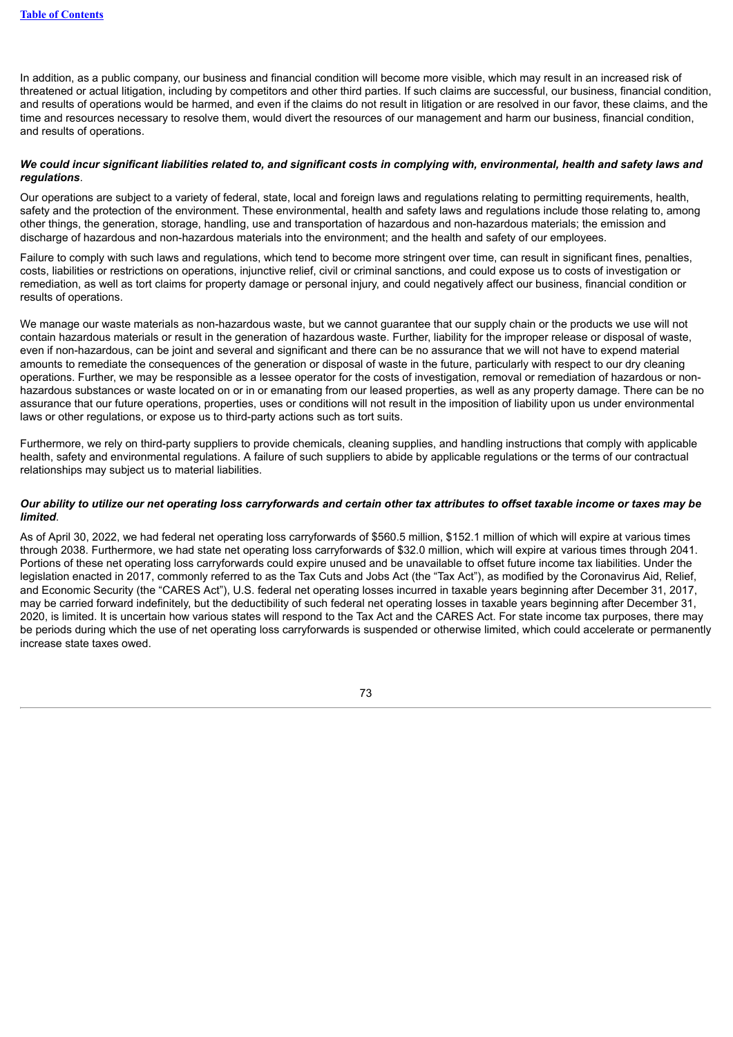In addition, as a public company, our business and financial condition will become more visible, which may result in an increased risk of threatened or actual litigation, including by competitors and other third parties. If such claims are successful, our business, financial condition, and results of operations would be harmed, and even if the claims do not result in litigation or are resolved in our favor, these claims, and the time and resources necessary to resolve them, would divert the resources of our management and harm our business, financial condition, and results of operations.

## We could incur significant liabilities related to, and significant costs in complying with, environmental, health and safety laws and *regulations*.

Our operations are subject to a variety of federal, state, local and foreign laws and regulations relating to permitting requirements, health, safety and the protection of the environment. These environmental, health and safety laws and regulations include those relating to, among other things, the generation, storage, handling, use and transportation of hazardous and non-hazardous materials; the emission and discharge of hazardous and non-hazardous materials into the environment; and the health and safety of our employees.

Failure to comply with such laws and regulations, which tend to become more stringent over time, can result in significant fines, penalties, costs, liabilities or restrictions on operations, injunctive relief, civil or criminal sanctions, and could expose us to costs of investigation or remediation, as well as tort claims for property damage or personal injury, and could negatively affect our business, financial condition or results of operations.

We manage our waste materials as non-hazardous waste, but we cannot guarantee that our supply chain or the products we use will not contain hazardous materials or result in the generation of hazardous waste. Further, liability for the improper release or disposal of waste, even if non-hazardous, can be joint and several and significant and there can be no assurance that we will not have to expend material amounts to remediate the consequences of the generation or disposal of waste in the future, particularly with respect to our dry cleaning operations. Further, we may be responsible as a lessee operator for the costs of investigation, removal or remediation of hazardous or nonhazardous substances or waste located on or in or emanating from our leased properties, as well as any property damage. There can be no assurance that our future operations, properties, uses or conditions will not result in the imposition of liability upon us under environmental laws or other regulations, or expose us to third-party actions such as tort suits.

Furthermore, we rely on third-party suppliers to provide chemicals, cleaning supplies, and handling instructions that comply with applicable health, safety and environmental regulations. A failure of such suppliers to abide by applicable regulations or the terms of our contractual relationships may subject us to material liabilities.

## Our ability to utilize our net operating loss carryforwards and certain other tax attributes to offset taxable income or taxes may be *limited*.

As of April 30, 2022, we had federal net operating loss carryforwards of \$560.5 million, \$152.1 million of which will expire at various times through 2038. Furthermore, we had state net operating loss carryforwards of \$32.0 million, which will expire at various times through 2041. Portions of these net operating loss carryforwards could expire unused and be unavailable to offset future income tax liabilities. Under the legislation enacted in 2017, commonly referred to as the Tax Cuts and Jobs Act (the "Tax Act"), as modified by the Coronavirus Aid, Relief, and Economic Security (the "CARES Act"), U.S. federal net operating losses incurred in taxable years beginning after December 31, 2017, may be carried forward indefinitely, but the deductibility of such federal net operating losses in taxable years beginning after December 31, 2020, is limited. It is uncertain how various states will respond to the Tax Act and the CARES Act. For state income tax purposes, there may be periods during which the use of net operating loss carryforwards is suspended or otherwise limited, which could accelerate or permanently increase state taxes owed.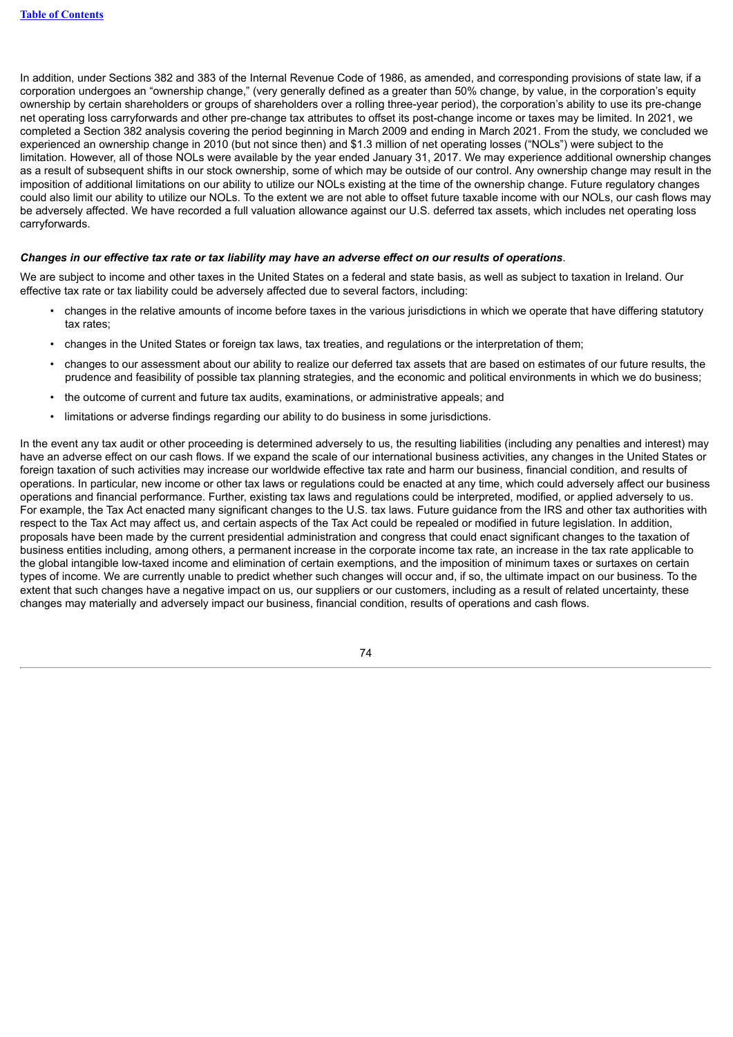In addition, under Sections 382 and 383 of the Internal Revenue Code of 1986, as amended, and corresponding provisions of state law, if a corporation undergoes an "ownership change," (very generally defined as a greater than 50% change, by value, in the corporation's equity ownership by certain shareholders or groups of shareholders over a rolling three-year period), the corporation's ability to use its pre-change net operating loss carryforwards and other pre-change tax attributes to offset its post-change income or taxes may be limited. In 2021, we completed a Section 382 analysis covering the period beginning in March 2009 and ending in March 2021. From the study, we concluded we experienced an ownership change in 2010 (but not since then) and \$1.3 million of net operating losses ("NOLs") were subject to the limitation. However, all of those NOLs were available by the year ended January 31, 2017. We may experience additional ownership changes as a result of subsequent shifts in our stock ownership, some of which may be outside of our control. Any ownership change may result in the imposition of additional limitations on our ability to utilize our NOLs existing at the time of the ownership change. Future regulatory changes could also limit our ability to utilize our NOLs. To the extent we are not able to offset future taxable income with our NOLs, our cash flows may be adversely affected. We have recorded a full valuation allowance against our U.S. deferred tax assets, which includes net operating loss carryforwards.

#### Changes in our effective tax rate or tax liability may have an adverse effect on our results of operations.

We are subject to income and other taxes in the United States on a federal and state basis, as well as subject to taxation in Ireland. Our effective tax rate or tax liability could be adversely affected due to several factors, including:

- changes in the relative amounts of income before taxes in the various jurisdictions in which we operate that have differing statutory tax rates;
- changes in the United States or foreign tax laws, tax treaties, and regulations or the interpretation of them;
- changes to our assessment about our ability to realize our deferred tax assets that are based on estimates of our future results, the prudence and feasibility of possible tax planning strategies, and the economic and political environments in which we do business;
- the outcome of current and future tax audits, examinations, or administrative appeals; and
- limitations or adverse findings regarding our ability to do business in some jurisdictions.

In the event any tax audit or other proceeding is determined adversely to us, the resulting liabilities (including any penalties and interest) may have an adverse effect on our cash flows. If we expand the scale of our international business activities, any changes in the United States or foreign taxation of such activities may increase our worldwide effective tax rate and harm our business, financial condition, and results of operations. In particular, new income or other tax laws or regulations could be enacted at any time, which could adversely affect our business operations and financial performance. Further, existing tax laws and regulations could be interpreted, modified, or applied adversely to us. For example, the Tax Act enacted many significant changes to the U.S. tax laws. Future guidance from the IRS and other tax authorities with respect to the Tax Act may affect us, and certain aspects of the Tax Act could be repealed or modified in future legislation. In addition, proposals have been made by the current presidential administration and congress that could enact significant changes to the taxation of business entities including, among others, a permanent increase in the corporate income tax rate, an increase in the tax rate applicable to the global intangible low-taxed income and elimination of certain exemptions, and the imposition of minimum taxes or surtaxes on certain types of income. We are currently unable to predict whether such changes will occur and, if so, the ultimate impact on our business. To the extent that such changes have a negative impact on us, our suppliers or our customers, including as a result of related uncertainty, these changes may materially and adversely impact our business, financial condition, results of operations and cash flows.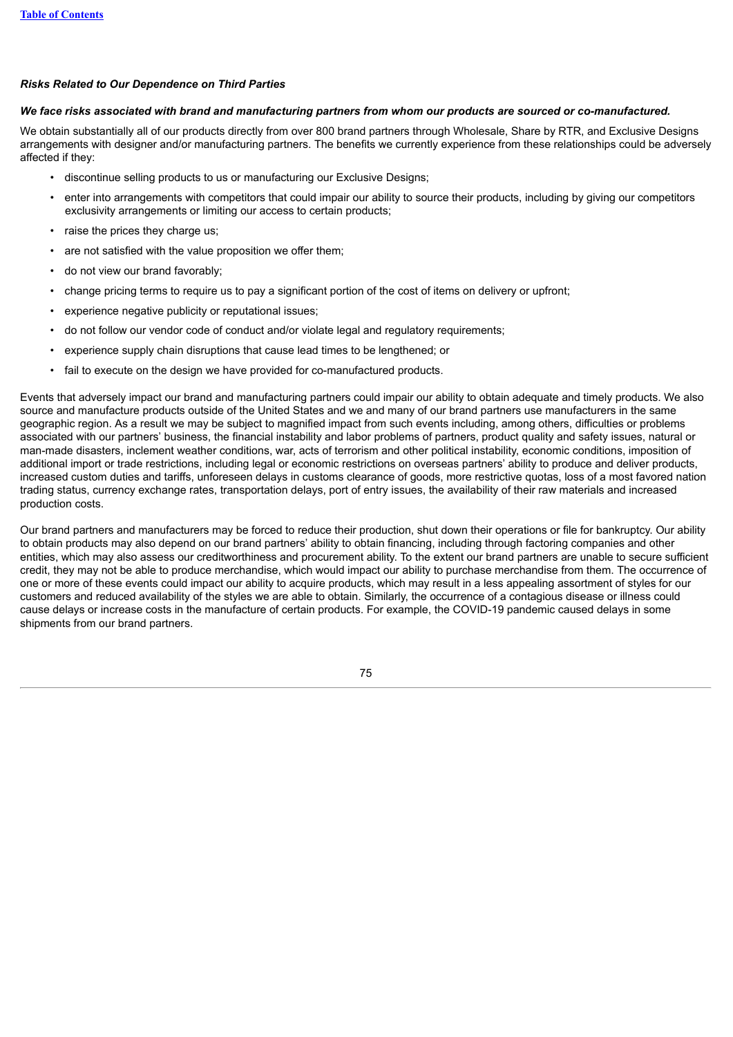# *Risks Related to Our Dependence on Third Parties*

#### We face risks associated with brand and manufacturing partners from whom our products are sourced or co-manufactured.

We obtain substantially all of our products directly from over 800 brand partners through Wholesale, Share by RTR, and Exclusive Designs arrangements with designer and/or manufacturing partners. The benefits we currently experience from these relationships could be adversely affected if they:

- discontinue selling products to us or manufacturing our Exclusive Designs;
- enter into arrangements with competitors that could impair our ability to source their products, including by giving our competitors exclusivity arrangements or limiting our access to certain products;
- raise the prices they charge us;
- are not satisfied with the value proposition we offer them;
- do not view our brand favorably;
- change pricing terms to require us to pay a significant portion of the cost of items on delivery or upfront;
- experience negative publicity or reputational issues;
- do not follow our vendor code of conduct and/or violate legal and regulatory requirements;
- experience supply chain disruptions that cause lead times to be lengthened; or
- fail to execute on the design we have provided for co-manufactured products.

Events that adversely impact our brand and manufacturing partners could impair our ability to obtain adequate and timely products. We also source and manufacture products outside of the United States and we and many of our brand partners use manufacturers in the same geographic region. As a result we may be subject to magnified impact from such events including, among others, difficulties or problems associated with our partners' business, the financial instability and labor problems of partners, product quality and safety issues, natural or man-made disasters, inclement weather conditions, war, acts of terrorism and other political instability, economic conditions, imposition of additional import or trade restrictions, including legal or economic restrictions on overseas partners' ability to produce and deliver products, increased custom duties and tariffs, unforeseen delays in customs clearance of goods, more restrictive quotas, loss of a most favored nation trading status, currency exchange rates, transportation delays, port of entry issues, the availability of their raw materials and increased production costs.

Our brand partners and manufacturers may be forced to reduce their production, shut down their operations or file for bankruptcy. Our ability to obtain products may also depend on our brand partners' ability to obtain financing, including through factoring companies and other entities, which may also assess our creditworthiness and procurement ability. To the extent our brand partners are unable to secure sufficient credit, they may not be able to produce merchandise, which would impact our ability to purchase merchandise from them. The occurrence of one or more of these events could impact our ability to acquire products, which may result in a less appealing assortment of styles for our customers and reduced availability of the styles we are able to obtain. Similarly, the occurrence of a contagious disease or illness could cause delays or increase costs in the manufacture of certain products. For example, the COVID-19 pandemic caused delays in some shipments from our brand partners.

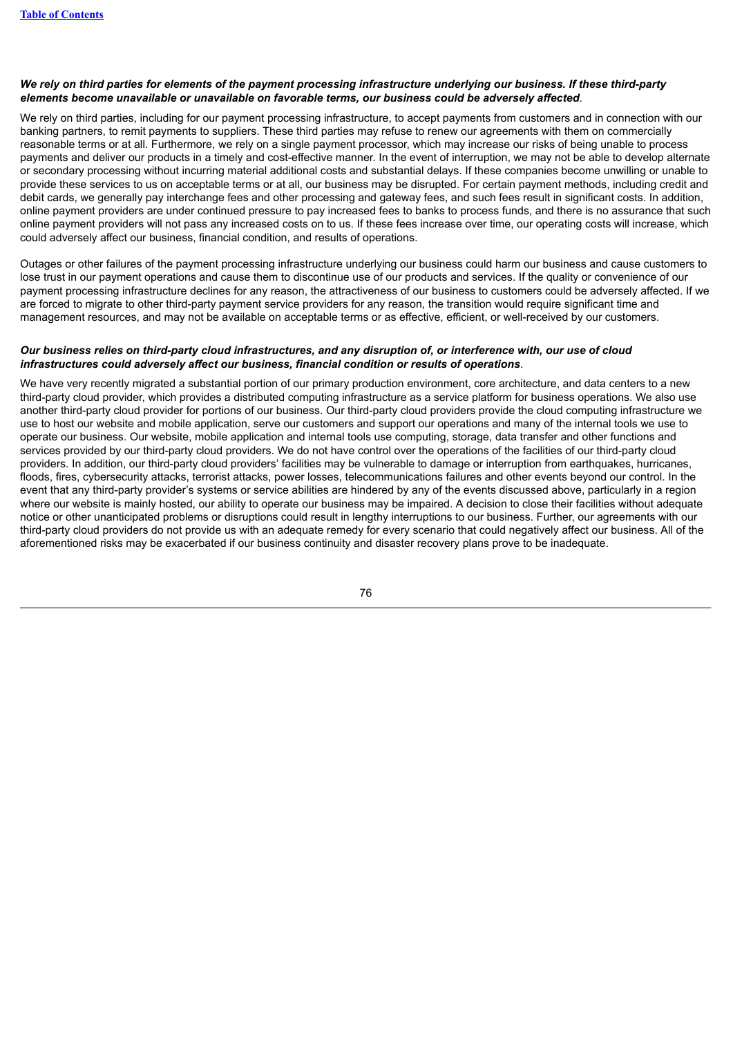## We rely on third parties for elements of the payment processing infrastructure underlying our business. If these third-party *elements become unavailable or unavailable on favorable terms, our business could be adversely affected*.

We rely on third parties, including for our payment processing infrastructure, to accept payments from customers and in connection with our banking partners, to remit payments to suppliers. These third parties may refuse to renew our agreements with them on commercially reasonable terms or at all. Furthermore, we rely on a single payment processor, which may increase our risks of being unable to process payments and deliver our products in a timely and cost-effective manner. In the event of interruption, we may not be able to develop alternate or secondary processing without incurring material additional costs and substantial delays. If these companies become unwilling or unable to provide these services to us on acceptable terms or at all, our business may be disrupted. For certain payment methods, including credit and debit cards, we generally pay interchange fees and other processing and gateway fees, and such fees result in significant costs. In addition, online payment providers are under continued pressure to pay increased fees to banks to process funds, and there is no assurance that such online payment providers will not pass any increased costs on to us. If these fees increase over time, our operating costs will increase, which could adversely affect our business, financial condition, and results of operations.

Outages or other failures of the payment processing infrastructure underlying our business could harm our business and cause customers to lose trust in our payment operations and cause them to discontinue use of our products and services. If the quality or convenience of our payment processing infrastructure declines for any reason, the attractiveness of our business to customers could be adversely affected. If we are forced to migrate to other third-party payment service providers for any reason, the transition would require significant time and management resources, and may not be available on acceptable terms or as effective, efficient, or well-received by our customers.

## Our business relies on third-party cloud infrastructures, and any disruption of, or interference with, our use of cloud *infrastructures could adversely affect our business, financial condition or results of operations*.

We have very recently migrated a substantial portion of our primary production environment, core architecture, and data centers to a new third-party cloud provider, which provides a distributed computing infrastructure as a service platform for business operations. We also use another third-party cloud provider for portions of our business. Our third-party cloud providers provide the cloud computing infrastructure we use to host our website and mobile application, serve our customers and support our operations and many of the internal tools we use to operate our business. Our website, mobile application and internal tools use computing, storage, data transfer and other functions and services provided by our third-party cloud providers. We do not have control over the operations of the facilities of our third-party cloud providers. In addition, our third-party cloud providers' facilities may be vulnerable to damage or interruption from earthquakes, hurricanes, floods, fires, cybersecurity attacks, terrorist attacks, power losses, telecommunications failures and other events beyond our control. In the event that any third-party provider's systems or service abilities are hindered by any of the events discussed above, particularly in a region where our website is mainly hosted, our ability to operate our business may be impaired. A decision to close their facilities without adequate notice or other unanticipated problems or disruptions could result in lengthy interruptions to our business. Further, our agreements with our third-party cloud providers do not provide us with an adequate remedy for every scenario that could negatively affect our business. All of the aforementioned risks may be exacerbated if our business continuity and disaster recovery plans prove to be inadequate.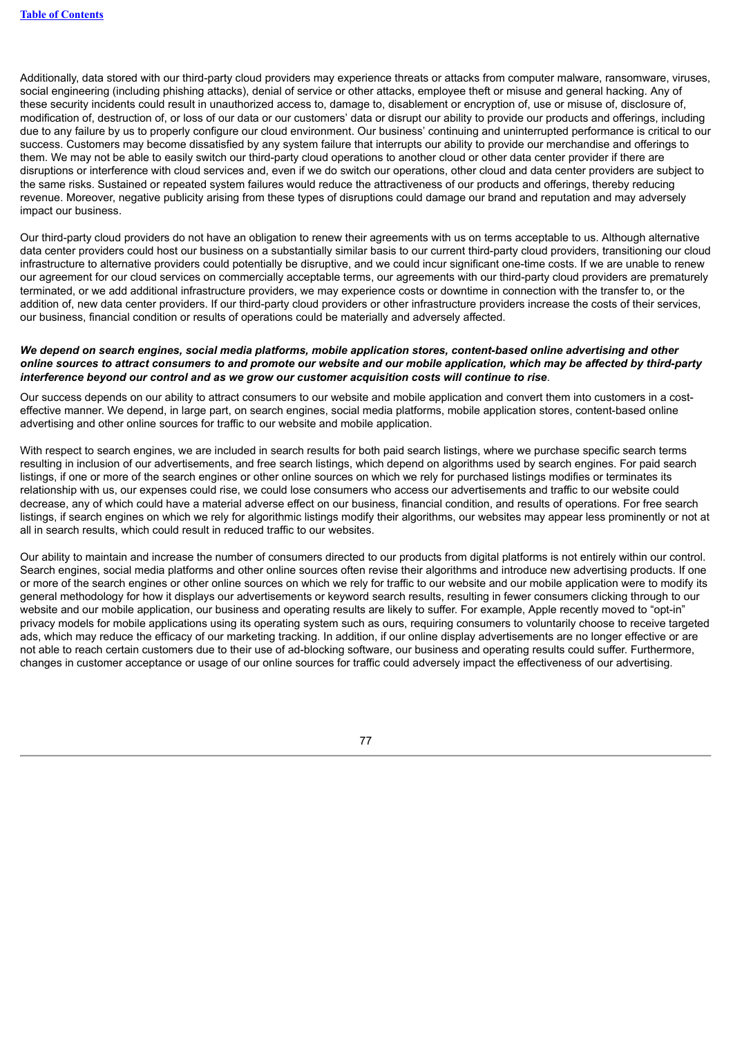Additionally, data stored with our third-party cloud providers may experience threats or attacks from computer malware, ransomware, viruses, social engineering (including phishing attacks), denial of service or other attacks, employee theft or misuse and general hacking. Any of these security incidents could result in unauthorized access to, damage to, disablement or encryption of, use or misuse of, disclosure of, modification of, destruction of, or loss of our data or our customers' data or disrupt our ability to provide our products and offerings, including due to any failure by us to properly configure our cloud environment. Our business' continuing and uninterrupted performance is critical to our success. Customers may become dissatisfied by any system failure that interrupts our ability to provide our merchandise and offerings to them. We may not be able to easily switch our third-party cloud operations to another cloud or other data center provider if there are disruptions or interference with cloud services and, even if we do switch our operations, other cloud and data center providers are subject to the same risks. Sustained or repeated system failures would reduce the attractiveness of our products and offerings, thereby reducing revenue. Moreover, negative publicity arising from these types of disruptions could damage our brand and reputation and may adversely impact our business.

Our third-party cloud providers do not have an obligation to renew their agreements with us on terms acceptable to us. Although alternative data center providers could host our business on a substantially similar basis to our current third-party cloud providers, transitioning our cloud infrastructure to alternative providers could potentially be disruptive, and we could incur significant one-time costs. If we are unable to renew our agreement for our cloud services on commercially acceptable terms, our agreements with our third-party cloud providers are prematurely terminated, or we add additional infrastructure providers, we may experience costs or downtime in connection with the transfer to, or the addition of, new data center providers. If our third-party cloud providers or other infrastructure providers increase the costs of their services, our business, financial condition or results of operations could be materially and adversely affected.

## We depend on search engines, social media platforms, mobile application stores, content-based online advertising and other online sources to attract consumers to and promote our website and our mobile application, which may be affected by third-party *interference beyond our control and as we grow our customer acquisition costs will continue to rise*.

Our success depends on our ability to attract consumers to our website and mobile application and convert them into customers in a costeffective manner. We depend, in large part, on search engines, social media platforms, mobile application stores, content-based online advertising and other online sources for traffic to our website and mobile application.

With respect to search engines, we are included in search results for both paid search listings, where we purchase specific search terms resulting in inclusion of our advertisements, and free search listings, which depend on algorithms used by search engines. For paid search listings, if one or more of the search engines or other online sources on which we rely for purchased listings modifies or terminates its relationship with us, our expenses could rise, we could lose consumers who access our advertisements and traffic to our website could decrease, any of which could have a material adverse effect on our business, financial condition, and results of operations. For free search listings, if search engines on which we rely for algorithmic listings modify their algorithms, our websites may appear less prominently or not at all in search results, which could result in reduced traffic to our websites.

Our ability to maintain and increase the number of consumers directed to our products from digital platforms is not entirely within our control. Search engines, social media platforms and other online sources often revise their algorithms and introduce new advertising products. If one or more of the search engines or other online sources on which we rely for traffic to our website and our mobile application were to modify its general methodology for how it displays our advertisements or keyword search results, resulting in fewer consumers clicking through to our website and our mobile application, our business and operating results are likely to suffer. For example, Apple recently moved to "opt-in" privacy models for mobile applications using its operating system such as ours, requiring consumers to voluntarily choose to receive targeted ads, which may reduce the efficacy of our marketing tracking. In addition, if our online display advertisements are no longer effective or are not able to reach certain customers due to their use of ad-blocking software, our business and operating results could suffer. Furthermore, changes in customer acceptance or usage of our online sources for traffic could adversely impact the effectiveness of our advertising.

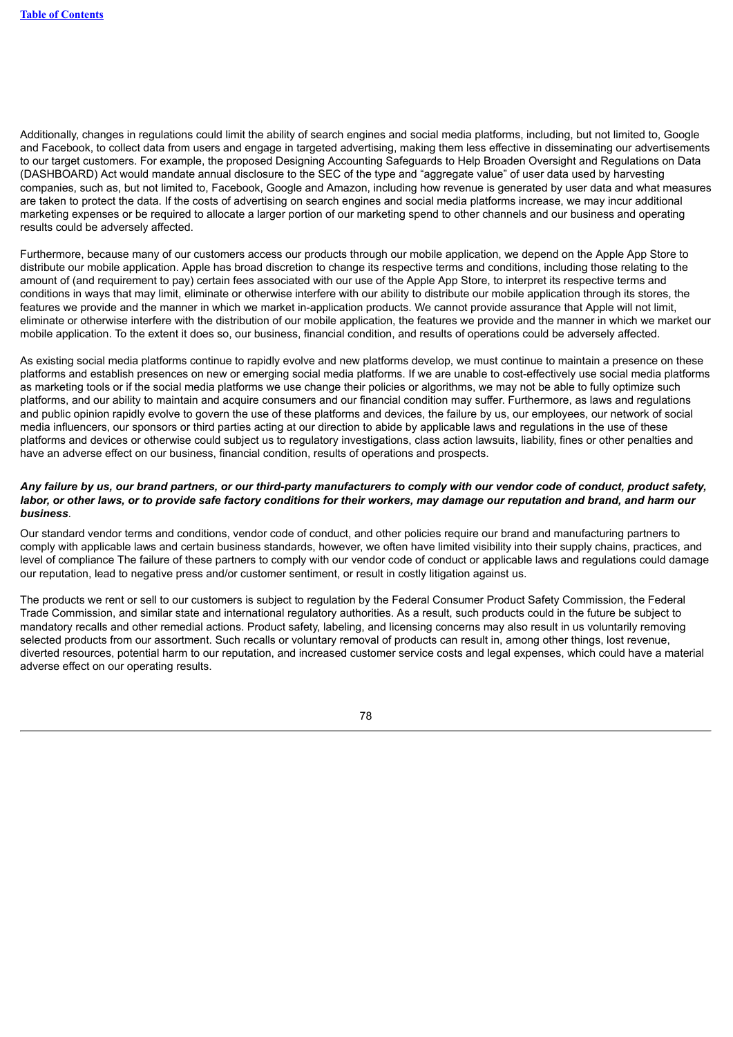Additionally, changes in regulations could limit the ability of search engines and social media platforms, including, but not limited to, Google and Facebook, to collect data from users and engage in targeted advertising, making them less effective in disseminating our advertisements to our target customers. For example, the proposed Designing Accounting Safeguards to Help Broaden Oversight and Regulations on Data (DASHBOARD) Act would mandate annual disclosure to the SEC of the type and "aggregate value" of user data used by harvesting companies, such as, but not limited to, Facebook, Google and Amazon, including how revenue is generated by user data and what measures are taken to protect the data. If the costs of advertising on search engines and social media platforms increase, we may incur additional marketing expenses or be required to allocate a larger portion of our marketing spend to other channels and our business and operating results could be adversely affected.

Furthermore, because many of our customers access our products through our mobile application, we depend on the Apple App Store to distribute our mobile application. Apple has broad discretion to change its respective terms and conditions, including those relating to the amount of (and requirement to pay) certain fees associated with our use of the Apple App Store, to interpret its respective terms and conditions in ways that may limit, eliminate or otherwise interfere with our ability to distribute our mobile application through its stores, the features we provide and the manner in which we market in-application products. We cannot provide assurance that Apple will not limit, eliminate or otherwise interfere with the distribution of our mobile application, the features we provide and the manner in which we market our mobile application. To the extent it does so, our business, financial condition, and results of operations could be adversely affected.

As existing social media platforms continue to rapidly evolve and new platforms develop, we must continue to maintain a presence on these platforms and establish presences on new or emerging social media platforms. If we are unable to cost-effectively use social media platforms as marketing tools or if the social media platforms we use change their policies or algorithms, we may not be able to fully optimize such platforms, and our ability to maintain and acquire consumers and our financial condition may suffer. Furthermore, as laws and regulations and public opinion rapidly evolve to govern the use of these platforms and devices, the failure by us, our employees, our network of social media influencers, our sponsors or third parties acting at our direction to abide by applicable laws and regulations in the use of these platforms and devices or otherwise could subject us to regulatory investigations, class action lawsuits, liability, fines or other penalties and have an adverse effect on our business, financial condition, results of operations and prospects.

#### Any failure by us, our brand partners, or our third-party manufacturers to comply with our vendor code of conduct, product safety, labor, or other laws, or to provide safe factory conditions for their workers, may damage our reputation and brand, and harm our *business*.

Our standard vendor terms and conditions, vendor code of conduct, and other policies require our brand and manufacturing partners to comply with applicable laws and certain business standards, however, we often have limited visibility into their supply chains, practices, and level of compliance The failure of these partners to comply with our vendor code of conduct or applicable laws and regulations could damage our reputation, lead to negative press and/or customer sentiment, or result in costly litigation against us.

The products we rent or sell to our customers is subject to regulation by the Federal Consumer Product Safety Commission, the Federal Trade Commission, and similar state and international regulatory authorities. As a result, such products could in the future be subject to mandatory recalls and other remedial actions. Product safety, labeling, and licensing concerns may also result in us voluntarily removing selected products from our assortment. Such recalls or voluntary removal of products can result in, among other things, lost revenue, diverted resources, potential harm to our reputation, and increased customer service costs and legal expenses, which could have a material adverse effect on our operating results.

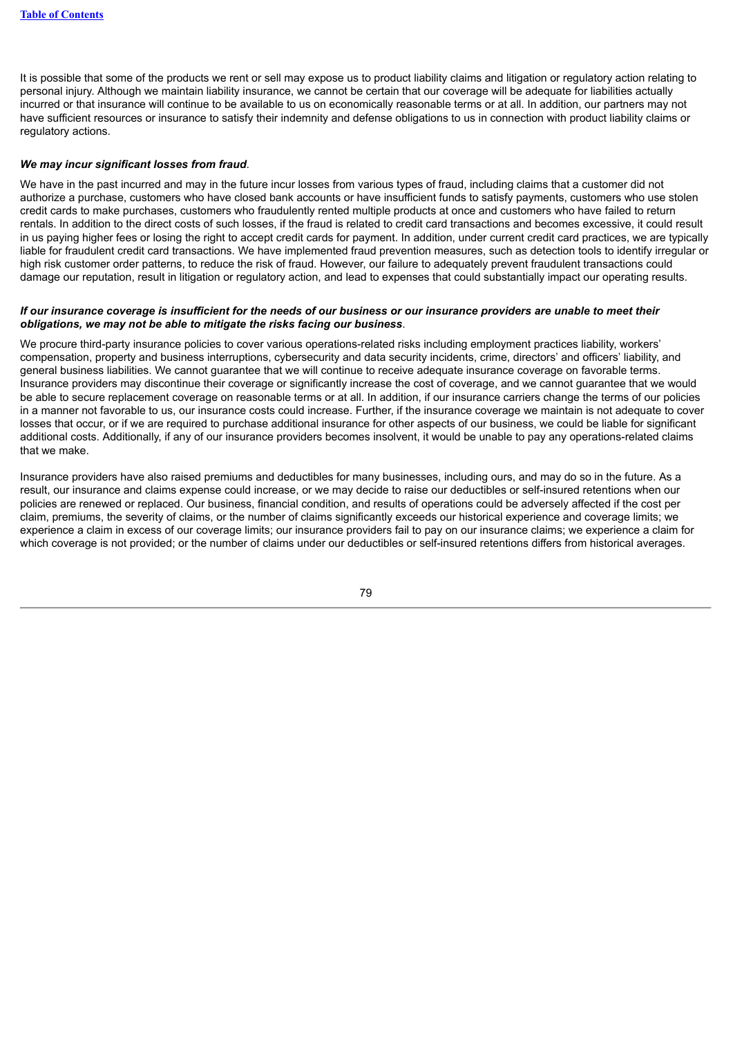It is possible that some of the products we rent or sell may expose us to product liability claims and litigation or regulatory action relating to personal injury. Although we maintain liability insurance, we cannot be certain that our coverage will be adequate for liabilities actually incurred or that insurance will continue to be available to us on economically reasonable terms or at all. In addition, our partners may not have sufficient resources or insurance to satisfy their indemnity and defense obligations to us in connection with product liability claims or regulatory actions.

### *We may incur significant losses from fraud*.

We have in the past incurred and may in the future incur losses from various types of fraud, including claims that a customer did not authorize a purchase, customers who have closed bank accounts or have insufficient funds to satisfy payments, customers who use stolen credit cards to make purchases, customers who fraudulently rented multiple products at once and customers who have failed to return rentals. In addition to the direct costs of such losses, if the fraud is related to credit card transactions and becomes excessive, it could result in us paying higher fees or losing the right to accept credit cards for payment. In addition, under current credit card practices, we are typically liable for fraudulent credit card transactions. We have implemented fraud prevention measures, such as detection tools to identify irregular or high risk customer order patterns, to reduce the risk of fraud. However, our failure to adequately prevent fraudulent transactions could damage our reputation, result in litigation or regulatory action, and lead to expenses that could substantially impact our operating results.

#### If our insurance coverage is insufficient for the needs of our business or our insurance providers are unable to meet their *obligations, we may not be able to mitigate the risks facing our business*.

We procure third-party insurance policies to cover various operations-related risks including employment practices liability, workers' compensation, property and business interruptions, cybersecurity and data security incidents, crime, directors' and officers' liability, and general business liabilities. We cannot guarantee that we will continue to receive adequate insurance coverage on favorable terms. Insurance providers may discontinue their coverage or significantly increase the cost of coverage, and we cannot guarantee that we would be able to secure replacement coverage on reasonable terms or at all. In addition, if our insurance carriers change the terms of our policies in a manner not favorable to us, our insurance costs could increase. Further, if the insurance coverage we maintain is not adequate to cover losses that occur, or if we are required to purchase additional insurance for other aspects of our business, we could be liable for significant additional costs. Additionally, if any of our insurance providers becomes insolvent, it would be unable to pay any operations-related claims that we make.

Insurance providers have also raised premiums and deductibles for many businesses, including ours, and may do so in the future. As a result, our insurance and claims expense could increase, or we may decide to raise our deductibles or self-insured retentions when our policies are renewed or replaced. Our business, financial condition, and results of operations could be adversely affected if the cost per claim, premiums, the severity of claims, or the number of claims significantly exceeds our historical experience and coverage limits; we experience a claim in excess of our coverage limits; our insurance providers fail to pay on our insurance claims; we experience a claim for which coverage is not provided; or the number of claims under our deductibles or self-insured retentions differs from historical averages.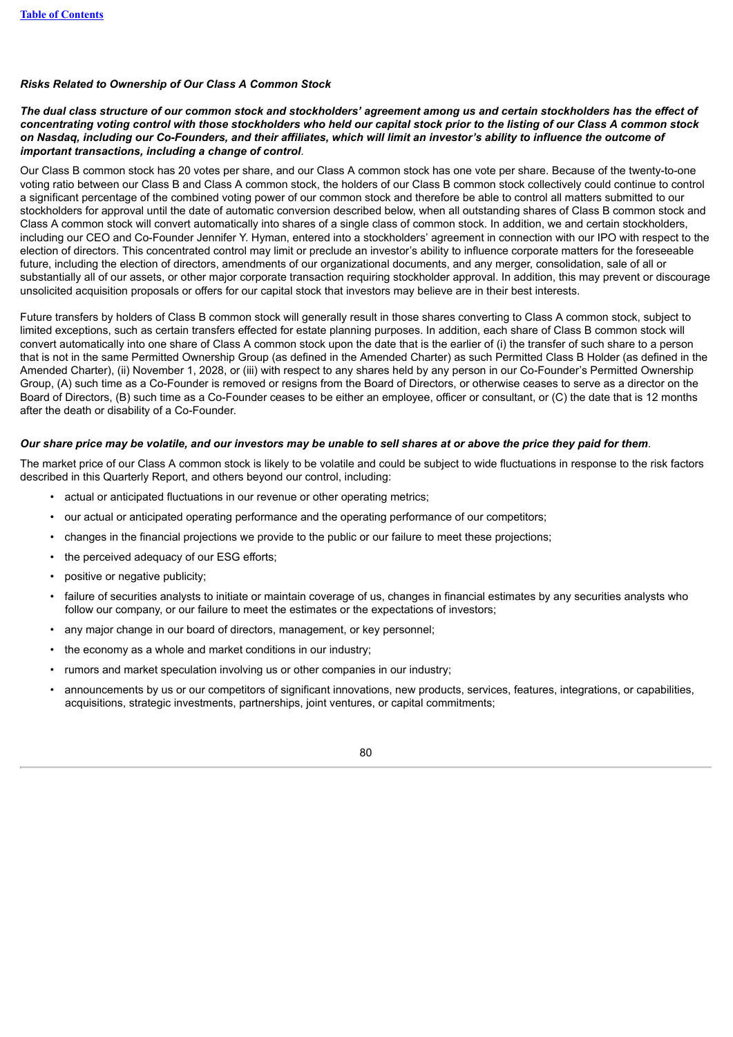## *Risks Related to Ownership of Our Class A Common Stock*

## The dual class structure of our common stock and stockholders' agreement among us and certain stockholders has the effect of concentrating voting control with those stockholders who held our capital stock prior to the listing of our Class A common stock on Nasdaq, including our Co-Founders, and their affiliates, which will limit an investor's ability to influence the outcome of *important transactions, including a change of control*.

Our Class B common stock has 20 votes per share, and our Class A common stock has one vote per share. Because of the twenty-to-one voting ratio between our Class B and Class A common stock, the holders of our Class B common stock collectively could continue to control a significant percentage of the combined voting power of our common stock and therefore be able to control all matters submitted to our stockholders for approval until the date of automatic conversion described below, when all outstanding shares of Class B common stock and Class A common stock will convert automatically into shares of a single class of common stock. In addition, we and certain stockholders, including our CEO and Co-Founder Jennifer Y. Hyman, entered into a stockholders' agreement in connection with our IPO with respect to the election of directors. This concentrated control may limit or preclude an investor's ability to influence corporate matters for the foreseeable future, including the election of directors, amendments of our organizational documents, and any merger, consolidation, sale of all or substantially all of our assets, or other major corporate transaction requiring stockholder approval. In addition, this may prevent or discourage unsolicited acquisition proposals or offers for our capital stock that investors may believe are in their best interests.

Future transfers by holders of Class B common stock will generally result in those shares converting to Class A common stock, subject to limited exceptions, such as certain transfers effected for estate planning purposes. In addition, each share of Class B common stock will convert automatically into one share of Class A common stock upon the date that is the earlier of (i) the transfer of such share to a person that is not in the same Permitted Ownership Group (as defined in the Amended Charter) as such Permitted Class B Holder (as defined in the Amended Charter), (ii) November 1, 2028, or (iii) with respect to any shares held by any person in our Co-Founder's Permitted Ownership Group, (A) such time as a Co-Founder is removed or resigns from the Board of Directors, or otherwise ceases to serve as a director on the Board of Directors, (B) such time as a Co-Founder ceases to be either an employee, officer or consultant, or (C) the date that is 12 months after the death or disability of a Co-Founder.

#### Our share price may be volatile, and our investors may be unable to sell shares at or above the price they paid for them.

The market price of our Class A common stock is likely to be volatile and could be subject to wide fluctuations in response to the risk factors described in this Quarterly Report, and others beyond our control, including:

- actual or anticipated fluctuations in our revenue or other operating metrics;
- our actual or anticipated operating performance and the operating performance of our competitors;
- changes in the financial projections we provide to the public or our failure to meet these projections;
- the perceived adequacy of our ESG efforts;
- positive or negative publicity;
- failure of securities analysts to initiate or maintain coverage of us, changes in financial estimates by any securities analysts who follow our company, or our failure to meet the estimates or the expectations of investors;
- any major change in our board of directors, management, or key personnel:
- the economy as a whole and market conditions in our industry;
- rumors and market speculation involving us or other companies in our industry;
- announcements by us or our competitors of significant innovations, new products, services, features, integrations, or capabilities, acquisitions, strategic investments, partnerships, joint ventures, or capital commitments;

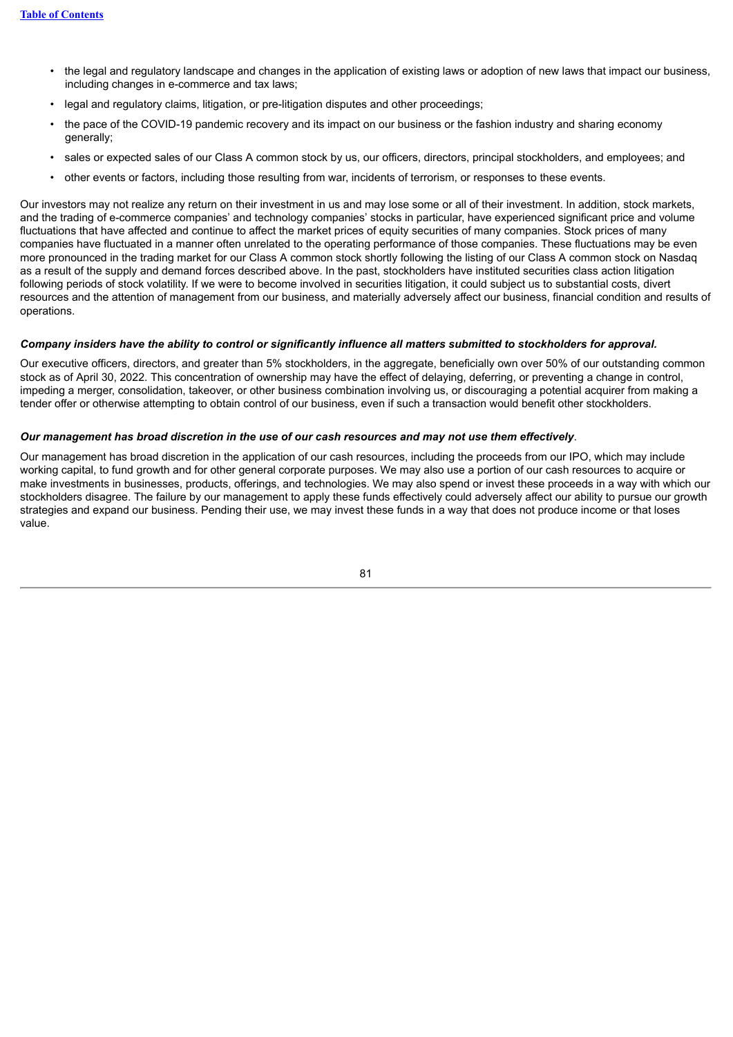- the legal and regulatory landscape and changes in the application of existing laws or adoption of new laws that impact our business, including changes in e-commerce and tax laws;
- legal and regulatory claims, litigation, or pre-litigation disputes and other proceedings;
- the pace of the COVID-19 pandemic recovery and its impact on our business or the fashion industry and sharing economy generally;
- sales or expected sales of our Class A common stock by us, our officers, directors, principal stockholders, and employees; and
- other events or factors, including those resulting from war, incidents of terrorism, or responses to these events.

Our investors may not realize any return on their investment in us and may lose some or all of their investment. In addition, stock markets, and the trading of e-commerce companies' and technology companies' stocks in particular, have experienced significant price and volume fluctuations that have affected and continue to affect the market prices of equity securities of many companies. Stock prices of many companies have fluctuated in a manner often unrelated to the operating performance of those companies. These fluctuations may be even more pronounced in the trading market for our Class A common stock shortly following the listing of our Class A common stock on Nasdaq as a result of the supply and demand forces described above. In the past, stockholders have instituted securities class action litigation following periods of stock volatility. If we were to become involved in securities litigation, it could subject us to substantial costs, divert resources and the attention of management from our business, and materially adversely affect our business, financial condition and results of operations.

## Company insiders have the ability to control or significantly influence all matters submitted to stockholders for approval.

Our executive officers, directors, and greater than 5% stockholders, in the aggregate, beneficially own over 50% of our outstanding common stock as of April 30, 2022. This concentration of ownership may have the effect of delaying, deferring, or preventing a change in control, impeding a merger, consolidation, takeover, or other business combination involving us, or discouraging a potential acquirer from making a tender offer or otherwise attempting to obtain control of our business, even if such a transaction would benefit other stockholders.

#### Our management has broad discretion in the use of our cash resources and may not use them effectively.

Our management has broad discretion in the application of our cash resources, including the proceeds from our IPO, which may include working capital, to fund growth and for other general corporate purposes. We may also use a portion of our cash resources to acquire or make investments in businesses, products, offerings, and technologies. We may also spend or invest these proceeds in a way with which our stockholders disagree. The failure by our management to apply these funds effectively could adversely affect our ability to pursue our growth strategies and expand our business. Pending their use, we may invest these funds in a way that does not produce income or that loses value.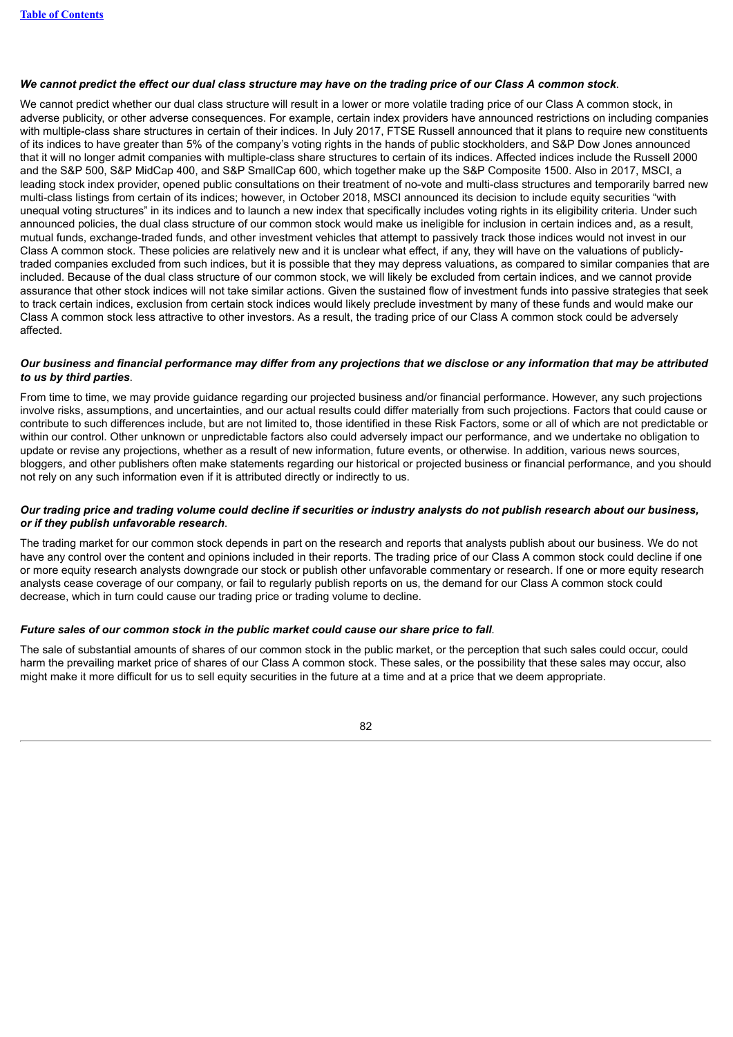# We cannot predict the effect our dual class structure may have on the trading price of our Class A common stock.

We cannot predict whether our dual class structure will result in a lower or more volatile trading price of our Class A common stock, in adverse publicity, or other adverse consequences. For example, certain index providers have announced restrictions on including companies with multiple-class share structures in certain of their indices. In July 2017, FTSE Russell announced that it plans to require new constituents of its indices to have greater than 5% of the company's voting rights in the hands of public stockholders, and S&P Dow Jones announced that it will no longer admit companies with multiple-class share structures to certain of its indices. Affected indices include the Russell 2000 and the S&P 500, S&P MidCap 400, and S&P SmallCap 600, which together make up the S&P Composite 1500. Also in 2017, MSCI, a leading stock index provider, opened public consultations on their treatment of no-vote and multi-class structures and temporarily barred new multi-class listings from certain of its indices; however, in October 2018, MSCI announced its decision to include equity securities "with unequal voting structures" in its indices and to launch a new index that specifically includes voting rights in its eligibility criteria. Under such announced policies, the dual class structure of our common stock would make us ineligible for inclusion in certain indices and, as a result, mutual funds, exchange-traded funds, and other investment vehicles that attempt to passively track those indices would not invest in our Class A common stock. These policies are relatively new and it is unclear what effect, if any, they will have on the valuations of publiclytraded companies excluded from such indices, but it is possible that they may depress valuations, as compared to similar companies that are included. Because of the dual class structure of our common stock, we will likely be excluded from certain indices, and we cannot provide assurance that other stock indices will not take similar actions. Given the sustained flow of investment funds into passive strategies that seek to track certain indices, exclusion from certain stock indices would likely preclude investment by many of these funds and would make our Class A common stock less attractive to other investors. As a result, the trading price of our Class A common stock could be adversely affected.

#### Our business and financial performance may differ from any projections that we disclose or any information that may be attributed *to us by third parties*.

From time to time, we may provide guidance regarding our projected business and/or financial performance. However, any such projections involve risks, assumptions, and uncertainties, and our actual results could differ materially from such projections. Factors that could cause or contribute to such differences include, but are not limited to, those identified in these Risk Factors, some or all of which are not predictable or within our control. Other unknown or unpredictable factors also could adversely impact our performance, and we undertake no obligation to update or revise any projections, whether as a result of new information, future events, or otherwise. In addition, various news sources, bloggers, and other publishers often make statements regarding our historical or projected business or financial performance, and you should not rely on any such information even if it is attributed directly or indirectly to us.

#### Our trading price and trading volume could decline if securities or industry analysts do not publish research about our business, *or if they publish unfavorable research*.

The trading market for our common stock depends in part on the research and reports that analysts publish about our business. We do not have any control over the content and opinions included in their reports. The trading price of our Class A common stock could decline if one or more equity research analysts downgrade our stock or publish other unfavorable commentary or research. If one or more equity research analysts cease coverage of our company, or fail to regularly publish reports on us, the demand for our Class A common stock could decrease, which in turn could cause our trading price or trading volume to decline.

# *Future sales of our common stock in the public market could cause our share price to fall*.

The sale of substantial amounts of shares of our common stock in the public market, or the perception that such sales could occur, could harm the prevailing market price of shares of our Class A common stock. These sales, or the possibility that these sales may occur, also might make it more difficult for us to sell equity securities in the future at a time and at a price that we deem appropriate.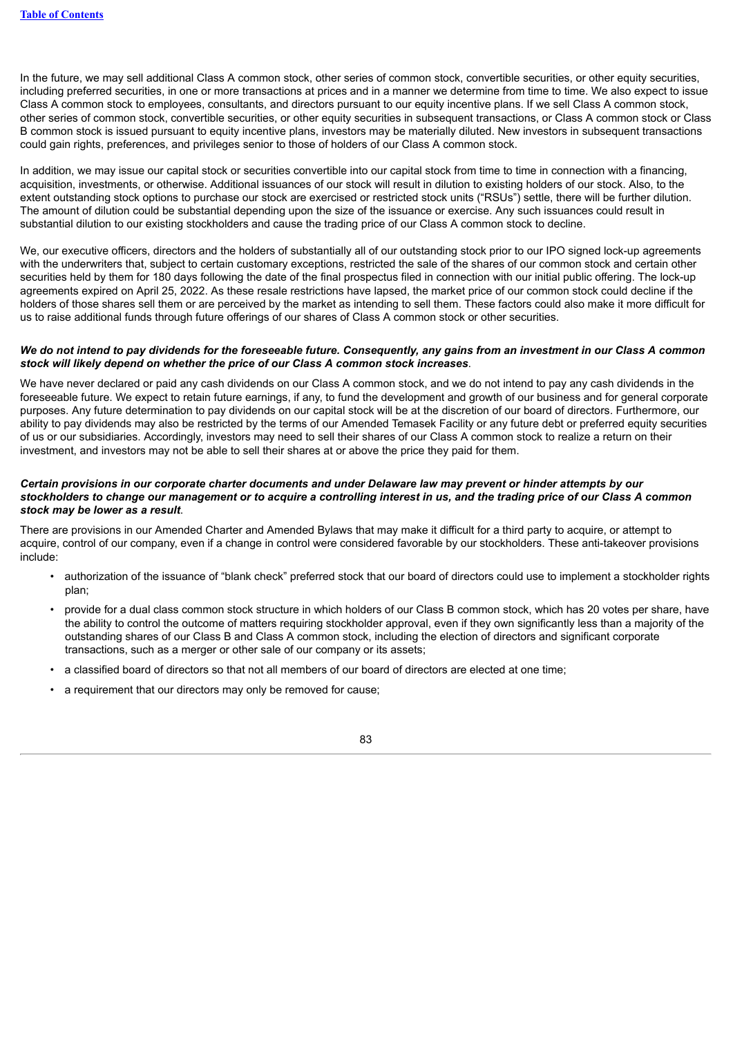In the future, we may sell additional Class A common stock, other series of common stock, convertible securities, or other equity securities, including preferred securities, in one or more transactions at prices and in a manner we determine from time to time. We also expect to issue Class A common stock to employees, consultants, and directors pursuant to our equity incentive plans. If we sell Class A common stock, other series of common stock, convertible securities, or other equity securities in subsequent transactions, or Class A common stock or Class B common stock is issued pursuant to equity incentive plans, investors may be materially diluted. New investors in subsequent transactions could gain rights, preferences, and privileges senior to those of holders of our Class A common stock.

In addition, we may issue our capital stock or securities convertible into our capital stock from time to time in connection with a financing, acquisition, investments, or otherwise. Additional issuances of our stock will result in dilution to existing holders of our stock. Also, to the extent outstanding stock options to purchase our stock are exercised or restricted stock units ("RSUs") settle, there will be further dilution. The amount of dilution could be substantial depending upon the size of the issuance or exercise. Any such issuances could result in substantial dilution to our existing stockholders and cause the trading price of our Class A common stock to decline.

We, our executive officers, directors and the holders of substantially all of our outstanding stock prior to our IPO signed lock-up agreements with the underwriters that, subject to certain customary exceptions, restricted the sale of the shares of our common stock and certain other securities held by them for 180 days following the date of the final prospectus filed in connection with our initial public offering. The lock-up agreements expired on April 25, 2022. As these resale restrictions have lapsed, the market price of our common stock could decline if the holders of those shares sell them or are perceived by the market as intending to sell them. These factors could also make it more difficult for us to raise additional funds through future offerings of our shares of Class A common stock or other securities.

## We do not intend to pay dividends for the foreseeable future. Consequently, any gains from an investment in our Class A common *stock will likely depend on whether the price of our Class A common stock increases*.

We have never declared or paid any cash dividends on our Class A common stock, and we do not intend to pay any cash dividends in the foreseeable future. We expect to retain future earnings, if any, to fund the development and growth of our business and for general corporate purposes. Any future determination to pay dividends on our capital stock will be at the discretion of our board of directors. Furthermore, our ability to pay dividends may also be restricted by the terms of our Amended Temasek Facility or any future debt or preferred equity securities of us or our subsidiaries. Accordingly, investors may need to sell their shares of our Class A common stock to realize a return on their investment, and investors may not be able to sell their shares at or above the price they paid for them.

## Certain provisions in our corporate charter documents and under Delaware law may prevent or hinder attempts by our stockholders to change our management or to acquire a controlling interest in us, and the trading price of our Class A common *stock may be lower as a result*.

There are provisions in our Amended Charter and Amended Bylaws that may make it difficult for a third party to acquire, or attempt to acquire, control of our company, even if a change in control were considered favorable by our stockholders. These anti-takeover provisions include:

- authorization of the issuance of "blank check" preferred stock that our board of directors could use to implement a stockholder rights plan;
- provide for a dual class common stock structure in which holders of our Class B common stock, which has 20 votes per share, have the ability to control the outcome of matters requiring stockholder approval, even if they own significantly less than a majority of the outstanding shares of our Class B and Class A common stock, including the election of directors and significant corporate transactions, such as a merger or other sale of our company or its assets;
- a classified board of directors so that not all members of our board of directors are elected at one time;
- a requirement that our directors may only be removed for cause;

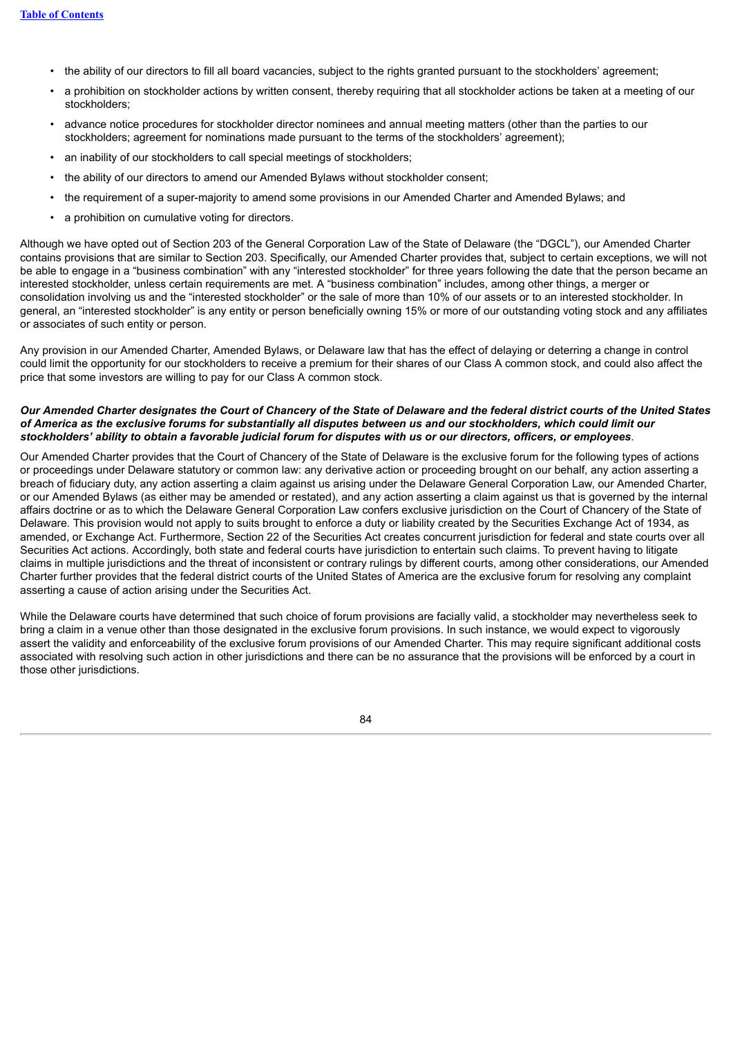- the ability of our directors to fill all board vacancies, subject to the rights granted pursuant to the stockholders' agreement;
- a prohibition on stockholder actions by written consent, thereby requiring that all stockholder actions be taken at a meeting of our stockholders;
- advance notice procedures for stockholder director nominees and annual meeting matters (other than the parties to our stockholders; agreement for nominations made pursuant to the terms of the stockholders' agreement);
- an inability of our stockholders to call special meetings of stockholders;
- the ability of our directors to amend our Amended Bylaws without stockholder consent;
- the requirement of a super-majority to amend some provisions in our Amended Charter and Amended Bylaws; and
- a prohibition on cumulative voting for directors.

Although we have opted out of Section 203 of the General Corporation Law of the State of Delaware (the "DGCL"), our Amended Charter contains provisions that are similar to Section 203. Specifically, our Amended Charter provides that, subject to certain exceptions, we will not be able to engage in a "business combination" with any "interested stockholder" for three years following the date that the person became an interested stockholder, unless certain requirements are met. A "business combination" includes, among other things, a merger or consolidation involving us and the "interested stockholder" or the sale of more than 10% of our assets or to an interested stockholder. In general, an "interested stockholder" is any entity or person beneficially owning 15% or more of our outstanding voting stock and any affiliates or associates of such entity or person.

Any provision in our Amended Charter, Amended Bylaws, or Delaware law that has the effect of delaying or deterring a change in control could limit the opportunity for our stockholders to receive a premium for their shares of our Class A common stock, and could also affect the price that some investors are willing to pay for our Class A common stock.

## Our Amended Charter designates the Court of Chancery of the State of Delaware and the federal district courts of the United States of America as the exclusive forums for substantially all disputes between us and our stockholders, which could limit our stockholders' ability to obtain a favorable judicial forum for disputes with us or our directors, officers, or employees.

Our Amended Charter provides that the Court of Chancery of the State of Delaware is the exclusive forum for the following types of actions or proceedings under Delaware statutory or common law: any derivative action or proceeding brought on our behalf, any action asserting a breach of fiduciary duty, any action asserting a claim against us arising under the Delaware General Corporation Law, our Amended Charter, or our Amended Bylaws (as either may be amended or restated), and any action asserting a claim against us that is governed by the internal affairs doctrine or as to which the Delaware General Corporation Law confers exclusive jurisdiction on the Court of Chancery of the State of Delaware. This provision would not apply to suits brought to enforce a duty or liability created by the Securities Exchange Act of 1934, as amended, or Exchange Act. Furthermore, Section 22 of the Securities Act creates concurrent jurisdiction for federal and state courts over all Securities Act actions. Accordingly, both state and federal courts have jurisdiction to entertain such claims. To prevent having to litigate claims in multiple jurisdictions and the threat of inconsistent or contrary rulings by different courts, among other considerations, our Amended Charter further provides that the federal district courts of the United States of America are the exclusive forum for resolving any complaint asserting a cause of action arising under the Securities Act.

While the Delaware courts have determined that such choice of forum provisions are facially valid, a stockholder may nevertheless seek to bring a claim in a venue other than those designated in the exclusive forum provisions. In such instance, we would expect to vigorously assert the validity and enforceability of the exclusive forum provisions of our Amended Charter. This may require significant additional costs associated with resolving such action in other jurisdictions and there can be no assurance that the provisions will be enforced by a court in those other jurisdictions.

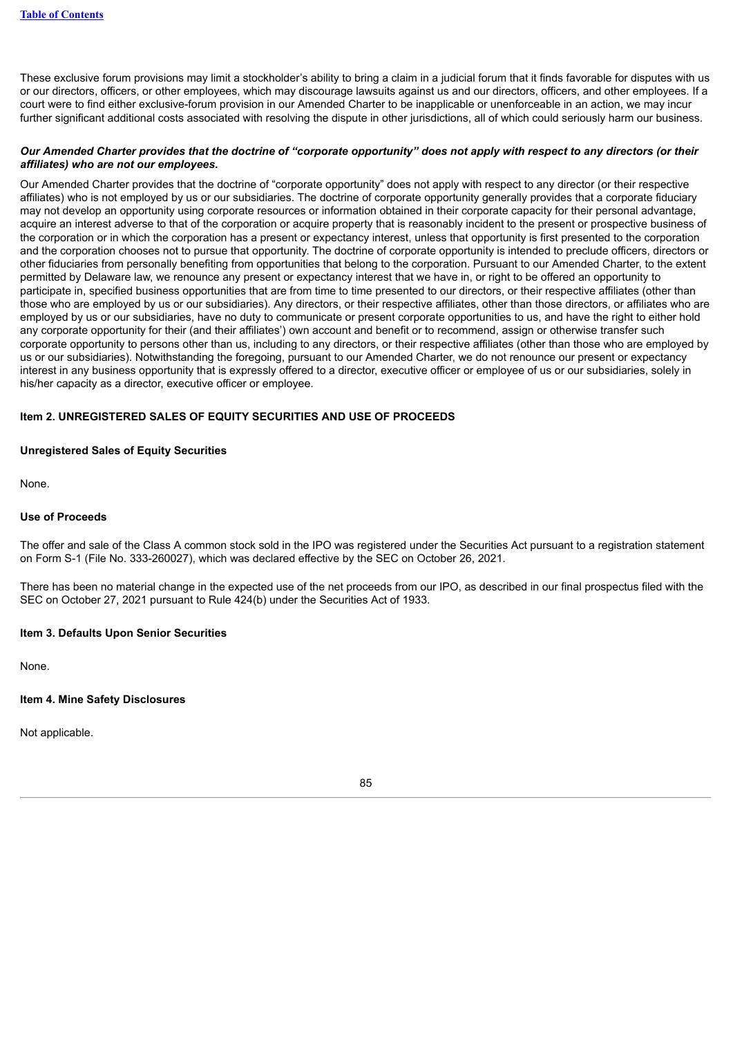These exclusive forum provisions may limit a stockholder's ability to bring a claim in a judicial forum that it finds favorable for disputes with us or our directors, officers, or other employees, which may discourage lawsuits against us and our directors, officers, and other employees. If a court were to find either exclusive-forum provision in our Amended Charter to be inapplicable or unenforceable in an action, we may incur further significant additional costs associated with resolving the dispute in other jurisdictions, all of which could seriously harm our business.

#### Our Amended Charter provides that the doctrine of "corporate opportunity" does not apply with respect to any directors (or their *affiliates) who are not our employees.*

Our Amended Charter provides that the doctrine of "corporate opportunity" does not apply with respect to any director (or their respective affiliates) who is not employed by us or our subsidiaries. The doctrine of corporate opportunity generally provides that a corporate fiduciary may not develop an opportunity using corporate resources or information obtained in their corporate capacity for their personal advantage, acquire an interest adverse to that of the corporation or acquire property that is reasonably incident to the present or prospective business of the corporation or in which the corporation has a present or expectancy interest, unless that opportunity is first presented to the corporation and the corporation chooses not to pursue that opportunity. The doctrine of corporate opportunity is intended to preclude officers, directors or other fiduciaries from personally benefiting from opportunities that belong to the corporation. Pursuant to our Amended Charter, to the extent permitted by Delaware law, we renounce any present or expectancy interest that we have in, or right to be offered an opportunity to participate in, specified business opportunities that are from time to time presented to our directors, or their respective affiliates (other than those who are employed by us or our subsidiaries). Any directors, or their respective affiliates, other than those directors, or affiliates who are employed by us or our subsidiaries, have no duty to communicate or present corporate opportunities to us, and have the right to either hold any corporate opportunity for their (and their affiliates') own account and benefit or to recommend, assign or otherwise transfer such corporate opportunity to persons other than us, including to any directors, or their respective affiliates (other than those who are employed by us or our subsidiaries). Notwithstanding the foregoing, pursuant to our Amended Charter, we do not renounce our present or expectancy interest in any business opportunity that is expressly offered to a director, executive officer or employee of us or our subsidiaries, solely in his/her capacity as a director, executive officer or employee.

# **Item 2. UNREGISTERED SALES OF EQUITY SECURITIES AND USE OF PROCEEDS**

# **Unregistered Sales of Equity Securities**

None.

# **Use of Proceeds**

The offer and sale of the Class A common stock sold in the IPO was registered under the Securities Act pursuant to a registration statement on Form S-1 (File No. 333-260027), which was declared effective by the SEC on October 26, 2021.

There has been no material change in the expected use of the net proceeds from our IPO, as described in our final prospectus filed with the SEC on October 27, 2021 pursuant to Rule 424(b) under the Securities Act of 1933.

## **Item 3. Defaults Upon Senior Securities**

None.

## **Item 4. Mine Safety Disclosures**

Not applicable.

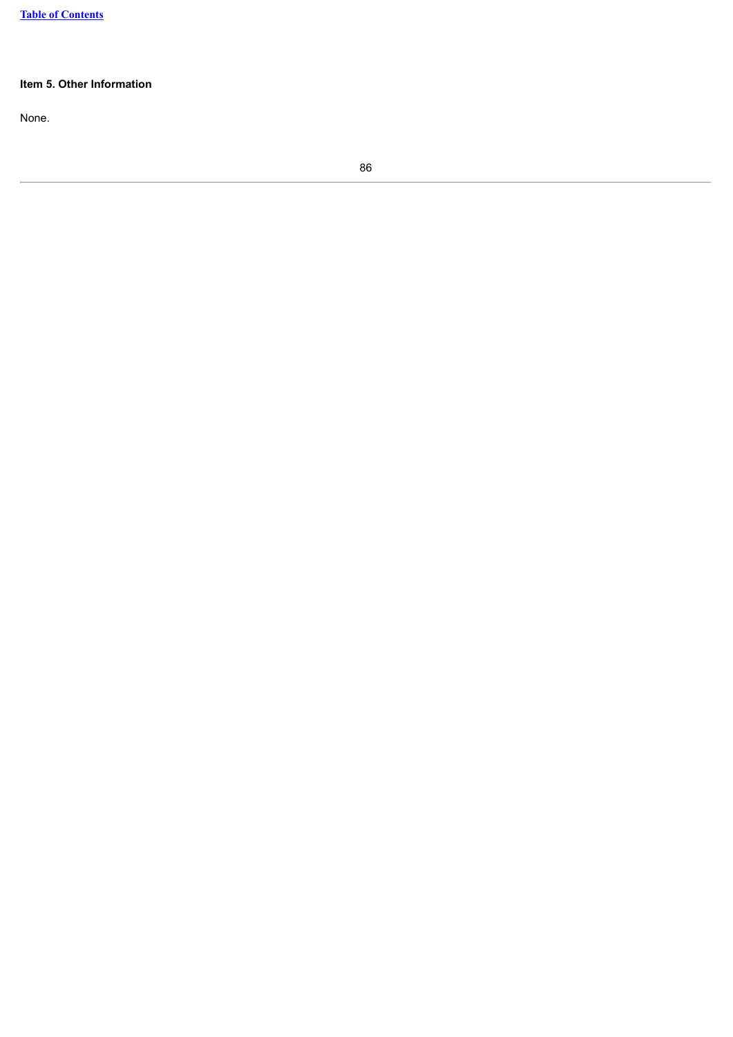# **Item 5. Other Information**

None.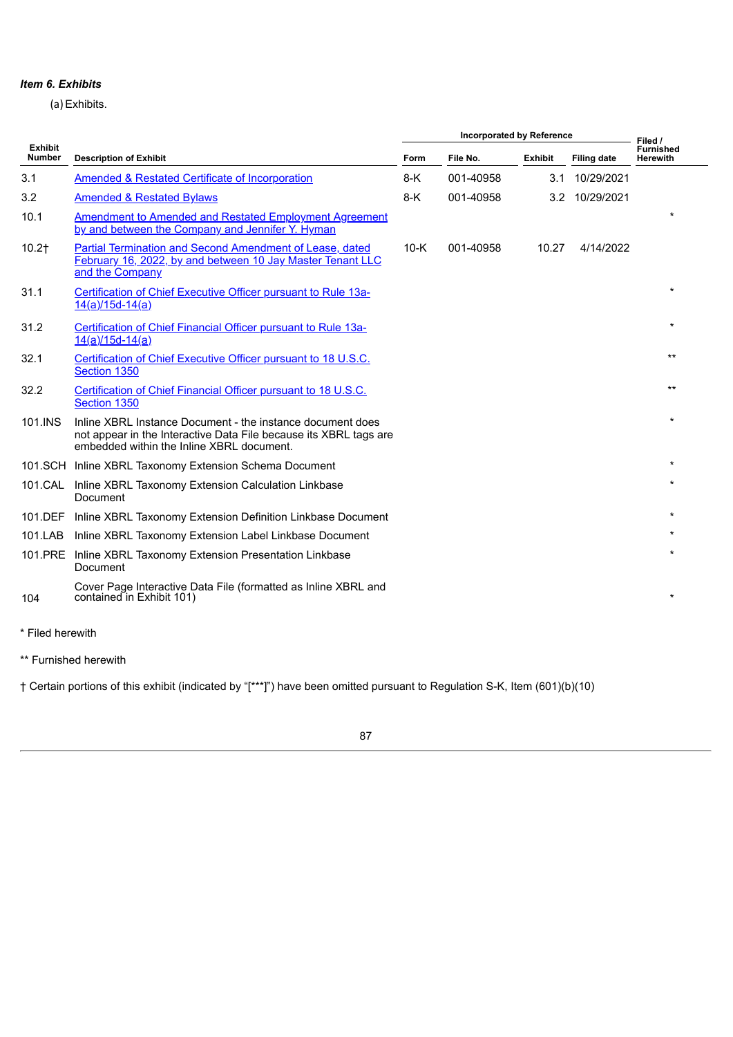# *Item 6. Exhibits*

(a)Exhibits.

| <b>Exhibit</b><br>Number | <b>Description of Exhibit</b>                                                                                                                                                | <b>Incorporated by Reference</b> |           |                |                    | Filed /                             |
|--------------------------|------------------------------------------------------------------------------------------------------------------------------------------------------------------------------|----------------------------------|-----------|----------------|--------------------|-------------------------------------|
|                          |                                                                                                                                                                              | Form                             | File No.  | <b>Exhibit</b> | <b>Filing date</b> | <b>Furnished</b><br><b>Herewith</b> |
| 3.1                      | Amended & Restated Certificate of Incorporation                                                                                                                              | 8-K                              | 001-40958 | 3.1            | 10/29/2021         |                                     |
| 3.2                      | <b>Amended &amp; Restated Bylaws</b>                                                                                                                                         | $8-K$                            | 001-40958 |                | 3.2 10/29/2021     |                                     |
| 10.1                     | <b>Amendment to Amended and Restated Employment Agreement</b><br>by and between the Company and Jennifer Y. Hyman                                                            |                                  |           |                |                    | $\star$                             |
| $10.2+$                  | Partial Termination and Second Amendment of Lease, dated<br>February 16, 2022, by and between 10 Jay Master Tenant LLC<br>and the Company                                    | $10-K$                           | 001-40958 | 10.27          | 4/14/2022          |                                     |
| 31.1                     | Certification of Chief Executive Officer pursuant to Rule 13a-<br>$14(a)/15d-14(a)$                                                                                          |                                  |           |                |                    |                                     |
| 31.2                     | Certification of Chief Financial Officer pursuant to Rule 13a-<br>$14(a)/15d-14(a)$                                                                                          |                                  |           |                |                    |                                     |
| 32.1                     | Certification of Chief Executive Officer pursuant to 18 U.S.C.<br>Section 1350                                                                                               |                                  |           |                |                    | $***$                               |
| 32.2                     | Certification of Chief Financial Officer pursuant to 18 U.S.C.<br>Section 1350                                                                                               |                                  |           |                |                    | $*$                                 |
| 101.INS                  | Inline XBRL Instance Document - the instance document does<br>not appear in the Interactive Data File because its XBRL tags are<br>embedded within the Inline XBRL document. |                                  |           |                |                    | $\star$                             |
|                          | 101.SCH Inline XBRL Taxonomy Extension Schema Document                                                                                                                       |                                  |           |                |                    |                                     |
| 101.CAL                  | Inline XBRL Taxonomy Extension Calculation Linkbase<br>Document                                                                                                              |                                  |           |                |                    |                                     |
| 101.DEF                  | Inline XBRL Taxonomy Extension Definition Linkbase Document                                                                                                                  |                                  |           |                |                    |                                     |
| 101.LAB                  | Inline XBRL Taxonomy Extension Label Linkbase Document                                                                                                                       |                                  |           |                |                    |                                     |
| 101.PRE                  | Inline XBRL Taxonomy Extension Presentation Linkbase<br>Document                                                                                                             |                                  |           |                |                    |                                     |
| 104                      | Cover Page Interactive Data File (formatted as Inline XBRL and<br>contained in Exhibit 101)                                                                                  |                                  |           |                |                    |                                     |

\*\* Furnished herewith

† Certain portions of this exhibit (indicated by "[\*\*\*]") have been omitted pursuant to Regulation S-K, Item (601)(b)(10)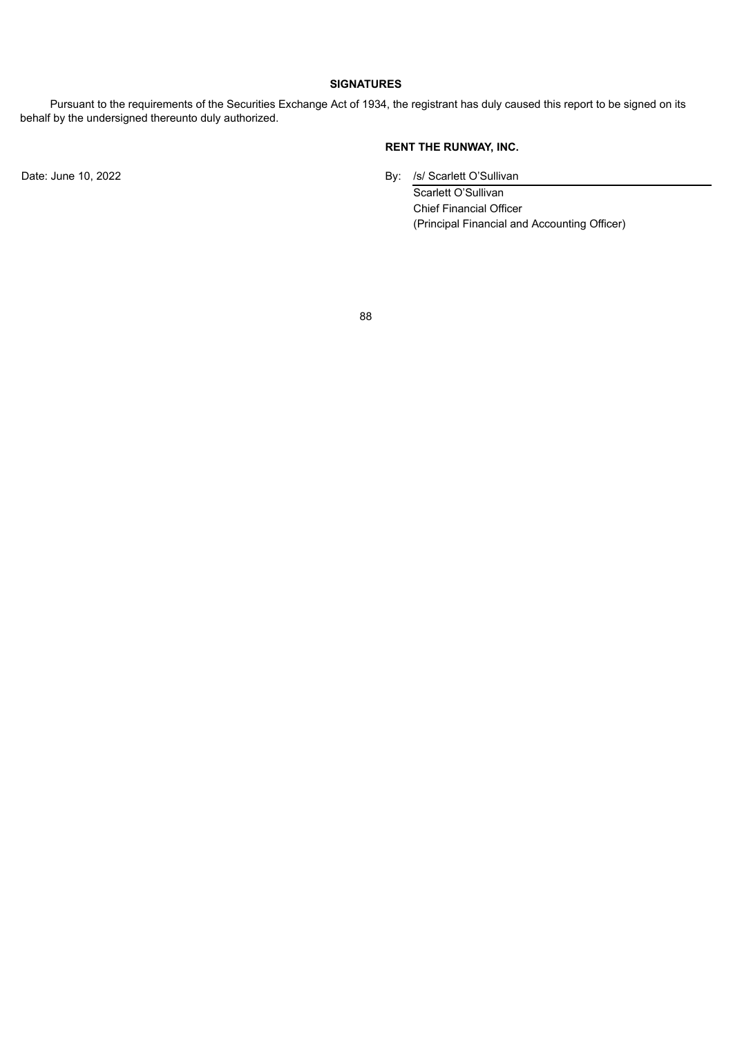# **SIGNATURES**

Pursuant to the requirements of the Securities Exchange Act of 1934, the registrant has duly caused this report to be signed on its behalf by the undersigned thereunto duly authorized.

**RENT THE RUNWAY, INC.**

Date: June 10, 2022 **By:** /s/ Scarlett O'Sullivan

Scarlett O'Sullivan Chief Financial Officer (Principal Financial and Accounting Officer)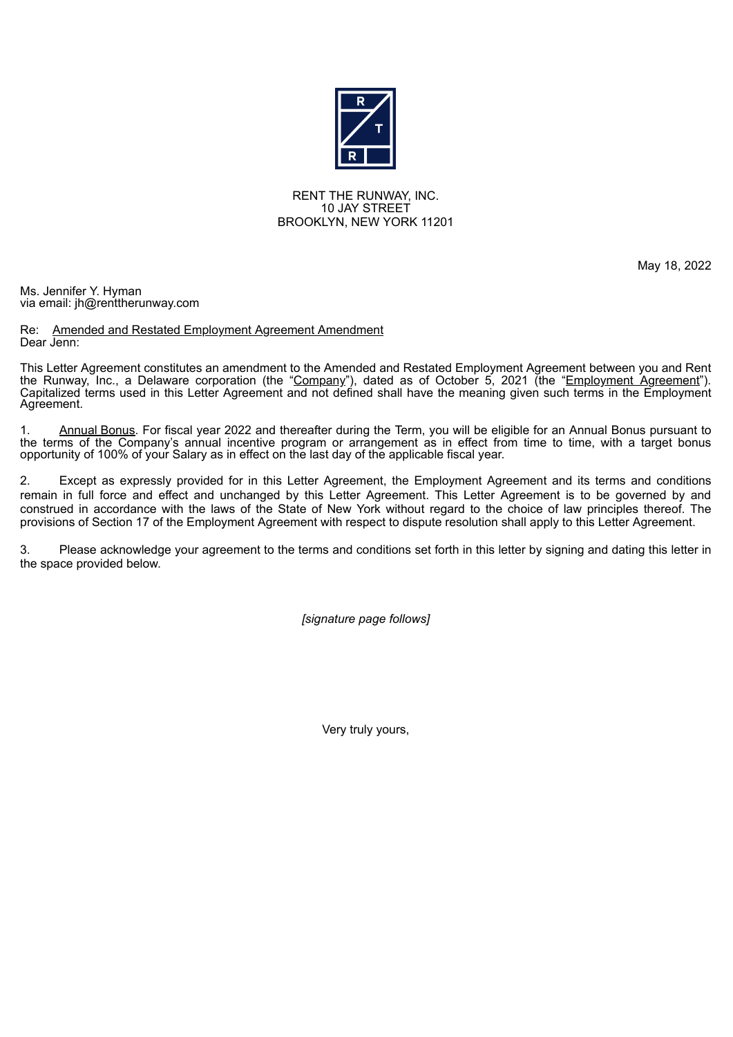

RENT THE RUNWAY, INC. 10 JAY STREET BROOKLYN, NEW YORK 11201

May 18, 2022

<span id="page-91-0"></span>Ms. Jennifer Y. Hyman via email: jh@renttherunway.com

Re: Amended and Restated Employment Agreement Amendment Dear Jenn:

This Letter Agreement constitutes an amendment to the Amended and Restated Employment Agreement between you and Rent the Runway, Inc., a Delaware corporation (the "<u>Company</u>"), dated as of October 5, 2021 (the "Employment Agreement"). Capitalized terms used in this Letter Agreement and not defined shall have the meaning given such terms in the Employment Agreement.

1. Annual Bonus. For fiscal year 2022 and thereafter during the Term, you will be eligible for an Annual Bonus pursuant to the terms of the Company's annual incentive program or arrangement as in effect from time to time, with a target bonus opportunity of 100% of your Salary as in effect on the last day of the applicable fiscal year.

2. Except as expressly provided for in this Letter Agreement, the Employment Agreement and its terms and conditions remain in full force and effect and unchanged by this Letter Agreement. This Letter Agreement is to be governed by and construed in accordance with the laws of the State of New York without regard to the choice of law principles thereof. The provisions of Section 17 of the Employment Agreement with respect to dispute resolution shall apply to this Letter Agreement.

3. Please acknowledge your agreement to the terms and conditions set forth in this letter by signing and dating this letter in the space provided below.

*[signature page follows]*

Very truly yours,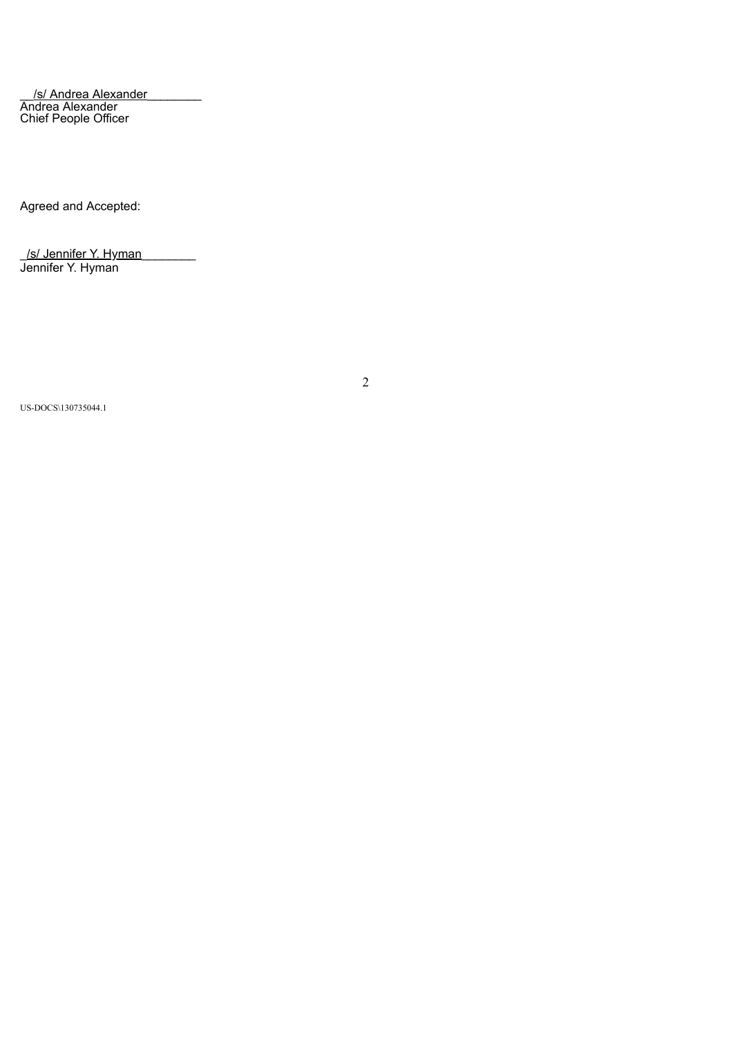\_\_/s/ Andrea Alexander\_\_\_\_\_\_\_\_ Andrea Alexander Chief People Officer

Agreed and Accepted:

\_/s/ Jennifer Y. Hyman\_\_\_\_\_\_\_\_ Jennifer Y. Hyman

US-DOCS\130735044.1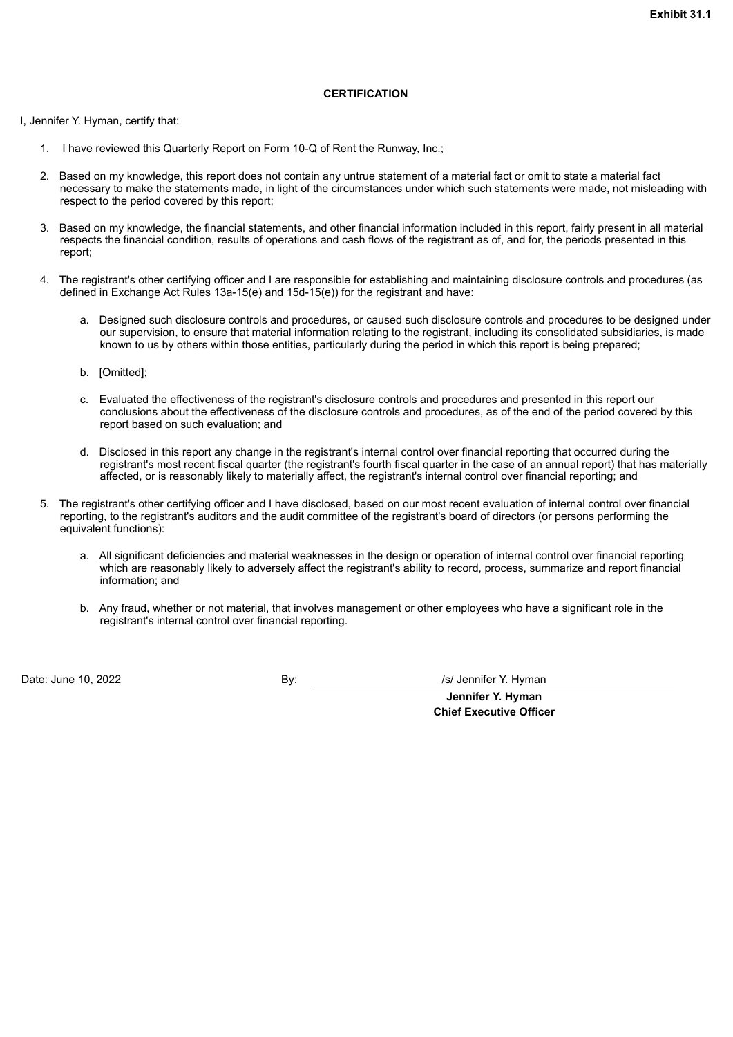# **CERTIFICATION**

<span id="page-93-0"></span>I, Jennifer Y. Hyman, certify that:

- 1. I have reviewed this Quarterly Report on Form 10-Q of Rent the Runway, Inc.;
- 2. Based on my knowledge, this report does not contain any untrue statement of a material fact or omit to state a material fact necessary to make the statements made, in light of the circumstances under which such statements were made, not misleading with respect to the period covered by this report;
- 3. Based on my knowledge, the financial statements, and other financial information included in this report, fairly present in all material respects the financial condition, results of operations and cash flows of the registrant as of, and for, the periods presented in this report;
- 4. The registrant's other certifying officer and I are responsible for establishing and maintaining disclosure controls and procedures (as defined in Exchange Act Rules 13a-15(e) and 15d-15(e)) for the registrant and have:
	- a. Designed such disclosure controls and procedures, or caused such disclosure controls and procedures to be designed under our supervision, to ensure that material information relating to the registrant, including its consolidated subsidiaries, is made known to us by others within those entities, particularly during the period in which this report is being prepared;
	- b. [Omitted];
	- c. Evaluated the effectiveness of the registrant's disclosure controls and procedures and presented in this report our conclusions about the effectiveness of the disclosure controls and procedures, as of the end of the period covered by this report based on such evaluation; and
	- d. Disclosed in this report any change in the registrant's internal control over financial reporting that occurred during the registrant's most recent fiscal quarter (the registrant's fourth fiscal quarter in the case of an annual report) that has materially affected, or is reasonably likely to materially affect, the registrant's internal control over financial reporting; and
- 5. The registrant's other certifying officer and I have disclosed, based on our most recent evaluation of internal control over financial reporting, to the registrant's auditors and the audit committee of the registrant's board of directors (or persons performing the equivalent functions):
	- a. All significant deficiencies and material weaknesses in the design or operation of internal control over financial reporting which are reasonably likely to adversely affect the registrant's ability to record, process, summarize and report financial information; and
	- b. Any fraud, whether or not material, that involves management or other employees who have a significant role in the registrant's internal control over financial reporting.

Date: June 10, 2022 **By: By:** /s/ Jennifer Y. Hyman **Date:** June 10, 2022

**Jennifer Y. Hyman Chief Executive Officer**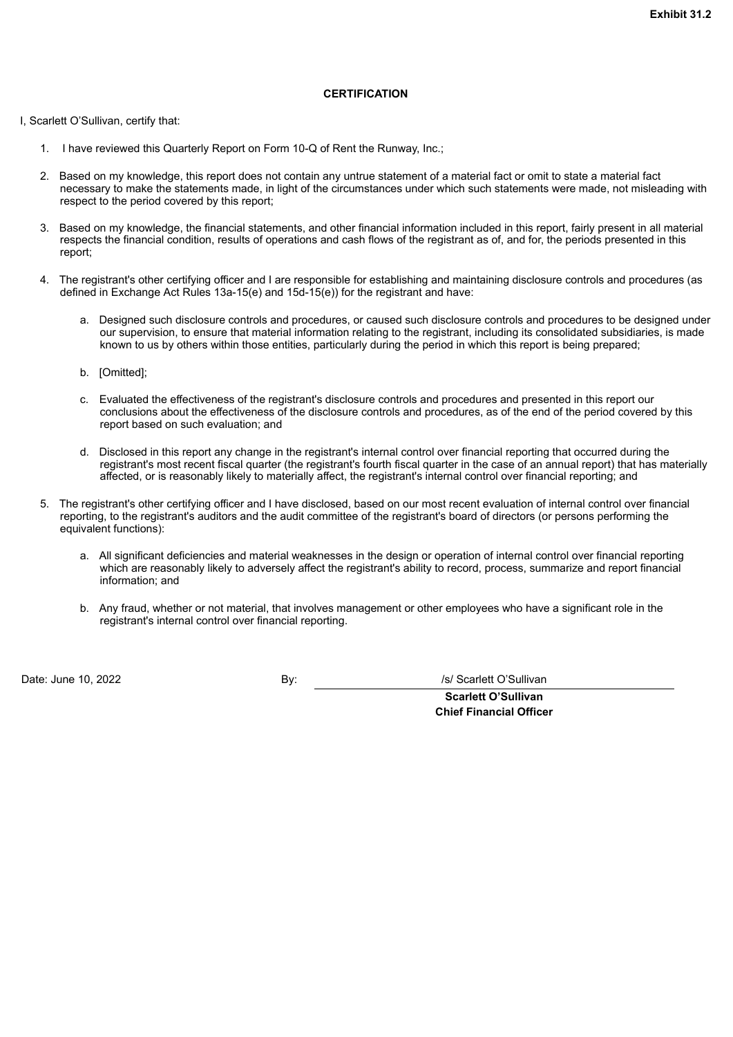# **CERTIFICATION**

<span id="page-94-0"></span>I, Scarlett O'Sullivan, certify that:

- 1. I have reviewed this Quarterly Report on Form 10-Q of Rent the Runway, Inc.;
- 2. Based on my knowledge, this report does not contain any untrue statement of a material fact or omit to state a material fact necessary to make the statements made, in light of the circumstances under which such statements were made, not misleading with respect to the period covered by this report;
- 3. Based on my knowledge, the financial statements, and other financial information included in this report, fairly present in all material respects the financial condition, results of operations and cash flows of the registrant as of, and for, the periods presented in this report;
- 4. The registrant's other certifying officer and I are responsible for establishing and maintaining disclosure controls and procedures (as defined in Exchange Act Rules 13a-15(e) and 15d-15(e)) for the registrant and have:
	- a. Designed such disclosure controls and procedures, or caused such disclosure controls and procedures to be designed under our supervision, to ensure that material information relating to the registrant, including its consolidated subsidiaries, is made known to us by others within those entities, particularly during the period in which this report is being prepared;
	- b. [Omitted];
	- c. Evaluated the effectiveness of the registrant's disclosure controls and procedures and presented in this report our conclusions about the effectiveness of the disclosure controls and procedures, as of the end of the period covered by this report based on such evaluation; and
	- d. Disclosed in this report any change in the registrant's internal control over financial reporting that occurred during the registrant's most recent fiscal quarter (the registrant's fourth fiscal quarter in the case of an annual report) that has materially affected, or is reasonably likely to materially affect, the registrant's internal control over financial reporting; and
- 5. The registrant's other certifying officer and I have disclosed, based on our most recent evaluation of internal control over financial reporting, to the registrant's auditors and the audit committee of the registrant's board of directors (or persons performing the equivalent functions):
	- a. All significant deficiencies and material weaknesses in the design or operation of internal control over financial reporting which are reasonably likely to adversely affect the registrant's ability to record, process, summarize and report financial information; and
	- b. Any fraud, whether or not material, that involves management or other employees who have a significant role in the registrant's internal control over financial reporting.

Date: June 10, 2022 **By:** /s/ Scarlett O'Sullivan

**Scarlett O'Sullivan Chief Financial Officer**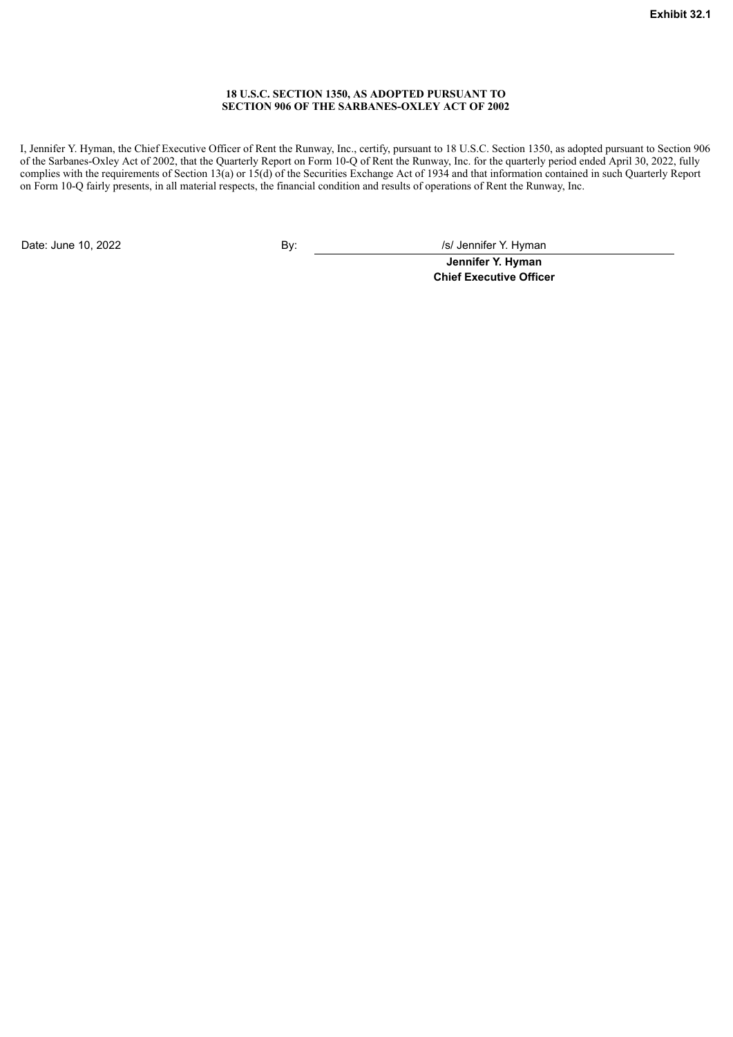#### **18 U.S.C. SECTION 1350, AS ADOPTED PURSUANT TO SECTION 906 OF THE SARBANES-OXLEY ACT OF 2002**

<span id="page-95-0"></span>I, Jennifer Y. Hyman, the Chief Executive Officer of Rent the Runway, Inc., certify, pursuant to 18 U.S.C. Section 1350, as adopted pursuant to Section 906 of the Sarbanes-Oxley Act of 2002, that the Quarterly Report on Form 10-Q of Rent the Runway, Inc. for the quarterly period ended April 30, 2022, fully complies with the requirements of Section 13(a) or 15(d) of the Securities Exchange Act of 1934 and that information contained in such Quarterly Report on Form 10-Q fairly presents, in all material respects, the financial condition and results of operations of Rent the Runway, Inc.

Date: June 10, 2022 **By:** By: *By:* /s/ Jennifer Y. Hyman

**Jennifer Y. Hyman Chief Executive Officer**